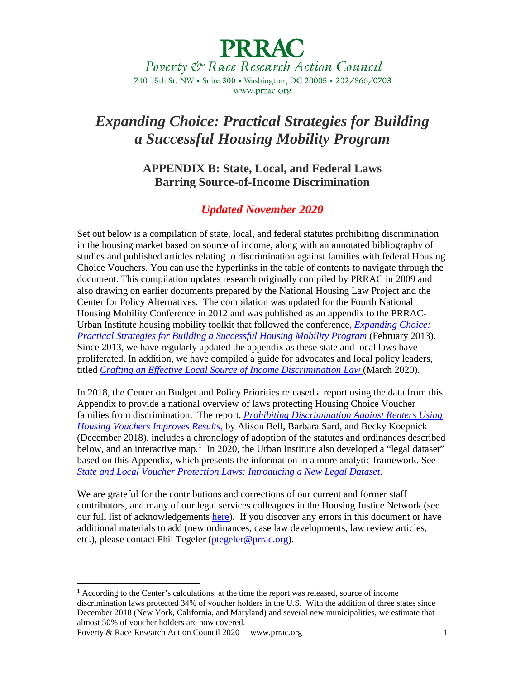

Poverty & Race Research Action Council 740 15th St. NW • Suite 300 • Washington, DC 20005 • 202/866/0703 www.prrac.org

# *Expanding Choice: Practical Strategies for Building a Successful Housing Mobility Program*

# **APPENDIX B: State, Local, and Federal Laws Barring Source-of-Income Discrimination**

## *Updated November 2020*

Set out below is a compilation of state, local, and federal statutes prohibiting discrimination in the housing market based on source of income, along with an annotated bibliography of studies and published articles relating to discrimination against families with federal Housing Choice Vouchers. You can use the hyperlinks in the table of contents to navigate through the document. This compilation updates research originally compiled by PRRAC in 2009 and also drawing on earlier documents prepared by the National Housing Law Project and the Center for Policy Alternatives. The compilation was updated for the Fourth National Housing Mobility Conference in 2012 and was published as an appendix to the PRRAC-Urban Institute housing mobility toolkit that followed the conference, *[Expanding Choice:](https://prrac.org/expanding-choice-practical-strategies-for-building-a-successful-housing-mobility-program/)  [Practical Strategies for Building a Successful Housing Mobility Program](https://prrac.org/expanding-choice-practical-strategies-for-building-a-successful-housing-mobility-program/)* (February 2013). Since 2013, we have regularly updated the appendix as these state and local laws have proliferated. In addition, we have compiled a guide for advocates and local policy leaders, titled *Crafting an [Effective Local Source of Income Discrimination Law](https://prrac.org/crafting-a-strong-and-effective-source-of-income-discrimination-law-prrac-march-2020/)* (March 2020).

In 2018, the Center on Budget and Policy Priorities released a report using the data from this Appendix to provide a national overview of laws protecting Housing Choice Voucher families from discrimination. The report, *[Prohibiting Discrimination Against Renters Using](https://www.cbpp.org/sites/default/files/atoms/files/10-10-18hous.pdf)  [Housing Vouchers Improves Results,](https://www.cbpp.org/sites/default/files/atoms/files/10-10-18hous.pdf)* by Alison Bell, Barbara Sard, and Becky Koepnick (December 2018), includes a chronology of adoption of the statutes and ordinances described below, and an interactive map.<sup>[1](#page-0-0)</sup> In 2020, the Urban Institute also developed a "legal dataset" based on this Appendix, which presents the information in a more analytic framework. See *[State and Local Voucher Protection Laws: Introducing a New Legal Dataset](https://www.urban.org/research/publication/state-and-local-voucher-protection-laws-introducing-new-legal-dataset)*.

We are grateful for the contributions and corrections of our current and former staff contributors, and many of our legal services colleagues in the Housing Justice Network (see our full list of acknowledgements [here\)](#page-182-0). If you discover any errors in this document or have additional materials to add (new ordinances, case law developments, law review articles, etc.), please contact Phil Tegeler [\(ptegeler@prrac.org\)](mailto:ptegeler@prrac.org).

<span id="page-0-0"></span><sup>&</sup>lt;sup>1</sup> According to the Center's calculations, at the time the report was released, source of income discrimination laws protected 34% of voucher holders in the U.S. With the addition of three states since December 2018 (New York, California, and Maryland) and several new municipalities, we estimate that almost 50% of voucher holders are now covered.

Poverty & Race Research Action Council 2020 www.prrac.org 1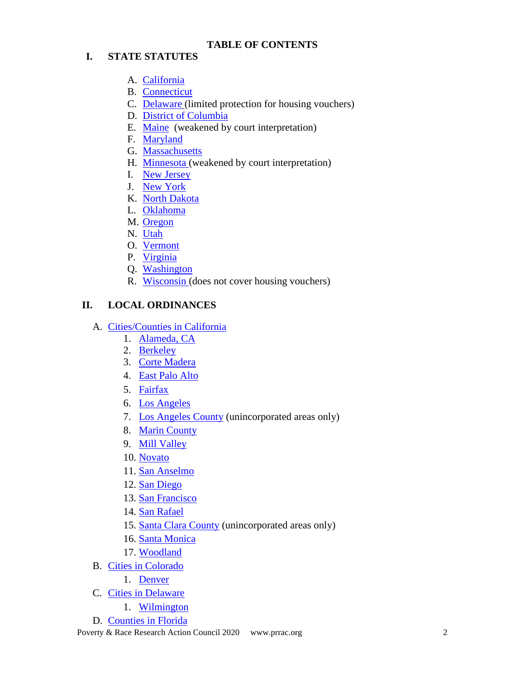## **TABLE OF CONTENTS**

# **I. STATE STATUTES**

- A. [California](#page-6-0)
- B. [Connecticut](#page-8-0)
- C. [Delaware](#page-9-0) (limited protection for housing vouchers)
- D. [District of Columbia](#page-12-0)
- E. [Maine](#page-13-0) (weakened by court interpretation)
- F. [Maryland](#page-15-0)
- G. [Massachusetts](#page-14-0)
- H. [Minnesota](#page-18-0) (weakened by court interpretation)
- I. [New Jersey](#page-19-0)
- J. [New York](#page-21-0)
- K. [North Dakota](#page-23-0)
- L. [Oklahoma](#page-24-0)
- M. [Oregon](#page-25-0)
- N. [Utah](#page-27-0)
- O. Vermont
- P. [Virginia](#page-29-0)
- Q. Washington
- R. [Wisconsin](#page-34-0) (does not cover housing vouchers)

## **II. LOCAL ORDINANCES**

## A. [Cities/Counties](#page-36-0) in California

- 1. [Alameda, CA](#page-36-1)
- 2. [Berkeley](#page-37-0)
- 3. Corte Madera
- 4. [East Palo Alto](#page-39-0)
- 5. [Fairfax](#page-40-0)
- 6. [Los Angeles](#page-40-1)
- 7. [Los Angeles County](#page-41-0) (unincorporated areas only)
- 8. [Marin County](#page-42-0)
- 9. [Mill Valley](#page-43-0)
- 10. [Novato](#page-43-1)
- 11. [San Anselmo](#page-44-0)
- 12. [San Diego](#page-49-0)
- 13. [San Francisco](#page-46-0)
- 14. [San Rafael](#page-47-0)
- 15. [Santa Clara County](#page-47-1) (unincorporated areas only)
- 16. [Santa Monica](#page-48-0)
- 17. Woodland
- B. Cities in Colorado
	- 1. [Denver](#page-49-1)
- C. [Cities in Delaware](#page-50-0)
	- 1. [Wilmington](#page-50-1)
- D. [Counties in Florida](#page-51-0)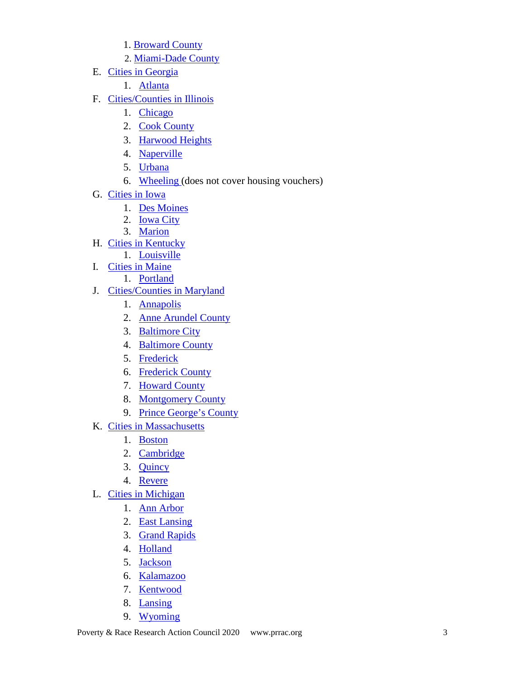- 1. [Broward County](#page-51-1)
- 2. [Miami-Dade County](#page-52-0)
- E. [Cities in Georgia](#page-53-0)
	- 1. [Atlanta](#page-53-1)
- F. [Cities/Counties](#page-53-2) in Illinois
	- 1. [Chicago](#page-55-0)
	- 2. [Cook County](#page-55-1)
	- 3. [Harwood Heights](#page-56-0)
	- 4. [Naperville](#page-57-0)
	- 5. [Urbana](#page-58-0)
	- 6. [Wheeling](#page-59-0) (does not cover housing vouchers)
- G. [Cities in Iowa](#page-60-0)
	- 1. [Des Moines](#page-59-1)
	- 2. Iowa City
	- 3. [Marion](#page-61-0)
- H. Cities in Kentucky
	- 1. Louisville
- I. Cities in Maine
	- 1. Portland
- J. [Cities/Counties in Maryland](#page-64-0)
	- 1. [Annapolis](#page-64-1)
	- 2. [Anne Arundel County](#page-65-0)
	- 3. [Baltimore](#page-66-0) City
	- 4. [Baltimore County](#page-67-0)
	- 5. [Frederick](#page-69-0)
	- 6. [Frederick County](#page-70-0)
	- 7. [Howard County](#page-70-1)
	- 8. [Montgomery County](#page-71-0)
	- 9. [Prince George's County](#page-72-0)
- K. [Cities in Massachusetts](#page-72-1)
	- 1. [Boston](#page-73-0)
	- 2. [Cambridge](#page-74-0)
	- 3. [Quincy](#page-75-0)
	- 4. [Revere](#page-75-1)
- L. [Cities in Michigan](#page-77-0)
	- 1. [Ann Arbor](#page-77-1)
	- 2. [East Lansing](#page-77-2)
	- 3. [Grand Rapids](#page-78-0)
	- 4. Holland
	- 5. [Jackson](#page-80-0)
	- 6. Kalamazoo
	- 7. [Kentwood](#page-82-0)
	- 8. [Lansing](#page-84-0)
	- 9. [Wyoming](#page-85-0)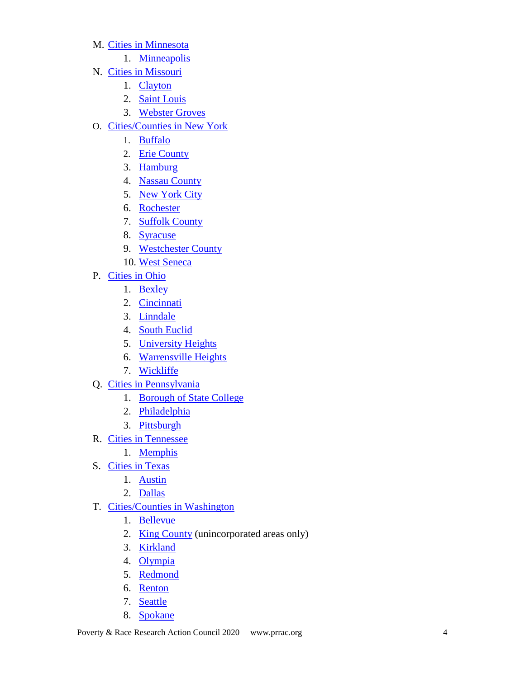- M. [Cities in Minnesota](#page-86-0)
	- 1. [Minneapolis](#page-86-1)
- N. [Cities in Missouri](#page-87-0)
	- 1. [Clayton](#page-87-1)
	- 2. [Saint Louis](#page-89-0)
	- 3. [Webster Groves](#page-90-0)
- O. [Cities/Counties](#page-91-0) in New York
	- 1. [Buffalo](#page-91-1)
	- 2. [Erie County](#page-92-0)
	- 3. [Hamburg](#page-93-0)
	- 4. [Nassau Cou](#page-94-0)nty
	- 5. [New York City](#page-95-0)
	- 6. [Rochester](#page-96-0)
	- 7. [Suffolk County](#page-97-0)
	- 8. [Syracuse](#page-98-0)
	- 9. [Westchester](#page-99-0) County
	- 10. [West Seneca](#page-100-0)
- P. [Cities in Ohio](#page-101-0)
	- 1. Bexley
	- 2. Cincinnati
	- 3. [Linndale](#page-103-0)
	- 4. [South Euclid](#page-104-0)
	- 5. [University Heights](#page-105-0)
	- 6. [Warrensville Heights](#page-105-1)
	- 7. [Wickliffe](#page-106-0)
- Q. [Cities in Pennsylvania](#page-107-0)
	- 1. [Borough of State College](#page-107-1)
	- 2. [Philadelphia](#page-108-0)
	- 3. Pittsburgh
- R. [Cities in Tennessee](#page-110-0)
	- 1. [Memphis](#page-111-0)
- S. [Cities in Texas](#page-112-0)
	- 1. [Austin](#page-112-1)
	- 2. [Dallas](#page-114-0)
- T. [Cities/Counties](#page-115-0) in Washington
	- 1. [Bellevue](#page-115-1)
	- 2. [King County](#page-116-0) (unincorporated areas only)
	- 3. [Kirkland](#page-117-0)
	- 4. [Olympia](#page-118-0)
	- 5. [Redmond](#page-119-0)
	- 6. [Renton](#page-120-0)
	- 7. [Seattle](#page-121-0)
	- 8. [Spokane](#page-122-0)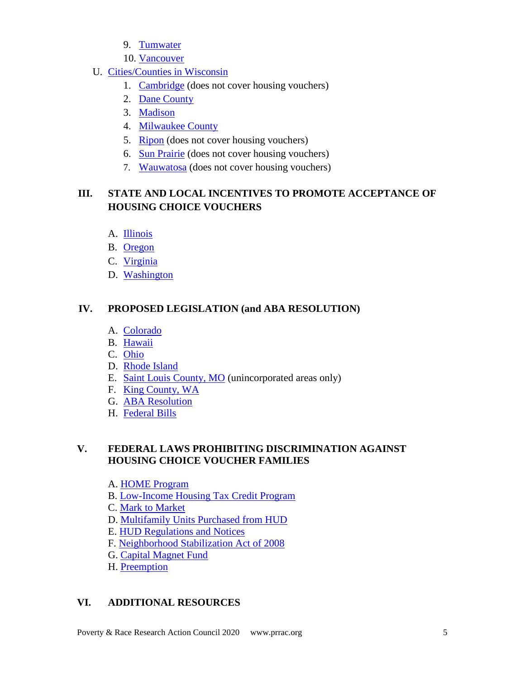- 9. [Tumwater](#page-123-0)
- 10. [Vancouver](#page-124-0)

## U. [Cities/Counties](#page-124-1) in Wisconsin

- 1. [Cambridge](#page-125-0) (does not cover housing vouchers)
- 2. [Dane County](#page-126-0)
- 3. [Madison](#page-127-0)
- 4. [Milwaukee](#page-128-0) County
- 5. [Ripon](#page-130-0) (does not cover housing vouchers)
- 6. [Sun Prairie](#page-131-0) (does not cover housing vouchers)
- 7. [Wauwatosa](#page-133-0) (does not cover housing vouchers)

# **III. [STATE AND LOCAL INCENTIVES TO PROMOTE ACCEPTANCE OF](#page-135-0)  [HOUSING CHOICE VOUCHERS](#page-135-0)**

- A. [Illinois](#page-135-1)
- B. [Oregon](#page-136-0)
- C. Virginia
- D. [Washington](#page-138-0)

## **IV. PROPOSED LEGISLATION (and ABA RESOLUTION)**

- A. [Colorado](#page-141-0)
- B. [Hawaii](#page-142-0)
- C. [Ohio](#page-142-1)
- D. [Rhode Island](#page-143-0)
- E. Saint [Louis County, MO](#page-144-0) (unincorporated areas only)
- F. [King County, WA](#page-145-0)
- G. [ABA Resolution](#page-146-0)
- H. Federal Bills

## **V. FEDERAL LAWS PROHIBITING DISCRIMINATION AGAINST HOUSING CHOICE VOUCHER FAMILIES**

- A. [HOME Program](#page-148-0)
- B. [Low-Income Housing Tax Credit Program](#page-148-1)
- C. [Mark to Market](#page-149-0)
- D. [Multifamily Units Purchased from HUD](#page-149-1)
- E. [HUD Regulations and Notices](#page-151-0)
- F. [Neighborhood Stabilization Act of 2008](#page-151-1)
- G. [Capital Magnet Fund](#page-148-2)
- H. [Preemption](#page-151-2)

## **VI. ADDITIONAL RESOURCES**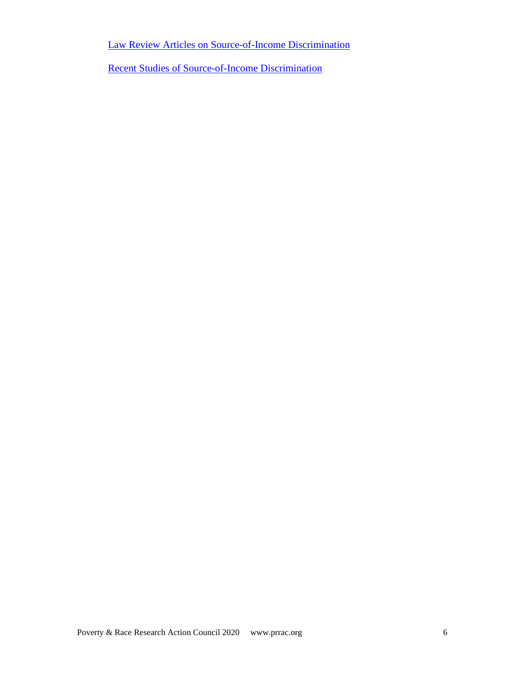[Law Review Articles on Source-of-Income Discrimination](#page-152-0)

[Recent Studies of Source-of-Income Discrimination](#page-162-0)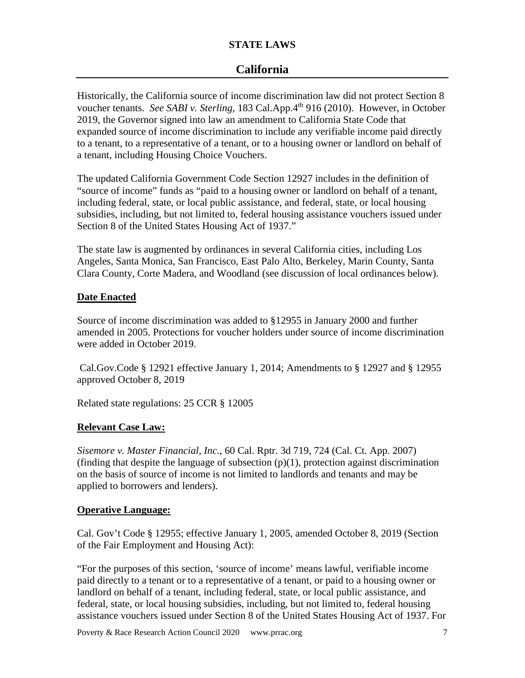## **STATE LAWS**

# **California**

<span id="page-6-0"></span>Historically, the California source of income discrimination law did not protect Section 8 voucher tenants. *See SABI v. Sterling*, 183 Cal.App.4<sup>th</sup> 916 (2010). However, in October 2019, the Governor signed into law an amendment to California State Code that expanded source of income discrimination to include any verifiable income paid directly to a tenant, to a representative of a tenant, or to a housing owner or landlord on behalf of a tenant, including Housing Choice Vouchers.

The updated California Government Code Section 12927 includes in the definition of "source of income" funds as "paid to a housing owner or landlord on behalf of a tenant, including federal, state, or local public assistance, and federal, state, or local housing subsidies, including, but not limited to, federal housing assistance vouchers issued under Section 8 of the United States Housing Act of 1937."

The state law is augmented by ordinances in several California cities, including Los Angeles, Santa Monica, San Francisco, East Palo Alto, Berkeley, Marin County, Santa Clara County, Corte Madera, and Woodland (see discussion of local ordinances below).

## **Date Enacted**

Source of income discrimination was added to §12955 in January 2000 and further amended in 2005. Protections for voucher holders under source of income discrimination were added in October 2019.

Cal.Gov.Code § 12921 effective January 1, 2014; Amendments to § 12927 and § 12955 approved October 8, 2019

Related state regulations: 25 CCR § 12005

## **Relevant Case Law:**

*Sisemore v. Master Financial, Inc.*, 60 Cal. Rptr. 3d 719, 724 (Cal. Ct. App. 2007) (finding that despite the language of subsection  $(p)(1)$ , protection against discrimination on the basis of source of income is not limited to landlords and tenants and may be applied to borrowers and lenders).

#### **Operative Language:**

[Cal. Gov't Code § 12955;](http://web2.westlaw.com/find/default.wl?tf=-1&rs=WLW9.09&fn=_top&sv=Split&tc=-1&docname=CAGTS12955&ordoc=0342899523&findtype=L&mt=WestlawGC&db=1000211&utid=%7bB77F81B7-7E1C-4470-B9CB-700E5C5FF2FF%7d&vr=2.0&rp=%2ffind%2fdefault.wl&pbc=2C241B8D) effective January 1, 2005, amended October 8, 2019 (Section of the Fair Employment and Housing Act):

"For the purposes of this section, 'source of income' means lawful, verifiable income paid directly to a tenant or to a representative of a tenant, or paid to a housing owner or landlord on behalf of a tenant, including federal, state, or local public assistance, and federal, state, or local housing subsidies, including, but not limited to, federal housing assistance vouchers issued under Section 8 of the United States Housing Act of 1937. For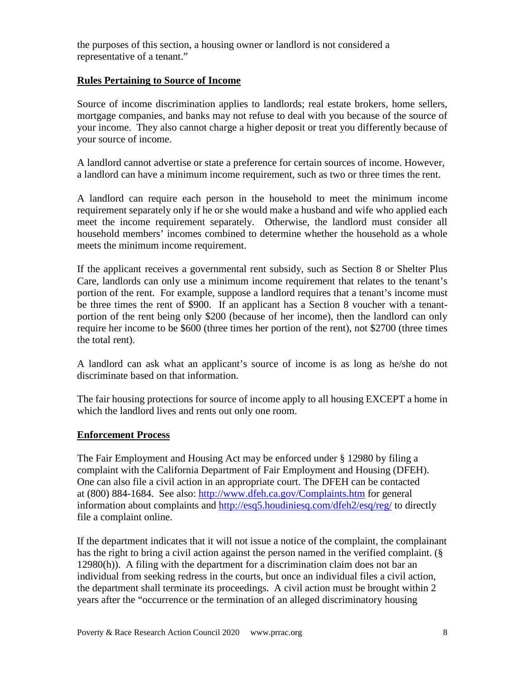the purposes of this section, a housing owner or landlord is not considered a representative of a tenant."

## **Rules Pertaining to Source of Income**

Source of income discrimination applies to landlords; real estate brokers, home sellers, mortgage companies, and banks may not refuse to deal with you because of the source of your income. They also cannot charge a higher deposit or treat you differently because of your source of income.

A landlord cannot advertise or state a preference for certain sources of income. However, a landlord can have a minimum income requirement, such as two or three times the rent.

A landlord can require each person in the household to meet the minimum income requirement separately only if he or she would make a husband and wife who applied each meet the income requirement separately. Otherwise, the landlord must consider all household members' incomes combined to determine whether the household as a whole meets the minimum income requirement.

If the applicant receives a governmental rent subsidy, such as Section 8 or Shelter Plus Care, landlords can only use a minimum income requirement that relates to the tenant's portion of the rent. For example, suppose a landlord requires that a tenant's income must be three times the rent of \$900. If an applicant has a Section 8 voucher with a tenantportion of the rent being only \$200 (because of her income), then the landlord can only require her income to be \$600 (three times her portion of the rent), not \$2700 (three times the total rent).

A landlord can ask what an applicant's source of income is as long as he/she do not discriminate based on that information.

The fair housing protections for source of income apply to all housing EXCEPT a home in which the landlord lives and rents out only one room.

#### **Enforcement Process**

The Fair Employment and Housing Act may be enforced under § 12980 by filing a complaint with the California Department of Fair Employment and Housing (DFEH). One can also file a civil action in an appropriate court. The DFEH can be contacted at (800) 884-1684. See also:<http://www.dfeh.ca.gov/Complaints.htm> for general information about complaints and<http://esq5.houdiniesq.com/dfeh2/esq/reg/> to directly file a complaint online.

If the department indicates that it will not issue a notice of the complaint, the complainant has the right to bring a civil action against the person named in the verified complaint. (§ 12980(h)). A filing with the department for a discrimination claim does not bar an individual from seeking redress in the courts, but once an individual files a civil action, the department shall terminate its proceedings. A civil action must be brought within 2 years after the "occurrence or the termination of an alleged discriminatory housing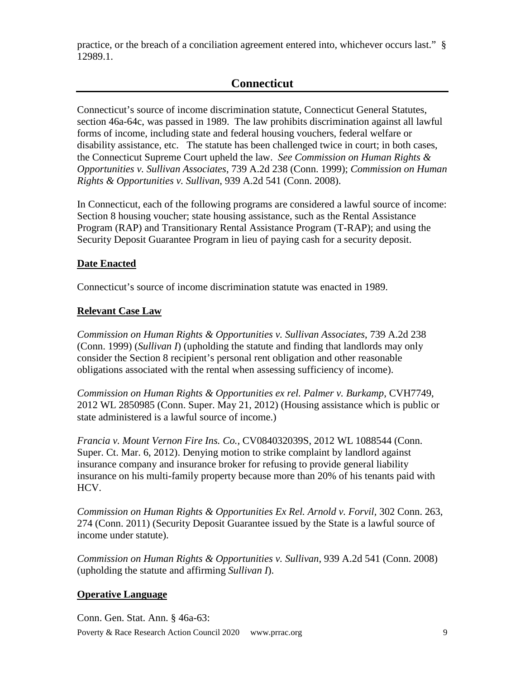practice, or the breach of a conciliation agreement entered into, whichever occurs last." § 12989.1.

# **Connecticut**

<span id="page-8-0"></span>Connecticut's source of income discrimination statute, Connecticut General Statutes, section 46a-64c, was passed in 1989. The law prohibits discrimination against all lawful forms of income, including state and federal housing vouchers, federal welfare or disability assistance, etc. The statute has been challenged twice in court; in both cases, the Connecticut Supreme Court upheld the law. *See Commission on Human Rights & Opportunities v. Sullivan Associates*, 739 A.2d 238 (Conn. 1999); *Commission on Human Rights & Opportunities v. Sullivan*, 939 A.2d 541 (Conn. 2008).

In Connecticut, each of the following programs are considered a lawful source of income: Section 8 housing voucher; state housing assistance, such as the Rental Assistance Program (RAP) and Transitionary Rental Assistance Program (T-RAP); and using the Security Deposit Guarantee Program in lieu of paying cash for a security deposit.

## **Date Enacted**

Connecticut's source of income discrimination statute was enacted in 1989.

## **Relevant Case Law**

*Commission on Human Rights & Opportunities v. Sullivan Associates*, 739 A.2d 238 (Conn. 1999) (*Sullivan I*) (upholding the statute and finding that landlords may only consider the Section 8 recipient's personal rent obligation and other reasonable obligations associated with the rental when assessing sufficiency of income).

*Commission on Human Rights & Opportunities ex rel. Palmer v. Burkamp*, CVH7749, 2012 WL 2850985 (Conn. Super. May 21, 2012) (Housing assistance which is public or state administered is a lawful source of income.)

*Francia v. Mount Vernon Fire Ins. Co.,* CV084032039S, 2012 WL 1088544 (Conn. Super. Ct. Mar. 6, 2012). Denying motion to strike complaint by landlord against insurance company and insurance broker for refusing to provide general liability insurance on his multi-family property because more than 20% of his tenants paid with HCV.

*Commission on Human Rights & Opportunities Ex Rel. Arnold v. Forvil,* 302 Conn. 263, 274 (Conn. 2011) (Security Deposit Guarantee issued by the State is a lawful source of income under statute).

*Commission on Human Rights & Opportunities v. Sullivan*, 939 A.2d 541 (Conn. 2008) (upholding the statute and affirming *Sullivan I*).

## **Operative Language**

Poverty & Race Research Action Council 2020 www.prrac.org 9 Conn. Gen. Stat. Ann. § 46a-63: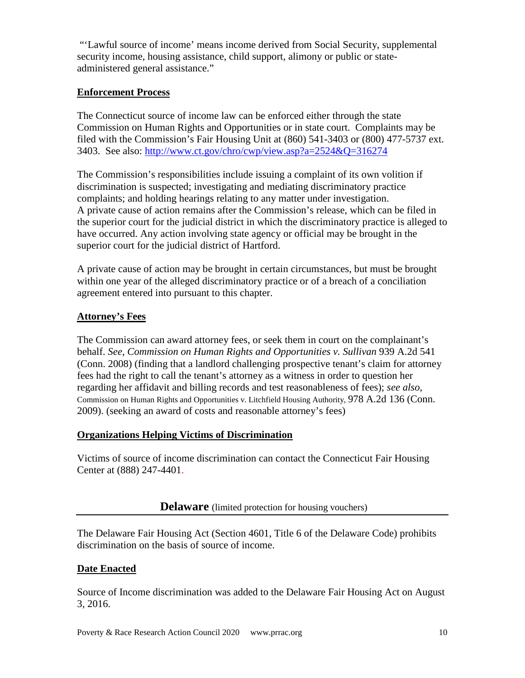"'Lawful source of income' means income derived from Social Security, supplemental security income, housing assistance, child support, alimony or public or stateadministered general assistance."

## **Enforcement Process**

The Connecticut source of income law can be enforced either through the state Commission on Human Rights and Opportunities or in state court. Complaints may be filed with the Commission's Fair Housing Unit at (860) 541-3403 or (800) 477-5737 ext. 3403. See also:<http://www.ct.gov/chro/cwp/view.asp?a=2524&Q=316274>

The Commission's responsibilities include issuing a complaint of its own volition if discrimination is suspected; investigating and mediating discriminatory practice complaints; and holding hearings relating to any matter under investigation. A private cause of action remains after the Commission's release, which can be filed in the superior court for the judicial district in which the discriminatory practice is alleged to have occurred. Any action involving state agency or official may be brought in the superior court for the judicial district of Hartford.

A private cause of action may be brought in certain circumstances, but must be brought within one year of the alleged discriminatory practice or of a breach of a conciliation agreement entered into pursuant to this chapter.

## **Attorney's Fees**

The Commission can award attorney fees, or seek them in court on the complainant's behalf. *See*, *Commission on Human Rights and Opportunities v. Sullivan* 939 A.2d 541 (Conn. 2008) (finding that a landlord challenging prospective tenant's claim for attorney fees had the right to call the tenant's attorney as a witness in order to question her regarding her affidavit and billing records and test reasonableness of fees); *see also*, Commission on Human Rights and Opportunities v. Litchfield Housing Authority, 978 A.2d 136 (Conn. 2009). (seeking an award of costs and reasonable attorney's fees)

#### **Organizations Helping Victims of Discrimination**

Victims of source of income discrimination can contact the Connecticut Fair Housing Center at (888) 247-4401.

#### <span id="page-9-0"></span>**Delaware** (limited protection for housing vouchers)

The Delaware Fair Housing Act (Section 4601, Title 6 of the Delaware Code) prohibits discrimination on the basis of source of income.

#### **Date Enacted**

Source of Income discrimination was added to the Delaware Fair Housing Act on August 3, 2016.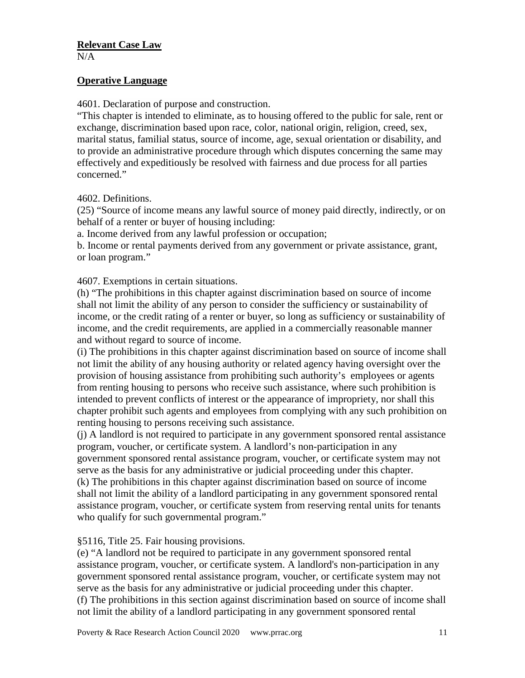# **Relevant Case Law**

## **Operative Language**

4601. Declaration of purpose and construction.

"This chapter is intended to eliminate, as to housing offered to the public for sale, rent or exchange, discrimination based upon race, color, national origin, religion, creed, sex, marital status, familial status, source of income, age, sexual orientation or disability, and to provide an administrative procedure through which disputes concerning the same may effectively and expeditiously be resolved with fairness and due process for all parties concerned."

4602. Definitions.

(25) "Source of income means any lawful source of money paid directly, indirectly, or on behalf of a renter or buyer of housing including:

a. Income derived from any lawful profession or occupation;

b. Income or rental payments derived from any government or private assistance, grant, or loan program."

4607. Exemptions in certain situations.

(h) "The prohibitions in this chapter against discrimination based on source of income shall not limit the ability of any person to consider the sufficiency or sustainability of income, or the credit rating of a renter or buyer, so long as sufficiency or sustainability of income, and the credit requirements, are applied in a commercially reasonable manner and without regard to source of income.

(i) The prohibitions in this chapter against discrimination based on source of income shall not limit the ability of any housing authority or related agency having oversight over the provision of housing assistance from prohibiting such authority's employees or agents from renting housing to persons who receive such assistance, where such prohibition is intended to prevent conflicts of interest or the appearance of impropriety, nor shall this chapter prohibit such agents and employees from complying with any such prohibition on renting housing to persons receiving such assistance.

(j) A landlord is not required to participate in any government sponsored rental assistance program, voucher, or certificate system. A landlord's non-participation in any government sponsored rental assistance program, voucher, or certificate system may not serve as the basis for any administrative or judicial proceeding under this chapter. (k) The prohibitions in this chapter against discrimination based on source of income shall not limit the ability of a landlord participating in any government sponsored rental assistance program, voucher, or certificate system from reserving rental units for tenants who qualify for such governmental program."

## §5116, Title 25. Fair housing provisions.

(e) "A landlord not be required to participate in any government sponsored rental assistance program, voucher, or certificate system. A landlord's non-participation in any government sponsored rental assistance program, voucher, or certificate system may not serve as the basis for any administrative or judicial proceeding under this chapter. (f) The prohibitions in this section against discrimination based on source of income shall not limit the ability of a landlord participating in any government sponsored rental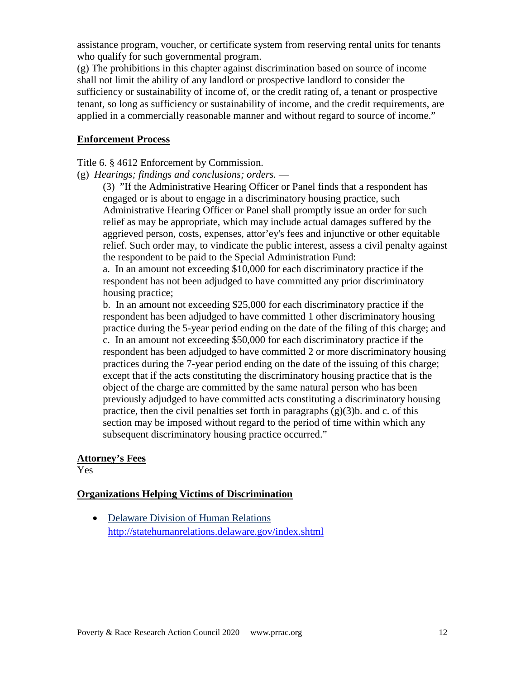assistance program, voucher, or certificate system from reserving rental units for tenants who qualify for such governmental program.

(g) The prohibitions in this chapter against discrimination based on source of income shall not limit the ability of any landlord or prospective landlord to consider the sufficiency or sustainability of income of, or the credit rating of, a tenant or prospective tenant, so long as sufficiency or sustainability of income, and the credit requirements, are applied in a commercially reasonable manner and without regard to source of income."

#### **Enforcement Process**

Title 6. § 4612 Enforcement by Commission.

(g) *Hearings; findings and conclusions; orders.* —

(3) "If the Administrative Hearing Officer or Panel finds that a respondent has engaged or is about to engage in a discriminatory housing practice, such Administrative Hearing Officer or Panel shall promptly issue an order for such relief as may be appropriate, which may include actual damages suffered by the aggrieved person, costs, expenses, attor'ey's fees and injunctive or other equitable relief. Such order may, to vindicate the public interest, assess a civil penalty against the respondent to be paid to the Special Administration Fund:

a. In an amount not exceeding \$10,000 for each discriminatory practice if the respondent has not been adjudged to have committed any prior discriminatory housing practice;

b. In an amount not exceeding \$25,000 for each discriminatory practice if the respondent has been adjudged to have committed 1 other discriminatory housing practice during the 5-year period ending on the date of the filing of this charge; and c. In an amount not exceeding \$50,000 for each discriminatory practice if the respondent has been adjudged to have committed 2 or more discriminatory housing practices during the 7-year period ending on the date of the issuing of this charge; except that if the acts constituting the discriminatory housing practice that is the object of the charge are committed by the same natural person who has been previously adjudged to have committed acts constituting a discriminatory housing practice, then the civil penalties set forth in paragraphs  $(g)(3)$ b. and c. of this section may be imposed without regard to the period of time within which any subsequent discriminatory housing practice occurred."

# **Attorney's Fees**

Yes

#### **Organizations Helping Victims of Discrimination**

• [Delaware Division of Human Relations](http://statehumanrelations.delaware.gov/) <http://statehumanrelations.delaware.gov/index.shtml>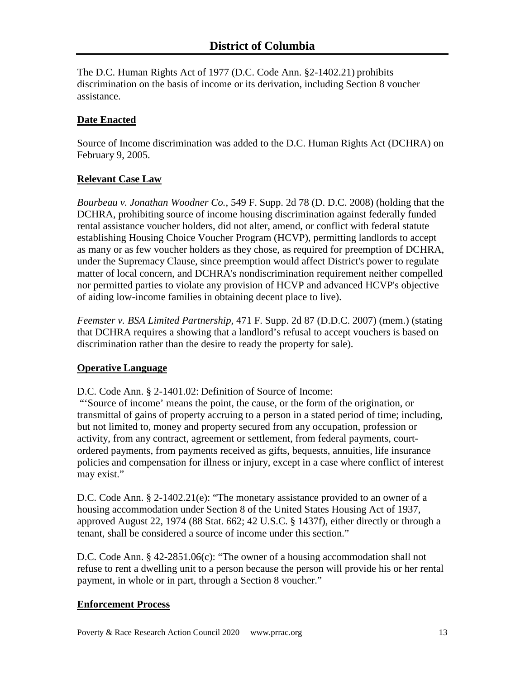<span id="page-12-0"></span>The D.C. Human Rights Act of 1977 (D.C. Code Ann. §2-1402.21) prohibits discrimination on the basis of income or its derivation, including Section 8 voucher assistance.

## **Date Enacted**

Source of Income discrimination was added to the D.C. Human Rights Act (DCHRA) on February 9, 2005.

## **Relevant Case Law**

*Bourbeau v. Jonathan Woodner Co.*, 549 F. Supp. 2d 78 (D. D.C. 2008) (holding that the DCHRA, prohibiting source of income housing discrimination against federally funded rental assistance voucher holders, did not alter, amend, or conflict with federal statute establishing Housing Choice Voucher Program (HCVP), permitting landlords to accept as many or as few voucher holders as they chose, as required for preemption of DCHRA, under the Supremacy Clause, since preemption would affect District's power to regulate matter of local concern, and DCHRA's nondiscrimination requirement neither compelled nor permitted parties to violate any provision of HCVP and advanced HCVP's objective of aiding low-income families in obtaining decent place to live).

*Feemster v. BSA Limited Partnership*, 471 F. Supp. 2d 87 (D.D.C. 2007) (mem.) (stating that DCHRA requires a showing that a landlord's refusal to accept vouchers is based on discrimination rather than the desire to ready the property for sale).

## **Operative Language**

D.C. Code Ann. § 2-1401.02: Definition of Source of Income:

"'Source of income' means the point, the cause, or the form of the origination, or transmittal of gains of property accruing to a person in a stated period of time; including, but not limited to, money and property secured from any occupation, profession or activity, from any contract, agreement or settlement, from federal payments, courtordered payments, from payments received as gifts, bequests, annuities, life insurance policies and compensation for illness or injury, except in a case where conflict of interest may exist."

D.C. Code Ann. § 2-1402.21(e): "The monetary assistance provided to an owner of a housing accommodation under Section 8 of the United States Housing Act of 1937, approved August 22, 1974 (88 Stat. 662; 42 U.S.C. § 1437f), either directly or through a tenant, shall be considered a source of income under this section."

D.C. Code Ann. § 42-2851.06(c): "The owner of a housing accommodation shall not refuse to rent a dwelling unit to a person because the person will provide his or her rental payment, in whole or in part, through a Section 8 voucher."

## **Enforcement Process**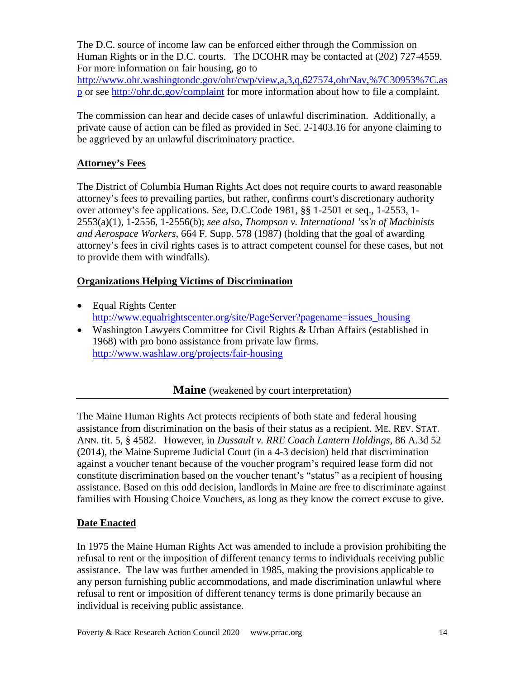The D.C. source of income law can be enforced either through the Commission on Human Rights or in the D.C. courts. The DCOHR may be contacted at (202) 727-4559. For more information on fair housing, go to

[http://www.ohr.washingtondc.gov/ohr/cwp/view,a,3,q,627574,ohrNav,%7C30953%7C.as](http://www.ohr.washingtondc.gov/ohr/cwp/view,a,3,q,627574,ohrNav,%7C30953%7C.asp) [p](http://www.ohr.washingtondc.gov/ohr/cwp/view,a,3,q,627574,ohrNav,%7C30953%7C.asp) or see<http://ohr.dc.gov/complaint> for more information about how to file a complaint.

The commission can hear and decide cases of unlawful discrimination. Additionally, a private cause of action can be filed as provided in Sec. 2-1403.16 for anyone claiming to be aggrieved by an unlawful discriminatory practice.

## **Attorney's Fees**

The District of Columbia Human Rights Act does not require courts to award reasonable attorney's fees to prevailing parties, but rather, confirms court's discretionary authority over attorney's fee applications. *See*, D.C.Code 1981, §§ 1-2501 et seq., 1-2553, 1- 2553(a)(1), 1-2556, 1-2556(b); *see also*, *Thompson v. International 'ss'n of Machinists and Aerospace Workers*, 664 F. Supp. 578 (1987) (holding that the goal of awarding attorney's fees in civil rights cases is to attract competent counsel for these cases, but not to provide them with windfalls).

## **Organizations Helping Victims of Discrimination**

- Equal Rights Center [http://www.equalrightscenter.org/site/PageServer?pagename=issues\\_housing](http://www.equalrightscenter.org/site/PageServer?pagename=issues_housing)
- Washington Lawyers Committee for Civil Rights & Urban Affairs (established in 1968) with pro bono assistance from private law firms. <http://www.washlaw.org/projects/fair-housing>

## **Maine** (weakened by court interpretation)

<span id="page-13-0"></span>The Maine Human Rights Act protects recipients of both state and federal housing assistance from discrimination on the basis of their status as a recipient. ME. REV. STAT. ANN. tit. 5, § 4582. However, in *Dussault v. RRE Coach Lantern Holdings*, 86 A.3d 52 (2014), the Maine Supreme Judicial Court (in a 4-3 decision) held that discrimination against a voucher tenant because of the voucher program's required lease form did not constitute discrimination based on the voucher tenant's "status" as a recipient of housing assistance. Based on this odd decision, landlords in Maine are free to discriminate against families with Housing Choice Vouchers, as long as they know the correct excuse to give.

## **Date Enacted**

In 1975 the Maine Human Rights Act was amended to include a provision prohibiting the refusal to rent or the imposition of different tenancy terms to individuals receiving public assistance. The law was further amended in 1985, making the provisions applicable to any person furnishing public accommodations, and made discrimination unlawful where refusal to rent or imposition of different tenancy terms is done primarily because an individual is receiving public assistance.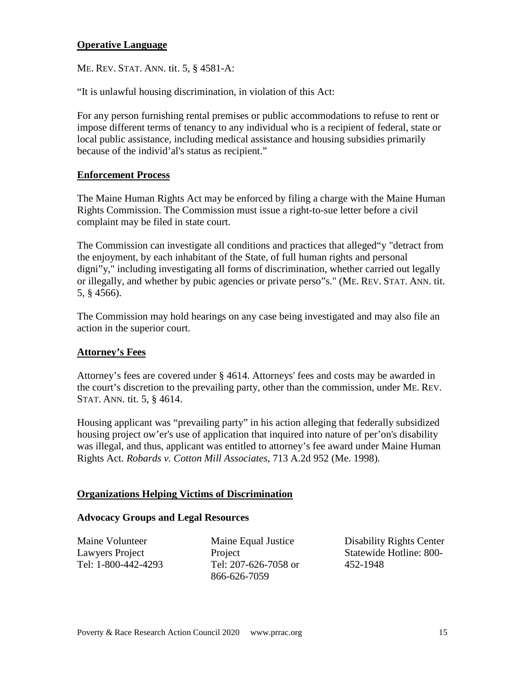## **Operative Language**

ME. REV. STAT. ANN. tit. 5, § 4581-A:

"It is unlawful housing discrimination, in violation of this Act:

For any person furnishing rental premises or public accommodations to refuse to rent or impose different terms of tenancy to any individual who is a recipient of federal, state or local public assistance, including medical assistance and housing subsidies primarily because of the individ'al's status as recipient."

#### **Enforcement Process**

The Maine Human Rights Act may be enforced by filing a charge with the Maine Human Rights Commission. The Commission must issue a right-to-sue letter before a civil complaint may be filed in state court.

The Commission can investigate all conditions and practices that alleged"y "detract from the enjoyment, by each inhabitant of the State, of full human rights and personal digni"y," including investigating all forms of discrimination, whether carried out legally or illegally, and whether by pubic agencies or private perso"s." (ME. REV. STAT. ANN. tit. 5, § 4566).

The Commission may hold hearings on any case being investigated and may also file an action in the superior court.

#### **Attorney's Fees**

Attorney's fees are covered under § 4614. Attorneys' fees and costs may be awarded in the court's discretion to the prevailing party, other than the commission, under ME. REV. STAT. ANN. tit. 5, § 4614.

Housing applicant was "prevailing party" in his action alleging that federally subsidized housing project ow'er's use of application that inquired into nature of per'on's disability was illegal, and thus, applicant was entitled to attorney's fee award under Maine Human Rights Act. *Robards v. Cotton Mill Associates*, 713 A.2d 952 (Me. 1998)*.* 

#### **Organizations Helping Victims of Discrimination**

#### **Advocacy Groups and Legal Resources**

<span id="page-14-0"></span>Maine Volunteer Lawyers Project Tel: 1-800-442-4293 Maine Equal Justice Project Tel: 207-626-7058 or 866-626-7059

Disability Rights Center Statewide Hotline: 800- 452-1948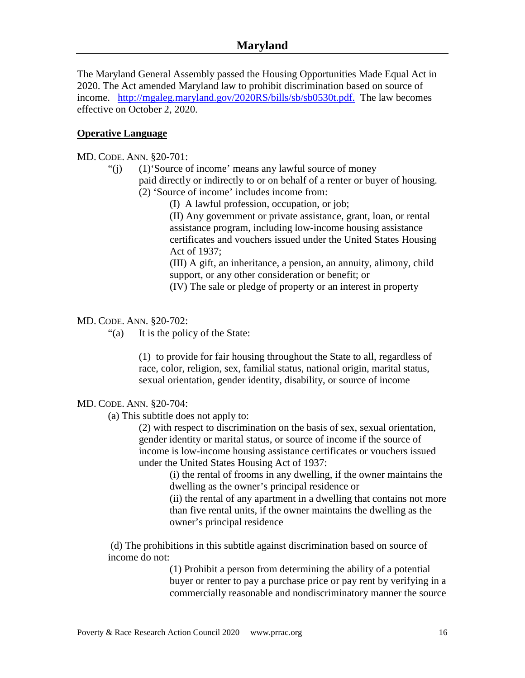<span id="page-15-0"></span>The Maryland General Assembly passed the Housing Opportunities Made Equal Act in 2020. The Act amended Maryland law to prohibit discrimination based on source of income. [http://mgaleg.maryland.gov/2020RS/bills/sb/sb0530t.pdf.](http://mgaleg.maryland.gov/2020RS/bills/sb/sb0530t.pdf) The law becomes effective on October 2, 2020.

#### **Operative Language**

MD. CODE. ANN. §20-701:

- "(j) (1)'Source of income' means any lawful source of money paid directly or indirectly to or on behalf of a renter or buyer of housing.
	- (2) 'Source of income' includes income from:
		- (I) A lawful profession, occupation, or job;

(II) Any government or private assistance, grant, loan, or rental assistance program, including low-income housing assistance certificates and vouchers issued under the United States Housing Act of 1937;

(III) A gift, an inheritance, a pension, an annuity, alimony, child support, or any other consideration or benefit; or

(IV) The sale or pledge of property or an interest in property

#### MD. CODE. ANN. §20-702:

"(a) It is the policy of the State:

(1) to provide for fair housing throughout the State to all, regardless of race, color, religion, sex, familial status, national origin, marital status, sexual orientation, gender identity, disability, or source of income

#### MD. CODE. ANN. §20-704:

(a) This subtitle does not apply to:

(2) with respect to discrimination on the basis of sex, sexual orientation, gender identity or marital status, or source of income if the source of income is low-income housing assistance certificates or vouchers issued under the United States Housing Act of 1937:

> (i) the rental of frooms in any dwelling, if the owner maintains the dwelling as the owner's principal residence or

(ii) the rental of any apartment in a dwelling that contains not more than five rental units, if the owner maintains the dwelling as the owner's principal residence

(d) The prohibitions in this subtitle against discrimination based on source of income do not:

> (1) Prohibit a person from determining the ability of a potential buyer or renter to pay a purchase price or pay rent by verifying in a commercially reasonable and nondiscriminatory manner the source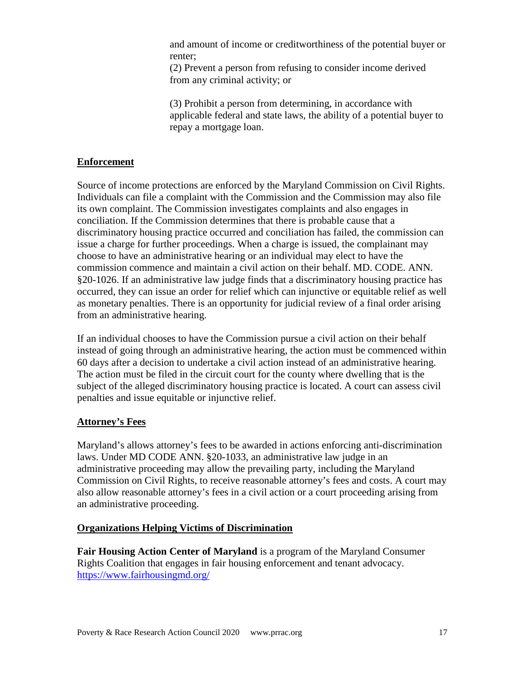and amount of income or creditworthiness of the potential buyer or renter;

(2) Prevent a person from refusing to consider income derived from any criminal activity; or

(3) Prohibit a person from determining, in accordance with applicable federal and state laws, the ability of a potential buyer to repay a mortgage loan.

## **Enforcement**

Source of income protections are enforced by the Maryland Commission on Civil Rights. Individuals can file a complaint with the Commission and the Commission may also file its own complaint. The Commission investigates complaints and also engages in conciliation. If the Commission determines that there is probable cause that a discriminatory housing practice occurred and conciliation has failed, the commission can issue a charge for further proceedings. When a charge is issued, the complainant may choose to have an administrative hearing or an individual may elect to have the commission commence and maintain a civil action on their behalf. MD. CODE. ANN. §20-1026. If an administrative law judge finds that a discriminatory housing practice has occurred, they can issue an order for relief which can injunctive or equitable relief as well as monetary penalties. There is an opportunity for judicial review of a final order arising from an administrative hearing.

If an individual chooses to have the Commission pursue a civil action on their behalf instead of going through an administrative hearing, the action must be commenced within 60 days after a decision to undertake a civil action instead of an administrative hearing. The action must be filed in the circuit court for the county where dwelling that is the subject of the alleged discriminatory housing practice is located. A court can assess civil penalties and issue equitable or injunctive relief.

## **Attorney's Fees**

Maryland's allows attorney's fees to be awarded in actions enforcing anti-discrimination laws. Under MD CODE ANN. §20-1033, an administrative law judge in an administrative proceeding may allow the prevailing party, including the Maryland Commission on Civil Rights, to receive reasonable attorney's fees and costs. A court may also allow reasonable attorney's fees in a civil action or a court proceeding arising from an administrative proceeding.

## **Organizations Helping Victims of Discrimination**

**Fair Housing Action Center of Maryland** is a program of the Maryland Consumer Rights Coalition that engages in fair housing enforcement and tenant advocacy. <https://www.fairhousingmd.org/>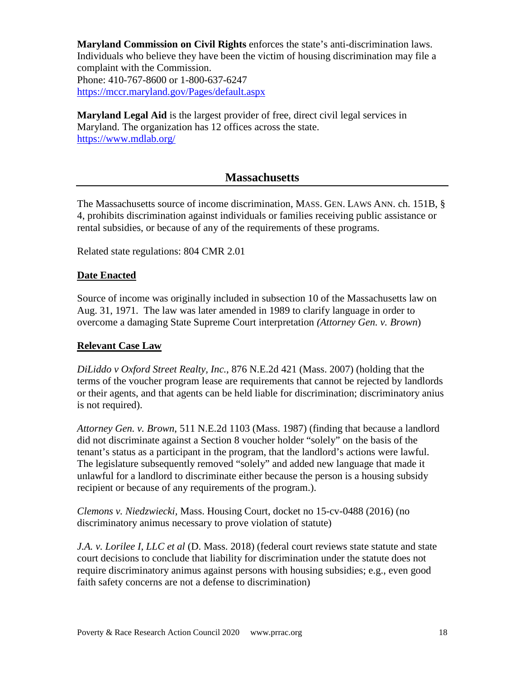**Maryland Commission on Civil Rights** enforces the state's anti-discrimination laws. Individuals who believe they have been the victim of housing discrimination may file a complaint with the Commission. Phone: 410-767-8600 or 1-800-637-6247 <https://mccr.maryland.gov/Pages/default.aspx>

**Maryland Legal Aid** is the largest provider of free, direct civil legal services in Maryland. The organization has 12 offices across the state. <https://www.mdlab.org/>

## **Massachusetts**

The Massachusetts source of income discrimination, MASS. GEN. LAWS ANN. ch. 151B, § 4, prohibits discrimination against individuals or families receiving public assistance or rental subsidies, or because of any of the requirements of these programs.

Related state regulations: 804 CMR 2.01

## **Date Enacted**

Source of income was originally included in subsection 10 of the Massachusetts law on Aug. 31, 1971. The law was later amended in 1989 to clarify language in order to overcome a damaging State Supreme Court interpretation *(Attorney Gen. v. Brown*)

#### **Relevant Case Law**

*DiLiddo v Oxford Street Realty, Inc.*, 876 N.E.2d 421 (Mass. 2007) (holding that the terms of the voucher program lease are requirements that cannot be rejected by landlords or their agents, and that agents can be held liable for discrimination; discriminatory anius is not required).

*Attorney Gen. v. Brown*, 511 N.E.2d 1103 (Mass. 1987) (finding that because a landlord did not discriminate against a Section 8 voucher holder "solely" on the basis of the tenant's status as a participant in the program, that the landlord's actions were lawful. The legislature subsequently removed "solely" and added new language that made it unlawful for a landlord to discriminate either because the person is a housing subsidy recipient or because of any requirements of the program.).

*Clemons v. Niedzwiecki,* Mass. Housing Court, docket no 15-cv-0488 (2016) (no discriminatory animus necessary to prove violation of statute)

*J.A. v. Lorilee I, LLC et al* (D. Mass. 2018) (federal court reviews state statute and state court decisions to conclude that liability for discrimination under the statute does not require discriminatory animus against persons with housing subsidies; e.g., even good faith safety concerns are not a defense to discrimination)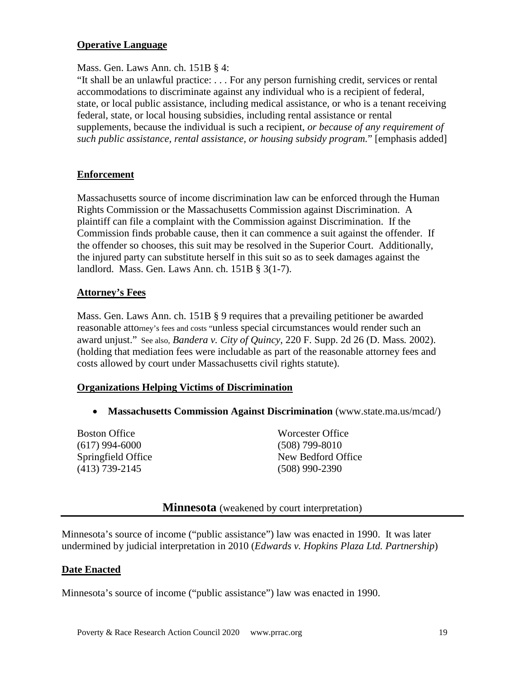## **Operative Language**

#### Mass. Gen. Laws Ann. ch. 151B § 4:

"It shall be an unlawful practice: . . . For any person furnishing credit, services or rental accommodations to discriminate against any individual who is a recipient of federal, state, or local public assistance, including medical assistance, or who is a tenant receiving federal, state, or local housing subsidies, including rental assistance or rental supplements, because the individual is such a recipient, *or because of any requirement of such public assistance, rental assistance, or housing subsidy program.*" [emphasis added]

## **Enforcement**

Massachusetts source of income discrimination law can be enforced through the Human Rights Commission or the Massachusetts Commission against Discrimination. A plaintiff can file a complaint with the Commission against Discrimination. If the Commission finds probable cause, then it can commence a suit against the offender. If the offender so chooses, this suit may be resolved in the Superior Court. Additionally, the injured party can substitute herself in this suit so as to seek damages against the landlord. Mass. Gen. Laws Ann. ch. 151B § 3(1-7).

#### **Attorney's Fees**

Mass. Gen. Laws Ann. ch. 151B § 9 requires that a prevailing petitioner be awarded reasonable attorney's fees and costs "unless special circumstances would render such an award unjust." See also, *Bandera v. City of Quincy*, 220 F. Supp. 2d 26 (D. Mass*.* 2002). (holding that mediation fees were includable as part of the reasonable attorney fees and costs allowed by court under Massachusetts civil rights statute).

#### **Organizations Helping Victims of Discrimination**

• **Massachusetts Commission Against Discrimination** (www.state.ma.us/mcad/)

| <b>Boston Office</b> |  |
|----------------------|--|
| $(617)$ 994-6000     |  |
| Springfield Office   |  |
| $(413)$ 739-2145     |  |

<span id="page-18-0"></span>[Worcester Office](http://www.mass.gov/mcad/offices.html#3) (508) 799-8010 [New Bedford Office](http://www.mass.gov/mcad/offices.html#4) (508) 990-2390

## **Minnesota** (weakened by court interpretation)

Minnesota's source of income ("public assistance") law was enacted in 1990. It was later undermined by judicial interpretation in 2010 (*Edwards v. Hopkins Plaza Ltd. Partnership*)

#### **Date Enacted**

Minnesota's source of income ("public assistance") law was enacted in 1990.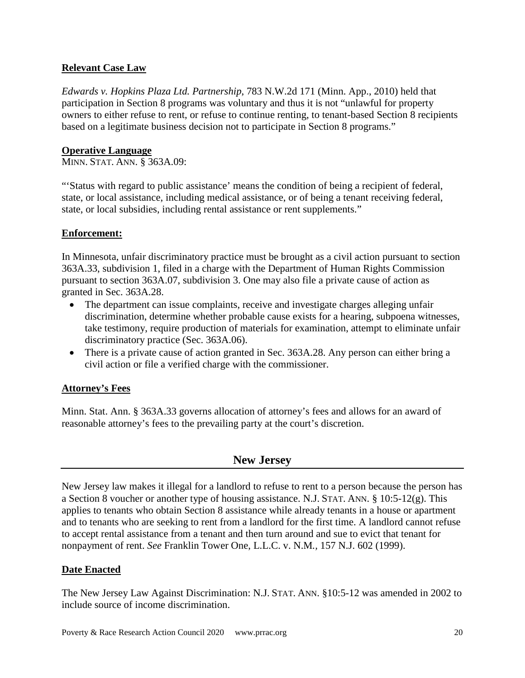## **Relevant Case Law**

*Edwards v. Hopkins Plaza Ltd. Partnership*, 783 N.W.2d 171 (Minn. App., 2010) held that participation in Section 8 programs was voluntary and thus it is not "unlawful for property owners to either refuse to rent, or refuse to continue renting, to tenant-based Section 8 recipients based on a legitimate business decision not to participate in Section 8 programs."

#### **Operative Language**

MINN. STAT. ANN. § 363A.09:

"'Status with regard to public assistance' means the condition of being a recipient of federal, state, or local assistance, including medical assistance, or of being a tenant receiving federal, state, or local subsidies, including rental assistance or rent supplements."

## **Enforcement:**

In Minnesota, unfair discriminatory practice must be brought as a civil action pursuant to section 363A.33, subdivision 1, filed in a charge with the Department of Human Rights Commission pursuant to section 363A.07, subdivision 3. One may also file a private cause of action as granted in Sec. 363A.28.

- The department can issue complaints, receive and investigate charges alleging unfair discrimination, determine whether probable cause exists for a hearing, subpoena witnesses, take testimony, require production of materials for examination, attempt to eliminate unfair discriminatory practice (Sec. 363A.06).
- There is a private cause of action granted in Sec. 363A.28. Any person can either bring a civil action or file a verified charge with the commissioner.

## **Attorney's Fees**

Minn. Stat. Ann. § 363A.33 governs allocation of attorney's fees and allows for an award of reasonable attorney's fees to the prevailing party at the court's discretion.

# **New Jersey**

<span id="page-19-0"></span>New Jersey law makes it illegal for a landlord to refuse to rent to a person because the person has a Section 8 voucher or another type of housing assistance. N.J. STAT. ANN. § 10:5-12(g). This applies to tenants who obtain Section 8 assistance while already tenants in a house or apartment and to tenants who are seeking to rent from a landlord for the first time. A landlord cannot refuse to accept rental assistance from a tenant and then turn around and sue to evict that tenant for nonpayment of rent. *See* Franklin Tower One, L.L.C. v. N.M*.,* 157 N.J. 602 (1999).

## **Date Enacted**

The New Jersey Law Against Discrimination: N.J. STAT. ANN. §10:5-12 was amended in 2002 to include source of income discrimination.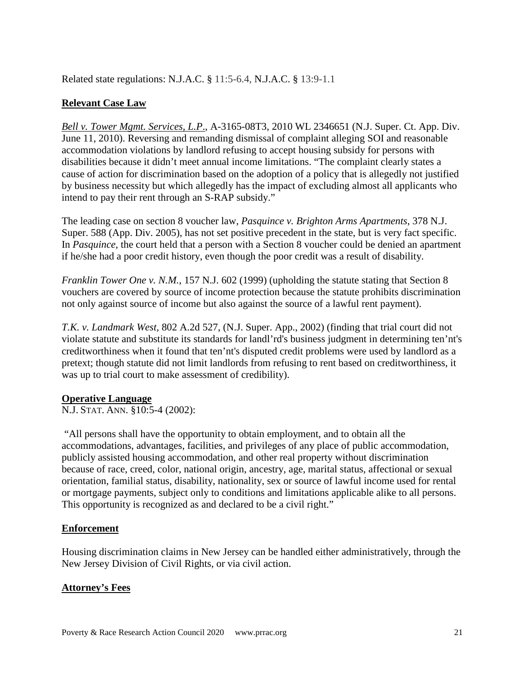Related state regulations: N.J.A.C. **§** 11:5-6.4, N.J.A.C. **§** 13:9-1.1

## **Relevant Case Law**

*Bell v. Tower Mgmt. Services, L.P*., A-3165-08T3, 2010 WL 2346651 (N.J. Super. Ct. App. Div. June 11, 2010). Reversing and remanding dismissal of complaint alleging SOI and reasonable accommodation violations by landlord refusing to accept housing subsidy for persons with disabilities because it didn't meet annual income limitations. "The complaint clearly states a cause of action for discrimination based on the adoption of a policy that is allegedly not justified by business necessity but which allegedly has the impact of excluding almost all applicants who intend to pay their rent through an S-RAP subsidy."

The leading case on section 8 voucher law, *Pasquince v. Brighton Arms Apartments*, 378 N.J. Super. 588 (App. Div. 2005), has not set positive precedent in the state, but is very fact specific. In *Pasquince*, the court held that a person with a Section 8 voucher could be denied an apartment if he/she had a poor credit history, even though the poor credit was a result of disability.

*Franklin Tower One v. N.M.*, 157 N.J. 602 (1999) (upholding the statute stating that Section 8 vouchers are covered by source of income protection because the statute prohibits discrimination not only against source of income but also against the source of a lawful rent payment).

*T.K. v. Landmark West,* 802 A.2d 527, (N.J. Super. App., 2002) (finding that trial court did not violate statute and substitute its standards for landl'rd's business judgment in determining ten'nt's creditworthiness when it found that ten'nt's disputed credit problems were used by landlord as a pretext; though statute did not limit landlords from refusing to rent based on creditworthiness, it was up to trial court to make assessment of credibility).

#### **Operative Language**

N.J. STAT. ANN. §10:5-4 (2002):

"All persons shall have the opportunity to obtain employment, and to obtain all the accommodations, advantages, facilities, and privileges of any place of public accommodation, publicly assisted housing accommodation, and other real property without discrimination because of race, creed, color, national origin, ancestry, age, marital status, affectional or sexual orientation, familial status, disability, nationality, sex or source of lawful income used for rental or mortgage payments, subject only to conditions and limitations applicable alike to all persons. This opportunity is recognized as and declared to be a civil right."

#### **Enforcement**

Housing discrimination claims in New Jersey can be handled either administratively, through the New Jersey Division of Civil Rights, or via civil action.

## **Attorney's Fees**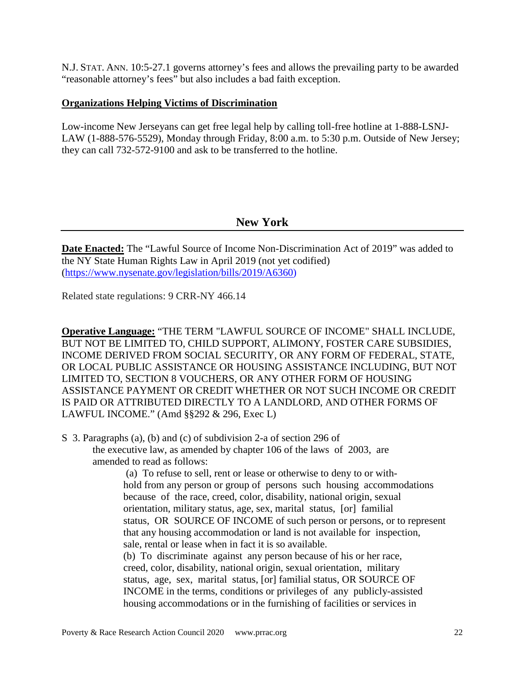N.J. STAT. ANN. 10:5-27.1 governs attorney's fees and allows the prevailing party to be awarded "reasonable attorney's fees" but also includes a bad faith exception.

#### **Organizations Helping Victims of Discrimination**

Low-income New Jerseyans can get free legal help by calling toll-free hotline at 1-888-LSNJ-LAW (1-888-576-5529), Monday through Friday, 8:00 a.m. to 5:30 p.m. Outside of New Jersey; they can call 732-572-9100 and ask to be transferred to the hotline.

## **New York**

<span id="page-21-0"></span>**Date Enacted:** The "Lawful Source of Income Non-Discrimination Act of 2019" was added to the NY State Human Rights Law in April 2019 (not yet codified) [\(https://www.nysenate.gov/legislation/bills/2019/A6360\)](https://www.nysenate.gov/legislation/bills/2019/A6360)

Related state regulations: 9 CRR-NY 466.14

**Operative Language:** "THE TERM "LAWFUL SOURCE OF INCOME" SHALL INCLUDE, BUT NOT BE LIMITED TO, CHILD SUPPORT, ALIMONY, FOSTER CARE SUBSIDIES, INCOME DERIVED FROM SOCIAL SECURITY, OR ANY FORM OF FEDERAL, STATE, OR LOCAL PUBLIC ASSISTANCE OR HOUSING ASSISTANCE INCLUDING, BUT NOT LIMITED TO, SECTION 8 VOUCHERS, OR ANY OTHER FORM OF HOUSING ASSISTANCE PAYMENT OR CREDIT WHETHER OR NOT SUCH INCOME OR CREDIT IS PAID OR ATTRIBUTED DIRECTLY TO A LANDLORD, AND OTHER FORMS OF LAWFUL INCOME." (Amd §§292 & 296, Exec L)

S 3. Paragraphs (a), (b) and (c) of subdivision 2-a of section 296 of the executive law, as amended by chapter 106 of the laws of 2003, are amended to read as follows:

> (a) To refuse to sell, rent or lease or otherwise to deny to or withhold from any person or group of persons such housing accommodations because of the race, creed, color, disability, national origin, sexual orientation, military status, age, sex, marital status, [or] familial status, OR SOURCE OF INCOME of such person or persons, or to represent that any housing accommodation or land is not available for inspection, sale, rental or lease when in fact it is so available.

 (b) To discriminate against any person because of his or her race, creed, color, disability, national origin, sexual orientation, military status, age, sex, marital status, [or] familial status, OR SOURCE OF INCOME in the terms, conditions or privileges of any publicly-assisted housing accommodations or in the furnishing of facilities or services in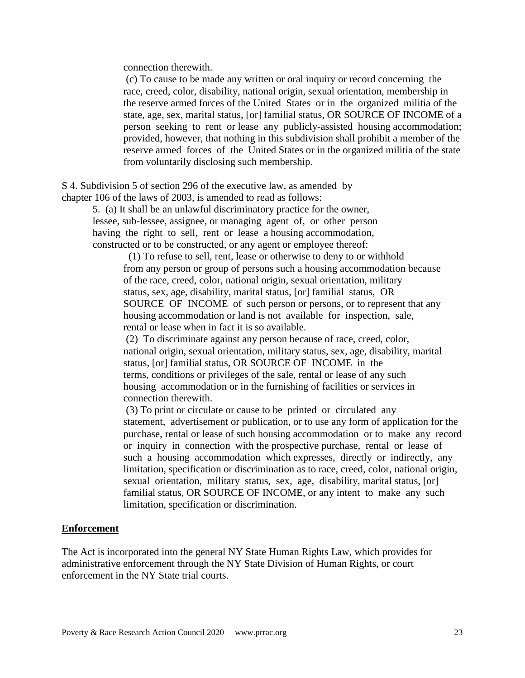connection therewith.

(c) To cause to be made any written or oral inquiry or record concerning the race, creed, color, disability, national origin, sexual orientation, membership in the reserve armed forces of the United States or in the organized militia of the state, age, sex, marital status, [or] familial status, OR SOURCE OF INCOME of a person seeking to rent or lease any publicly-assisted housing accommodation; provided, however, that nothing in this subdivision shall prohibit a member of the reserve armed forces of the United States or in the organized militia of the state from voluntarily disclosing such membership.

S 4. Subdivision 5 of section 296 of the executive law, as amended by chapter 106 of the laws of 2003, is amended to read as follows:

> 5. (a) It shall be an unlawful discriminatory practice for the owner, lessee, sub-lessee, assignee, or managing agent of, or other person having the right to sell, rent or lease a housing accommodation, constructed or to be constructed, or any agent or employee thereof:

> > (1) To refuse to sell, rent, lease or otherwise to deny to or withhold from any person or group of persons such a housing accommodation because of the race, creed, color, national origin, sexual orientation, military status, sex, age, disability, marital status, [or] familial status, OR SOURCE OF INCOME of such person or persons, or to represent that any housing accommodation or land is not available for inspection, sale, rental or lease when in fact it is so available.

> > (2) To discriminate against any person because of race, creed, color, national origin, sexual orientation, military status, sex, age, disability, marital status, [or] familial status, OR SOURCE OF INCOME in the terms, conditions or privileges of the sale, rental or lease of any such housing accommodation or in the furnishing of facilities or services in connection therewith.

(3) To print or circulate or cause to be printed or circulated any statement, advertisement or publication, or to use any form of application for the purchase, rental or lease of such housing accommodation or to make any record or inquiry in connection with the prospective purchase, rental or lease of such a housing accommodation which expresses, directly or indirectly, any limitation, specification or discrimination as to race, creed, color, national origin, sexual orientation, military status, sex, age, disability, marital status, [or] familial status, OR SOURCE OF INCOME, or any intent to make any such limitation, specification or discrimination.

#### **Enforcement**

The Act is incorporated into the general NY State Human Rights Law, which provides for administrative enforcement through the NY State Division of Human Rights, or court enforcement in the NY State trial courts.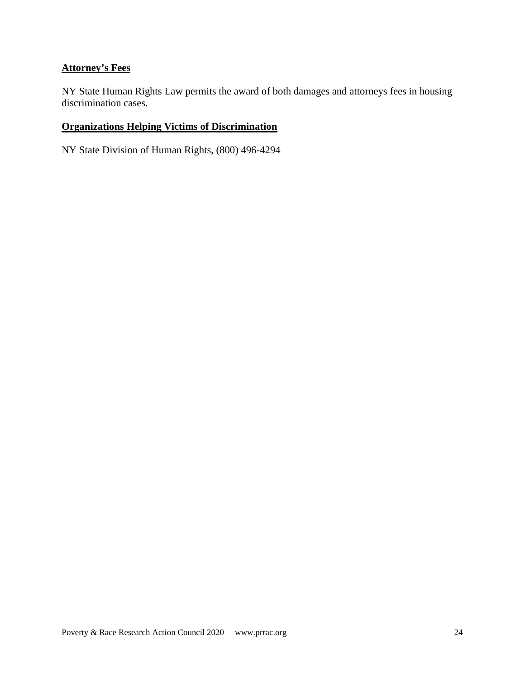## **Attorney's Fees**

NY State Human Rights Law permits the award of both damages and attorneys fees in housing discrimination cases.

# **Organizations Helping Victims of Discrimination**

<span id="page-23-0"></span>NY State Division of Human Rights, (800) 496-4294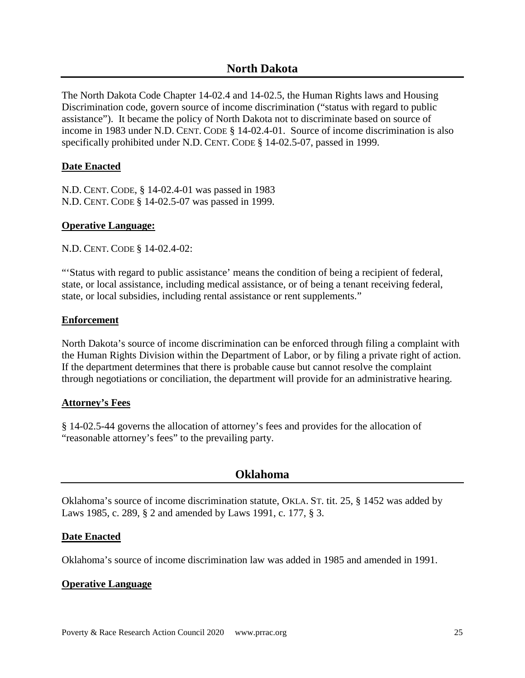The North Dakota Code Chapter 14-02.4 and 14-02.5, the Human Rights laws and Housing Discrimination code, govern source of income discrimination ("status with regard to public assistance"). It became the policy of North Dakota not to discriminate based on source of income in 1983 under N.D. CENT. CODE § 14-02.4-01. Source of income discrimination is also specifically prohibited under N.D. CENT. CODE § 14-02.5-07, passed in 1999.

#### **Date Enacted**

N.D. CENT. CODE, § 14-02.4-01 was passed in 1983 N.D. CENT. CODE § 14-02.5-07 was passed in 1999.

#### **Operative Language:**

N.D. CENT. CODE § 14-02.4-02:

"'Status with regard to public assistance' means the condition of being a recipient of federal, state, or local assistance, including medical assistance, or of being a tenant receiving federal, state, or local subsidies, including rental assistance or rent supplements."

#### **Enforcement**

North Dakota's source of income discrimination can be enforced through filing a complaint with the Human Rights Division within the Department of Labor, or by filing a private right of action. If the department determines that there is probable cause but cannot resolve the complaint through negotiations or conciliation, the department will provide for an administrative hearing.

#### **Attorney's Fees**

§ 14-02.5-44 governs the allocation of attorney's fees and provides for the allocation of "reasonable attorney's fees" to the prevailing party.

## **Oklahoma**

<span id="page-24-0"></span>Oklahoma's source of income discrimination statute, OKLA. ST. tit. 25, § 1452 was added by Laws 1985, c. 289, § 2 and amended by Laws 1991, c. 177, § 3.

#### **Date Enacted**

Oklahoma's source of income discrimination law was added in 1985 and amended in 1991.

#### **Operative Language**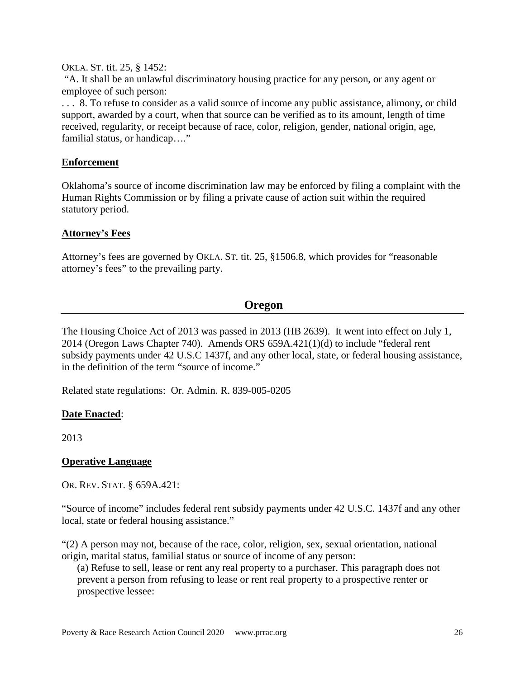OKLA. ST. tit. 25, § 1452:

"A. It shall be an unlawful discriminatory housing practice for any person, or any agent or employee of such person:

. . . 8. To refuse to consider as a valid source of income any public assistance, alimony, or child support, awarded by a court, when that source can be verified as to its amount, length of time received, regularity, or receipt because of race, color, religion, gender, national origin, age, familial status, or handicap…."

## **Enforcement**

Oklahoma's source of income discrimination law may be enforced by filing a complaint with the Human Rights Commission or by filing a private cause of action suit within the required statutory period.

## **Attorney's Fees**

Attorney's fees are governed by OKLA. ST. tit. 25, §1506.8, which provides for "reasonable attorney's fees" to the prevailing party.

## **Oregon**

<span id="page-25-0"></span>The Housing Choice Act of 2013 was passed in 2013 (HB 2639). It went into effect on July 1, 2014 (Oregon Laws Chapter 740). Amends ORS 659A.421(1)(d) to include "federal rent subsidy payments under 42 U.S.C 1437f, and any other local, state, or federal housing assistance, in the definition of the term "source of income."

Related state regulations: Or. Admin. R. 839-005-0205

## **Date Enacted**:

2013

#### **Operative Language**

OR. REV. STAT. § 659A.421:

"Source of income" includes federal rent subsidy payments under 42 U.S.C. 1437f and any other local, state or federal housing assistance."

"(2) A person may not, because of the race, color, religion, sex, sexual orientation, national origin, marital status, familial status or source of income of any person:

(a) Refuse to sell, lease or rent any real property to a purchaser. This paragraph does not prevent a person from refusing to lease or rent real property to a prospective renter or prospective lessee: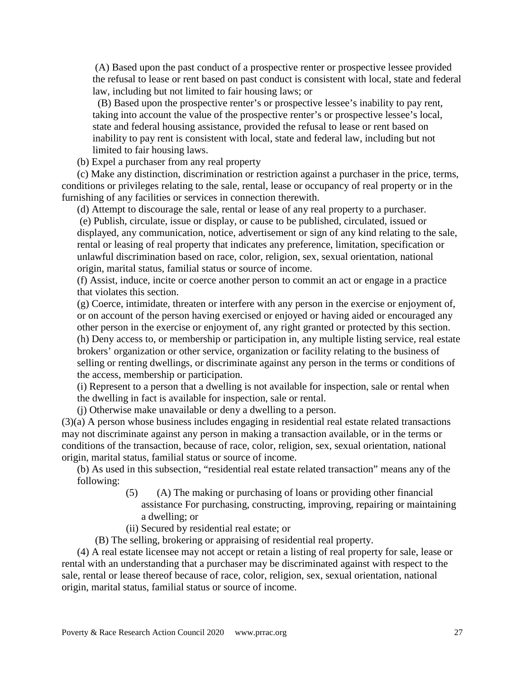(A) Based upon the past conduct of a prospective renter or prospective lessee provided the refusal to lease or rent based on past conduct is consistent with local, state and federal law, including but not limited to fair housing laws; or

(B) Based upon the prospective renter's or prospective lessee's inability to pay rent, taking into account the value of the prospective renter's or prospective lessee's local, state and federal housing assistance, provided the refusal to lease or rent based on inability to pay rent is consistent with local, state and federal law, including but not limited to fair housing laws.

(b) Expel a purchaser from any real property

 (c) Make any distinction, discrimination or restriction against a purchaser in the price, terms, conditions or privileges relating to the sale, rental, lease or occupancy of real property or in the furnishing of any facilities or services in connection therewith.

(d) Attempt to discourage the sale, rental or lease of any real property to a purchaser.

(e) Publish, circulate, issue or display, or cause to be published, circulated, issued or displayed, any communication, notice, advertisement or sign of any kind relating to the sale, rental or leasing of real property that indicates any preference, limitation, specification or unlawful discrimination based on race, color, religion, sex, sexual orientation, national origin, marital status, familial status or source of income.

(f) Assist, induce, incite or coerce another person to commit an act or engage in a practice that violates this section.

(g) Coerce, intimidate, threaten or interfere with any person in the exercise or enjoyment of, or on account of the person having exercised or enjoyed or having aided or encouraged any other person in the exercise or enjoyment of, any right granted or protected by this section. (h) Deny access to, or membership or participation in, any multiple listing service, real estate brokers' organization or other service, organization or facility relating to the business of selling or renting dwellings, or discriminate against any person in the terms or conditions of the access, membership or participation.

(i) Represent to a person that a dwelling is not available for inspection, sale or rental when the dwelling in fact is available for inspection, sale or rental.

(j) Otherwise make unavailable or deny a dwelling to a person.

(3)(a) A person whose business includes engaging in residential real estate related transactions may not discriminate against any person in making a transaction available, or in the terms or conditions of the transaction, because of race, color, religion, sex, sexual orientation, national origin, marital status, familial status or source of income.

(b) As used in this subsection, "residential real estate related transaction" means any of the following:

- (5) (A) The making or purchasing of loans or providing other financial assistance For purchasing, constructing, improving, repairing or maintaining a dwelling; or
- (ii) Secured by residential real estate; or

(B) The selling, brokering or appraising of residential real property.

 (4) A real estate licensee may not accept or retain a listing of real property for sale, lease or rental with an understanding that a purchaser may be discriminated against with respect to the sale, rental or lease thereof because of race, color, religion, sex, sexual orientation, national origin, marital status, familial status or source of income.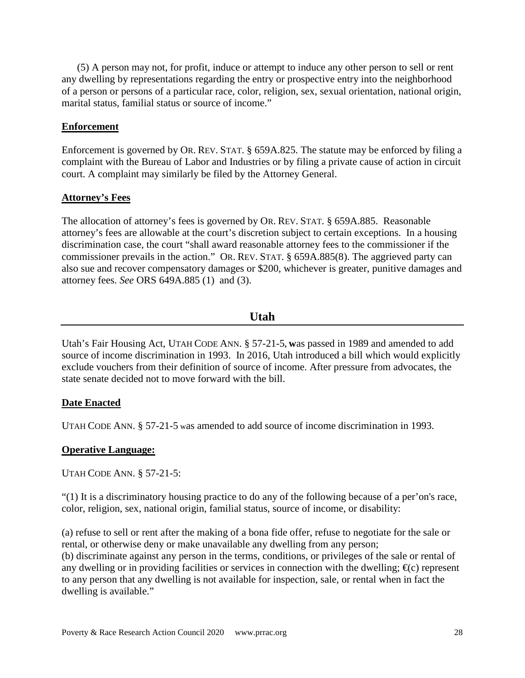(5) A person may not, for profit, induce or attempt to induce any other person to sell or rent any dwelling by representations regarding the entry or prospective entry into the neighborhood of a person or persons of a particular race, color, religion, sex, sexual orientation, national origin, marital status, familial status or source of income."

## **Enforcement**

Enforcement is governed by OR. REV. STAT. § 659A.825. The statute may be enforced by filing a complaint with the Bureau of Labor and Industries or by filing a private cause of action in circuit court. A complaint may similarly be filed by the Attorney General.

## **Attorney's Fees**

The allocation of attorney's fees is governed by OR. REV. STAT. § 659A.885. Reasonable attorney's fees are allowable at the court's discretion subject to certain exceptions. In a housing discrimination case, the court "shall award reasonable attorney fees to the commissioner if the commissioner prevails in the action." OR. REV. STAT. § 659A.885(8). The aggrieved party can also sue and recover compensatory damages or \$200, whichever is greater, punitive damages and attorney fees. *See* ORS 649A.885 (1) and (3).

## **Utah**

<span id="page-27-0"></span>Utah's Fair Housing Act, UTAH CODE ANN. § 57-21-5**, w**as passed in 1989 and amended to add source of income discrimination in 1993. In 2016, Utah introduced a bill which would explicitly exclude vouchers from their definition of source of income. After pressure from advocates, the state senate decided not to move forward with the bill.

#### **Date Enacted**

UTAH CODE ANN. § 57-21-5 was amended to add source of income discrimination in 1993.

#### **Operative Language:**

UTAH CODE ANN. § 57-21-5:

"(1) It is a discriminatory housing practice to do any of the following because of a per'on's race, color, religion, sex, national origin, familial status, source of income, or disability:

(a) refuse to sell or rent after the making of a bona fide offer, refuse to negotiate for the sale or rental, or otherwise deny or make unavailable any dwelling from any person;

(b) discriminate against any person in the terms, conditions, or privileges of the sale or rental of any dwelling or in providing facilities or services in connection with the dwelling;  $\mathcal{F}(c)$  represent to any person that any dwelling is not available for inspection, sale, or rental when in fact the dwelling is available."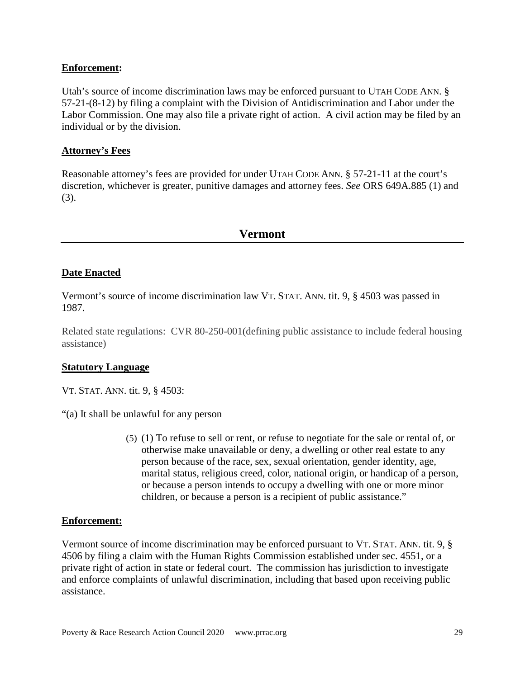#### **Enforcement:**

Utah's source of income discrimination laws may be enforced pursuant to UTAH CODE ANN. § 57-21-(8-12) by filing a complaint with the Division of Antidiscrimination and Labor under the Labor Commission. One may also file a private right of action. A civil action may be filed by an individual or by the division.

#### **Attorney's Fees**

Reasonable attorney's fees are provided for under UTAH CODE ANN. § 57-21-11 at the court's discretion, whichever is greater, punitive damages and attorney fees. *See* ORS 649A.885 (1) and (3).

## **Vermont**

## **Date Enacted**

Vermont's source of income discrimination law VT. STAT. ANN. tit. 9, § 4503 was passed in 1987.

Related state regulations: CVR 80-250-001(defining public assistance to include federal housing assistance)

#### **Statutory Language**

VT. STAT. ANN. tit. 9, § 4503:

"(a) It shall be unlawful for any person

(5) (1) To refuse to sell or rent, or refuse to negotiate for the sale or rental of, or otherwise make unavailable or deny, a dwelling or other real estate to any person because of the race, sex, sexual orientation, gender identity, age, marital status, religious creed, color, national origin, or handicap of a person, or because a person intends to occupy a dwelling with one or more minor children, or because a person is a recipient of public assistance."

#### **Enforcement:**

Vermont source of income discrimination may be enforced pursuant to VT. STAT. ANN. tit. 9, § 4506 by filing a claim with the Human Rights Commission established under sec. 4551, or a private right of action in state or federal court. The commission has jurisdiction to investigate and enforce complaints of unlawful discrimination, including that based upon receiving public assistance.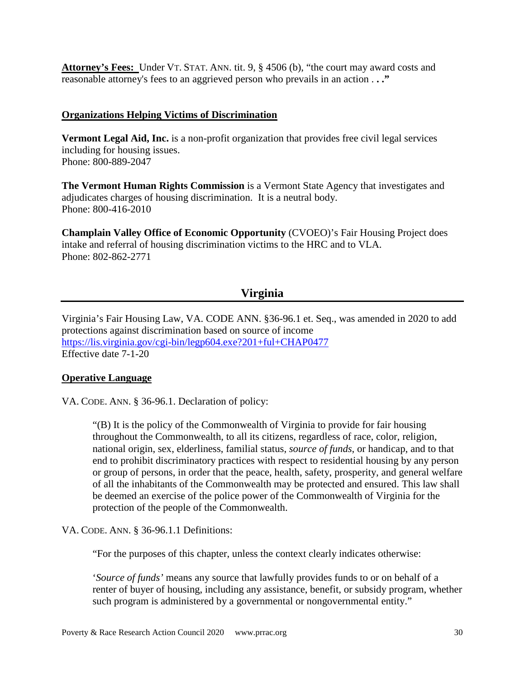**Attorney's Fees:** Under VT. STAT. ANN. tit. 9, § 4506 (b), "the court may award costs and reasonable attorney's fees to an aggrieved person who prevails in an action . **. ."**

#### **Organizations Helping Victims of Discrimination**

**Vermont Legal Aid, Inc.** is a non-profit organization that provides free civil legal services including for housing issues. Phone: 800-889-2047

**The Vermont Human Rights Commission** is a Vermont State Agency that investigates and adjudicates charges of housing discrimination. It is a neutral body. Phone: 800-416-2010

**Champlain Valley Office of Economic Opportunity** (CVOEO)'s Fair Housing Project does intake and referral of housing discrimination victims to the HRC and to VLA. Phone: 802-862-2771

# **Virginia**

<span id="page-29-0"></span>Virginia's Fair Housing Law, VA. CODE ANN. §36-96.1 et. Seq., was amended in 2020 to add protections against discrimination based on source of income <https://lis.virginia.gov/cgi-bin/legp604.exe?201+ful+CHAP0477> Effective date 7-1-20

#### **Operative Language**

VA. CODE. ANN. § 36-96.1. Declaration of policy:

"(B) It is the policy of the Commonwealth of Virginia to provide for fair housing throughout the Commonwealth, to all its citizens, regardless of race, color, religion, national origin, sex, elderliness, familial status, *source of funds*, or handicap, and to that end to prohibit discriminatory practices with respect to residential housing by any person or group of persons, in order that the peace, health, safety, prosperity, and general welfare of all the inhabitants of the Commonwealth may be protected and ensured. This law shall be deemed an exercise of the police power of the Commonwealth of Virginia for the protection of the people of the Commonwealth.

VA. CODE. ANN. § 36-96.1.1 Definitions:

"For the purposes of this chapter, unless the context clearly indicates otherwise:

'*Source of funds'* means any source that lawfully provides funds to or on behalf of a renter of buyer of housing, including any assistance, benefit, or subsidy program, whether such program is administered by a governmental or nongovernmental entity."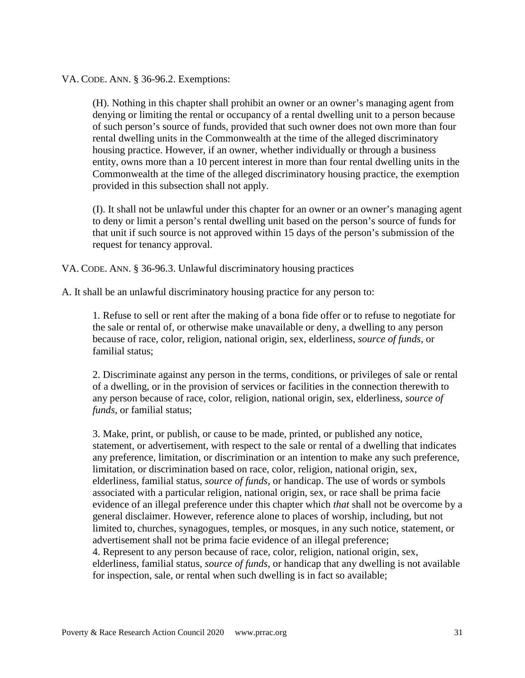VA. CODE. ANN. § 36-96.2. Exemptions:

(H). Nothing in this chapter shall prohibit an owner or an owner's managing agent from denying or limiting the rental or occupancy of a rental dwelling unit to a person because of such person's source of funds, provided that such owner does not own more than four rental dwelling units in the Commonwealth at the time of the alleged discriminatory housing practice. However, if an owner, whether individually or through a business entity, owns more than a 10 percent interest in more than four rental dwelling units in the Commonwealth at the time of the alleged discriminatory housing practice, the exemption provided in this subsection shall not apply.

(I). It shall not be unlawful under this chapter for an owner or an owner's managing agent to deny or limit a person's rental dwelling unit based on the person's source of funds for that unit if such source is not approved within 15 days of the person's submission of the request for tenancy approval.

VA. CODE. ANN. § 36-96.3. Unlawful discriminatory housing practices

A. It shall be an unlawful discriminatory housing practice for any person to:

1. Refuse to sell or rent after the making of a bona fide offer or to refuse to negotiate for the sale or rental of, or otherwise make unavailable or deny, a dwelling to any person because of race, color, religion, national origin, sex, elderliness, *source of funds,* or familial status;

2. Discriminate against any person in the terms, conditions, or privileges of sale or rental of a dwelling, or in the provision of services or facilities in the connection therewith to any person because of race, color, religion, national origin, sex, elderliness, *source of funds,* or familial status;

3. Make, print, or publish, or cause to be made, printed, or published any notice, statement, or advertisement, with respect to the sale or rental of a dwelling that indicates any preference, limitation, or discrimination or an intention to make any such preference, limitation*,* or discrimination based on race, color, religion, national origin, sex, elderliness, familial status, *source of funds,* or handicap. The use of words or symbols associated with a particular religion, national origin, sex, or race shall be prima facie evidence of an illegal preference under this chapter which *that* shall not be overcome by a general disclaimer. However, reference alone to places of worship*,* including, but not limited to, churches, synagogues, temples, or mosques*,* in any such notice, statement*,* or advertisement shall not be prima facie evidence of an illegal preference; 4. Represent to any person because of race, color, religion, national origin, sex, elderliness, familial status, *source of funds,* or handicap that any dwelling is not available for inspection, sale, or rental when such dwelling is in fact so available;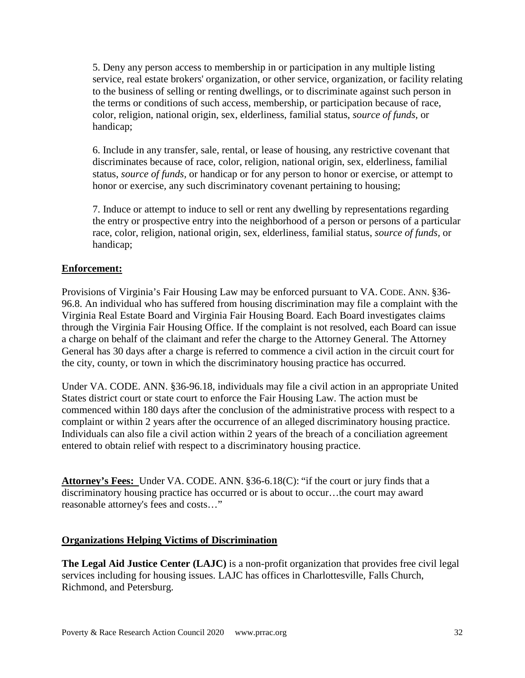5. Deny any person access to membership in or participation in any multiple listing service, real estate brokers' organization, or other service, organization*,* or facility relating to the business of selling or renting dwellings, or to discriminate against such person in the terms or conditions of such access, membership, or participation because of race, color, religion, national origin, sex, elderliness, familial status, *source of funds,* or handicap;

6. Include in any transfer, sale, rental, or lease of housing, any restrictive covenant that discriminates because of race, color, religion, national origin, sex, elderliness, familial status, *source of funds,* or handicap or for any person to honor or exercise, or attempt to honor or exercise*,* any such discriminatory covenant pertaining to housing;

7. Induce or attempt to induce to sell or rent any dwelling by representations regarding the entry or prospective entry into the neighborhood of a person or persons of a particular race, color, religion, national origin, sex, elderliness, familial status, *source of funds,* or handicap;

## **Enforcement:**

Provisions of Virginia's Fair Housing Law may be enforced pursuant to VA. CODE. ANN. §36- 96.8. An individual who has suffered from housing discrimination may file a complaint with the Virginia Real Estate Board and Virginia Fair Housing Board. Each Board investigates claims through the Virginia Fair Housing Office. If the complaint is not resolved, each Board can issue a charge on behalf of the claimant and refer the charge to the Attorney General. The Attorney General has 30 days after a charge is referred to commence a civil action in the circuit court for the city, county, or town in which the discriminatory housing practice has occurred.

Under VA. CODE. ANN. §36-96.18, individuals may file a civil action in an appropriate United States district court or state court to enforce the Fair Housing Law. The action must be commenced within 180 days after the conclusion of the administrative process with respect to a complaint or within 2 years after the occurrence of an alleged discriminatory housing practice. Individuals can also file a civil action within 2 years of the breach of a conciliation agreement entered to obtain relief with respect to a discriminatory housing practice.

**Attorney's Fees:** Under VA. CODE. ANN. §36-6.18(C): "if the court or jury finds that a discriminatory housing practice has occurred or is about to occur…the court may award reasonable attorney's fees and costs…"

#### **Organizations Helping Victims of Discrimination**

**The Legal Aid Justice Center (LAJC)** is a non-profit organization that provides free civil legal services including for housing issues. LAJC has offices in Charlottesville, Falls Church, Richmond, and Petersburg.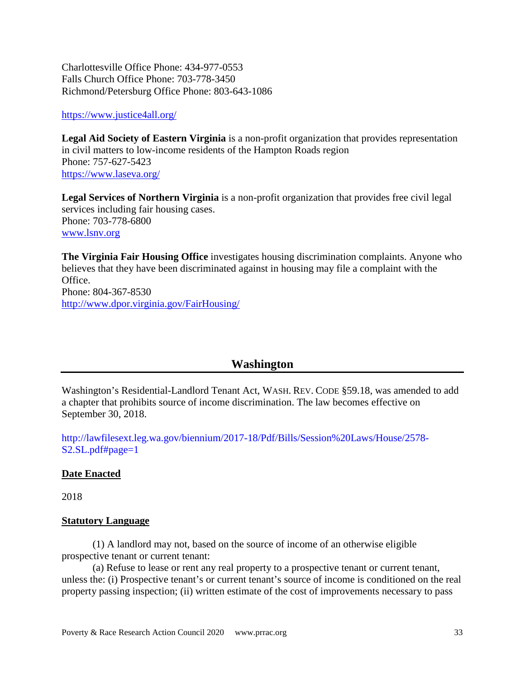Charlottesville Office Phone: 434-977-0553 Falls Church Office Phone: 703-778-3450 Richmond/Petersburg Office Phone: 803-643-1086

#### <https://www.justice4all.org/>

**Legal Aid Society of Eastern Virginia** is a non-profit organization that provides representation in civil matters to low-income residents of the Hampton Roads region Phone: 757-627-5423 <https://www.laseva.org/>

**Legal Services of Northern Virginia** is a non-profit organization that provides free civil legal services including fair housing cases. Phone: 703-778-6800 [www.lsnv.org](http://www.lsnv.org/)

**The Virginia Fair Housing Office** investigates housing discrimination complaints. Anyone who believes that they have been discriminated against in housing may file a complaint with the Office. Phone: 804-367-8530 <http://www.dpor.virginia.gov/FairHousing/>

# **Washington**

Washington's Residential-Landlord Tenant Act, WASH. REV. CODE §59.18, was amended to add a chapter that prohibits source of income discrimination. The law becomes effective on September 30, 2018.

[http://lawfilesext.leg.wa.gov/biennium/2017-18/Pdf/Bills/Session%20Laws/House/2578-](http://lawfilesext.leg.wa.gov/biennium/2017-18/Pdf/Bills/Session%20Laws/House/2578-S2.SL.pdf#page=1) [S2.SL.pdf#page=1](http://lawfilesext.leg.wa.gov/biennium/2017-18/Pdf/Bills/Session%20Laws/House/2578-S2.SL.pdf#page=1)

#### **Date Enacted**

2018

#### **Statutory Language**

(1) A landlord may not, based on the source of income of an otherwise eligible prospective tenant or current tenant:

(a) Refuse to lease or rent any real property to a prospective tenant or current tenant, unless the: (i) Prospective tenant's or current tenant's source of income is conditioned on the real property passing inspection; (ii) written estimate of the cost of improvements necessary to pass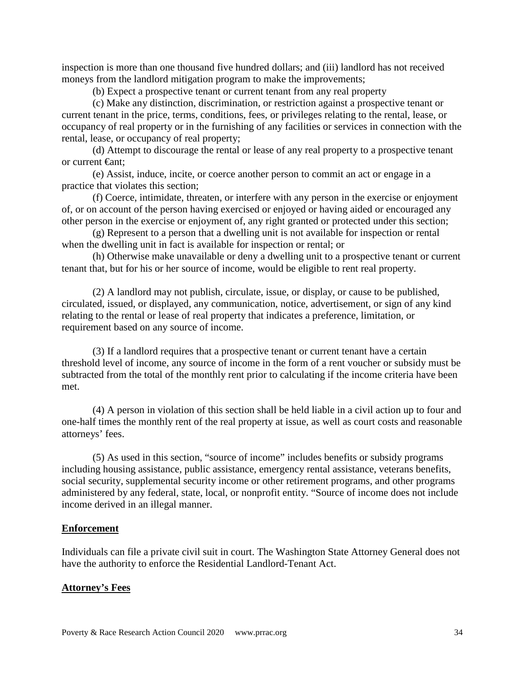inspection is more than one thousand five hundred dollars; and (iii) landlord has not received moneys from the landlord mitigation program to make the improvements;

(b) Expect a prospective tenant or current tenant from any real property

(c) Make any distinction, discrimination, or restriction against a prospective tenant or current tenant in the price, terms, conditions, fees, or privileges relating to the rental, lease, or occupancy of real property or in the furnishing of any facilities or services in connection with the rental, lease, or occupancy of real property;

(d) Attempt to discourage the rental or lease of any real property to a prospective tenant or current €ant;

(e) Assist, induce, incite, or coerce another person to commit an act or engage in a practice that violates this section;

(f) Coerce, intimidate, threaten, or interfere with any person in the exercise or enjoyment of, or on account of the person having exercised or enjoyed or having aided or encouraged any other person in the exercise or enjoyment of, any right granted or protected under this section;

(g) Represent to a person that a dwelling unit is not available for inspection or rental when the dwelling unit in fact is available for inspection or rental; or

(h) Otherwise make unavailable or deny a dwelling unit to a prospective tenant or current tenant that, but for his or her source of income, would be eligible to rent real property.

(2) A landlord may not publish, circulate, issue, or display, or cause to be published, circulated, issued, or displayed, any communication, notice, advertisement, or sign of any kind relating to the rental or lease of real property that indicates a preference, limitation, or requirement based on any source of income.

(3) If a landlord requires that a prospective tenant or current tenant have a certain threshold level of income, any source of income in the form of a rent voucher or subsidy must be subtracted from the total of the monthly rent prior to calculating if the income criteria have been met.

(4) A person in violation of this section shall be held liable in a civil action up to four and one-half times the monthly rent of the real property at issue, as well as court costs and reasonable attorneys' fees.

(5) As used in this section, "source of income" includes benefits or subsidy programs including housing assistance, public assistance, emergency rental assistance, veterans benefits, social security, supplemental security income or other retirement programs, and other programs administered by any federal, state, local, or nonprofit entity. "Source of income does not include income derived in an illegal manner.

#### **Enforcement**

Individuals can file a private civil suit in court. The Washington State Attorney General does not have the authority to enforce the Residential Landlord-Tenant Act.

#### **Attorney's Fees**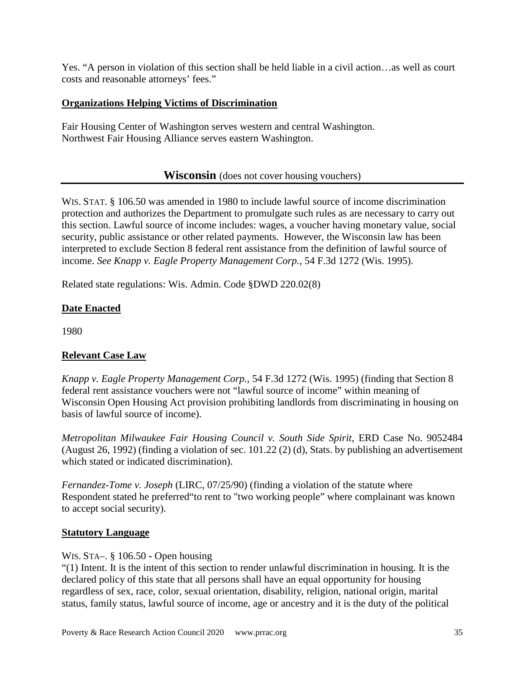Yes. "A person in violation of this section shall be held liable in a civil action…as well as court costs and reasonable attorneys' fees."

## **Organizations Helping Victims of Discrimination**

Fair Housing Center of Washington serves western and central Washington. Northwest Fair Housing Alliance serves eastern Washington.

## **Wisconsin** (does not cover housing vouchers)

<span id="page-34-0"></span>WIS. STAT. § 106.50 was amended in 1980 to include lawful source of income discrimination protection and authorizes the Department to promulgate such rules as are necessary to carry out this section. Lawful source of income includes: wages, a voucher having monetary value, social security, public assistance or other related payments. However, the Wisconsin law has been interpreted to exclude Section 8 federal rent assistance from the definition of lawful source of income. *See Knapp v. Eagle Property Management Corp.*, 54 F.3d 1272 (Wis. 1995).

Related state regulations: Wis. Admin. Code §DWD 220.02(8)

## **Date Enacted**

1980

#### **Relevant Case Law**

*Knapp v. Eagle Property Management Corp.*, 54 F.3d 1272 (Wis. 1995) (finding that Section 8 federal rent assistance vouchers were not "lawful source of income" within meaning of Wisconsin Open Housing Act provision prohibiting landlords from discriminating in housing on basis of lawful source of income).

*Metropolitan Milwaukee Fair Housing Council v. South Side Spirit*, ERD Case No. 9052484 (August 26, 1992) (finding a violation of sec. 101.22 (2) (d), Stats. by publishing an advertisement which stated or indicated discrimination).

*Fernandez-Tome v. Joseph* (LIRC, 07/25/90) (finding a violation of the statute where Respondent stated he preferred"to rent to "two working people" where complainant was known to accept social security).

#### **Statutory Language**

#### WIS. STA–. § 106.50 **-** Open housing

"(1) Intent. It is the intent of this section to render unlawful discrimination in housing. It is the declared policy of this state that all persons shall have an equal opportunity for housing regardless of sex, race, color, sexual orientation, disability, religion, national origin, marital status, family status, lawful source of income, age or ancestry and it is the duty of the political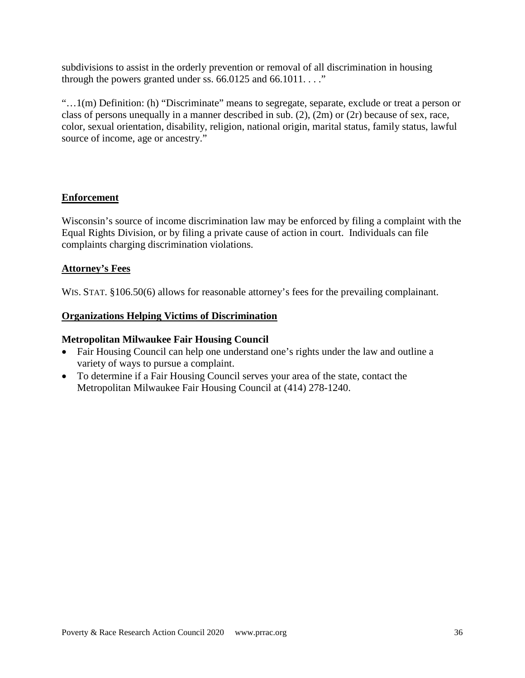subdivisions to assist in the orderly prevention or removal of all discrimination in housing through the powers granted under ss.  $66.0125$  and  $66.1011...$ "

"…1(m) Definition: (h) "Discriminate" means to segregate, separate, exclude or treat a person or class of persons unequally in a manner described in sub. (2), (2m) or (2r) because of sex, race, color, sexual orientation, disability, religion, national origin, marital status, family status, lawful source of income, age or ancestry."

## **Enforcement**

Wisconsin's source of income discrimination law may be enforced by filing a complaint with the Equal Rights Division, or by filing a private cause of action in court. Individuals can file complaints charging discrimination violations.

#### **Attorney's Fees**

WIS. STAT. §106.50(6) allows for reasonable attorney's fees for the prevailing complainant.

#### **Organizations Helping Victims of Discrimination**

#### **Metropolitan Milwaukee Fair Housing Council**

- Fair Housing Council can help one understand one's rights under the law and outline a variety of ways to pursue a complaint.
- To determine if a Fair Housing Council serves your area of the state, contact the Metropolitan Milwaukee Fair Housing Council at (414) 278-1240.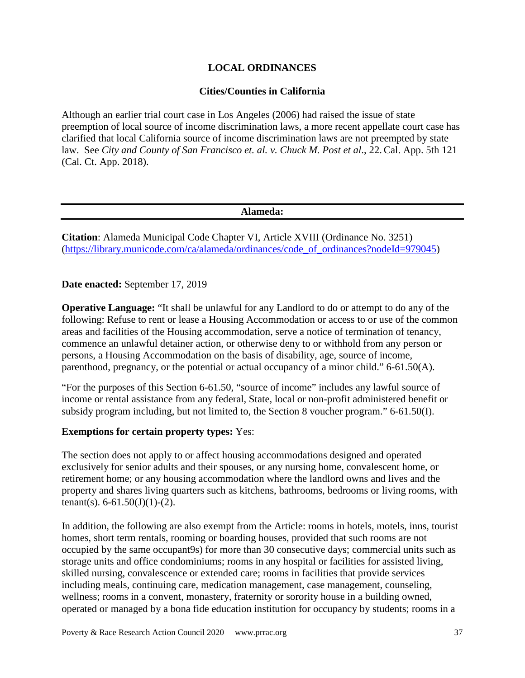# **LOCAL ORDINANCES**

## **Cities/Counties in California**

Although an earlier trial court case in Los Angeles (2006) had raised the issue of state preemption of local source of income discrimination laws, a more recent appellate court case has clarified that local California source of income discrimination laws are not preempted by state law. See *City and County of San Francisco et. al. v. Chuck M. Post et al*., 22. Cal. App. 5th 121 (Cal. Ct. App. 2018).

| - 11<br>.<br>.<br>.<br>ucua.<br>Ald<br>----------- |
|----------------------------------------------------|
|                                                    |

**Citation**: Alameda Municipal Code Chapter VI, Article XVIII (Ordinance No. 3251) [\(https://library.municode.com/ca/alameda/ordinances/code\\_of\\_ordinances?nodeId=979045\)](https://library.municode.com/ca/alameda/ordinances/code_of_ordinances?nodeId=979045)

**Date enacted:** September 17, 2019

**Operative Language:** "It shall be unlawful for any Landlord to do or attempt to do any of the following: Refuse to rent or lease a Housing Accommodation or access to or use of the common areas and facilities of the Housing accommodation, serve a notice of termination of tenancy, commence an unlawful detainer action, or otherwise deny to or withhold from any person or persons, a Housing Accommodation on the basis of disability, age, source of income, parenthood, pregnancy, or the potential or actual occupancy of a minor child." 6-61.50(A).

"For the purposes of this Section 6-61.50, "source of income" includes any lawful source of income or rental assistance from any federal, State, local or non-profit administered benefit or subsidy program including, but not limited to, the Section 8 voucher program." 6-61.50(I).

## **Exemptions for certain property types:** Yes:

The section does not apply to or affect housing accommodations designed and operated exclusively for senior adults and their spouses, or any nursing home, convalescent home, or retirement home; or any housing accommodation where the landlord owns and lives and the property and shares living quarters such as kitchens, bathrooms, bedrooms or living rooms, with tenant(s).  $6-61.50(J)(1)-(2)$ .

In addition, the following are also exempt from the Article: rooms in hotels, motels, inns, tourist homes, short term rentals, rooming or boarding houses, provided that such rooms are not occupied by the same occupant9s) for more than 30 consecutive days; commercial units such as storage units and office condominiums; rooms in any hospital or facilities for assisted living, skilled nursing, convalescence or extended care; rooms in facilities that provide services including meals, continuing care, medication management, case management, counseling, wellness; rooms in a convent, monastery, fraternity or sorority house in a building owned, operated or managed by a bona fide education institution for occupancy by students; rooms in a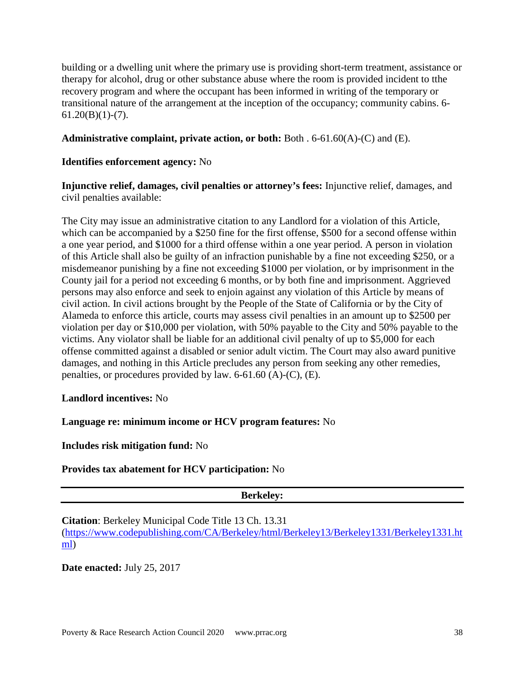building or a dwelling unit where the primary use is providing short-term treatment, assistance or therapy for alcohol, drug or other substance abuse where the room is provided incident to tthe recovery program and where the occupant has been informed in writing of the temporary or transitional nature of the arrangement at the inception of the occupancy; community cabins. 6-  $61.20(B)(1)-(7)$ .

# **Administrative complaint, private action, or both:** Both . 6-61.60(A)-(C) and (E).

## **Identifies enforcement agency:** No

**Injunctive relief, damages, civil penalties or attorney's fees:** Injunctive relief, damages, and civil penalties available:

The City may issue an administrative citation to any Landlord for a violation of this Article, which can be accompanied by a \$250 fine for the first offense, \$500 for a second offense within a one year period, and \$1000 for a third offense within a one year period. A person in violation of this Article shall also be guilty of an infraction punishable by a fine not exceeding \$250, or a misdemeanor punishing by a fine not exceeding \$1000 per violation, or by imprisonment in the County jail for a period not exceeding 6 months, or by both fine and imprisonment. Aggrieved persons may also enforce and seek to enjoin against any violation of this Article by means of civil action. In civil actions brought by the People of the State of California or by the City of Alameda to enforce this article, courts may assess civil penalties in an amount up to \$2500 per violation per day or \$10,000 per violation, with 50% payable to the City and 50% payable to the victims. Any violator shall be liable for an additional civil penalty of up to \$5,000 for each offense committed against a disabled or senior adult victim. The Court may also award punitive damages, and nothing in this Article precludes any person from seeking any other remedies, penalties, or procedures provided by law.  $6-61.60$  (A)-(C), (E).

**Landlord incentives:** No

**Language re: minimum income or HCV program features:** No

**Includes risk mitigation fund:** No

**Provides tax abatement for HCV participation:** No

## **Berkeley:**

**Citation**: Berkeley Municipal Code Title 13 Ch. 13.31 [\(https://www.codepublishing.com/CA/Berkeley/html/Berkeley13/Berkeley1331/Berkeley1331.ht](https://www.codepublishing.com/CA/Berkeley/html/Berkeley13/Berkeley1331/Berkeley1331.html) [ml\)](https://www.codepublishing.com/CA/Berkeley/html/Berkeley13/Berkeley1331/Berkeley1331.html)

**Date enacted:** July 25, 2017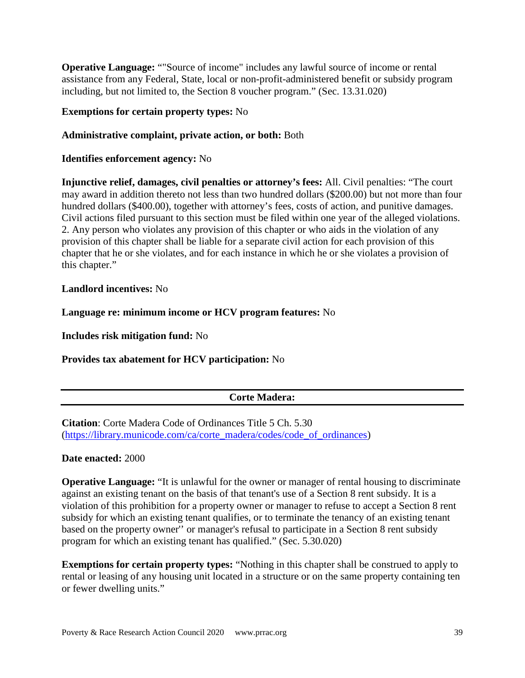**Operative Language:** "Source of income" includes any lawful source of income or rental assistance from any Federal, State, local or non-profit-administered benefit or subsidy program including, but not limited to, the Section 8 voucher program." (Sec. 13.31.020)

## **Exemptions for certain property types:** No

# **Administrative complaint, private action, or both:** Both

## **Identifies enforcement agency:** No

**Injunctive relief, damages, civil penalties or attorney's fees:** All. Civil penalties: "The court may award in addition thereto not less than two hundred dollars (\$200.00) but not more than four hundred dollars (\$400.00), together with attorney's fees, costs of action, and punitive damages. Civil actions filed pursuant to this section must be filed within one year of the alleged violations. 2. Any person who violates any provision of this chapter or who aids in the violation of any provision of this chapter shall be liable for a separate civil action for each provision of this chapter that he or she violates, and for each instance in which he or she violates a provision of this chapter."

## **Landlord incentives:** No

## **Language re: minimum income or HCV program features:** No

**Includes risk mitigation fund:** No

**Provides tax abatement for HCV participation:** No

# **Corte Madera:**

**Citation**: Corte Madera Code of Ordinances Title 5 Ch. 5.30 [\(https://library.municode.com/ca/corte\\_madera/codes/code\\_of\\_ordinances\)](https://library.municode.com/ca/corte_madera/codes/code_of_ordinances)

**Date enacted:** 2000

**Operative Language:** "It is unlawful for the owner or manager of rental housing to discriminate against an existing tenant on the basis of that tenant's use of a Section 8 rent subsidy. It is a violation of this prohibition for a property owner or manager to refuse to accept a Section 8 rent subsidy for which an existing tenant qualifies, or to terminate the tenancy of an existing tenant based on the property owner'' or manager's refusal to participate in a Section 8 rent subsidy program for which an existing tenant has qualified." (Sec. 5.30.020)

**Exemptions for certain property types:** "Nothing in this chapter shall be construed to apply to rental or leasing of any housing unit located in a structure or on the same property containing ten or fewer dwelling units."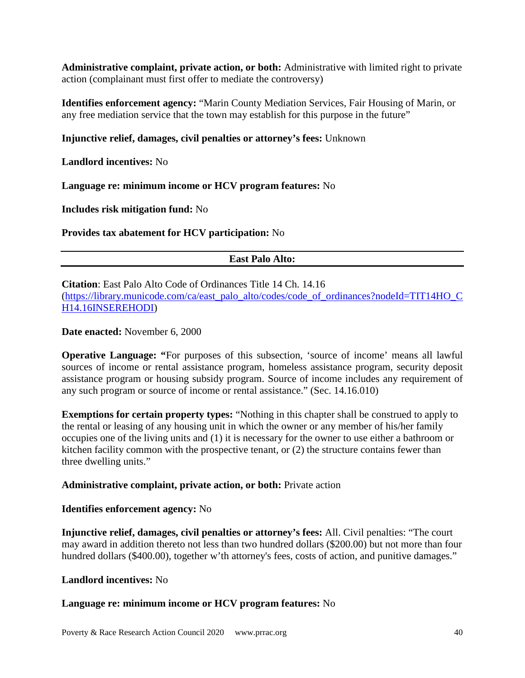**Administrative complaint, private action, or both:** Administrative with limited right to private action (complainant must first offer to mediate the controversy)

**Identifies enforcement agency:** "Marin County Mediation Services, Fair Housing of Marin, or any free mediation service that the town may establish for this purpose in the future"

## **Injunctive relief, damages, civil penalties or attorney's fees:** Unknown

**Landlord incentives:** No

**Language re: minimum income or HCV program features:** No

**Includes risk mitigation fund:** No

**Provides tax abatement for HCV participation:** No

# **East Palo Alto:**

**Citation**: East Palo Alto Code of Ordinances Title 14 Ch. 14.16 [\(https://library.municode.com/ca/east\\_palo\\_alto/codes/code\\_of\\_ordinances?nodeId=TIT14HO\\_C](https://library.municode.com/ca/east_palo_alto/codes/code_of_ordinances?nodeId=TIT14HO_CH14.16INSEREHODI) [H14.16INSEREHODI\)](https://library.municode.com/ca/east_palo_alto/codes/code_of_ordinances?nodeId=TIT14HO_CH14.16INSEREHODI)

## **Date enacted:** November 6, 2000

**Operative Language: "**For purposes of this subsection, 'source of income' means all lawful sources of income or rental assistance program, homeless assistance program, security deposit assistance program or housing subsidy program. Source of income includes any requirement of any such program or source of income or rental assistance." (Sec. 14.16.010)

**Exemptions for certain property types:** "Nothing in this chapter shall be construed to apply to the rental or leasing of any housing unit in which the owner or any member of his/her family occupies one of the living units and (1) it is necessary for the owner to use either a bathroom or kitchen facility common with the prospective tenant, or (2) the structure contains fewer than three dwelling units."

## **Administrative complaint, private action, or both:** Private action

## **Identifies enforcement agency:** No

**Injunctive relief, damages, civil penalties or attorney's fees:** All. Civil penalties: "The court may award in addition thereto not less than two hundred dollars (\$200.00) but not more than four hundred dollars (\$400.00), together w'th attorney's fees, costs of action, and punitive damages."

## **Landlord incentives:** No

## **Language re: minimum income or HCV program features:** No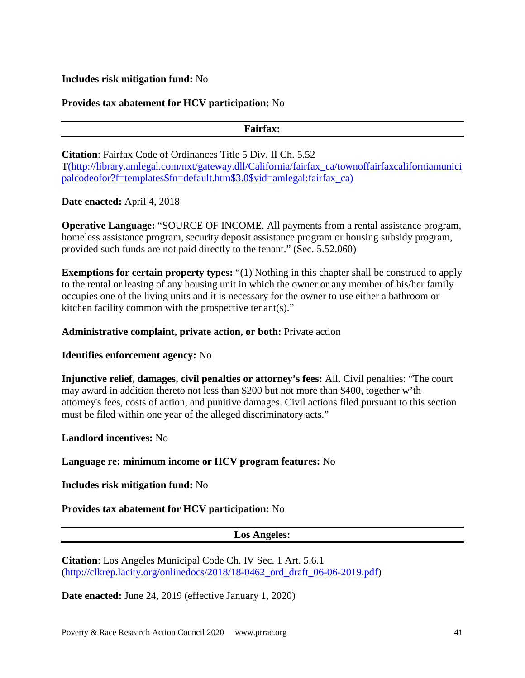#### **Includes risk mitigation fund:** No

#### **Provides tax abatement for HCV participation:** No

**Citation**: Fairfax Code of Ordinances Title 5 Div. II Ch. 5.52 [T\(http://library.amlegal.com/nxt/gateway.dll/California/fairfax\\_ca/townoffairfaxcaliforniamunici](http://library.amlegal.com/nxt/gateway.dll/California/fairfax_ca/townoffairfaxcaliforniamunicipalcodeofor?f=templates$fn=default.htm$3.0$vid=amlegal:fairfax_ca) [palcodeofor?f=templates\\$fn=default.htm\\$3.0\\$vid=amlegal:fairfax\\_ca\)](http://library.amlegal.com/nxt/gateway.dll/California/fairfax_ca/townoffairfaxcaliforniamunicipalcodeofor?f=templates$fn=default.htm$3.0$vid=amlegal:fairfax_ca)

#### **Date enacted:** April 4, 2018

**Operative Language:** "SOURCE OF INCOME. All payments from a rental assistance program, homeless assistance program, security deposit assistance program or housing subsidy program, provided such funds are not paid directly to the tenant." (Sec. 5.52.060)

**Exemptions for certain property types:** "(1) Nothing in this chapter shall be construed to apply to the rental or leasing of any housing unit in which the owner or any member of his/her family occupies one of the living units and it is necessary for the owner to use either a bathroom or kitchen facility common with the prospective tenant(s)."

#### **Administrative complaint, private action, or both:** Private action

#### **Identifies enforcement agency:** No

**Injunctive relief, damages, civil penalties or attorney's fees:** All. Civil penalties: "The court may award in addition thereto not less than \$200 but not more than \$400, together w'th attorney's fees, costs of action, and punitive damages. Civil actions filed pursuant to this section must be filed within one year of the alleged discriminatory acts."

#### **Landlord incentives:** No

## **Language re: minimum income or HCV program features:** No

**Includes risk mitigation fund:** No

## **Provides tax abatement for HCV participation:** No

#### **Los Angeles:**

**Citation**: Los Angeles Municipal Code Ch. IV Sec. 1 Art. 5.6.1 [\(http://clkrep.lacity.org/onlinedocs/2018/18-0462\\_ord\\_draft\\_06-06-2019.pdf\)](http://clkrep.lacity.org/onlinedocs/2018/18-0462_ord_draft_06-06-2019.pdf)

**Date enacted:** June 24, 2019 (effective January 1, 2020)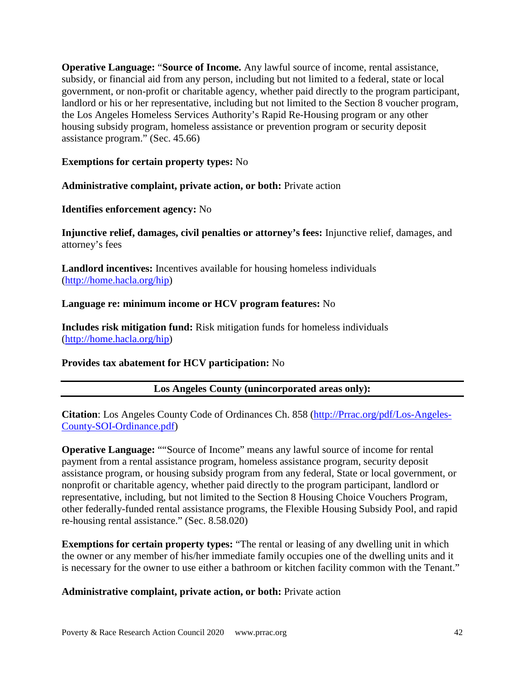**Operative Language:** "**Source of Income.** Any lawful source of income, rental assistance, subsidy, or financial aid from any person, including but not limited to a federal, state or local government, or non-profit or charitable agency, whether paid directly to the program participant, landlord or his or her representative, including but not limited to the Section 8 voucher program, the Los Angeles Homeless Services Authority's Rapid Re-Housing program or any other housing subsidy program, homeless assistance or prevention program or security deposit assistance program." (Sec. 45.66)

## **Exemptions for certain property types:** No

**Administrative complaint, private action, or both:** Private action

**Identifies enforcement agency:** No

**Injunctive relief, damages, civil penalties or attorney's fees:** Injunctive relief, damages, and attorney's fees

**Landlord incentives:** Incentives available for housing homeless individuals [\(http://home.hacla.org/hip\)](http://home.hacla.org/hip)

#### **Language re: minimum income or HCV program features:** No

**Includes risk mitigation fund:** Risk mitigation funds for homeless individuals [\(http://home.hacla.org/hip\)](http://home.hacla.org/hip)

#### **Provides tax abatement for HCV participation:** No

## **Los Angeles County (unincorporated areas only):**

**Citation**: Los Angeles County Code of Ordinances Ch. 858 [\(http://Prrac.org/pdf/Los-Angeles-](http://prrac.org/pdf/Los-Angeles-County-SOI-Ordinance.pdf)[County-SOI-Ordinance.pdf\)](http://prrac.org/pdf/Los-Angeles-County-SOI-Ordinance.pdf)

**Operative Language:** ""Source of Income" means any lawful source of income for rental payment from a rental assistance program, homeless assistance program, security deposit assistance program, or housing subsidy program from any federal, State or local government, or nonprofit or charitable agency, whether paid directly to the program participant, landlord or representative, including, but not limited to the Section 8 Housing Choice Vouchers Program, other federally-funded rental assistance programs, the Flexible Housing Subsidy Pool, and rapid re-housing rental assistance." (Sec. 8.58.020)

**Exemptions for certain property types:** "The rental or leasing of any dwelling unit in which the owner or any member of his/her immediate family occupies one of the dwelling units and it is necessary for the owner to use either a bathroom or kitchen facility common with the Tenant."

# **Administrative complaint, private action, or both:** Private action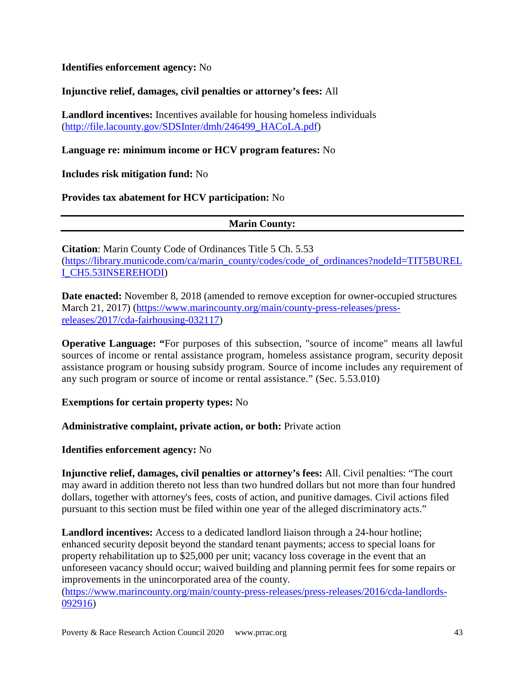## **Identifies enforcement agency:** No

## **Injunctive relief, damages, civil penalties or attorney's fees:** All

**Landlord incentives:** Incentives available for housing homeless individuals [\(http://file.lacounty.gov/SDSInter/dmh/246499\\_HACoLA.pdf\)](http://file.lacounty.gov/SDSInter/dmh/246499_HACoLA.pdf)

## **Language re: minimum income or HCV program features:** No

**Includes risk mitigation fund:** No

## **Provides tax abatement for HCV participation:** No

**Marin County:**

**Citation**: Marin County Code of Ordinances Title 5 Ch. 5.53 [\(https://library.municode.com/ca/marin\\_county/codes/code\\_of\\_ordinances?nodeId=TIT5BUREL](https://library.municode.com/ca/marin_county/codes/code_of_ordinances?nodeId=TIT5BURELI_CH5.53INSEREHODI) [I\\_CH5.53INSEREHODI\)](https://library.municode.com/ca/marin_county/codes/code_of_ordinances?nodeId=TIT5BURELI_CH5.53INSEREHODI)

**Date enacted:** November 8, 2018 (amended to remove exception for owner-occupied structures March 21, 2017) [\(https://www.marincounty.org/main/county-press-releases/press](https://www.marincounty.org/main/county-press-releases/press-releases/2017/cda-fairhousing-032117)[releases/2017/cda-fairhousing-032117\)](https://www.marincounty.org/main/county-press-releases/press-releases/2017/cda-fairhousing-032117)

**Operative Language: "**For purposes of this subsection, "source of income" means all lawful sources of income or rental assistance program, homeless assistance program, security deposit assistance program or housing subsidy program. Source of income includes any requirement of any such program or source of income or rental assistance." (Sec. 5.53.010)

## **Exemptions for certain property types:** No

**Administrative complaint, private action, or both:** Private action

**Identifies enforcement agency:** No

**Injunctive relief, damages, civil penalties or attorney's fees:** All. Civil penalties: "The court may award in addition thereto not less than two hundred dollars but not more than four hundred dollars, together with attorney's fees, costs of action, and punitive damages. Civil actions filed pursuant to this section must be filed within one year of the alleged discriminatory acts."

**Landlord incentives:** Access to a dedicated landlord liaison through a 24-hour hotline; enhanced security deposit beyond the standard tenant payments; access to special loans for property rehabilitation up to \$25,000 per unit; vacancy loss coverage in the event that an unforeseen vacancy should occur; waived building and planning permit fees for some repairs or improvements in the unincorporated area of the county.

[\(https://www.marincounty.org/main/county-press-releases/press-releases/2016/cda-landlords-](https://www.marincounty.org/main/county-press-releases/press-releases/2016/cda-landlords-092916)[092916\)](https://www.marincounty.org/main/county-press-releases/press-releases/2016/cda-landlords-092916)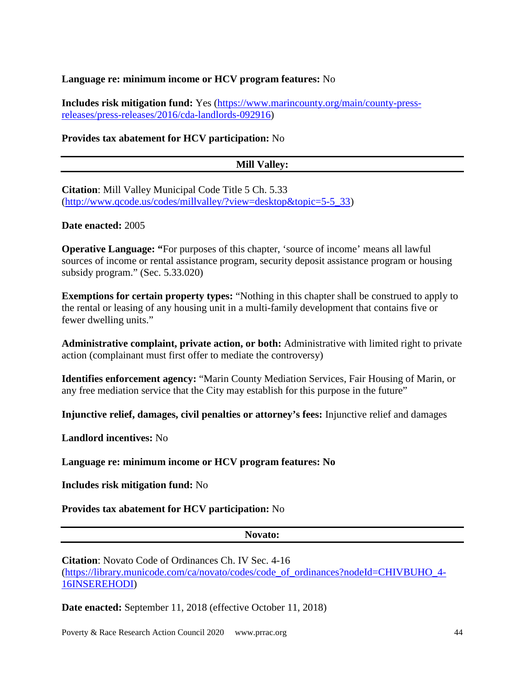## **Language re: minimum income or HCV program features:** No

**Includes risk mitigation fund:** Yes [\(https://www.marincounty.org/main/county-press](https://www.marincounty.org/main/county-press-releases/press-releases/2016/cda-landlords-092916)[releases/press-releases/2016/cda-landlords-092916\)](https://www.marincounty.org/main/county-press-releases/press-releases/2016/cda-landlords-092916)

#### **Provides tax abatement for HCV participation:** No

## **Mill Valley:**

**Citation**: Mill Valley Municipal Code Title 5 Ch. 5.33 [\(http://www.qcode.us/codes/millvalley/?view=desktop&topic=5-5\\_33\)](http://www.qcode.us/codes/millvalley/?view=desktop&topic=5-5_33)

#### **Date enacted:** 2005

**Operative Language: "**For purposes of this chapter, 'source of income' means all lawful sources of income or rental assistance program, security deposit assistance program or housing subsidy program." (Sec. 5.33.020)

**Exemptions for certain property types:** "Nothing in this chapter shall be construed to apply to the rental or leasing of any housing unit in a multi-family development that contains five or fewer dwelling units."

**Administrative complaint, private action, or both:** Administrative with limited right to private action (complainant must first offer to mediate the controversy)

**Identifies enforcement agency:** "Marin County Mediation Services, Fair Housing of Marin, or any free mediation service that the City may establish for this purpose in the future"

**Injunctive relief, damages, civil penalties or attorney's fees:** Injunctive relief and damages

**Landlord incentives:** No

**Language re: minimum income or HCV program features: No** 

**Includes risk mitigation fund:** No

**Provides tax abatement for HCV participation:** No

**Novato:**

**Citation**: Novato Code of Ordinances Ch. IV Sec. 4-16 [\(https://library.municode.com/ca/novato/codes/code\\_of\\_ordinances?nodeId=CHIVBUHO\\_4-](https://library.municode.com/ca/novato/codes/code_of_ordinances?nodeId=CHIVBUHO_4-16INSEREHODI) [16INSEREHODI\)](https://library.municode.com/ca/novato/codes/code_of_ordinances?nodeId=CHIVBUHO_4-16INSEREHODI)

**Date enacted:** September 11, 2018 (effective October 11, 2018)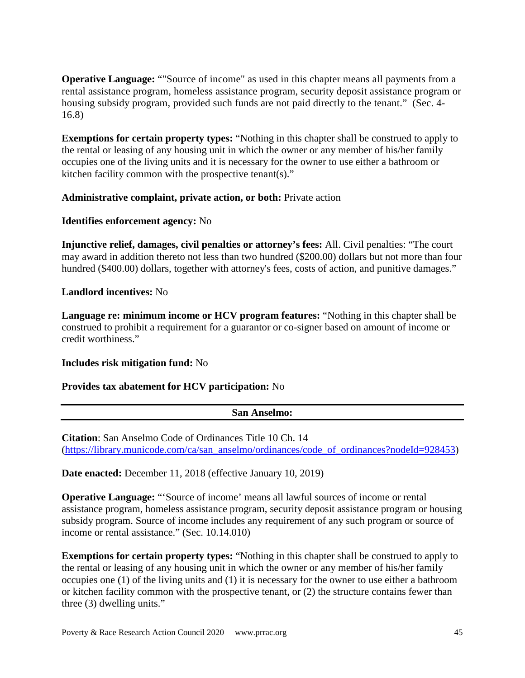**Operative Language:** ""Source of income" as used in this chapter means all payments from a rental assistance program, homeless assistance program, security deposit assistance program or housing subsidy program, provided such funds are not paid directly to the tenant." (Sec. 4- 16.8)

**Exemptions for certain property types:** "Nothing in this chapter shall be construed to apply to the rental or leasing of any housing unit in which the owner or any member of his/her family occupies one of the living units and it is necessary for the owner to use either a bathroom or kitchen facility common with the prospective tenant(s)."

## **Administrative complaint, private action, or both:** Private action

#### **Identifies enforcement agency:** No

**Injunctive relief, damages, civil penalties or attorney's fees:** All. Civil penalties: "The court may award in addition thereto not less than two hundred (\$200.00) dollars but not more than four hundred (\$400.00) dollars, together with attorney's fees, costs of action, and punitive damages."

## **Landlord incentives:** No

**Language re: minimum income or HCV program features:** "Nothing in this chapter shall be construed to prohibit a requirement for a guarantor or co-signer based on amount of income or credit worthiness."

#### **Includes risk mitigation fund:** No

## **Provides tax abatement for HCV participation:** No

#### **San Anselmo:**

**Citation**: San Anselmo Code of Ordinances Title 10 Ch. 14 [\(https://library.municode.com/ca/san\\_anselmo/ordinances/code\\_of\\_ordinances?nodeId=928453\)](https://library.municode.com/ca/san_anselmo/ordinances/code_of_ordinances?nodeId=928453)

**Date enacted:** December 11, 2018 (effective January 10, 2019)

**Operative Language:** "Source of income' means all lawful sources of income or rental assistance program, homeless assistance program, security deposit assistance program or housing subsidy program. Source of income includes any requirement of any such program or source of income or rental assistance." (Sec. 10.14.010)

**Exemptions for certain property types:** "Nothing in this chapter shall be construed to apply to the rental or leasing of any housing unit in which the owner or any member of his/her family occupies one (1) of the living units and (1) it is necessary for the owner to use either a bathroom or kitchen facility common with the prospective tenant, or (2) the structure contains fewer than three (3) dwelling units."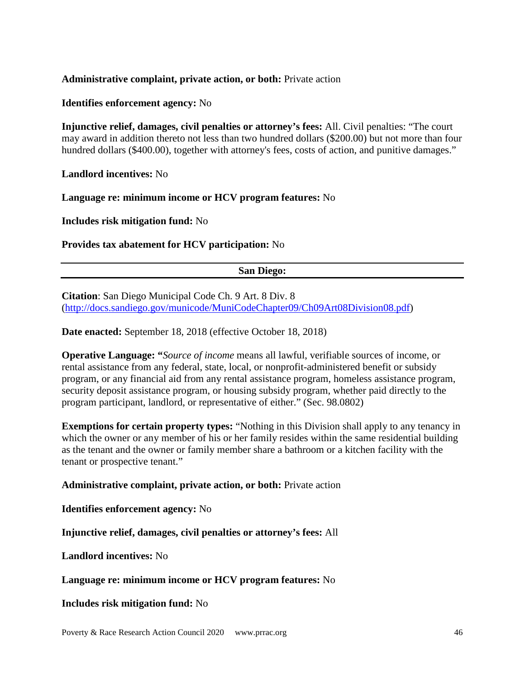# **Administrative complaint, private action, or both:** Private action

#### **Identifies enforcement agency:** No

**Injunctive relief, damages, civil penalties or attorney's fees:** All. Civil penalties: "The court may award in addition thereto not less than two hundred dollars (\$200.00) but not more than four hundred dollars (\$400.00), together with attorney's fees, costs of action, and punitive damages."

**Landlord incentives:** No

**Language re: minimum income or HCV program features:** No

**Includes risk mitigation fund:** No

**Provides tax abatement for HCV participation:** No

## **San Diego:**

**Citation**: San Diego Municipal Code Ch. 9 Art. 8 Div. 8 [\(http://docs.sandiego.gov/municode/MuniCodeChapter09/Ch09Art08Division08.pdf\)](http://docs.sandiego.gov/municode/MuniCodeChapter09/Ch09Art08Division08.pdf)

**Date enacted:** September 18, 2018 (effective October 18, 2018)

**Operative Language: "***Source of income* means all lawful, verifiable sources of income, or rental assistance from any federal, state, local, or nonprofit-administered benefit or subsidy program, or any financial aid from any rental assistance program, homeless assistance program, security deposit assistance program, or housing subsidy program, whether paid directly to the program participant, landlord, or representative of either." (Sec. 98.0802)

**Exemptions for certain property types:** "Nothing in this Division shall apply to any tenancy in which the owner or any member of his or her family resides within the same residential building as the tenant and the owner or family member share a bathroom or a kitchen facility with the tenant or prospective tenant."

#### **Administrative complaint, private action, or both:** Private action

**Identifies enforcement agency:** No

**Injunctive relief, damages, civil penalties or attorney's fees:** All

**Landlord incentives:** No

**Language re: minimum income or HCV program features:** No

**Includes risk mitigation fund:** No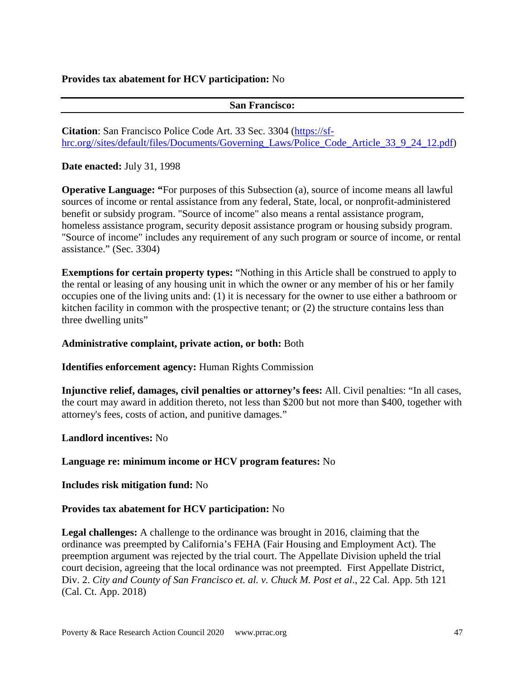## **Provides tax abatement for HCV participation:** No

#### **San Francisco:**

**Citation**: San Francisco Police Code Art. 33 Sec. 3304 [\(https://sf](https://sf-hrc.org/sites/default/files/Documents/Governing_Laws/Police_Code_Article_33_9_24_12.pdf)[hrc.org//sites/default/files/Documents/Governing\\_Laws/Police\\_Code\\_Article\\_33\\_9\\_24\\_12.pdf\)](https://sf-hrc.org/sites/default/files/Documents/Governing_Laws/Police_Code_Article_33_9_24_12.pdf)

**Date enacted:** July 31, 1998

**Operative Language: "**For purposes of this Subsection (a), source of income means all lawful sources of income or rental assistance from any federal, State, local, or nonprofit-administered benefit or subsidy program. "Source of income" also means a rental assistance program, homeless assistance program, security deposit assistance program or housing subsidy program. "Source of income" includes any requirement of any such program or source of income, or rental assistance." (Sec. 3304)

**Exemptions for certain property types:** "Nothing in this Article shall be construed to apply to the rental or leasing of any housing unit in which the owner or any member of his or her family occupies one of the living units and: (1) it is necessary for the owner to use either a bathroom or kitchen facility in common with the prospective tenant; or (2) the structure contains less than three dwelling units"

#### **Administrative complaint, private action, or both:** Both

**Identifies enforcement agency:** Human Rights Commission

**Injunctive relief, damages, civil penalties or attorney's fees:** All. Civil penalties: "In all cases, the court may award in addition thereto, not less than \$200 but not more than \$400, together with attorney's fees, costs of action, and punitive damages."

**Landlord incentives:** No

#### **Language re: minimum income or HCV program features:** No

**Includes risk mitigation fund:** No

#### **Provides tax abatement for HCV participation:** No

**Legal challenges:** A challenge to the ordinance was brought in 2016, claiming that the ordinance was preempted by California's FEHA (Fair Housing and Employment Act). The preemption argument was rejected by the trial court. The Appellate Division upheld the trial court decision, agreeing that the local ordinance was not preempted. First Appellate District, Div. 2. *City and County of San Francisco et. al. v. Chuck M. Post et al*., 22 Cal. App. 5th 121 (Cal. Ct. App. 2018)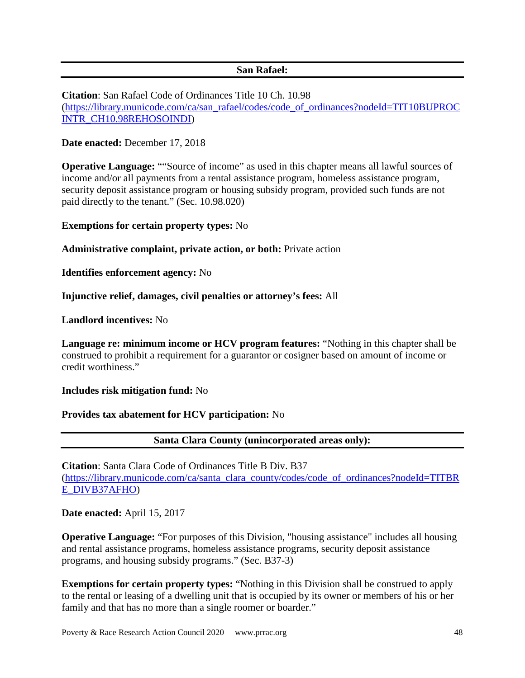## **San Rafael:**

**Citation**: San Rafael Code of Ordinances Title 10 Ch. 10.98 [\(https://library.municode.com/ca/san\\_rafael/codes/code\\_of\\_ordinances?nodeId=TIT10BUPROC](https://library.municode.com/ca/san_rafael/codes/code_of_ordinances?nodeId=TIT10BUPROCINTR_CH10.98REHOSOINDI) [INTR\\_CH10.98REHOSOINDI\)](https://library.municode.com/ca/san_rafael/codes/code_of_ordinances?nodeId=TIT10BUPROCINTR_CH10.98REHOSOINDI)

#### **Date enacted:** December 17, 2018

**Operative Language:** ""Source of income" as used in this chapter means all lawful sources of income and/or all payments from a rental assistance program, homeless assistance program, security deposit assistance program or housing subsidy program, provided such funds are not paid directly to the tenant." (Sec. 10.98.020)

**Exemptions for certain property types:** No

**Administrative complaint, private action, or both:** Private action

**Identifies enforcement agency:** No

**Injunctive relief, damages, civil penalties or attorney's fees:** All

**Landlord incentives:** No

**Language re: minimum income or HCV program features:** "Nothing in this chapter shall be construed to prohibit a requirement for a guarantor or cosigner based on amount of income or credit worthiness."

**Includes risk mitigation fund:** No

**Provides tax abatement for HCV participation:** No

**Santa Clara County (unincorporated areas only):**

**Citation**: Santa Clara Code of Ordinances Title B Div. B37 [\(https://library.municode.com/ca/santa\\_clara\\_county/codes/code\\_of\\_ordinances?nodeId=TITBR](https://library.municode.com/ca/santa_clara_county/codes/code_of_ordinances?nodeId=TITBRE_DIVB37AFHO) [E\\_DIVB37AFHO\)](https://library.municode.com/ca/santa_clara_county/codes/code_of_ordinances?nodeId=TITBRE_DIVB37AFHO)

## **Date enacted:** April 15, 2017

**Operative Language:** "For purposes of this Division, "housing assistance" includes all housing and rental assistance programs, homeless assistance programs, security deposit assistance programs, and housing subsidy programs." (Sec. B37-3)

**Exemptions for certain property types:** "Nothing in this Division shall be construed to apply to the rental or leasing of a dwelling unit that is occupied by its owner or members of his or her family and that has no more than a single roomer or boarder."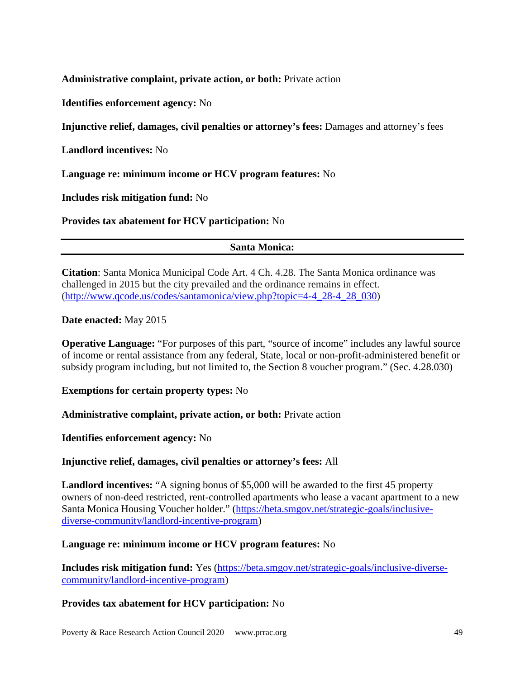# **Administrative complaint, private action, or both:** Private action

**Identifies enforcement agency:** No

**Injunctive relief, damages, civil penalties or attorney's fees:** Damages and attorney's fees

**Landlord incentives:** No

**Language re: minimum income or HCV program features:** No

**Includes risk mitigation fund:** No

**Provides tax abatement for HCV participation:** No

**Santa Monica:**

**Citation**: Santa Monica Municipal Code Art. 4 Ch. 4.28. The Santa Monica ordinance was challenged in 2015 but the city prevailed and the ordinance remains in effect. [\(http://www.qcode.us/codes/santamonica/view.php?topic=4-4\\_28-4\\_28\\_030\)](http://www.qcode.us/codes/santamonica/view.php?topic=4-4_28-4_28_030)

**Date enacted:** May 2015

**Operative Language:** "For purposes of this part, "source of income" includes any lawful source of income or rental assistance from any federal, State, local or non-profit-administered benefit or subsidy program including, but not limited to, the Section 8 voucher program." (Sec. 4.28.030)

**Exemptions for certain property types:** No

**Administrative complaint, private action, or both:** Private action

**Identifies enforcement agency:** No

**Injunctive relief, damages, civil penalties or attorney's fees:** All

**Landlord incentives:** "A signing bonus of \$5,000 will be awarded to the first 45 property owners of non-deed restricted, rent-controlled apartments who lease a vacant apartment to a new Santa Monica Housing Voucher holder." [\(https://beta.smgov.net/strategic-goals/inclusive](https://beta.smgov.net/strategic-goals/inclusive-diverse-community/landlord-incentive-program)[diverse-community/landlord-incentive-program\)](https://beta.smgov.net/strategic-goals/inclusive-diverse-community/landlord-incentive-program)

## **Language re: minimum income or HCV program features:** No

**Includes risk mitigation fund:** Yes [\(https://beta.smgov.net/strategic-goals/inclusive-diverse](https://beta.smgov.net/strategic-goals/inclusive-diverse-community/landlord-incentive-program)[community/landlord-incentive-program\)](https://beta.smgov.net/strategic-goals/inclusive-diverse-community/landlord-incentive-program)

## **Provides tax abatement for HCV participation:** No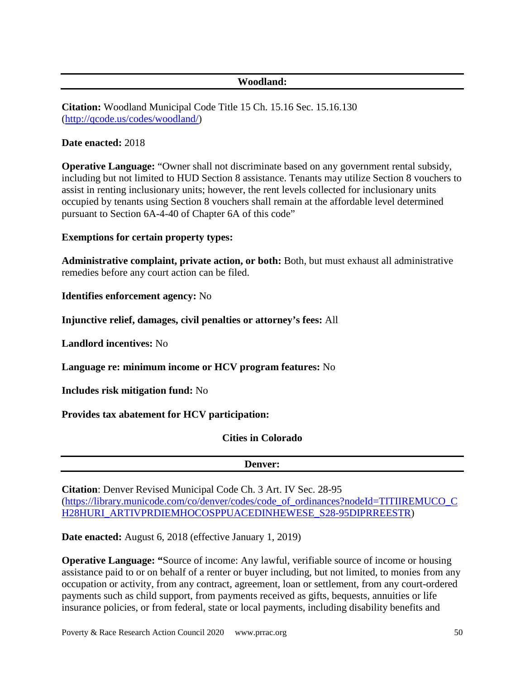## **Woodland:**

**Citation:** Woodland Municipal Code Title 15 Ch. 15.16 Sec. 15.16.130 [\(http://qcode.us/codes/woodland/\)](http://qcode.us/codes/woodland/)

#### **Date enacted:** 2018

**Operative Language:** "Owner shall not discriminate based on any government rental subsidy, including but not limited to HUD Section 8 assistance. Tenants may utilize Section 8 vouchers to assist in renting inclusionary units; however, the rent levels collected for inclusionary units occupied by tenants using Section 8 vouchers shall remain at the affordable level determined pursuant to Section 6A-4-40 of Chapter 6A of this code"

#### **Exemptions for certain property types:**

**Administrative complaint, private action, or both:** Both, but must exhaust all administrative remedies before any court action can be filed.

**Identifies enforcement agency:** No

**Injunctive relief, damages, civil penalties or attorney's fees:** All

**Landlord incentives:** No

**Language re: minimum income or HCV program features:** No

**Includes risk mitigation fund:** No

**Provides tax abatement for HCV participation:**

**Cities in Colorado**

**Denver:**

**Citation**: Denver Revised Municipal Code Ch. 3 Art. IV Sec. 28-95 [\(https://library.municode.com/co/denver/codes/code\\_of\\_ordinances?nodeId=TITIIREMUCO\\_C](https://library.municode.com/co/denver/codes/code_of_ordinances?nodeId=TITIIREMUCO_CH28HURI_ARTIVPRDIEMHOCOSPPUACEDINHEWESE_S28-95DIPRREESTR) [H28HURI\\_ARTIVPRDIEMHOCOSPPUACEDINHEWESE\\_S28-95DIPRREESTR\)](https://library.municode.com/co/denver/codes/code_of_ordinances?nodeId=TITIIREMUCO_CH28HURI_ARTIVPRDIEMHOCOSPPUACEDINHEWESE_S28-95DIPRREESTR)

**Date enacted:** August 6, 2018 (effective January 1, 2019)

**Operative Language: "**Source of income: Any lawful, verifiable source of income or housing assistance paid to or on behalf of a renter or buyer including, but not limited, to monies from any occupation or activity, from any contract, agreement, loan or settlement, from any court-ordered payments such as child support, from payments received as gifts, bequests, annuities or life insurance policies, or from federal, state or local payments, including disability benefits and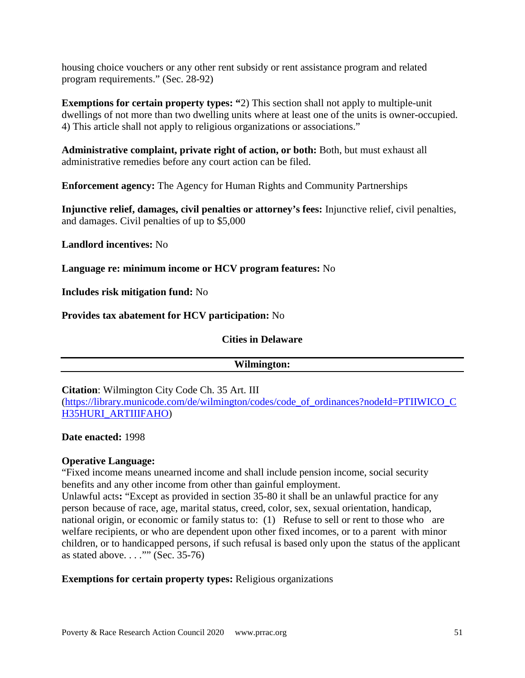housing choice vouchers or any other rent subsidy or rent assistance program and related program requirements." (Sec. 28-92)

**Exemptions for certain property types: "**2) This section shall not apply to multiple-unit dwellings of not more than two dwelling units where at least one of the units is owner-occupied. 4) This article shall not apply to religious organizations or associations."

**Administrative complaint, private right of action, or both:** Both, but must exhaust all administrative remedies before any court action can be filed.

**Enforcement agency:** The Agency for Human Rights and Community Partnerships

**Injunctive relief, damages, civil penalties or attorney's fees:** Injunctive relief, civil penalties, and damages. Civil penalties of up to \$5,000

**Landlord incentives:** No

**Language re: minimum income or HCV program features:** No

**Includes risk mitigation fund:** No

**Provides tax abatement for HCV participation:** No

**Cities in Delaware**

**Wilmington:** 

**Citation**: Wilmington City Code Ch. 35 Art. III

[\(https://library.municode.com/de/wilmington/codes/code\\_of\\_ordinances?nodeId=PTIIWICO\\_C](https://library.municode.com/de/wilmington/codes/code_of_ordinances?nodeId=PTIIWICO_CH35HURI_ARTIIIFAHO) [H35HURI\\_ARTIIIFAHO\)](https://library.municode.com/de/wilmington/codes/code_of_ordinances?nodeId=PTIIWICO_CH35HURI_ARTIIIFAHO)

#### **Date enacted:** 1998

#### **Operative Language:**

"Fixed income means unearned income and shall include pension income, social security benefits and any other income from other than gainful employment. Unlawful acts**:** "Except as provided in section 35-80 it shall be an unlawful practice for any person because of race, age, marital status, creed, color, sex, sexual orientation, handicap, national origin, or economic or family status to: (1) Refuse to sell or rent to those who are welfare recipients, or who are dependent upon other fixed incomes, or to a parent with minor children, or to handicapped persons, if such refusal is based only upon the status of the applicant as stated above. . . ."" (Sec. 35-76)

## **Exemptions for certain property types:** Religious organizations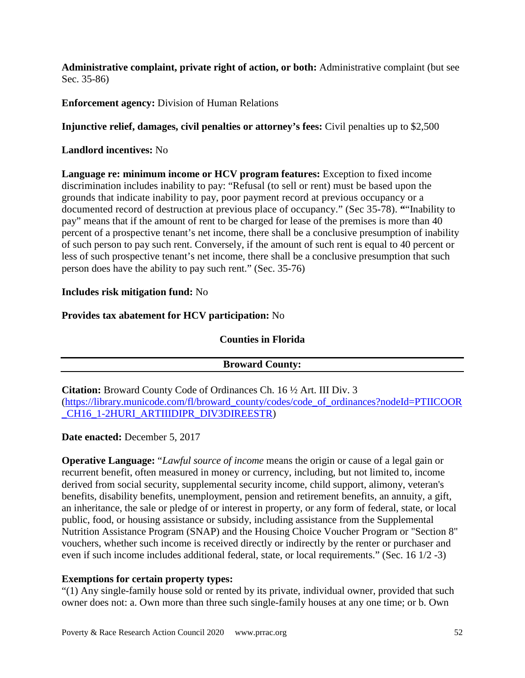**Administrative complaint, private right of action, or both:** Administrative complaint (but see Sec. 35-86)

**Enforcement agency:** Division of Human Relations

**Injunctive relief, damages, civil penalties or attorney's fees:** Civil penalties up to \$2,500

## **Landlord incentives:** No

**Language re: minimum income or HCV program features:** Exception to fixed income discrimination includes inability to pay: "Refusal (to sell or rent) must be based upon the grounds that indicate inability to pay, poor payment record at previous occupancy or a documented record of destruction at previous place of occupancy." (Sec 35-78). **"**"Inability to pay" means that if the amount of rent to be charged for lease of the premises is more than 40 percent of a prospective tenant's net income, there shall be a conclusive presumption of inability of such person to pay such rent. Conversely, if the amount of such rent is equal to 40 percent or less of such prospective tenant's net income, there shall be a conclusive presumption that such person does have the ability to pay such rent." (Sec. 35-76)

# **Includes risk mitigation fund:** No

# **Provides tax abatement for HCV participation:** No

## **Counties in Florida**

| <b>Broward County:</b> |  |
|------------------------|--|
|                        |  |

**Citation:** Broward County Code of Ordinances Ch. 16 ½ Art. III Div. 3 [\(https://library.municode.com/fl/broward\\_county/codes/code\\_of\\_ordinances?nodeId=PTIICOOR](https://library.municode.com/fl/broward_county/codes/code_of_ordinances?nodeId=PTIICOOR_CH16_1-2HURI_ARTIIIDIPR_DIV3DIREESTR) [\\_CH16\\_1-2HURI\\_ARTIIIDIPR\\_DIV3DIREESTR\)](https://library.municode.com/fl/broward_county/codes/code_of_ordinances?nodeId=PTIICOOR_CH16_1-2HURI_ARTIIIDIPR_DIV3DIREESTR)

## **Date enacted:** December 5, 2017

**Operative Language:** "*Lawful source of income* means the origin or cause of a legal gain or recurrent benefit, often measured in money or currency, including, but not limited to, income derived from social security, supplemental security income, child support, alimony, veteran's benefits, disability benefits, unemployment, pension and retirement benefits, an annuity, a gift, an inheritance, the sale or pledge of or interest in property, or any form of federal, state, or local public, food, or housing assistance or subsidy, including assistance from the Supplemental Nutrition Assistance Program (SNAP) and the Housing Choice Voucher Program or "Section 8" vouchers, whether such income is received directly or indirectly by the renter or purchaser and even if such income includes additional federal, state, or local requirements." (Sec. 16 1/2 -3)

## **Exemptions for certain property types:**

"(1) Any single-family house sold or rented by its private, individual owner, provided that such owner does not: a. Own more than three such single-family houses at any one time; or b. Own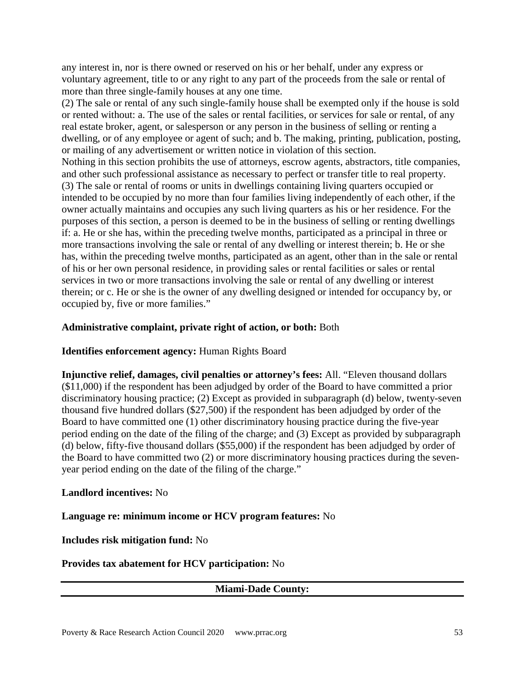any interest in, nor is there owned or reserved on his or her behalf, under any express or voluntary agreement, title to or any right to any part of the proceeds from the sale or rental of more than three single-family houses at any one time.

(2) The sale or rental of any such single-family house shall be exempted only if the house is sold or rented without: a. The use of the sales or rental facilities, or services for sale or rental, of any real estate broker, agent, or salesperson or any person in the business of selling or renting a dwelling, or of any employee or agent of such; and b. The making, printing, publication, posting, or mailing of any advertisement or written notice in violation of this section.

Nothing in this section prohibits the use of attorneys, escrow agents, abstractors, title companies, and other such professional assistance as necessary to perfect or transfer title to real property. (3) The sale or rental of rooms or units in dwellings containing living quarters occupied or intended to be occupied by no more than four families living independently of each other, if the owner actually maintains and occupies any such living quarters as his or her residence. For the purposes of this section, a person is deemed to be in the business of selling or renting dwellings if: a. He or she has, within the preceding twelve months, participated as a principal in three or more transactions involving the sale or rental of any dwelling or interest therein; b. He or she has, within the preceding twelve months, participated as an agent, other than in the sale or rental of his or her own personal residence, in providing sales or rental facilities or sales or rental services in two or more transactions involving the sale or rental of any dwelling or interest therein; or c. He or she is the owner of any dwelling designed or intended for occupancy by, or occupied by, five or more families."

## **Administrative complaint, private right of action, or both:** Both

#### **Identifies enforcement agency:** Human Rights Board

**Injunctive relief, damages, civil penalties or attorney's fees:** All. "Eleven thousand dollars (\$11,000) if the respondent has been adjudged by order of the Board to have committed a prior discriminatory housing practice; (2) Except as provided in subparagraph (d) below, twenty-seven thousand five hundred dollars (\$27,500) if the respondent has been adjudged by order of the Board to have committed one (1) other discriminatory housing practice during the five-year period ending on the date of the filing of the charge; and (3) Except as provided by subparagraph (d) below, fifty-five thousand dollars (\$55,000) if the respondent has been adjudged by order of the Board to have committed two (2) or more discriminatory housing practices during the sevenyear period ending on the date of the filing of the charge."

#### **Landlord incentives:** No

#### **Language re: minimum income or HCV program features:** No

#### **Includes risk mitigation fund:** No

**Provides tax abatement for HCV participation:** No

#### **Miami-Dade County:**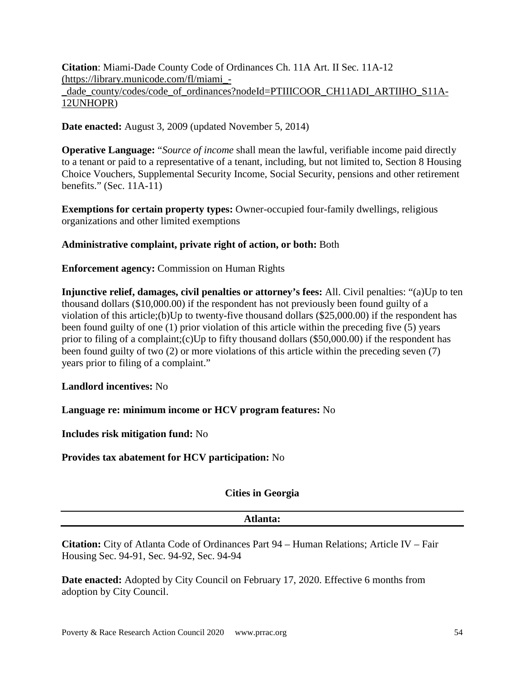**Citation**: Miami-Dade County Code of Ordinances Ch. 11A Art. II Sec. 11A-12 [\(](https://library.municode.com/fl/miami_-_dade_county/codes/code_of_ordinances?nodeId=PTIIICOOR_CH11ADI_ARTIIHO)[https://library.municode.com/fl/miami\\_](https://library.municode.com/fl/miami_-_dade_county/codes/code_of_ordinances?nodeId=PTIIICOOR_CH11ADI_ARTIIHO_S11A-12UNHOPR) dade\_county/codes/code\_of\_ordinances?nodeId=PTIIICOOR\_CH11ADI\_ARTIIHO\_S11A-[12UNHOPR\)](https://library.municode.com/fl/miami_-_dade_county/codes/code_of_ordinances?nodeId=PTIIICOOR_CH11ADI_ARTIIHO_S11A-12UNHOPR)

**Date enacted:** August 3, 2009 (updated November 5, 2014)

**Operative Language:** "*Source of income* shall mean the lawful, verifiable income paid directly to a tenant or paid to a representative of a tenant, including, but not limited to, Section 8 Housing Choice Vouchers, Supplemental Security Income, Social Security, pensions and other retirement benefits." (Sec. 11A-11)

**Exemptions for certain property types:** Owner-occupied four-family dwellings, religious organizations and other limited exemptions

## **Administrative complaint, private right of action, or both:** Both

**Enforcement agency:** Commission on Human Rights

**Injunctive relief, damages, civil penalties or attorney's fees:** All. Civil penalties: "(a)Up to ten thousand dollars (\$10,000.00) if the respondent has not previously been found guilty of a violation of this article;(b)Up to twenty-five thousand dollars (\$25,000.00) if the respondent has been found guilty of one (1) prior violation of this article within the preceding five (5) years prior to filing of a complaint;(c)Up to fifty thousand dollars (\$50,000.00) if the respondent has been found guilty of two (2) or more violations of this article within the preceding seven (7) years prior to filing of a complaint."

**Landlord incentives:** No

**Language re: minimum income or HCV program features:** No

**Includes risk mitigation fund:** No

**Provides tax abatement for HCV participation:** No

## **Cities in Georgia**

#### **Atlanta:**

**Citation:** City of Atlanta Code of Ordinances Part 94 – Human Relations; Article IV – Fair Housing Sec. 94-91, Sec. 94-92, Sec. 94-94

**Date enacted:** Adopted by City Council on February 17, 2020. Effective 6 months from adoption by City Council.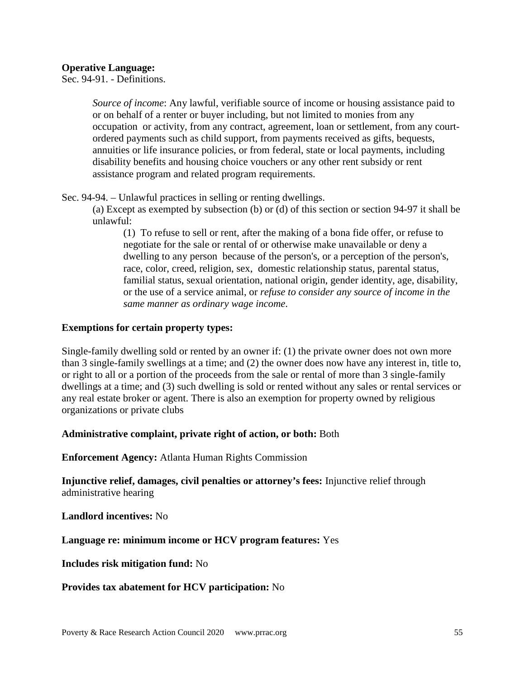## **Operative Language:**

Sec. 94-91. - Definitions.

*Source of income*: Any lawful, verifiable source of income or housing assistance paid to or on behalf of a renter or buyer including, but not limited to monies from any occupation or activity, from any contract, agreement, loan or settlement, from any courtordered payments such as child support, from payments received as gifts, bequests, annuities or life insurance policies, or from federal, state or local payments, including disability benefits and housing choice vouchers or any other rent subsidy or rent assistance program and related program requirements.

Sec. 94-94. – Unlawful practices in selling or renting dwellings.

(a) Except as exempted by subsection (b) or (d) of this section or section 94-97 it shall be unlawful:

(1)To refuse to sell or rent, after the making of a bona fide offer, or refuse to negotiate for the sale or rental of or otherwise make unavailable or deny a dwelling to any person because of the person's, or a perception of the person's, race, color, creed, religion, sex, domestic relationship status, parental status, familial status, sexual orientation, national origin, gender identity, age, disability, or the use of a service animal, or *refuse to consider any source of income in the same manner as ordinary wage income*.

#### **Exemptions for certain property types:**

Single-family dwelling sold or rented by an owner if: (1) the private owner does not own more than 3 single-family swellings at a time; and (2) the owner does now have any interest in, title to, or right to all or a portion of the proceeds from the sale or rental of more than 3 single-family dwellings at a time; and (3) such dwelling is sold or rented without any sales or rental services or any real estate broker or agent. There is also an exemption for property owned by religious organizations or private clubs

**Administrative complaint, private right of action, or both:** Both

**Enforcement Agency:** Atlanta Human Rights Commission

**Injunctive relief, damages, civil penalties or attorney's fees:** Injunctive relief through administrative hearing

**Landlord incentives:** No

**Language re: minimum income or HCV program features:** Yes

**Includes risk mitigation fund:** No

**Provides tax abatement for HCV participation:** No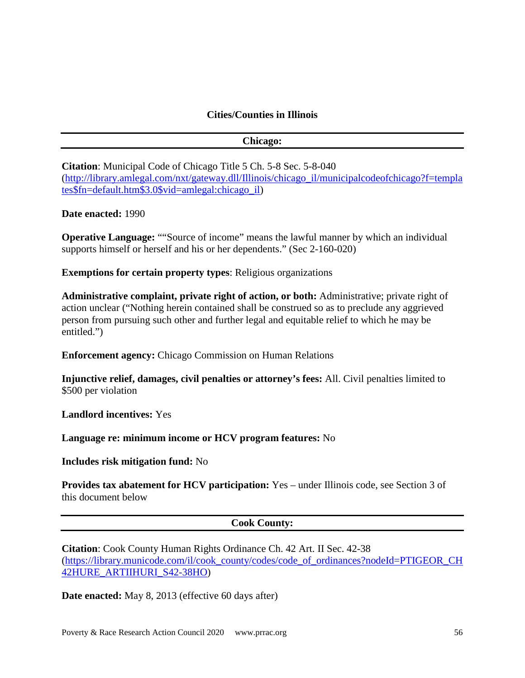## **Cities/Counties in Illinois**

## **Chicago:**

**Citation**: Municipal Code of Chicago Title 5 Ch. 5-8 Sec. 5-8-040 [\(http://library.amlegal.com/nxt/gateway.dll/Illinois/chicago\\_il/municipalcodeofchicago?f=templa](http://library.amlegal.com/nxt/gateway.dll/Illinois/chicago_il/municipalcodeofchicago?f=templates$fn=default.htm$3.0$vid=amlegal:chicago_il) [tes\\$fn=default.htm\\$3.0\\$vid=amlegal:chicago\\_il\)](http://library.amlegal.com/nxt/gateway.dll/Illinois/chicago_il/municipalcodeofchicago?f=templates$fn=default.htm$3.0$vid=amlegal:chicago_il)

**Date enacted:** 1990

**Operative Language:** ""Source of income" means the lawful manner by which an individual supports himself or herself and his or her dependents." (Sec 2-160-020)

**Exemptions for certain property types**: Religious organizations

**Administrative complaint, private right of action, or both:** Administrative; private right of action unclear ("Nothing herein contained shall be construed so as to preclude any aggrieved person from pursuing such other and further legal and equitable relief to which he may be entitled.")

**Enforcement agency:** Chicago Commission on Human Relations

**Injunctive relief, damages, civil penalties or attorney's fees:** All. Civil penalties limited to \$500 per violation

**Landlord incentives:** Yes

**Language re: minimum income or HCV program features:** No

**Includes risk mitigation fund:** No

**Provides tax abatement for HCV participation:** Yes – under Illinois code, see Section 3 of this document below

## **Cook County:**

**Citation**: Cook County Human Rights Ordinance Ch. 42 Art. II Sec. 42-38 [\(https://library.municode.com/il/cook\\_county/codes/code\\_of\\_ordinances?nodeId=PTIGEOR\\_CH](https://library.municode.com/il/cook_county/codes/code_of_ordinances?nodeId=PTIGEOR_CH42HURE_ARTIIHURI_S42-38HO) [42HURE\\_ARTIIHURI\\_S42-38HO\)](https://library.municode.com/il/cook_county/codes/code_of_ordinances?nodeId=PTIGEOR_CH42HURE_ARTIIHURI_S42-38HO)

**Date enacted:** May 8, 2013 (effective 60 days after)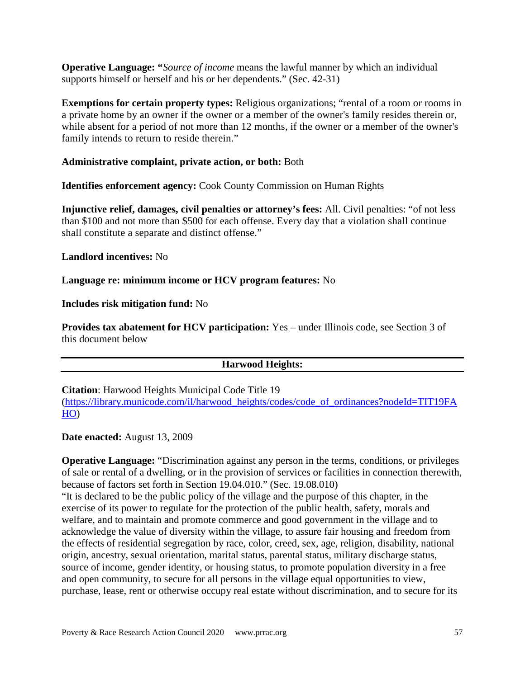**Operative Language: "***Source of income* means the lawful manner by which an individual supports himself or herself and his or her dependents." (Sec. 42-31)

**Exemptions for certain property types:** Religious organizations; "rental of a room or rooms in a private home by an owner if the owner or a member of the owner's family resides therein or, while absent for a period of not more than 12 months, if the owner or a member of the owner's family intends to return to reside therein."

## **Administrative complaint, private action, or both:** Both

**Identifies enforcement agency:** Cook County Commission on Human Rights

**Injunctive relief, damages, civil penalties or attorney's fees:** All. Civil penalties: "of not less than \$100 and not more than \$500 for each offense. Every day that a violation shall continue shall constitute a separate and distinct offense."

## **Landlord incentives:** No

**Language re: minimum income or HCV program features:** No

**Includes risk mitigation fund:** No

**Provides tax abatement for HCV participation:** Yes – under Illinois code, see Section 3 of this document below

**Harwood Heights:**

**Citation**: Harwood Heights Municipal Code Title 19

[\(https://library.municode.com/il/harwood\\_heights/codes/code\\_of\\_ordinances?nodeId=TIT19FA](https://library.municode.com/il/harwood_heights/codes/code_of_ordinances?nodeId=TIT19FAHO) [HO\)](https://library.municode.com/il/harwood_heights/codes/code_of_ordinances?nodeId=TIT19FAHO)

**Date enacted:** August 13, 2009

**Operative Language:** "Discrimination against any person in the terms, conditions, or privileges of sale or rental of a dwelling, or in the provision of services or facilities in connection therewith, because of factors set forth in Section 19.04.010." (Sec. 19.08.010)

"It is declared to be the public policy of the village and the purpose of this chapter, in the exercise of its power to regulate for the protection of the public health, safety, morals and welfare, and to maintain and promote commerce and good government in the village and to acknowledge the value of diversity within the village, to assure fair housing and freedom from the effects of residential segregation by race, color, creed, sex, age, religion, disability, national origin, ancestry, sexual orientation, marital status, parental status, military discharge status, source of income, gender identity, or housing status, to promote population diversity in a free and open community, to secure for all persons in the village equal opportunities to view, purchase, lease, rent or otherwise occupy real estate without discrimination, and to secure for its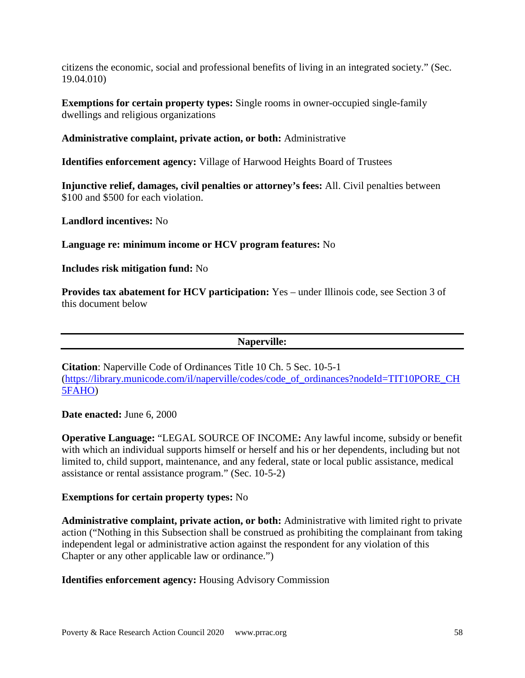citizens the economic, social and professional benefits of living in an integrated society." (Sec. 19.04.010)

**Exemptions for certain property types:** Single rooms in owner-occupied single-family dwellings and religious organizations

**Administrative complaint, private action, or both:** Administrative

**Identifies enforcement agency:** Village of Harwood Heights Board of Trustees

**Injunctive relief, damages, civil penalties or attorney's fees:** All. Civil penalties between \$100 and \$500 for each violation.

**Landlord incentives:** No

**Language re: minimum income or HCV program features:** No

**Includes risk mitigation fund:** No

**Provides tax abatement for HCV participation:** Yes – under Illinois code, see Section 3 of this document below

**Naperville:**

**Citation**: Naperville Code of Ordinances Title 10 Ch. 5 Sec. 10-5-1 [\(https://library.municode.com/il/naperville/codes/code\\_of\\_ordinances?nodeId=TIT10PORE\\_CH](https://library.municode.com/il/naperville/codes/code_of_ordinances?nodeId=TIT10PORE_CH5FAHO) [5FAHO\)](https://library.municode.com/il/naperville/codes/code_of_ordinances?nodeId=TIT10PORE_CH5FAHO)

**Date enacted:** June 6, 2000

**Operative Language:** "LEGAL SOURCE OF INCOME**:** Any lawful income, subsidy or benefit with which an individual supports himself or herself and his or her dependents, including but not limited to, child support, maintenance, and any federal, state or local public assistance, medical assistance or rental assistance program." (Sec. 10-5-2)

## **Exemptions for certain property types:** No

**Administrative complaint, private action, or both:** Administrative with limited right to private action ("Nothing in this Subsection shall be construed as prohibiting the complainant from taking independent legal or administrative action against the respondent for any violation of this Chapter or any other applicable law or ordinance.")

**Identifies enforcement agency:** Housing Advisory Commission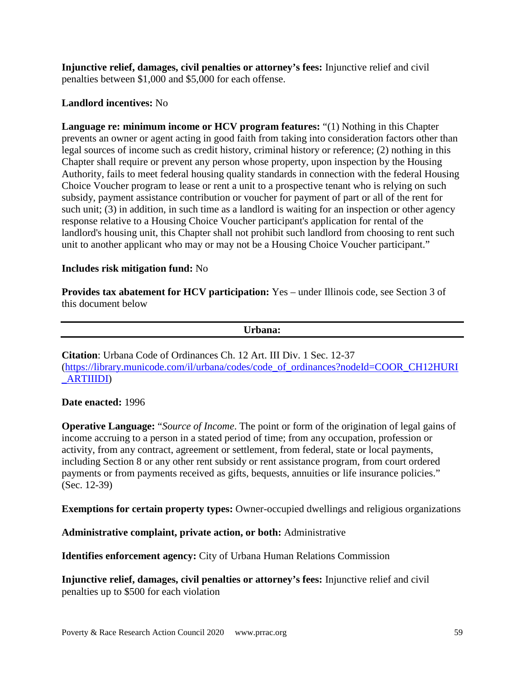**Injunctive relief, damages, civil penalties or attorney's fees:** Injunctive relief and civil penalties between \$1,000 and \$5,000 for each offense.

#### **Landlord incentives:** No

**Language re: minimum income or HCV program features:** "(1) Nothing in this Chapter prevents an owner or agent acting in good faith from taking into consideration factors other than legal sources of income such as credit history, criminal history or reference; (2) nothing in this Chapter shall require or prevent any person whose property, upon inspection by the Housing Authority, fails to meet federal housing quality standards in connection with the federal Housing Choice Voucher program to lease or rent a unit to a prospective tenant who is relying on such subsidy, payment assistance contribution or voucher for payment of part or all of the rent for such unit; (3) in addition, in such time as a landlord is waiting for an inspection or other agency response relative to a Housing Choice Voucher participant's application for rental of the landlord's housing unit, this Chapter shall not prohibit such landlord from choosing to rent such unit to another applicant who may or may not be a Housing Choice Voucher participant."

## **Includes risk mitigation fund:** No

**Provides tax abatement for HCV participation:** Yes – under Illinois code, see Section 3 of this document below

**Urbana:**

**Citation**: Urbana Code of Ordinances Ch. 12 Art. III Div. 1 Sec. 12-37 [\(https://library.municode.com/il/urbana/codes/code\\_of\\_ordinances?nodeId=COOR\\_CH12HURI](https://library.municode.com/il/urbana/codes/code_of_ordinances?nodeId=COOR_CH12HURI_ARTIIIDI) [\\_ARTIIIDI\)](https://library.municode.com/il/urbana/codes/code_of_ordinances?nodeId=COOR_CH12HURI_ARTIIIDI)

#### **Date enacted:** 1996

**Operative Language:** "*Source of Income*. The point or form of the origination of legal gains of income accruing to a person in a stated period of time; from any occupation, profession or activity, from any contract, agreement or settlement, from federal, state or local payments, including Section 8 or any other rent subsidy or rent assistance program, from court ordered payments or from payments received as gifts, bequests, annuities or life insurance policies." (Sec. 12-39)

**Exemptions for certain property types:** Owner-occupied dwellings and religious organizations

**Administrative complaint, private action, or both:** Administrative

**Identifies enforcement agency:** City of Urbana Human Relations Commission

**Injunctive relief, damages, civil penalties or attorney's fees:** Injunctive relief and civil penalties up to \$500 for each violation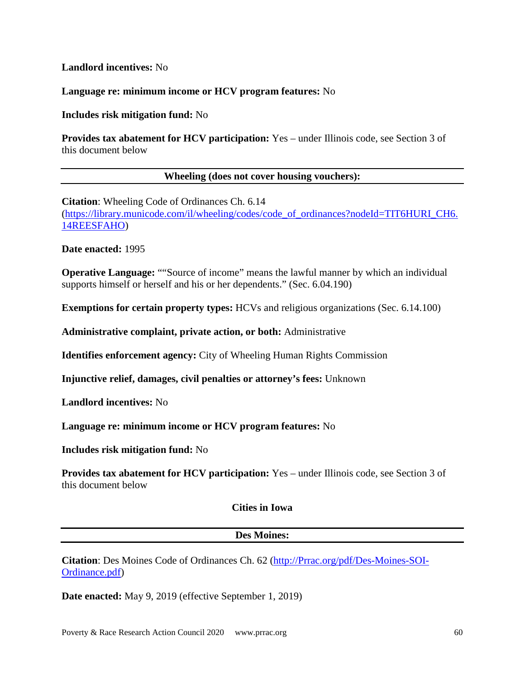#### **Landlord incentives:** No

#### **Language re: minimum income or HCV program features:** No

**Includes risk mitigation fund:** No

**Provides tax abatement for HCV participation:** Yes – under Illinois code, see Section 3 of this document below

#### **Wheeling (does not cover housing vouchers):**

**Citation**: Wheeling Code of Ordinances Ch. 6.14 [\(https://library.municode.com/il/wheeling/codes/code\\_of\\_ordinances?nodeId=TIT6HURI\\_CH6.](https://library.municode.com/il/wheeling/codes/code_of_ordinances?nodeId=TIT6HURI_CH6.14REESFAHO) [14REESFAHO\)](https://library.municode.com/il/wheeling/codes/code_of_ordinances?nodeId=TIT6HURI_CH6.14REESFAHO)

**Date enacted:** 1995

**Operative Language:** "Source of income" means the lawful manner by which an individual supports himself or herself and his or her dependents." (Sec. 6.04.190)

**Exemptions for certain property types:** HCVs and religious organizations (Sec. 6.14.100)

**Administrative complaint, private action, or both:** Administrative

**Identifies enforcement agency:** City of Wheeling Human Rights Commission

**Injunctive relief, damages, civil penalties or attorney's fees:** Unknown

**Landlord incentives:** No

**Language re: minimum income or HCV program features:** No

**Includes risk mitigation fund:** No

**Provides tax abatement for HCV participation:** Yes – under Illinois code, see Section 3 of this document below

#### **Cities in Iowa**

#### **Des Moines:**

**Citation**: Des Moines Code of Ordinances Ch. 62 [\(http://Prrac.org/pdf/Des-Moines-SOI-](http://prrac.org/pdf/Des-Moines-SOI-Ordinance.pdf)[Ordinance.pdf\)](http://prrac.org/pdf/Des-Moines-SOI-Ordinance.pdf)

**Date enacted:** May 9, 2019 (effective September 1, 2019)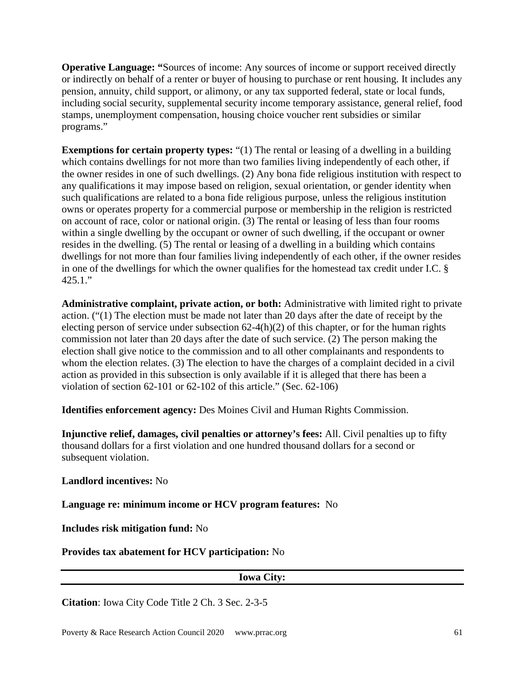**Operative Language: "**Sources of income: Any sources of income or support received directly or indirectly on behalf of a renter or buyer of housing to purchase or rent housing. It includes any pension, annuity, child support, or alimony, or any tax supported federal, state or local funds, including social security, supplemental security income temporary assistance, general relief, food stamps, unemployment compensation, housing choice voucher rent subsidies or similar programs."

**Exemptions for certain property types:** "(1) The rental or leasing of a dwelling in a building which contains dwellings for not more than two families living independently of each other, if the owner resides in one of such dwellings. (2) Any bona fide religious institution with respect to any qualifications it may impose based on religion, sexual orientation, or gender identity when such qualifications are related to a bona fide religious purpose, unless the religious institution owns or operates property for a commercial purpose or membership in the religion is restricted on account of race, color or national origin. (3) The rental or leasing of less than four rooms within a single dwelling by the occupant or owner of such dwelling, if the occupant or owner resides in the dwelling. (5) The rental or leasing of a dwelling in a building which contains dwellings for not more than four families living independently of each other, if the owner resides in one of the dwellings for which the owner qualifies for the homestead tax credit under I.C. § 425.1."

**Administrative complaint, private action, or both:** Administrative with limited right to private action. ("(1) The election must be made not later than 20 days after the date of receipt by the electing person of service under subsection 62-4(h)(2) of this chapter, or for the human rights commission not later than 20 days after the date of such service. (2) The person making the election shall give notice to the commission and to all other complainants and respondents to whom the election relates. (3) The election to have the charges of a complaint decided in a civil action as provided in this subsection is only available if it is alleged that there has been a violation of section 62-101 or 62-102 of this article." (Sec. 62-106)

**Identifies enforcement agency:** Des Moines Civil and Human Rights Commission.

**Injunctive relief, damages, civil penalties or attorney's fees:** All. Civil penalties up to fifty thousand dollars for a first violation and one hundred thousand dollars for a second or subsequent violation.

**Landlord incentives:** No

**Language re: minimum income or HCV program features:** No

**Includes risk mitigation fund:** No

**Provides tax abatement for HCV participation:** No

**Iowa City:** 

**Citation**: Iowa City Code Title 2 Ch. 3 Sec. 2-3-5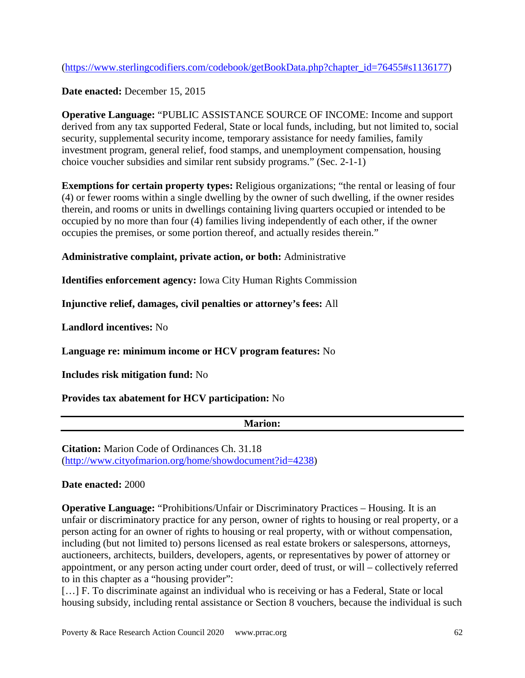[\(https://www.sterlingcodifiers.com/codebook/getBookData.php?chapter\\_id=76455#s1136177\)](https://www.sterlingcodifiers.com/codebook/getBookData.php?chapter_id=76455#s1136177)

# **Date enacted:** December 15, 2015

**Operative Language:** "PUBLIC ASSISTANCE SOURCE OF INCOME: Income and support derived from any tax supported Federal, State or local funds, including, but not limited to, social security, supplemental security income, temporary assistance for needy families, family investment program, general relief, food stamps, and unemployment compensation, housing choice voucher subsidies and similar rent subsidy programs." (Sec. 2-1-1)

**Exemptions for certain property types:** Religious organizations; "the rental or leasing of four (4) or fewer rooms within a single dwelling by the owner of such dwelling, if the owner resides therein, and rooms or units in dwellings containing living quarters occupied or intended to be occupied by no more than four (4) families living independently of each other, if the owner occupies the premises, or some portion thereof, and actually resides therein."

**Administrative complaint, private action, or both:** Administrative

**Identifies enforcement agency:** Iowa City Human Rights Commission

**Injunctive relief, damages, civil penalties or attorney's fees:** All

**Landlord incentives:** No

**Language re: minimum income or HCV program features:** No

**Includes risk mitigation fund:** No

**Provides tax abatement for HCV participation:** No

**Marion:** 

**Citation:** Marion Code of Ordinances Ch. 31.18 [\(http://www.cityofmarion.org/home/showdocument?id=4238\)](http://www.cityofmarion.org/home/showdocument?id=4238)

## **Date enacted:** 2000

**Operative Language:** "Prohibitions/Unfair or Discriminatory Practices – Housing. It is an unfair or discriminatory practice for any person, owner of rights to housing or real property, or a person acting for an owner of rights to housing or real property, with or without compensation, including (but not limited to) persons licensed as real estate brokers or salespersons, attorneys, auctioneers, architects, builders, developers, agents, or representatives by power of attorney or appointment, or any person acting under court order, deed of trust, or will – collectively referred to in this chapter as a "housing provider":

[...] F. To discriminate against an individual who is receiving or has a Federal, State or local housing subsidy, including rental assistance or Section 8 vouchers, because the individual is such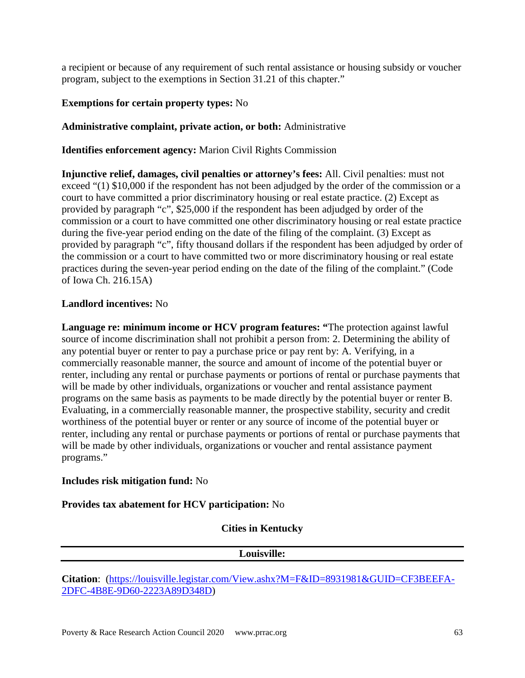a recipient or because of any requirement of such rental assistance or housing subsidy or voucher program, subject to the exemptions in Section 31.21 of this chapter."

# **Exemptions for certain property types:** No

# **Administrative complaint, private action, or both:** Administrative

**Identifies enforcement agency:** Marion Civil Rights Commission

**Injunctive relief, damages, civil penalties or attorney's fees:** All. Civil penalties: must not exceed "(1) \$10,000 if the respondent has not been adjudged by the order of the commission or a court to have committed a prior discriminatory housing or real estate practice. (2) Except as provided by paragraph "c", \$25,000 if the respondent has been adjudged by order of the commission or a court to have committed one other discriminatory housing or real estate practice during the five-year period ending on the date of the filing of the complaint. (3) Except as provided by paragraph "c", fifty thousand dollars if the respondent has been adjudged by order of the commission or a court to have committed two or more discriminatory housing or real estate practices during the seven-year period ending on the date of the filing of the complaint." (Code of Iowa Ch. 216.15A)

## **Landlord incentives:** No

**Language re: minimum income or HCV program features: "**The protection against lawful source of income discrimination shall not prohibit a person from: 2. Determining the ability of any potential buyer or renter to pay a purchase price or pay rent by: A. Verifying, in a commercially reasonable manner, the source and amount of income of the potential buyer or renter, including any rental or purchase payments or portions of rental or purchase payments that will be made by other individuals, organizations or voucher and rental assistance payment programs on the same basis as payments to be made directly by the potential buyer or renter B. Evaluating, in a commercially reasonable manner, the prospective stability, security and credit worthiness of the potential buyer or renter or any source of income of the potential buyer or renter, including any rental or purchase payments or portions of rental or purchase payments that will be made by other individuals, organizations or voucher and rental assistance payment programs."

## **Includes risk mitigation fund:** No

# **Provides tax abatement for HCV participation:** No

## **Cities in Kentucky**

#### **Louisville:**

**Citation**: [\(https://louisville.legistar.com/View.ashx?M=F&ID=8931981&GUID=CF3BEEFA-](https://louisville.legistar.com/View.ashx?M=F&ID=8931981&GUID=CF3BEEFA-2DFC-4B8E-9D60-2223A89D348D)[2DFC-4B8E-9D60-2223A89D348D\)](https://louisville.legistar.com/View.ashx?M=F&ID=8931981&GUID=CF3BEEFA-2DFC-4B8E-9D60-2223A89D348D)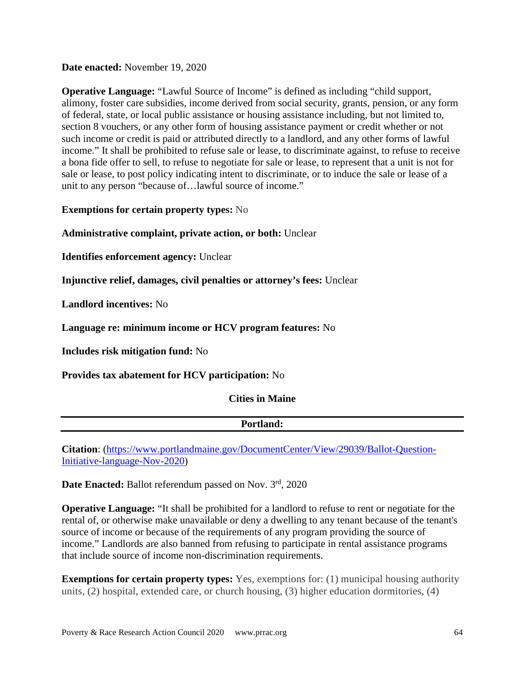## **Date enacted:** November 19, 2020

**Operative Language:** "Lawful Source of Income" is defined as including "child support, alimony, foster care subsidies, income derived from social security, grants, pension, or any form of federal, state, or local public assistance or housing assistance including, but not limited to, section 8 vouchers, or any other form of housing assistance payment or credit whether or not such income or credit is paid or attributed directly to a landlord, and any other forms of lawful income." It shall be prohibited to refuse sale or lease, to discriminate against, to refuse to receive a bona fide offer to sell, to refuse to negotiate for sale or lease, to represent that a unit is not for sale or lease, to post policy indicating intent to discriminate, or to induce the sale or lease of a unit to any person "because of…lawful source of income."

**Exemptions for certain property types:** No

**Administrative complaint, private action, or both:** Unclear

**Identifies enforcement agency:** Unclear

**Injunctive relief, damages, civil penalties or attorney's fees:** Unclear

**Landlord incentives:** No

**Language re: minimum income or HCV program features:** No

**Includes risk mitigation fund:** No

**Provides tax abatement for HCV participation:** No

## **Cities in Maine**

| <b>Portland:</b> |
|------------------|
|                  |
|                  |
|                  |

**Citation**: [\(https://www.portlandmaine.gov/DocumentCenter/View/29039/Ballot-Question-](https://www.portlandmaine.gov/DocumentCenter/View/29039/Ballot-Question-Initiative-language-Nov-2020)[Initiative-language-Nov-2020\)](https://www.portlandmaine.gov/DocumentCenter/View/29039/Ballot-Question-Initiative-language-Nov-2020)

**Date Enacted:** Ballot referendum passed on Nov. 3rd, 2020

**Operative Language:** "It shall be prohibited for a landlord to refuse to rent or negotiate for the rental of, or otherwise make unavailable or deny a dwelling to any tenant because of the tenant's source of income or because of the requirements of any program providing the source of income." Landlords are also banned from refusing to participate in rental assistance programs that include source of income non-discrimination requirements.

**Exemptions for certain property types:** Yes, exemptions for: (1) municipal housing authority units, (2) hospital, extended care, or church housing, (3) higher education dormitories, (4)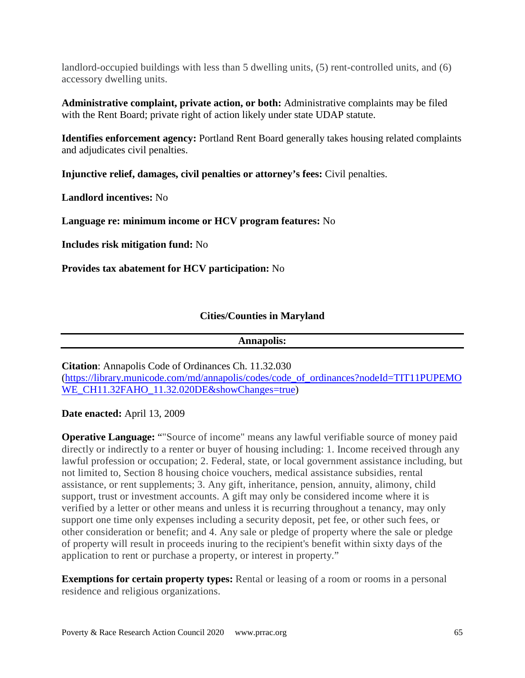landlord-occupied buildings with less than 5 dwelling units, (5) rent-controlled units, and (6) accessory dwelling units.

**Administrative complaint, private action, or both:** Administrative complaints may be filed with the Rent Board; private right of action likely under state UDAP statute.

**Identifies enforcement agency:** Portland Rent Board generally takes housing related complaints and adjudicates civil penalties.

**Injunctive relief, damages, civil penalties or attorney's fees:** Civil penalties.

**Landlord incentives:** No

**Language re: minimum income or HCV program features:** No

**Includes risk mitigation fund:** No

**Provides tax abatement for HCV participation:** No

# **Cities/Counties in Maryland**

| ______ |  |
|--------|--|
|        |  |

**Citation**: Annapolis Code of Ordinances Ch. 11.32.030 [\(https://library.municode.com/md/annapolis/codes/code\\_of\\_ordinances?nodeId=TIT11PUPEMO](https://library.municode.com/md/annapolis/codes/code_of_ordinances?nodeId=TIT11PUPEMOWE_CH11.32FAHO_11.32.020DE&showChanges=true) [WE\\_CH11.32FAHO\\_11.32.020DE&showChanges=true\)](https://library.municode.com/md/annapolis/codes/code_of_ordinances?nodeId=TIT11PUPEMOWE_CH11.32FAHO_11.32.020DE&showChanges=true)

**Date enacted:** April 13, 2009

**Operative Language:** "Source of income" means any lawful verifiable source of money paid directly or indirectly to a renter or buyer of housing including: 1. Income received through any lawful profession or occupation; 2. Federal, state, or local government assistance including, but not limited to, Section 8 housing choice vouchers, medical assistance subsidies, rental assistance, or rent supplements; 3. Any gift, inheritance, pension, annuity, alimony, child support, trust or investment accounts. A gift may only be considered income where it is verified by a letter or other means and unless it is recurring throughout a tenancy, may only support one time only expenses including a security deposit, pet fee, or other such fees, or other consideration or benefit; and 4. Any sale or pledge of property where the sale or pledge of property will result in proceeds inuring to the recipient's benefit within sixty days of the application to rent or purchase a property, or interest in property."

**Exemptions for certain property types:** Rental or leasing of a room or rooms in a personal residence and religious organizations.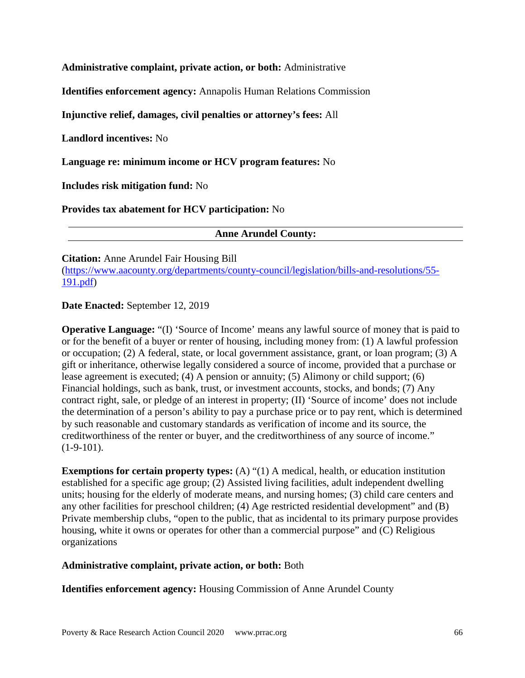**Administrative complaint, private action, or both:** Administrative

**Identifies enforcement agency:** Annapolis Human Relations Commission

**Injunctive relief, damages, civil penalties or attorney's fees:** All

**Landlord incentives:** No

**Language re: minimum income or HCV program features:** No

**Includes risk mitigation fund:** No

**Provides tax abatement for HCV participation:** No

**Anne Arundel County:**

**Citation:** Anne Arundel Fair Housing Bill (https://www.aacounty.org/departments/county-council/legislation/bills-and-resolutions/55- 191.pdf)

**Date Enacted:** September 12, 2019

**Operative Language:** "(I) 'Source of Income' means any lawful source of money that is paid to or for the benefit of a buyer or renter of housing, including money from: (1) A lawful profession or occupation; (2) A federal, state, or local government assistance, grant, or loan program; (3) A gift or inheritance, otherwise legally considered a source of income, provided that a purchase or lease agreement is executed; (4) A pension or annuity; (5) Alimony or child support; (6) Financial holdings, such as bank, trust, or investment accounts, stocks, and bonds; (7) Any contract right, sale, or pledge of an interest in property; (II) 'Source of income' does not include the determination of a person's ability to pay a purchase price or to pay rent, which is determined by such reasonable and customary standards as verification of income and its source, the creditworthiness of the renter or buyer, and the creditworthiness of any source of income." (1-9-101).

**Exemptions for certain property types:** (A) "(1) A medical, health, or education institution established for a specific age group; (2) Assisted living facilities, adult independent dwelling units; housing for the elderly of moderate means, and nursing homes; (3) child care centers and any other facilities for preschool children; (4) Age restricted residential development" and (B) Private membership clubs, "open to the public, that as incidental to its primary purpose provides housing, white it owns or operates for other than a commercial purpose" and (C) Religious organizations

#### **Administrative complaint, private action, or both:** Both

**Identifies enforcement agency:** Housing Commission of Anne Arundel County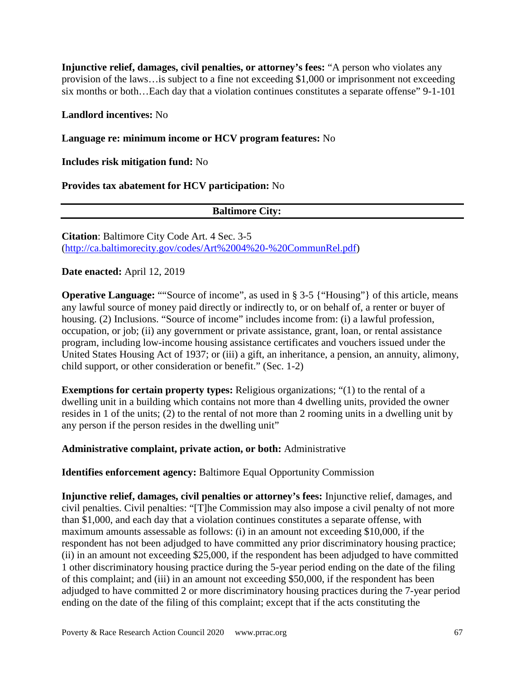**Injunctive relief, damages, civil penalties, or attorney's fees:** "A person who violates any provision of the laws…is subject to a fine not exceeding \$1,000 or imprisonment not exceeding six months or both…Each day that a violation continues constitutes a separate offense" 9-1-101

**Landlord incentives:** No

## **Language re: minimum income or HCV program features:** No

**Includes risk mitigation fund:** No

**Provides tax abatement for HCV participation:** No

**Baltimore City:** 

**Citation**: Baltimore City Code Art. 4 Sec. 3-5 [\(http://ca.baltimorecity.gov/codes/Art%2004%20-%20CommunRel.pdf\)](http://ca.baltimorecity.gov/codes/Art%2004%20-%20CommunRel.pdf)

## **Date enacted:** April 12, 2019

**Operative Language:** "Source of income", as used in § 3-5 { "Housing" } of this article, means any lawful source of money paid directly or indirectly to, or on behalf of, a renter or buyer of housing. (2) Inclusions. "Source of income" includes income from: (i) a lawful profession, occupation, or job; (ii) any government or private assistance, grant, loan, or rental assistance program, including low-income housing assistance certificates and vouchers issued under the United States Housing Act of 1937; or (iii) a gift, an inheritance, a pension, an annuity, alimony, child support, or other consideration or benefit." (Sec. 1-2)

**Exemptions for certain property types:** Religious organizations; "(1) to the rental of a dwelling unit in a building which contains not more than 4 dwelling units, provided the owner resides in 1 of the units; (2) to the rental of not more than 2 rooming units in a dwelling unit by any person if the person resides in the dwelling unit"

**Administrative complaint, private action, or both:** Administrative

**Identifies enforcement agency:** Baltimore Equal Opportunity Commission

**Injunctive relief, damages, civil penalties or attorney's fees:** Injunctive relief, damages, and civil penalties. Civil penalties: "[T]he Commission may also impose a civil penalty of not more than \$1,000, and each day that a violation continues constitutes a separate offense, with maximum amounts assessable as follows: (i) in an amount not exceeding \$10,000, if the respondent has not been adjudged to have committed any prior discriminatory housing practice; (ii) in an amount not exceeding \$25,000, if the respondent has been adjudged to have committed 1 other discriminatory housing practice during the 5-year period ending on the date of the filing of this complaint; and (iii) in an amount not exceeding \$50,000, if the respondent has been adjudged to have committed 2 or more discriminatory housing practices during the 7-year period ending on the date of the filing of this complaint; except that if the acts constituting the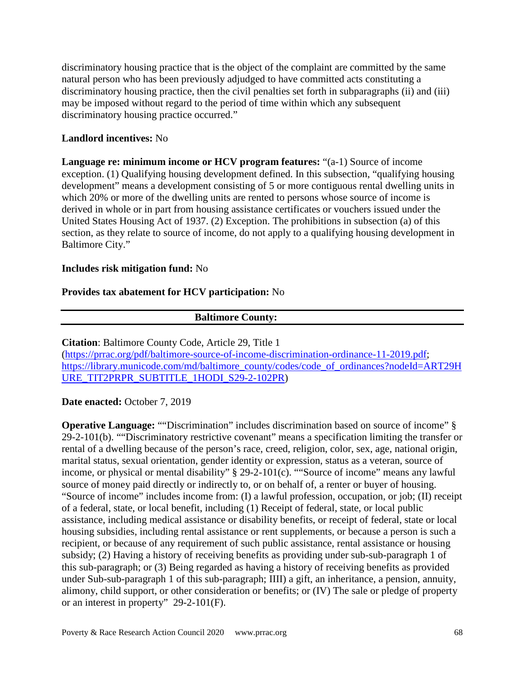discriminatory housing practice that is the object of the complaint are committed by the same natural person who has been previously adjudged to have committed acts constituting a discriminatory housing practice, then the civil penalties set forth in subparagraphs (ii) and (iii) may be imposed without regard to the period of time within which any subsequent discriminatory housing practice occurred."

#### **Landlord incentives:** No

**Language re: minimum income or HCV program features:** "(a-1) Source of income exception. (1) Qualifying housing development defined. In this subsection, "qualifying housing development" means a development consisting of 5 or more contiguous rental dwelling units in which 20% or more of the dwelling units are rented to persons whose source of income is derived in whole or in part from housing assistance certificates or vouchers issued under the United States Housing Act of 1937. (2) Exception. The prohibitions in subsection (a) of this section, as they relate to source of income, do not apply to a qualifying housing development in Baltimore City."

#### **Includes risk mitigation fund:** No

#### **Provides tax abatement for HCV participation:** No

#### **Baltimore County:**

**Citation**: Baltimore County Code, Article 29, Title 1

[\(https://prrac.org/pdf/baltimore-source-of-income-discrimination-ordinance-11-2019.pdf;](https://prrac.org/pdf/baltimore-source-of-income-discrimination-ordinance-11-2019.pdf) [https://library.municode.com/md/baltimore\\_county/codes/code\\_of\\_ordinances?nodeId=ART29H](https://library.municode.com/md/baltimore_county/codes/code_of_ordinances?nodeId=ART29HURE_TIT2PRPR_SUBTITLE_1HODI_S29-2-102PR) URE TIT2PRPR\_SUBTITLE\_1HODI\_S29-2-102PR)

#### **Date enacted:** October 7, 2019

**Operative Language:** ""Discrimination" includes discrimination based on source of income" § 29-2-101(b). ""Discriminatory restrictive covenant" means a specification limiting the transfer or rental of a dwelling because of the person's race, creed, religion, color, sex, age, national origin, marital status, sexual orientation, gender identity or expression, status as a veteran, source of income, or physical or mental disability" § 29-2-101(c). "Source of income" means any lawful source of money paid directly or indirectly to, or on behalf of, a renter or buyer of housing. "Source of income" includes income from: (I) a lawful profession, occupation, or job; (II) receipt of a federal, state, or local benefit, including (1) Receipt of federal, state, or local public assistance, including medical assistance or disability benefits, or receipt of federal, state or local housing subsidies, including rental assistance or rent supplements, or because a person is such a recipient, or because of any requirement of such public assistance, rental assistance or housing subsidy; (2) Having a history of receiving benefits as providing under sub-sub-paragraph 1 of this sub-paragraph; or (3) Being regarded as having a history of receiving benefits as provided under Sub-sub-paragraph 1 of this sub-paragraph; IIII) a gift, an inheritance, a pension, annuity, alimony, child support, or other consideration or benefits; or (IV) The sale or pledge of property or an interest in property" 29-2-101(F).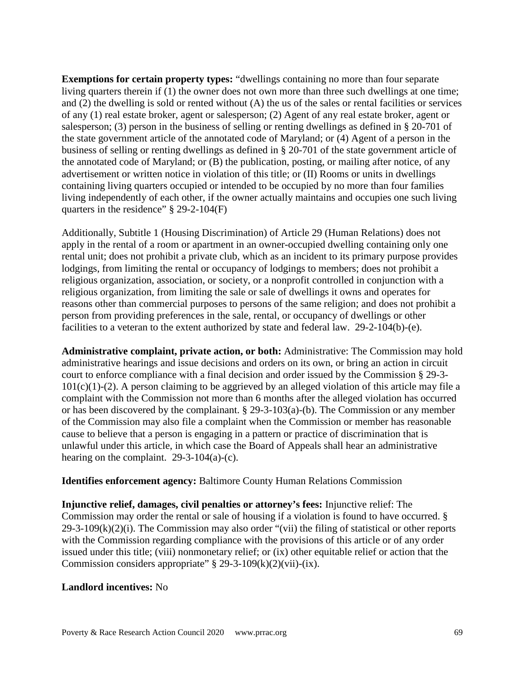**Exemptions for certain property types:** "dwellings containing no more than four separate living quarters therein if (1) the owner does not own more than three such dwellings at one time; and (2) the dwelling is sold or rented without (A) the us of the sales or rental facilities or services of any (1) real estate broker, agent or salesperson; (2) Agent of any real estate broker, agent or salesperson; (3) person in the business of selling or renting dwellings as defined in § 20-701 of the state government article of the annotated code of Maryland; or (4) Agent of a person in the business of selling or renting dwellings as defined in § 20-701 of the state government article of the annotated code of Maryland; or (B) the publication, posting, or mailing after notice, of any advertisement or written notice in violation of this title; or (II) Rooms or units in dwellings containing living quarters occupied or intended to be occupied by no more than four families living independently of each other, if the owner actually maintains and occupies one such living quarters in the residence" § 29-2-104(F)

Additionally, Subtitle 1 (Housing Discrimination) of Article 29 (Human Relations) does not apply in the rental of a room or apartment in an owner-occupied dwelling containing only one rental unit; does not prohibit a private club, which as an incident to its primary purpose provides lodgings, from limiting the rental or occupancy of lodgings to members; does not prohibit a religious organization, association, or society, or a nonprofit controlled in conjunction with a religious organization, from limiting the sale or sale of dwellings it owns and operates for reasons other than commercial purposes to persons of the same religion; and does not prohibit a person from providing preferences in the sale, rental, or occupancy of dwellings or other facilities to a veteran to the extent authorized by state and federal law. 29-2-104(b)-(e).

**Administrative complaint, private action, or both:** Administrative: The Commission may hold administrative hearings and issue decisions and orders on its own, or bring an action in circuit court to enforce compliance with a final decision and order issued by the Commission § 29-3-  $101(c)(1)-(2)$ . A person claiming to be aggrieved by an alleged violation of this article may file a complaint with the Commission not more than 6 months after the alleged violation has occurred or has been discovered by the complainant. § 29-3-103(a)-(b). The Commission or any member of the Commission may also file a complaint when the Commission or member has reasonable cause to believe that a person is engaging in a pattern or practice of discrimination that is unlawful under this article, in which case the Board of Appeals shall hear an administrative hearing on the complaint.  $29-3-104(a)-(c)$ .

**Identifies enforcement agency:** Baltimore County Human Relations Commission

**Injunctive relief, damages, civil penalties or attorney's fees:** Injunctive relief: The Commission may order the rental or sale of housing if a violation is found to have occurred. §  $29-3-109(k)(2)(i)$ . The Commission may also order "(vii) the filing of statistical or other reports with the Commission regarding compliance with the provisions of this article or of any order issued under this title; (viii) nonmonetary relief; or (ix) other equitable relief or action that the Commission considers appropriate"  $\S 29-3-109(k)(2)(vi)$ -(ix).

## **Landlord incentives:** No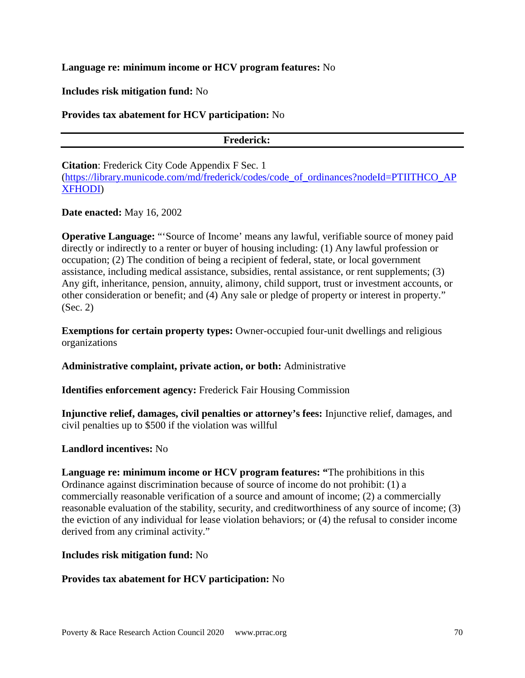#### **Language re: minimum income or HCV program features:** No

**Includes risk mitigation fund:** No

**Provides tax abatement for HCV participation:** No

| Frederick.<br>. | легіск |
|-----------------|--------|
|                 |        |

**Citation**: Frederick City Code Appendix F Sec. 1 [\(https://library.municode.com/md/frederick/codes/code\\_of\\_ordinances?nodeId=PTIITHCO\\_AP](https://library.municode.com/md/frederick/codes/code_of_ordinances?nodeId=PTIITHCO_APXFHODI) [XFHODI\)](https://library.municode.com/md/frederick/codes/code_of_ordinances?nodeId=PTIITHCO_APXFHODI)

## **Date enacted:** May 16, 2002

**Operative Language:** "Source of Income' means any lawful, verifiable source of money paid directly or indirectly to a renter or buyer of housing including: (1) Any lawful profession or occupation; (2) The condition of being a recipient of federal, state, or local government assistance, including medical assistance, subsidies, rental assistance, or rent supplements; (3) Any gift, inheritance, pension, annuity, alimony, child support, trust or investment accounts, or other consideration or benefit; and (4) Any sale or pledge of property or interest in property." (Sec. 2)

**Exemptions for certain property types:** Owner-occupied four-unit dwellings and religious organizations

**Administrative complaint, private action, or both:** Administrative

**Identifies enforcement agency:** Frederick Fair Housing Commission

**Injunctive relief, damages, civil penalties or attorney's fees:** Injunctive relief, damages, and civil penalties up to \$500 if the violation was willful

#### **Landlord incentives:** No

**Language re: minimum income or HCV program features: "**The prohibitions in this Ordinance against discrimination because of source of income do not prohibit: (1) a commercially reasonable verification of a source and amount of income; (2) a commercially reasonable evaluation of the stability, security, and creditworthiness of any source of income; (3) the eviction of any individual for lease violation behaviors; or (4) the refusal to consider income derived from any criminal activity."

#### **Includes risk mitigation fund:** No

## **Provides tax abatement for HCV participation:** No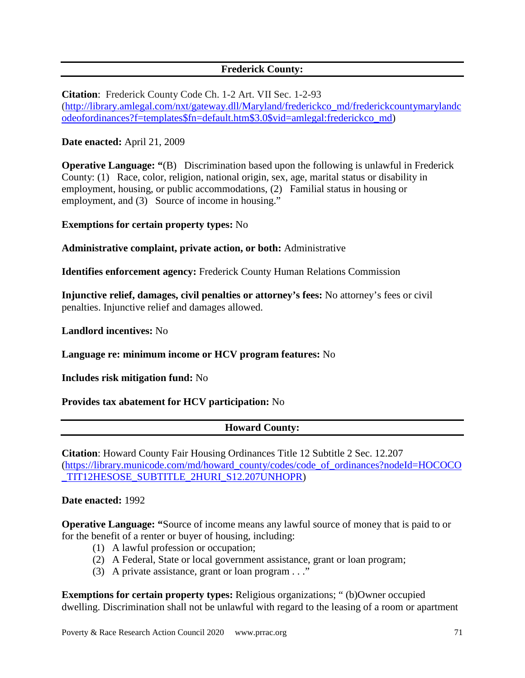# **Frederick County:**

**Citation**: Frederick County Code Ch. 1-2 Art. VII Sec. 1-2-93 [\(http://library.amlegal.com/nxt/gateway.dll/Maryland/frederickco\\_md/frederickcountymarylandc](http://library.amlegal.com/nxt/gateway.dll/Maryland/frederickco_md/frederickcountymarylandcodeofordinances?f=templates$fn=default.htm$3.0$vid=amlegal:frederickco_md) [odeofordinances?f=templates\\$fn=default.htm\\$3.0\\$vid=amlegal:frederickco\\_md\)](http://library.amlegal.com/nxt/gateway.dll/Maryland/frederickco_md/frederickcountymarylandcodeofordinances?f=templates$fn=default.htm$3.0$vid=amlegal:frederickco_md)

## **Date enacted:** April 21, 2009

**Operative Language: "**(B) Discrimination based upon the following is unlawful in Frederick County: (1) Race, color, religion, national origin, sex, age, marital status or disability in employment, housing, or public accommodations, (2) Familial status in housing or employment, and (3) Source of income in housing."

**Exemptions for certain property types:** No

**Administrative complaint, private action, or both:** Administrative

**Identifies enforcement agency:** Frederick County Human Relations Commission

**Injunctive relief, damages, civil penalties or attorney's fees:** No attorney's fees or civil penalties. Injunctive relief and damages allowed.

**Landlord incentives:** No

**Language re: minimum income or HCV program features:** No

**Includes risk mitigation fund:** No

**Provides tax abatement for HCV participation:** No

## **Howard County:**

**Citation**: Howard County Fair Housing Ordinances Title 12 Subtitle 2 Sec. 12.207 [\(https://library.municode.com/md/howard\\_county/codes/code\\_of\\_ordinances?nodeId=HOCOCO](https://library.municode.com/md/howard_county/codes/code_of_ordinances?nodeId=HOCOCO_TIT12HESOSE_SUBTITLE_2HURI_S12.207UNHOPR) [\\_TIT12HESOSE\\_SUBTITLE\\_2HURI\\_S12.207UNHOPR\)](https://library.municode.com/md/howard_county/codes/code_of_ordinances?nodeId=HOCOCO_TIT12HESOSE_SUBTITLE_2HURI_S12.207UNHOPR)

#### **Date enacted:** 1992

**Operative Language: "**Source of income means any lawful source of money that is paid to or for the benefit of a renter or buyer of housing, including:

- (1) A lawful profession or occupation;
- (2) A Federal, State or local government assistance, grant or loan program;
- (3) A private assistance, grant or loan program . . ."

**Exemptions for certain property types:** Religious organizations; " (b)Owner occupied dwelling. Discrimination shall not be unlawful with regard to the leasing of a room or apartment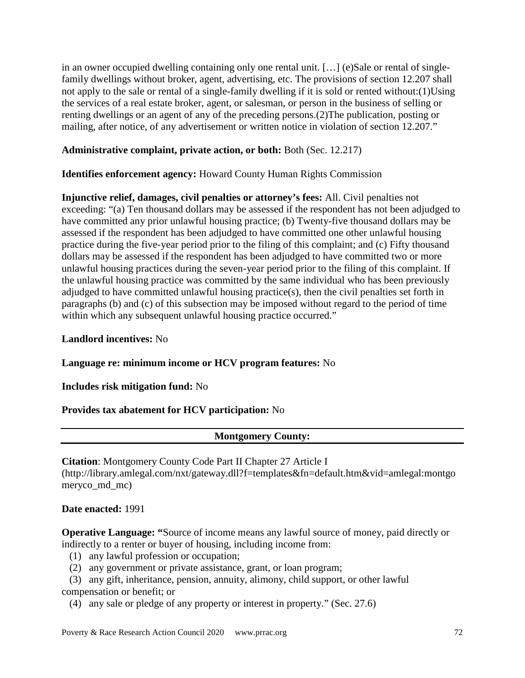in an owner occupied dwelling containing only one rental unit. […] (e)Sale or rental of singlefamily dwellings without broker, agent, advertising, etc. The provisions of section 12.207 shall not apply to the sale or rental of a single-family dwelling if it is sold or rented without:(1)Using the services of a real estate broker, agent, or salesman, or person in the business of selling or renting dwellings or an agent of any of the preceding persons.(2)The publication, posting or mailing, after notice, of any advertisement or written notice in violation of section 12.207."

# **Administrative complaint, private action, or both:** Both (Sec. 12.217)

**Identifies enforcement agency:** Howard County Human Rights Commission

**Injunctive relief, damages, civil penalties or attorney's fees:** All. Civil penalties not exceeding: "(a) Ten thousand dollars may be assessed if the respondent has not been adjudged to have committed any prior unlawful housing practice; (b) Twenty-five thousand dollars may be assessed if the respondent has been adjudged to have committed one other unlawful housing practice during the five-year period prior to the filing of this complaint; and (c) Fifty thousand dollars may be assessed if the respondent has been adjudged to have committed two or more unlawful housing practices during the seven-year period prior to the filing of this complaint. If the unlawful housing practice was committed by the same individual who has been previously adjudged to have committed unlawful housing practice(s), then the civil penalties set forth in paragraphs (b) and (c) of this subsection may be imposed without regard to the period of time within which any subsequent unlawful housing practice occurred."

## **Landlord incentives:** No

## **Language re: minimum income or HCV program features:** No

## **Includes risk mitigation fund:** No

## **Provides tax abatement for HCV participation:** No

## **Montgomery County:**

**Citation**: Montgomery County Code Part II Chapter 27 Article I (http://library.amlegal.com/nxt/gateway.dll?f=templates&fn=default.htm&vid=amlegal:montgo meryco md mc)

#### **Date enacted:** 1991

**Operative Language: "**Source of income means any lawful source of money, paid directly or indirectly to a renter or buyer of housing, including income from:

- (1) any lawful profession or occupation;
- (2) any government or private assistance, grant, or loan program;
- (3) any gift, inheritance, pension, annuity, alimony, child support, or other lawful compensation or benefit; or
	- (4) any sale or pledge of any property or interest in property." (Sec. 27.6)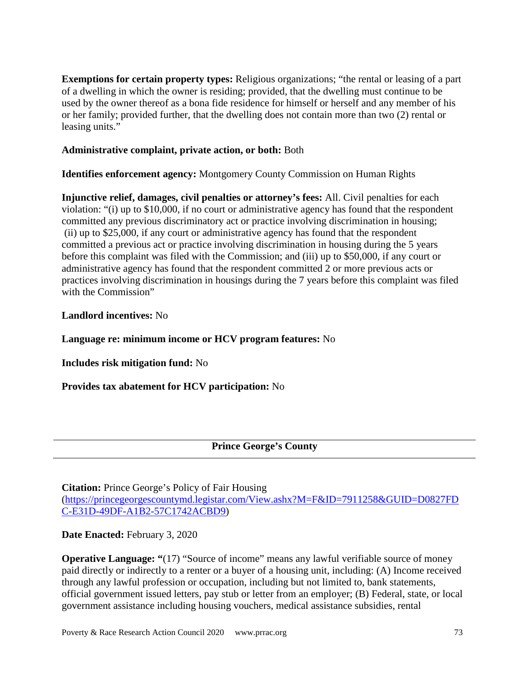**Exemptions for certain property types:** Religious organizations; "the rental or leasing of a part of a dwelling in which the owner is residing; provided, that the dwelling must continue to be used by the owner thereof as a bona fide residence for himself or herself and any member of his or her family; provided further, that the dwelling does not contain more than two (2) rental or leasing units."

# **Administrative complaint, private action, or both:** Both

**Identifies enforcement agency:** Montgomery County Commission on Human Rights

**Injunctive relief, damages, civil penalties or attorney's fees:** All. Civil penalties for each violation: "(i) up to \$10,000, if no court or administrative agency has found that the respondent committed any previous discriminatory act or practice involving discrimination in housing; (ii) up to \$25,000, if any court or administrative agency has found that the respondent committed a previous act or practice involving discrimination in housing during the 5 years before this complaint was filed with the Commission; and (iii) up to \$50,000, if any court or administrative agency has found that the respondent committed 2 or more previous acts or practices involving discrimination in housings during the 7 years before this complaint was filed with the Commission"

**Landlord incentives:** No

**Language re: minimum income or HCV program features:** No

**Includes risk mitigation fund:** No

**Provides tax abatement for HCV participation:** No

# **Prince George's County**

**Citation:** Prince George's Policy of Fair Housing [\(https://princegeorgescountymd.legistar.com/View.ashx?M=F&ID=7911258&GUID=D0827FD](https://princegeorgescountymd.legistar.com/View.ashx?M=F&ID=7911258&GUID=D0827FDC-E31D-49DF-A1B2-57C1742ACBD9) [C-E31D-49DF-A1B2-57C1742ACBD9\)](https://princegeorgescountymd.legistar.com/View.ashx?M=F&ID=7911258&GUID=D0827FDC-E31D-49DF-A1B2-57C1742ACBD9)

**Date Enacted:** February 3, 2020

**Operative Language: "(17) "Source of income" means any lawful verifiable source of money** paid directly or indirectly to a renter or a buyer of a housing unit, including: (A) Income received through any lawful profession or occupation, including but not limited to, bank statements, official government issued letters, pay stub or letter from an employer; (B) Federal, state, or local government assistance including housing vouchers, medical assistance subsidies, rental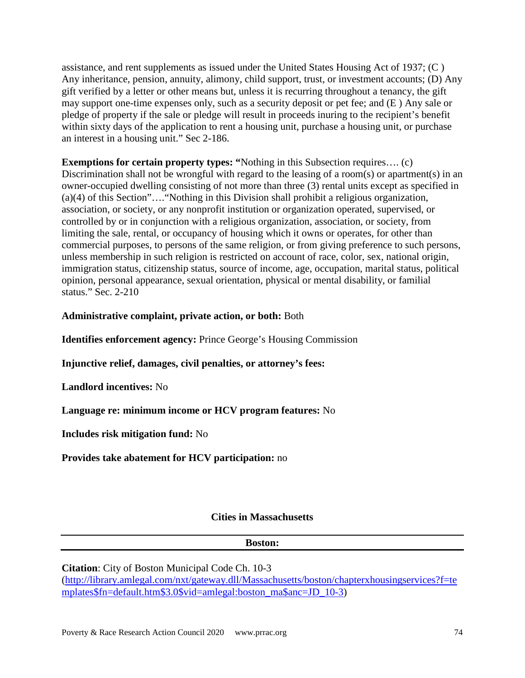assistance, and rent supplements as issued under the United States Housing Act of 1937; (C ) Any inheritance, pension, annuity, alimony, child support, trust, or investment accounts; (D) Any gift verified by a letter or other means but, unless it is recurring throughout a tenancy, the gift may support one-time expenses only, such as a security deposit or pet fee; and (E ) Any sale or pledge of property if the sale or pledge will result in proceeds inuring to the recipient's benefit within sixty days of the application to rent a housing unit, purchase a housing unit, or purchase an interest in a housing unit." Sec 2-186.

**Exemptions for certain property types: "**Nothing in this Subsection requires…. (c) Discrimination shall not be wrongful with regard to the leasing of a room(s) or apartment(s) in an owner-occupied dwelling consisting of not more than three (3) rental units except as specified in (a)(4) of this Section"…."Nothing in this Division shall prohibit a religious organization, association, or society, or any nonprofit institution or organization operated, supervised, or controlled by or in conjunction with a religious organization, association, or society, from limiting the sale, rental, or occupancy of housing which it owns or operates, for other than commercial purposes, to persons of the same religion, or from giving preference to such persons, unless membership in such religion is restricted on account of race, color, sex, national origin, immigration status, citizenship status, source of income, age, occupation, marital status, political opinion, personal appearance, sexual orientation, physical or mental disability, or familial status." Sec. 2-210

## **Administrative complaint, private action, or both:** Both

**Identifies enforcement agency:** Prince George's Housing Commission

**Injunctive relief, damages, civil penalties, or attorney's fees:** 

**Landlord incentives:** No

**Language re: minimum income or HCV program features:** No

**Includes risk mitigation fund:** No

**Provides take abatement for HCV participation:** no

## **Cities in Massachusetts**

### **Boston:**

**Citation**: City of Boston Municipal Code Ch. 10-3 [\(http://library.amlegal.com/nxt/gateway.dll/Massachusetts/boston/chapterxhousingservices?f=te](http://library.amlegal.com/nxt/gateway.dll/Massachusetts/boston/chapterxhousingservices?f=templates$fn=default.htm$3.0$vid=amlegal:boston_ma$anc=JD_10-3) [mplates\\$fn=default.htm\\$3.0\\$vid=amlegal:boston\\_ma\\$anc=JD\\_10-3\)](http://library.amlegal.com/nxt/gateway.dll/Massachusetts/boston/chapterxhousingservices?f=templates$fn=default.htm$3.0$vid=amlegal:boston_ma$anc=JD_10-3)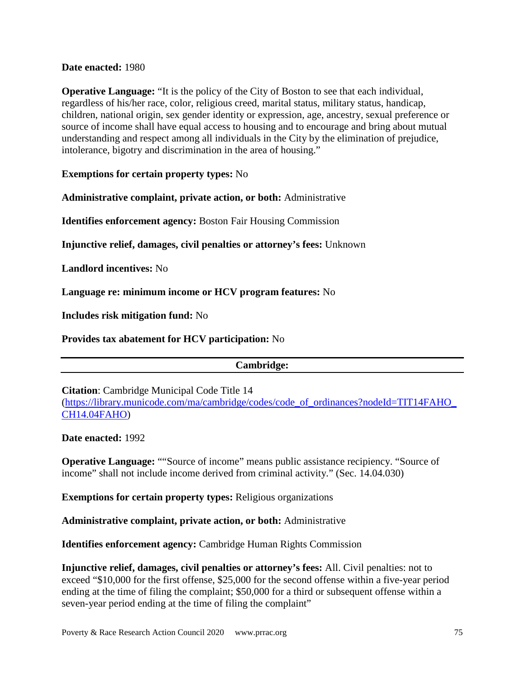## **Date enacted:** 1980

**Operative Language:** "It is the policy of the City of Boston to see that each individual, regardless of his/her race, color, religious creed, marital status, military status, handicap, children, national origin, sex gender identity or expression, age, ancestry, sexual preference or source of income shall have equal access to housing and to encourage and bring about mutual understanding and respect among all individuals in the City by the elimination of prejudice, intolerance, bigotry and discrimination in the area of housing."

**Exemptions for certain property types:** No

**Administrative complaint, private action, or both:** Administrative

**Identifies enforcement agency:** Boston Fair Housing Commission

**Injunctive relief, damages, civil penalties or attorney's fees:** Unknown

**Landlord incentives:** No

**Language re: minimum income or HCV program features:** No

**Includes risk mitigation fund:** No

**Provides tax abatement for HCV participation:** No

## **Cambridge:**

**Citation**: Cambridge Municipal Code Title 14 [\(https://library.municode.com/ma/cambridge/codes/code\\_of\\_ordinances?nodeId=TIT14FAHO\\_](https://library.municode.com/ma/cambridge/codes/code_of_ordinances?nodeId=TIT14FAHO_CH14.04FAHO) [CH14.04FAHO\)](https://library.municode.com/ma/cambridge/codes/code_of_ordinances?nodeId=TIT14FAHO_CH14.04FAHO)

**Date enacted:** 1992

**Operative Language:** ""Source of income" means public assistance recipiency. "Source of income" shall not include income derived from criminal activity." (Sec. 14.04.030)

**Exemptions for certain property types:** Religious organizations

**Administrative complaint, private action, or both:** Administrative

**Identifies enforcement agency:** Cambridge Human Rights Commission

**Injunctive relief, damages, civil penalties or attorney's fees:** All. Civil penalties: not to exceed "\$10,000 for the first offense, \$25,000 for the second offense within a five-year period ending at the time of filing the complaint; \$50,000 for a third or subsequent offense within a seven-year period ending at the time of filing the complaint"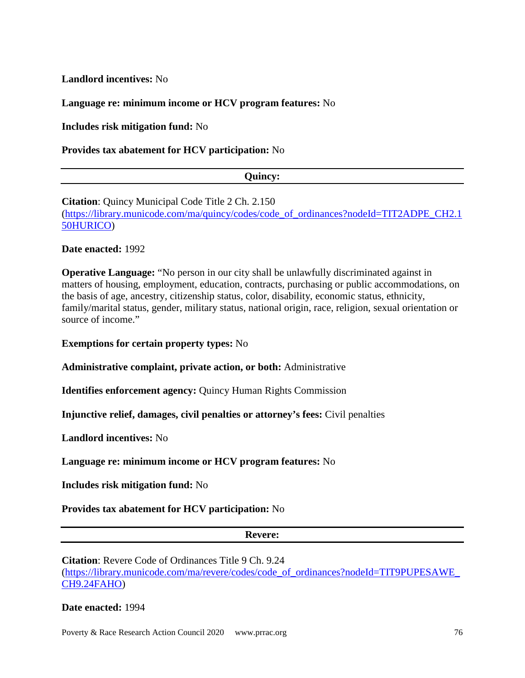## **Landlord incentives:** No

### **Language re: minimum income or HCV program features:** No

**Includes risk mitigation fund:** No

**Provides tax abatement for HCV participation:** No

### **Quincy:**

**Citation**: Quincy Municipal Code Title 2 Ch. 2.150 [\(https://library.municode.com/ma/quincy/codes/code\\_of\\_ordinances?nodeId=TIT2ADPE\\_CH2.1](https://library.municode.com/ma/quincy/codes/code_of_ordinances?nodeId=TIT2ADPE_CH2.150HURICO) [50HURICO\)](https://library.municode.com/ma/quincy/codes/code_of_ordinances?nodeId=TIT2ADPE_CH2.150HURICO)

### **Date enacted:** 1992

**Operative Language:** "No person in our city shall be unlawfully discriminated against in matters of housing, employment, education, contracts, purchasing or public accommodations, on the basis of age, ancestry, citizenship status, color, disability, economic status, ethnicity, family/marital status, gender, military status, national origin, race, religion, sexual orientation or source of income."

**Exemptions for certain property types:** No

**Administrative complaint, private action, or both:** Administrative

**Identifies enforcement agency:** Quincy Human Rights Commission

**Injunctive relief, damages, civil penalties or attorney's fees:** Civil penalties

**Landlord incentives:** No

**Language re: minimum income or HCV program features:** No

**Includes risk mitigation fund:** No

**Provides tax abatement for HCV participation:** No

**Revere:**

**Citation**: Revere Code of Ordinances Title 9 Ch. 9.24 [\(https://library.municode.com/ma/revere/codes/code\\_of\\_ordinances?nodeId=TIT9PUPESAWE\\_](https://library.municode.com/ma/revere/codes/code_of_ordinances?nodeId=TIT9PUPESAWE_CH9.24FAHO) [CH9.24FAHO\)](https://library.municode.com/ma/revere/codes/code_of_ordinances?nodeId=TIT9PUPESAWE_CH9.24FAHO)

**Date enacted:** 1994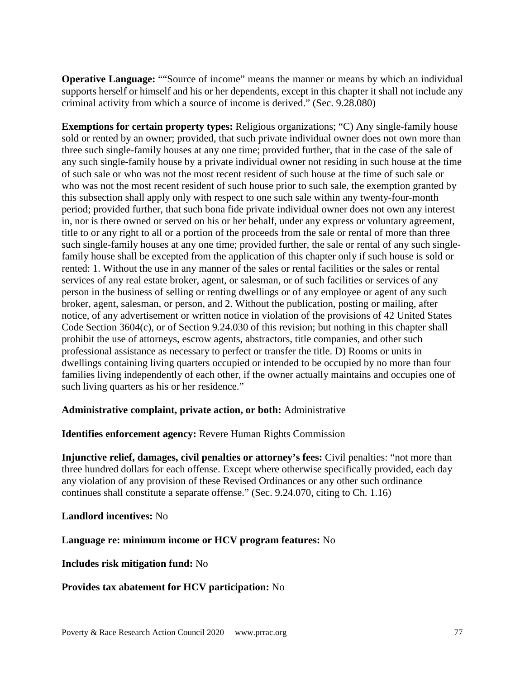**Operative Language:** "Source of income" means the manner or means by which an individual supports herself or himself and his or her dependents, except in this chapter it shall not include any criminal activity from which a source of income is derived." (Sec. 9.28.080)

**Exemptions for certain property types:** Religious organizations; "C) Any single-family house sold or rented by an owner; provided, that such private individual owner does not own more than three such single-family houses at any one time; provided further, that in the case of the sale of any such single-family house by a private individual owner not residing in such house at the time of such sale or who was not the most recent resident of such house at the time of such sale or who was not the most recent resident of such house prior to such sale, the exemption granted by this subsection shall apply only with respect to one such sale within any twenty-four-month period; provided further, that such bona fide private individual owner does not own any interest in, nor is there owned or served on his or her behalf, under any express or voluntary agreement, title to or any right to all or a portion of the proceeds from the sale or rental of more than three such single-family houses at any one time; provided further, the sale or rental of any such singlefamily house shall be excepted from the application of this chapter only if such house is sold or rented: 1. Without the use in any manner of the sales or rental facilities or the sales or rental services of any real estate broker, agent, or salesman, or of such facilities or services of any person in the business of selling or renting dwellings or of any employee or agent of any such broker, agent, salesman, or person, and 2. Without the publication, posting or mailing, after notice, of any advertisement or written notice in violation of the provisions of 42 United States Code Section 3604(c), or of Section 9.24.030 of this revision; but nothing in this chapter shall prohibit the use of attorneys, escrow agents, abstractors, title companies, and other such professional assistance as necessary to perfect or transfer the title. D) Rooms or units in dwellings containing living quarters occupied or intended to be occupied by no more than four families living independently of each other, if the owner actually maintains and occupies one of such living quarters as his or her residence."

## **Administrative complaint, private action, or both:** Administrative

## **Identifies enforcement agency:** Revere Human Rights Commission

**Injunctive relief, damages, civil penalties or attorney's fees:** Civil penalties: "not more than three hundred dollars for each offense. Except where otherwise specifically provided, each day any violation of any provision of these Revised Ordinances or any other such ordinance continues shall constitute a separate offense." (Sec. 9.24.070, citing to Ch. 1.16)

**Landlord incentives:** No

## **Language re: minimum income or HCV program features:** No

**Includes risk mitigation fund:** No

## **Provides tax abatement for HCV participation:** No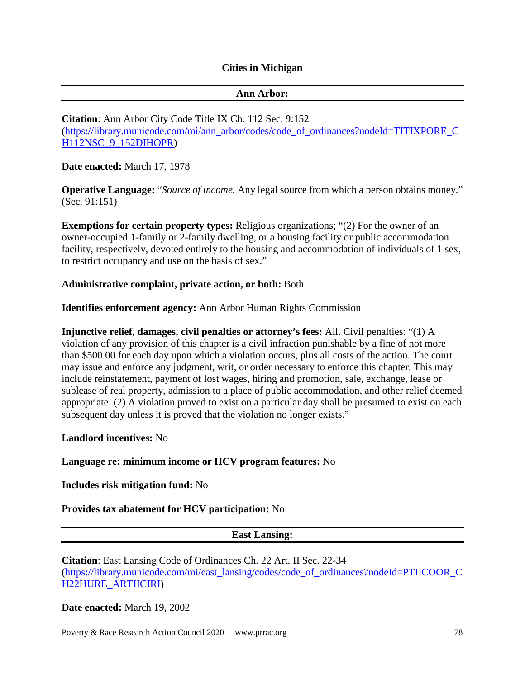# **Cities in Michigan**

### **Ann Arbor:**

**Citation**: Ann Arbor City Code Title IX Ch. 112 Sec. 9:152 [\(https://library.municode.com/mi/ann\\_arbor/codes/code\\_of\\_ordinances?nodeId=TITIXPORE\\_C](https://library.municode.com/mi/ann_arbor/codes/code_of_ordinances?nodeId=TITIXPORE_CH112NSC_9_152DIHOPR) [H112NSC\\_9\\_152DIHOPR\)](https://library.municode.com/mi/ann_arbor/codes/code_of_ordinances?nodeId=TITIXPORE_CH112NSC_9_152DIHOPR)

**Date enacted:** March 17, 1978

**Operative Language:** "*Source of income.* Any legal source from which a person obtains money." (Sec. 91:151)

**Exemptions for certain property types:** Religious organizations; "(2) For the owner of an owner-occupied 1-family or 2-family dwelling, or a housing facility or public accommodation facility, respectively, devoted entirely to the housing and accommodation of individuals of 1 sex, to restrict occupancy and use on the basis of sex."

### **Administrative complaint, private action, or both:** Both

**Identifies enforcement agency:** Ann Arbor Human Rights Commission

**Injunctive relief, damages, civil penalties or attorney's fees:** All. Civil penalties: "(1) A violation of any provision of this chapter is a civil infraction punishable by a fine of not more than \$500.00 for each day upon which a violation occurs, plus all costs of the action. The court may issue and enforce any judgment, writ, or order necessary to enforce this chapter. This may include reinstatement, payment of lost wages, hiring and promotion, sale, exchange, lease or sublease of real property, admission to a place of public accommodation, and other relief deemed appropriate. (2) A violation proved to exist on a particular day shall be presumed to exist on each subsequent day unless it is proved that the violation no longer exists."

### **Landlord incentives:** No

## **Language re: minimum income or HCV program features:** No

**Includes risk mitigation fund:** No

**Provides tax abatement for HCV participation:** No

### **East Lansing:**

**Citation**: East Lansing Code of Ordinances Ch. 22 Art. II Sec. 22-34 [\(https://library.municode.com/mi/east\\_lansing/codes/code\\_of\\_ordinances?nodeId=PTIICOOR\\_C](https://library.municode.com/mi/east_lansing/codes/code_of_ordinances?nodeId=PTIICOOR_CH22HURE_ARTIICIRI) [H22HURE\\_ARTIICIRI\)](https://library.municode.com/mi/east_lansing/codes/code_of_ordinances?nodeId=PTIICOOR_CH22HURE_ARTIICIRI)

**Date enacted:** March 19, 2002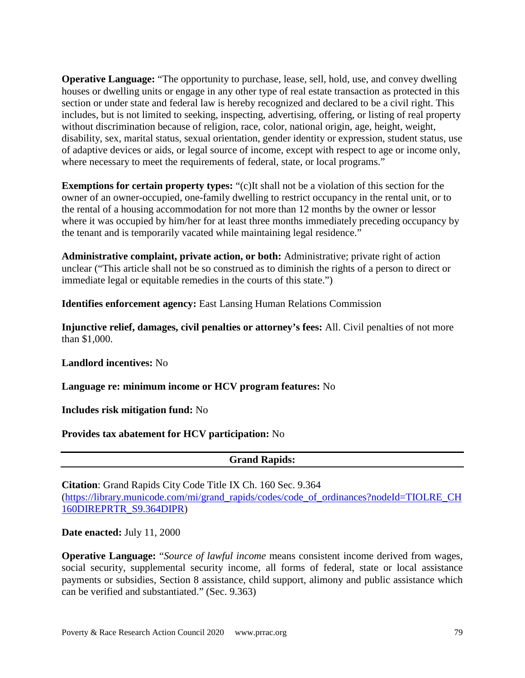**Operative Language:** "The opportunity to purchase, lease, sell, hold, use, and convey dwelling houses or dwelling units or engage in any other type of real estate transaction as protected in this section or under state and federal law is hereby recognized and declared to be a civil right. This includes, but is not limited to seeking, inspecting, advertising, offering, or listing of real property without discrimination because of religion, race, color, national origin, age, height, weight, disability, sex, marital status, sexual orientation, gender identity or expression, student status, use of adaptive devices or aids, or legal source of income, except with respect to age or income only, where necessary to meet the requirements of federal, state, or local programs."

**Exemptions for certain property types:** "(c)It shall not be a violation of this section for the owner of an owner-occupied, one-family dwelling to restrict occupancy in the rental unit, or to the rental of a housing accommodation for not more than 12 months by the owner or lessor where it was occupied by him/her for at least three months immediately preceding occupancy by the tenant and is temporarily vacated while maintaining legal residence."

**Administrative complaint, private action, or both:** Administrative; private right of action unclear ("This article shall not be so construed as to diminish the rights of a person to direct or immediate legal or equitable remedies in the courts of this state.")

**Identifies enforcement agency:** East Lansing Human Relations Commission

**Injunctive relief, damages, civil penalties or attorney's fees:** All. Civil penalties of not more than \$1,000.

**Landlord incentives:** No

**Language re: minimum income or HCV program features:** No

**Includes risk mitigation fund:** No

**Provides tax abatement for HCV participation:** No

**Grand Rapids:**

**Citation**: Grand Rapids City Code Title IX Ch. 160 Sec. 9.364 [\(https://library.municode.com/mi/grand\\_rapids/codes/code\\_of\\_ordinances?nodeId=TIOLRE\\_CH](https://library.municode.com/mi/grand_rapids/codes/code_of_ordinances?nodeId=TIOLRE_CH160DIREPRTR_S9.364DIPR) [160DIREPRTR\\_S9.364DIPR\)](https://library.municode.com/mi/grand_rapids/codes/code_of_ordinances?nodeId=TIOLRE_CH160DIREPRTR_S9.364DIPR)

## **Date enacted:** July 11, 2000

**Operative Language:** "*Source of lawful income* means consistent income derived from wages, social security, supplemental security income, all forms of federal, state or local assistance payments or subsidies, Section 8 assistance, child support, alimony and public assistance which can be verified and substantiated." (Sec. 9.363)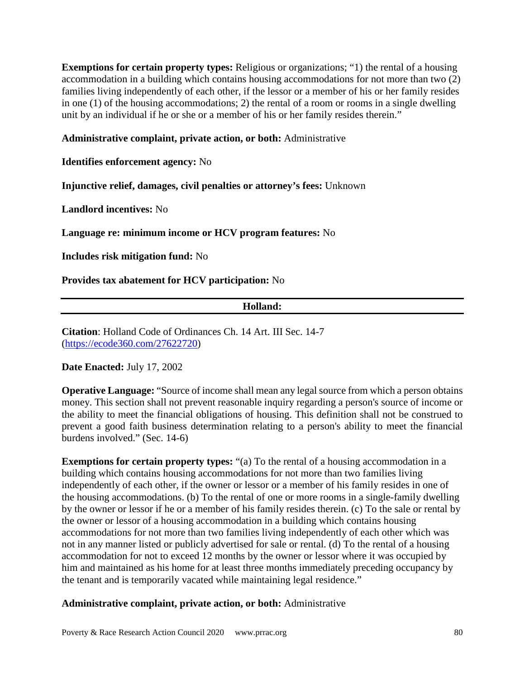**Exemptions for certain property types:** Religious or organizations; "1) the rental of a housing accommodation in a building which contains housing accommodations for not more than two (2) families living independently of each other, if the lessor or a member of his or her family resides in one (1) of the housing accommodations; 2) the rental of a room or rooms in a single dwelling unit by an individual if he or she or a member of his or her family resides therein."

# **Administrative complaint, private action, or both:** Administrative

**Identifies enforcement agency:** No

**Injunctive relief, damages, civil penalties or attorney's fees:** Unknown

**Landlord incentives:** No

**Language re: minimum income or HCV program features:** No

**Includes risk mitigation fund:** No

**Provides tax abatement for HCV participation:** No

## **Holland:**

**Citation**: Holland Code of Ordinances Ch. 14 Art. III Sec. 14-7 [\(https://ecode360.com/27622720\)](https://ecode360.com/27622720)

**Date Enacted:** July 17, 2002

**Operative Language:** "Source of income shall mean any legal source from which a person obtains money. This section shall not prevent reasonable inquiry regarding a person's source of income or the ability to meet the financial obligations of housing. This definition shall not be construed to prevent a good faith business determination relating to a person's ability to meet the financial burdens involved." (Sec. 14-6)

**Exemptions for certain property types:** "(a) To the rental of a housing accommodation in a building which contains housing accommodations for not more than two families living independently of each other, if the owner or lessor or a member of his family resides in one of the housing accommodations. (b) To the rental of one or more rooms in a single-family dwelling by the owner or lessor if he or a member of his family resides therein. (c) To the sale or rental by the owner or lessor of a housing accommodation in a building which contains housing accommodations for not more than two families living independently of each other which was not in any manner listed or publicly advertised for sale or rental. (d) To the rental of a housing accommodation for not to exceed 12 months by the owner or lessor where it was occupied by him and maintained as his home for at least three months immediately preceding occupancy by the tenant and is temporarily vacated while maintaining legal residence."

## **Administrative complaint, private action, or both:** Administrative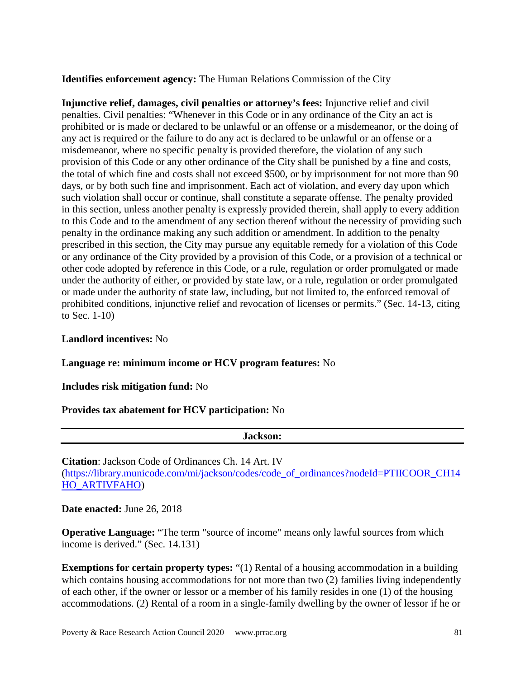**Identifies enforcement agency:** The Human Relations Commission of the City

**Injunctive relief, damages, civil penalties or attorney's fees:** Injunctive relief and civil penalties. Civil penalties: "Whenever in this Code or in any ordinance of the City an act is prohibited or is made or declared to be unlawful or an offense or a misdemeanor, or the doing of any act is required or the failure to do any act is declared to be unlawful or an offense or a misdemeanor, where no specific penalty is provided therefore, the violation of any such provision of this Code or any other ordinance of the City shall be punished by a fine and costs, the total of which fine and costs shall not exceed \$500, or by imprisonment for not more than 90 days, or by both such fine and imprisonment. Each act of violation, and every day upon which such violation shall occur or continue, shall constitute a separate offense. The penalty provided in this section, unless another penalty is expressly provided therein, shall apply to every addition to this Code and to the amendment of any section thereof without the necessity of providing such penalty in the ordinance making any such addition or amendment. In addition to the penalty prescribed in this section, the City may pursue any equitable remedy for a violation of this Code or any ordinance of the City provided by a provision of this Code, or a provision of a technical or other code adopted by reference in this Code, or a rule, regulation or order promulgated or made under the authority of either, or provided by state law, or a rule, regulation or order promulgated or made under the authority of state law, including, but not limited to, the enforced removal of prohibited conditions, injunctive relief and revocation of licenses or permits." (Sec. 14-13, citing to Sec. 1-10)

## **Landlord incentives:** No

## **Language re: minimum income or HCV program features:** No

## **Includes risk mitigation fund:** No

### **Provides tax abatement for HCV participation:** No

**Jackson:**

**Citation**: Jackson Code of Ordinances Ch. 14 Art. IV [\(https://library.municode.com/mi/jackson/codes/code\\_of\\_ordinances?nodeId=PTIICOOR\\_CH14](https://library.municode.com/mi/jackson/codes/code_of_ordinances?nodeId=PTIICOOR_CH14HO_ARTIVFAHO) [HO\\_ARTIVFAHO\)](https://library.municode.com/mi/jackson/codes/code_of_ordinances?nodeId=PTIICOOR_CH14HO_ARTIVFAHO)

**Date enacted:** June 26, 2018

**Operative Language:** "The term "source of income" means only lawful sources from which income is derived." (Sec. 14.131)

**Exemptions for certain property types:** "(1) Rental of a housing accommodation in a building which contains housing accommodations for not more than two (2) families living independently of each other, if the owner or lessor or a member of his family resides in one (1) of the housing accommodations. (2) Rental of a room in a single-family dwelling by the owner of lessor if he or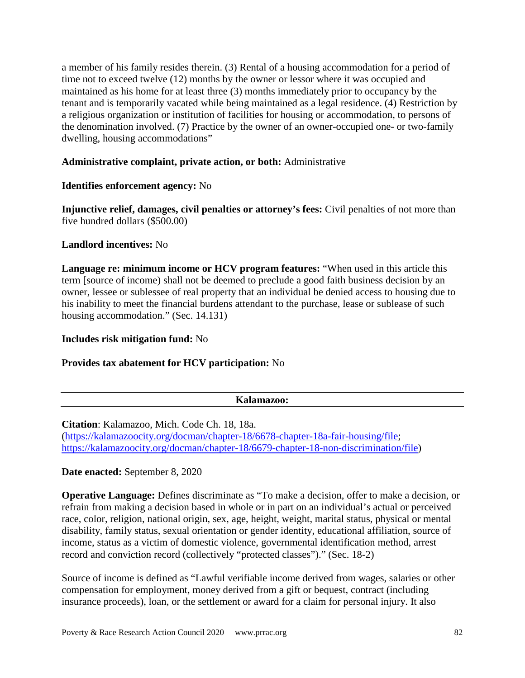a member of his family resides therein. (3) Rental of a housing accommodation for a period of time not to exceed twelve (12) months by the owner or lessor where it was occupied and maintained as his home for at least three (3) months immediately prior to occupancy by the tenant and is temporarily vacated while being maintained as a legal residence. (4) Restriction by a religious organization or institution of facilities for housing or accommodation, to persons of the denomination involved. (7) Practice by the owner of an owner-occupied one- or two-family dwelling, housing accommodations"

# **Administrative complaint, private action, or both:** Administrative

## **Identifies enforcement agency:** No

**Injunctive relief, damages, civil penalties or attorney's fees:** Civil penalties of not more than five hundred dollars (\$500.00)

## **Landlord incentives:** No

**Language re: minimum income or HCV program features:** "When used in this article this term [source of income) shall not be deemed to preclude a good faith business decision by an owner, lessee or sublessee of real property that an individual be denied access to housing due to his inability to meet the financial burdens attendant to the purchase, lease or sublease of such housing accommodation." (Sec. 14.131)

## **Includes risk mitigation fund:** No

## **Provides tax abatement for HCV participation:** No

### **Kalamazoo:**

**Citation**: Kalamazoo, Mich. Code Ch. 18, 18a. [\(https://kalamazoocity.org/docman/chapter-18/6678-chapter-18a-fair-housing/file;](https://kalamazoocity.org/docman/chapter-18/6678-chapter-18a-fair-housing/file) [https://kalamazoocity.org/docman/chapter-18/6679-chapter-18-non-discrimination/file\)](https://kalamazoocity.org/docman/chapter-18/6679-chapter-18-non-discrimination/file)

## **Date enacted:** September 8, 2020

**Operative Language:** Defines discriminate as "To make a decision, offer to make a decision, or refrain from making a decision based in whole or in part on an individual's actual or perceived race, color, religion, national origin, sex, age, height, weight, marital status, physical or mental disability, family status, sexual orientation or gender identity, educational affiliation, source of income, status as a victim of domestic violence, governmental identification method, arrest record and conviction record (collectively "protected classes")." (Sec. 18-2)

Source of income is defined as "Lawful verifiable income derived from wages, salaries or other compensation for employment, money derived from a gift or bequest, contract (including insurance proceeds), loan, or the settlement or award for a claim for personal injury. It also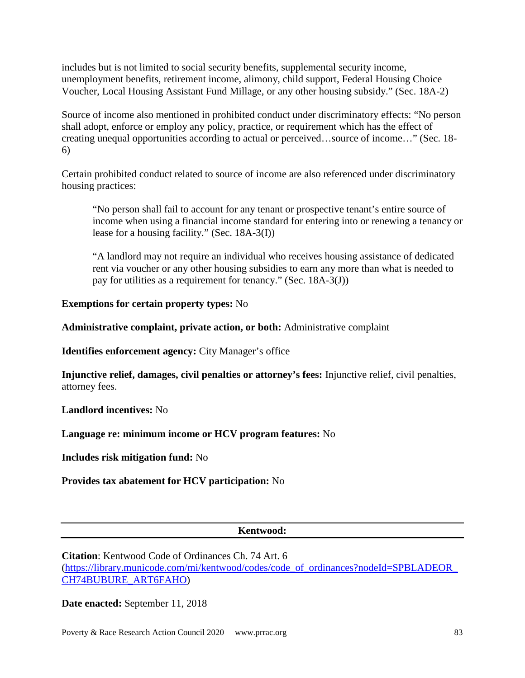includes but is not limited to social security benefits, supplemental security income, unemployment benefits, retirement income, alimony, child support, Federal Housing Choice Voucher, Local Housing Assistant Fund Millage, or any other housing subsidy." (Sec. 18A-2)

Source of income also mentioned in prohibited conduct under discriminatory effects: "No person shall adopt, enforce or employ any policy, practice, or requirement which has the effect of creating unequal opportunities according to actual or perceived…source of income…" (Sec. 18- 6)

Certain prohibited conduct related to source of income are also referenced under discriminatory housing practices:

"No person shall fail to account for any tenant or prospective tenant's entire source of income when using a financial income standard for entering into or renewing a tenancy or lease for a housing facility." (Sec. 18A-3(I))

"A landlord may not require an individual who receives housing assistance of dedicated rent via voucher or any other housing subsidies to earn any more than what is needed to pay for utilities as a requirement for tenancy." (Sec. 18A-3(J))

# **Exemptions for certain property types:** No

**Administrative complaint, private action, or both:** Administrative complaint

**Identifies enforcement agency:** City Manager's office

**Injunctive relief, damages, civil penalties or attorney's fees:** Injunctive relief, civil penalties, attorney fees.

**Landlord incentives:** No

**Language re: minimum income or HCV program features:** No

**Includes risk mitigation fund:** No

**Provides tax abatement for HCV participation:** No

## **Kentwood:**

**Citation**: Kentwood Code of Ordinances Ch. 74 Art. 6 [\(https://library.municode.com/mi/kentwood/codes/code\\_of\\_ordinances?nodeId=SPBLADEOR\\_](https://library.municode.com/mi/kentwood/codes/code_of_ordinances?nodeId=SPBLADEOR_CH74BUBURE_ART6FAHO) [CH74BUBURE\\_ART6FAHO\)](https://library.municode.com/mi/kentwood/codes/code_of_ordinances?nodeId=SPBLADEOR_CH74BUBURE_ART6FAHO)

**Date enacted:** September 11, 2018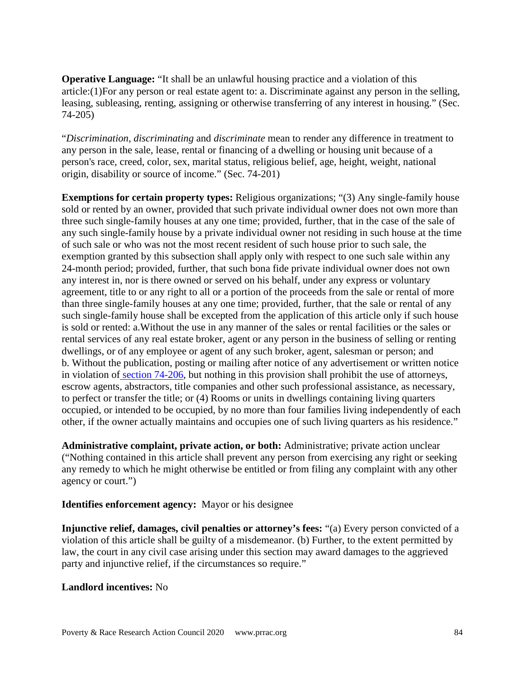**Operative Language:** "It shall be an unlawful housing practice and a violation of this article:(1)For any person or real estate agent to: a. Discriminate against any person in the selling, leasing, subleasing, renting, assigning or otherwise transferring of any interest in housing." (Sec. 74-205)

"*Discrimination, discriminating* and *discriminate* mean to render any difference in treatment to any person in the sale, lease, rental or financing of a dwelling or housing unit because of a person's race, creed, color, sex, marital status, religious belief, age, height, weight, national origin, disability or source of income." (Sec. 74-201)

**Exemptions for certain property types:** Religious organizations; "(3) Any single-family house sold or rented by an owner, provided that such private individual owner does not own more than three such single-family houses at any one time; provided, further, that in the case of the sale of any such single-family house by a private individual owner not residing in such house at the time of such sale or who was not the most recent resident of such house prior to such sale, the exemption granted by this subsection shall apply only with respect to one such sale within any 24-month period; provided, further, that such bona fide private individual owner does not own any interest in, nor is there owned or served on his behalf, under any express or voluntary agreement, title to or any right to all or a portion of the proceeds from the sale or rental of more than three single-family houses at any one time; provided, further, that the sale or rental of any such single-family house shall be excepted from the application of this article only if such house is sold or rented: a.Without the use in any manner of the sales or rental facilities or the sales or rental services of any real estate broker, agent or any person in the business of selling or renting dwellings, or of any employee or agent of any such broker, agent, salesman or person; and b. Without the publication, posting or mailing after notice of any advertisement or written notice in violation of [section 74-206,](https://library.municode.com/mi/kentwood/codes/code_of_ordinances?nodeId=SPBLADEOR_CH74BUBURE_ART6FAHO_S74-206COPR) but nothing in this provision shall prohibit the use of attorneys, escrow agents, abstractors, title companies and other such professional assistance, as necessary, to perfect or transfer the title; or (4) Rooms or units in dwellings containing living quarters occupied, or intended to be occupied, by no more than four families living independently of each other, if the owner actually maintains and occupies one of such living quarters as his residence."

**Administrative complaint, private action, or both:** Administrative; private action unclear ("Nothing contained in this article shall prevent any person from exercising any right or seeking any remedy to which he might otherwise be entitled or from filing any complaint with any other agency or court.")

### **Identifies enforcement agency:** Mayor or his designee

**Injunctive relief, damages, civil penalties or attorney's fees:** "(a) Every person convicted of a violation of this article shall be guilty of a misdemeanor. (b) Further, to the extent permitted by law, the court in any civil case arising under this section may award damages to the aggrieved party and injunctive relief, if the circumstances so require."

#### **Landlord incentives:** No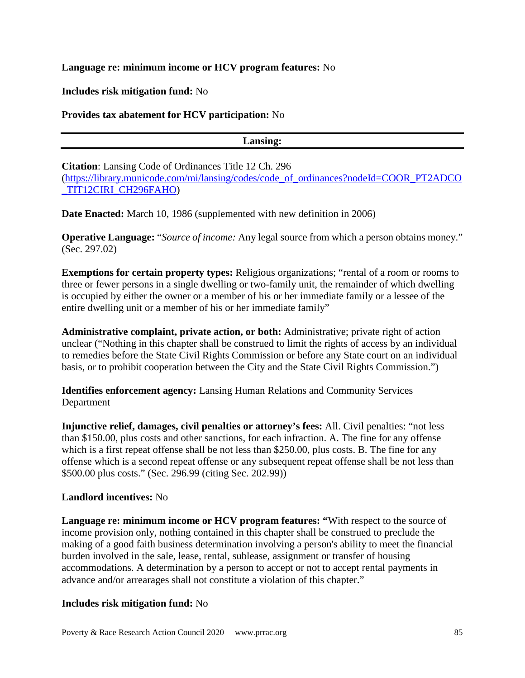## **Language re: minimum income or HCV program features:** No

**Includes risk mitigation fund:** No

**Provides tax abatement for HCV participation:** No

| <b>Lansing</b> |
|----------------|
|                |

**Citation**: Lansing Code of Ordinances Title 12 Ch. 296 [\(https://library.municode.com/mi/lansing/codes/code\\_of\\_ordinances?nodeId=COOR\\_PT2ADCO](https://library.municode.com/mi/lansing/codes/code_of_ordinances?nodeId=COOR_PT2ADCO_TIT12CIRI_CH296FAHO) [\\_TIT12CIRI\\_CH296FAHO\)](https://library.municode.com/mi/lansing/codes/code_of_ordinances?nodeId=COOR_PT2ADCO_TIT12CIRI_CH296FAHO)

**Date Enacted:** March 10, 1986 (supplemented with new definition in 2006)

**Operative Language:** "*Source of income:* Any legal source from which a person obtains money." (Sec. 297.02)

**Exemptions for certain property types:** Religious organizations; "rental of a room or rooms to three or fewer persons in a single dwelling or two-family unit, the remainder of which dwelling is occupied by either the owner or a member of his or her immediate family or a lessee of the entire dwelling unit or a member of his or her immediate family"

**Administrative complaint, private action, or both:** Administrative; private right of action unclear ("Nothing in this chapter shall be construed to limit the rights of access by an individual to remedies before the State Civil Rights Commission or before any State court on an individual basis, or to prohibit cooperation between the City and the State Civil Rights Commission.")

**Identifies enforcement agency:** Lansing Human Relations and Community Services Department

**Injunctive relief, damages, civil penalties or attorney's fees:** All. Civil penalties: "not less than \$150.00, plus costs and other sanctions, for each infraction. A. The fine for any offense which is a first repeat offense shall be not less than \$250.00, plus costs. B. The fine for any offense which is a second repeat offense or any subsequent repeat offense shall be not less than \$500.00 plus costs." (Sec. 296.99 (citing Sec. 202.99))

## **Landlord incentives:** No

**Language re: minimum income or HCV program features: "**With respect to the source of income provision only, nothing contained in this chapter shall be construed to preclude the making of a good faith business determination involving a person's ability to meet the financial burden involved in the sale, lease, rental, sublease, assignment or transfer of housing accommodations. A determination by a person to accept or not to accept rental payments in advance and/or arrearages shall not constitute a violation of this chapter."

## **Includes risk mitigation fund:** No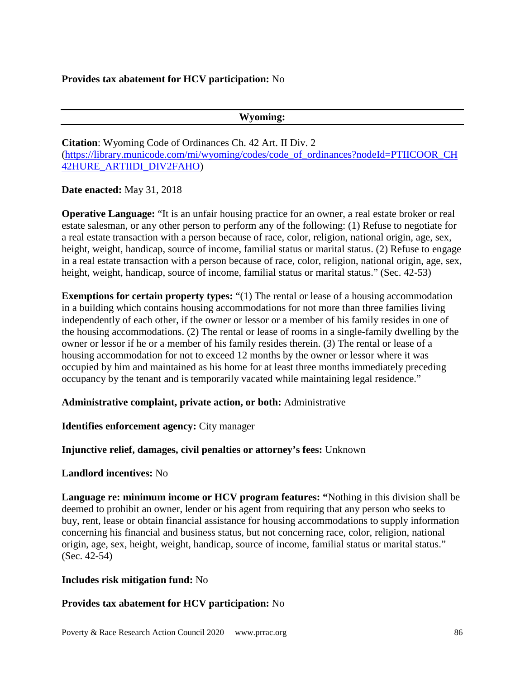# **Provides tax abatement for HCV participation:** No

**Wyoming:**

**Citation**: Wyoming Code of Ordinances Ch. 42 Art. II Div. 2 [\(https://library.municode.com/mi/wyoming/codes/code\\_of\\_ordinances?nodeId=PTIICOOR\\_CH](https://library.municode.com/mi/wyoming/codes/code_of_ordinances?nodeId=PTIICOOR_CH42HURE_ARTIIDI_DIV2FAHO) [42HURE\\_ARTIIDI\\_DIV2FAHO\)](https://library.municode.com/mi/wyoming/codes/code_of_ordinances?nodeId=PTIICOOR_CH42HURE_ARTIIDI_DIV2FAHO)

## **Date enacted:** May 31, 2018

**Operative Language:** "It is an unfair housing practice for an owner, a real estate broker or real estate salesman, or any other person to perform any of the following: (1) Refuse to negotiate for a real estate transaction with a person because of race, color, religion, national origin, age, sex, height, weight, handicap, source of income, familial status or marital status. (2) Refuse to engage in a real estate transaction with a person because of race, color, religion, national origin, age, sex, height, weight, handicap, source of income, familial status or marital status." (Sec. 42-53)

**Exemptions for certain property types:** "(1) The rental or lease of a housing accommodation in a building which contains housing accommodations for not more than three families living independently of each other, if the owner or lessor or a member of his family resides in one of the housing accommodations. (2) The rental or lease of rooms in a single-family dwelling by the owner or lessor if he or a member of his family resides therein. (3) The rental or lease of a housing accommodation for not to exceed 12 months by the owner or lessor where it was occupied by him and maintained as his home for at least three months immediately preceding occupancy by the tenant and is temporarily vacated while maintaining legal residence."

## **Administrative complaint, private action, or both:** Administrative

## **Identifies enforcement agency:** City manager

## **Injunctive relief, damages, civil penalties or attorney's fees:** Unknown

## **Landlord incentives:** No

**Language re: minimum income or HCV program features: "**Nothing in this division shall be deemed to prohibit an owner, lender or his agent from requiring that any person who seeks to buy, rent, lease or obtain financial assistance for housing accommodations to supply information concerning his financial and business status, but not concerning race, color, religion, national origin, age, sex, height, weight, handicap, source of income, familial status or marital status." (Sec. 42-54)

### **Includes risk mitigation fund:** No

## **Provides tax abatement for HCV participation:** No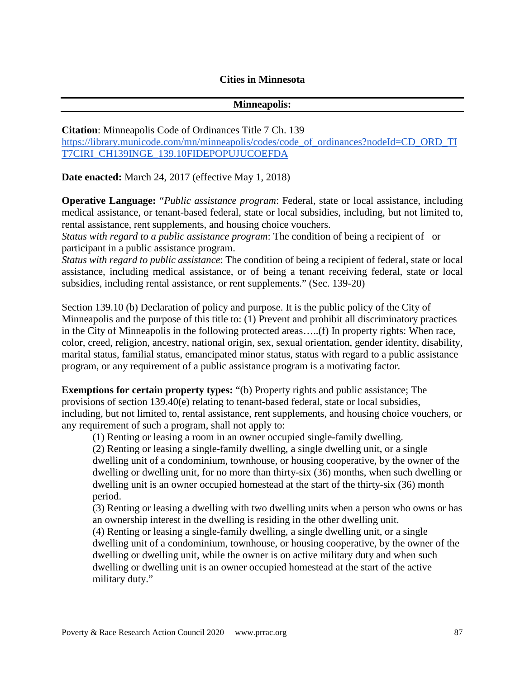### **Cities in Minnesota**

#### **Minneapolis:**

**Citation**: Minneapolis Code of Ordinances Title 7 Ch. 139 [https://library.municode.com/mn/minneapolis/codes/code\\_of\\_ordinances?nodeId=CD\\_ORD\\_TI](https://library.municode.com/mn/minneapolis/codes/code_of_ordinances?nodeId=CD_ORD_TIT7CIRI_CH139INGE_139.10FIDEPOPUJUCOEFDA) [T7CIRI\\_CH139INGE\\_139.10FIDEPOPUJUCOEFDA](https://library.municode.com/mn/minneapolis/codes/code_of_ordinances?nodeId=CD_ORD_TIT7CIRI_CH139INGE_139.10FIDEPOPUJUCOEFDA)

**Date enacted:** March 24, 2017 (effective May 1, 2018)

**Operative Language:** "*Public assistance program*: Federal, state or local assistance, including medical assistance, or tenant-based federal, state or local subsidies, including, but not limited to, rental assistance, rent supplements, and housing choice vouchers.

*Status with regard to a public assistance program*: The condition of being a recipient of or participant in a public assistance program.

*Status with regard to public assistance*: The condition of being a recipient of federal, state or local assistance, including medical assistance, or of being a tenant receiving federal, state or local subsidies, including rental assistance, or rent supplements." (Sec. 139-20)

Section 139.10 (b) Declaration of policy and purpose. It is the public policy of the City of Minneapolis and the purpose of this title to: (1) Prevent and prohibit all discriminatory practices in the City of Minneapolis in the following protected areas…..(f) In property rights: When race, color, creed, religion, ancestry, national origin, sex, sexual orientation, gender identity, disability, marital status, familial status, emancipated minor status, status with regard to a public assistance program, or any requirement of a public assistance program is a motivating factor*.* 

**Exemptions for certain property types:** "(b) Property rights and public assistance; The provisions of section 139.40(e) relating to tenant-based federal, state or local subsidies, including, but not limited to, rental assistance, rent supplements, and housing choice vouchers, or any requirement of such a program, shall not apply to:

(1) Renting or leasing a room in an owner occupied single-family dwelling.

(2) Renting or leasing a single-family dwelling, a single dwelling unit, or a single dwelling unit of a condominium, townhouse, or housing cooperative, by the owner of the dwelling or dwelling unit, for no more than thirty-six (36) months, when such dwelling or dwelling unit is an owner occupied homestead at the start of the thirty-six (36) month period.

(3) Renting or leasing a dwelling with two dwelling units when a person who owns or has an ownership interest in the dwelling is residing in the other dwelling unit.

(4) Renting or leasing a single-family dwelling, a single dwelling unit, or a single dwelling unit of a condominium, townhouse, or housing cooperative, by the owner of the dwelling or dwelling unit, while the owner is on active military duty and when such dwelling or dwelling unit is an owner occupied homestead at the start of the active military duty."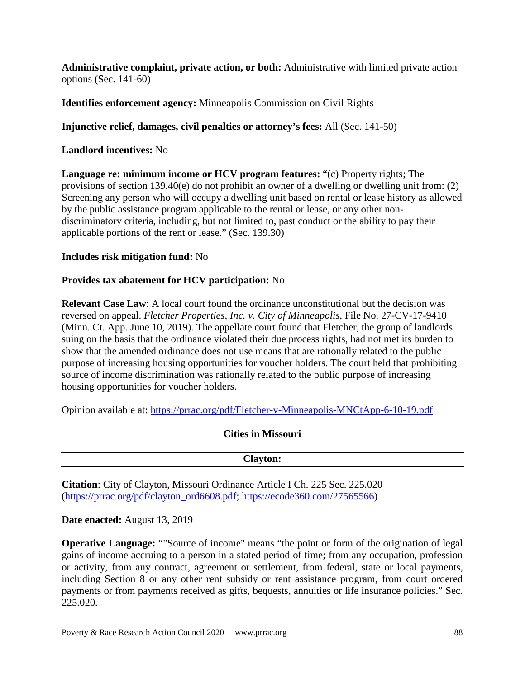**Administrative complaint, private action, or both:** Administrative with limited private action options (Sec. 141-60)

**Identifies enforcement agency:** Minneapolis Commission on Civil Rights

**Injunctive relief, damages, civil penalties or attorney's fees:** All (Sec. 141-50)

**Landlord incentives:** No

**Language re: minimum income or HCV program features:** "(c) Property rights; The provisions of section 139.40(e) do not prohibit an owner of a dwelling or dwelling unit from: (2) Screening any person who will occupy a dwelling unit based on rental or lease history as allowed by the public assistance program applicable to the rental or lease, or any other nondiscriminatory criteria, including, but not limited to, past conduct or the ability to pay their applicable portions of the rent or lease." (Sec. 139.30)

### **Includes risk mitigation fund:** No

### **Provides tax abatement for HCV participation:** No

**Relevant Case Law:** A local court found the ordinance unconstitutional but the decision was reversed on appeal. *Fletcher Properties, Inc. v. City of Minneapolis*, File No. 27-CV-17-9410 (Minn. Ct. App. June 10, 2019). The appellate court found that Fletcher, the group of landlords suing on the basis that the ordinance violated their due process rights, had not met its burden to show that the amended ordinance does not use means that are rationally related to the public purpose of increasing housing opportunities for voucher holders. The court held that prohibiting source of income discrimination was rationally related to the public purpose of increasing housing opportunities for voucher holders.

Opinion available at:<https://prrac.org/pdf/Fletcher-v-Minneapolis-MNCtApp-6-10-19.pdf>

**Cities in Missouri**

**Clayton:** 

**Citation**: City of Clayton, Missouri Ordinance Article I Ch. 225 Sec. 225.020 [\(https://prrac.org/pdf/clayton\\_ord6608.pdf;](https://prrac.org/pdf/clayton_ord6608.pdf) [https://ecode360.com/27565566\)](https://ecode360.com/27565566)

**Date enacted:** August 13, 2019

**Operative Language:** "Source of income" means "the point or form of the origination of legal gains of income accruing to a person in a stated period of time; from any occupation, profession or activity, from any contract, agreement or settlement, from federal, state or local payments, including Section 8 or any other rent subsidy or rent assistance program, from court ordered payments or from payments received as gifts, bequests, annuities or life insurance policies." Sec. 225.020.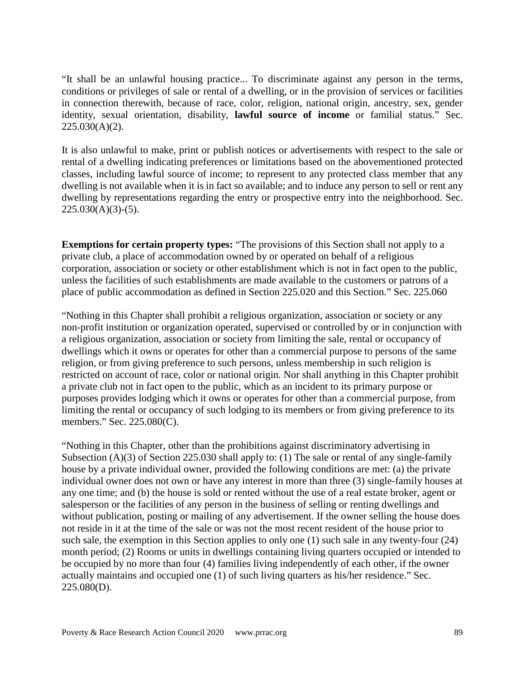"It shall be an unlawful housing practice... To discriminate against any person in the terms, conditions or privileges of sale or rental of a dwelling, or in the provision of services or facilities in connection therewith, because of race, color, religion, national origin, ancestry, sex, gender identity, sexual orientation, disability, **lawful source of income** or familial status." Sec. 225.030(A)(2).

It is also unlawful to make, print or publish notices or advertisements with respect to the sale or rental of a dwelling indicating preferences or limitations based on the abovementioned protected classes, including lawful source of income; to represent to any protected class member that any dwelling is not available when it is in fact so available; and to induce any person to sell or rent any dwelling by representations regarding the entry or prospective entry into the neighborhood. Sec.  $225.030(A)(3)-(5)$ .

**Exemptions for certain property types:** "The provisions of this Section shall not apply to a private club, a place of accommodation owned by or operated on behalf of a religious corporation, association or society or other establishment which is not in fact open to the public, unless the facilities of such establishments are made available to the customers or patrons of a place of public accommodation as defined in Section 225.020 and this Section." Sec. 225.060

"Nothing in this Chapter shall prohibit a religious organization, association or society or any non-profit institution or organization operated, supervised or controlled by or in conjunction with a religious organization, association or society from limiting the sale, rental or occupancy of dwellings which it owns or operates for other than a commercial purpose to persons of the same religion, or from giving preference to such persons, unless membership in such religion is restricted on account of race, color or national origin. Nor shall anything in this Chapter prohibit a private club not in fact open to the public, which as an incident to its primary purpose or purposes provides lodging which it owns or operates for other than a commercial purpose, from limiting the rental or occupancy of such lodging to its members or from giving preference to its members." Sec. 225.080(C).

"Nothing in this Chapter, other than the prohibitions against discriminatory advertising in Subsection (A)(3) of Section 225.030 shall apply to: (1) The sale or rental of any single-family house by a private individual owner, provided the following conditions are met: (a) the private individual owner does not own or have any interest in more than three (3) single-family houses at any one time; and (b) the house is sold or rented without the use of a real estate broker, agent or salesperson or the facilities of any person in the business of selling or renting dwellings and without publication, posting or mailing of any advertisement. If the owner selling the house does not reside in it at the time of the sale or was not the most recent resident of the house prior to such sale, the exemption in this Section applies to only one (1) such sale in any twenty-four (24) month period; (2) Rooms or units in dwellings containing living quarters occupied or intended to be occupied by no more than four (4) families living independently of each other, if the owner actually maintains and occupied one (1) of such living quarters as his/her residence." Sec. 225.080(D).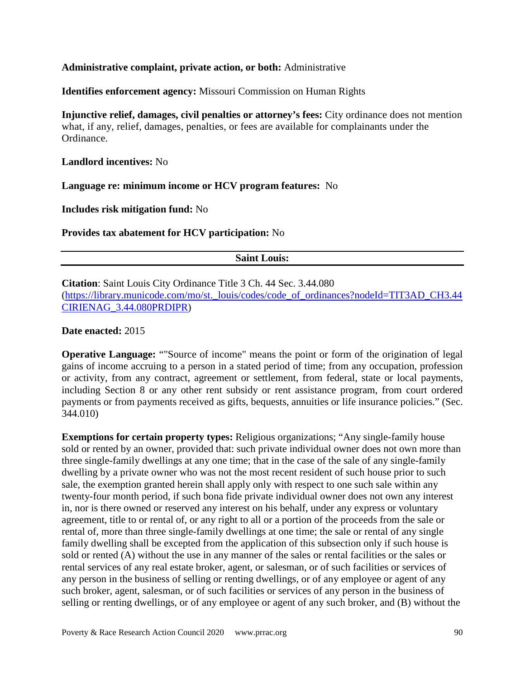## **Administrative complaint, private action, or both:** Administrative

**Identifies enforcement agency:** Missouri Commission on Human Rights

**Injunctive relief, damages, civil penalties or attorney's fees:** City ordinance does not mention what, if any, relief, damages, penalties, or fees are available for complainants under the Ordinance.

**Landlord incentives:** No

**Language re: minimum income or HCV program features:** No

**Includes risk mitigation fund:** No

**Provides tax abatement for HCV participation:** No

### **Saint Louis:**

**Citation**: Saint Louis City Ordinance Title 3 Ch. 44 Sec. 3.44.080 (https://library.municode.com/mo/st. louis/codes/code\_of\_ordinances?nodeId=TIT3AD\_CH3.44 [CIRIENAG\\_3.44.080PRDIPR\)](https://library.municode.com/mo/st._louis/codes/code_of_ordinances?nodeId=TIT3AD_CH3.44CIRIENAG_3.44.080PRDIPR)

### **Date enacted:** 2015

**Operative Language:** ""Source of income" means the point or form of the origination of legal gains of income accruing to a person in a stated period of time; from any occupation, profession or activity, from any contract, agreement or settlement, from federal, state or local payments, including Section 8 or any other rent subsidy or rent assistance program, from court ordered payments or from payments received as gifts, bequests, annuities or life insurance policies." (Sec. 344.010)

**Exemptions for certain property types:** Religious organizations; "Any single-family house sold or rented by an owner, provided that: such private individual owner does not own more than three single-family dwellings at any one time; that in the case of the sale of any single-family dwelling by a private owner who was not the most recent resident of such house prior to such sale, the exemption granted herein shall apply only with respect to one such sale within any twenty-four month period, if such bona fide private individual owner does not own any interest in, nor is there owned or reserved any interest on his behalf, under any express or voluntary agreement, title to or rental of, or any right to all or a portion of the proceeds from the sale or rental of, more than three single-family dwellings at one time; the sale or rental of any single family dwelling shall be excepted from the application of this subsection only if such house is sold or rented (A) without the use in any manner of the sales or rental facilities or the sales or rental services of any real estate broker, agent, or salesman, or of such facilities or services of any person in the business of selling or renting dwellings, or of any employee or agent of any such broker, agent, salesman, or of such facilities or services of any person in the business of selling or renting dwellings, or of any employee or agent of any such broker, and (B) without the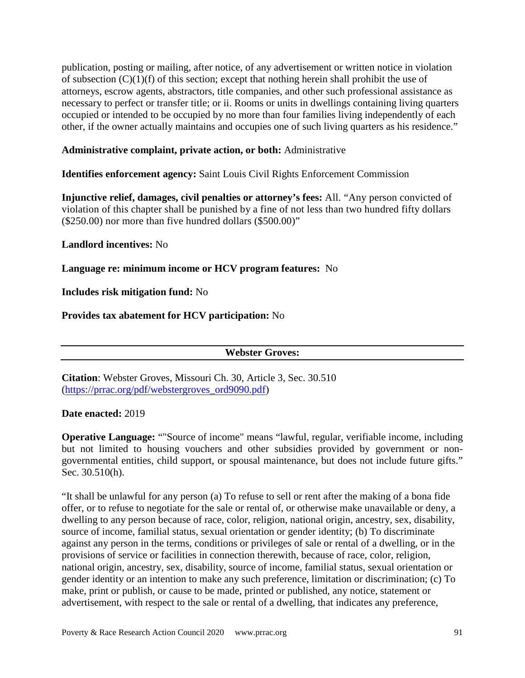publication, posting or mailing, after notice, of any advertisement or written notice in violation of subsection  $(C)(1)(f)$  of this section; except that nothing herein shall prohibit the use of attorneys, escrow agents, abstractors, title companies, and other such professional assistance as necessary to perfect or transfer title; or ii. Rooms or units in dwellings containing living quarters occupied or intended to be occupied by no more than four families living independently of each other, if the owner actually maintains and occupies one of such living quarters as his residence."

# **Administrative complaint, private action, or both:** Administrative

**Identifies enforcement agency:** Saint Louis Civil Rights Enforcement Commission

**Injunctive relief, damages, civil penalties or attorney's fees:** All. "Any person convicted of violation of this chapter shall be punished by a fine of not less than two hundred fifty dollars (\$250.00) nor more than five hundred dollars (\$500.00)"

**Landlord incentives:** No

**Language re: minimum income or HCV program features:** No

**Includes risk mitigation fund:** No

**Provides tax abatement for HCV participation:** No

**Webster Groves:** 

**Citation**: Webster Groves, Missouri Ch. 30, Article 3, Sec. 30.510 [\(https://prrac.org/pdf/webstergroves\\_ord9090.pdf\)](https://prrac.org/pdf/webstergroves_ord9090.pdf)

### **Date enacted:** 2019

**Operative Language:** ""Source of income" means "lawful, regular, verifiable income, including but not limited to housing vouchers and other subsidies provided by government or nongovernmental entities, child support, or spousal maintenance, but does not include future gifts." Sec. 30.510(h).

"It shall be unlawful for any person (a) To refuse to sell or rent after the making of a bona fide offer, or to refuse to negotiate for the sale or rental of, or otherwise make unavailable or deny, a dwelling to any person because of race, color, religion, national origin, ancestry, sex, disability, source of income, familial status, sexual orientation or gender identity; (b) To discriminate against any person in the terms, conditions or privileges of sale or rental of a dwelling, or in the provisions of service or facilities in connection therewith, because of race, color, religion, national origin, ancestry, sex, disability, source of income, familial status, sexual orientation or gender identity or an intention to make any such preference, limitation or discrimination; (c) To make, print or publish, or cause to be made, printed or published, any notice, statement or advertisement, with respect to the sale or rental of a dwelling, that indicates any preference,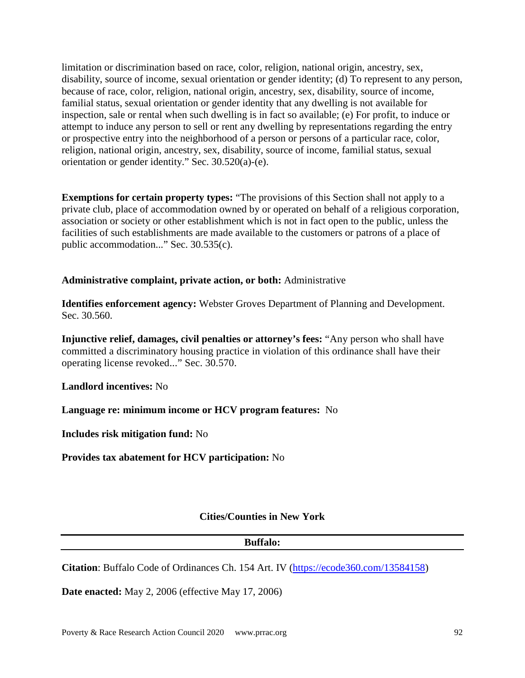limitation or discrimination based on race, color, religion, national origin, ancestry, sex, disability, source of income, sexual orientation or gender identity; (d) To represent to any person, because of race, color, religion, national origin, ancestry, sex, disability, source of income, familial status, sexual orientation or gender identity that any dwelling is not available for inspection, sale or rental when such dwelling is in fact so available; (e) For profit, to induce or attempt to induce any person to sell or rent any dwelling by representations regarding the entry or prospective entry into the neighborhood of a person or persons of a particular race, color, religion, national origin, ancestry, sex, disability, source of income, familial status, sexual orientation or gender identity." Sec. 30.520(a)-(e).

**Exemptions for certain property types:** "The provisions of this Section shall not apply to a private club, place of accommodation owned by or operated on behalf of a religious corporation, association or society or other establishment which is not in fact open to the public, unless the facilities of such establishments are made available to the customers or patrons of a place of public accommodation..." Sec. 30.535(c).

### **Administrative complaint, private action, or both:** Administrative

**Identifies enforcement agency:** Webster Groves Department of Planning and Development. Sec. 30.560.

**Injunctive relief, damages, civil penalties or attorney's fees:** "Any person who shall have committed a discriminatory housing practice in violation of this ordinance shall have their operating license revoked..." Sec. 30.570.

**Landlord incentives:** No

**Language re: minimum income or HCV program features:** No

**Includes risk mitigation fund:** No

**Provides tax abatement for HCV participation:** No

## **Cities/Counties in New York**

### **Buffalo:**

**Citation**: Buffalo Code of Ordinances Ch. 154 Art. IV [\(https://ecode360.com/13584158\)](https://ecode360.com/13584158)

**Date enacted:** May 2, 2006 (effective May 17, 2006)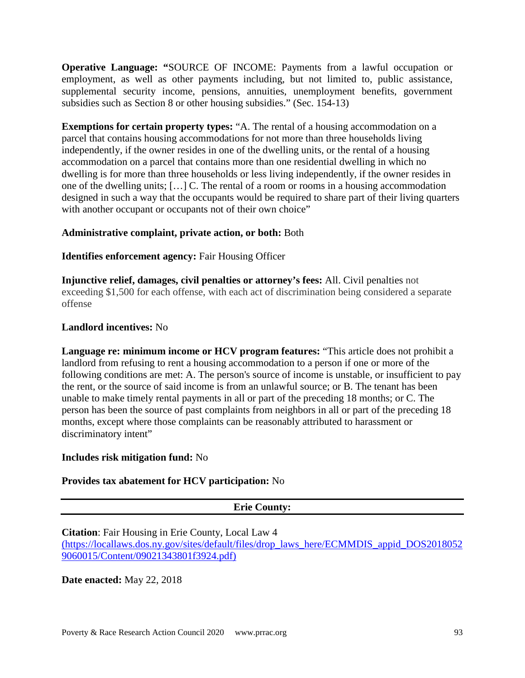**Operative Language: "**SOURCE OF INCOME: Payments from a lawful occupation or employment, as well as other payments including, but not limited to, public assistance, supplemental security income, pensions, annuities, unemployment benefits, government subsidies such as Section 8 or other housing subsidies." (Sec. 154-13)

**Exemptions for certain property types:** "A. The rental of a housing accommodation on a parcel that contains housing accommodations for not more than three households living independently, if the owner resides in one of the dwelling units, or the rental of a housing accommodation on a parcel that contains more than one residential dwelling in which no dwelling is for more than three households or less living independently, if the owner resides in one of the dwelling units; […] C. The rental of a room or rooms in a housing accommodation designed in such a way that the occupants would be required to share part of their living quarters with another occupant or occupants not of their own choice"

## **Administrative complaint, private action, or both:** Both

# **Identifies enforcement agency:** Fair Housing Officer

**Injunctive relief, damages, civil penalties or attorney's fees:** All. Civil penalties not exceeding \$1,500 for each offense, with each act of discrimination being considered a separate offense

# **Landlord incentives:** No

**Language re: minimum income or HCV program features:** "This article does not prohibit a landlord from refusing to rent a housing accommodation to a person if one or more of the following conditions are met: A. The person's source of income is unstable, or insufficient to pay the rent, or the source of said income is from an unlawful source; or B. The tenant has been unable to make timely rental payments in all or part of the preceding 18 months; or C. The person has been the source of past complaints from neighbors in all or part of the preceding 18 months, except where those complaints can be reasonably attributed to harassment or discriminatory intent"

## **Includes risk mitigation fund:** No

## **Provides tax abatement for HCV participation:** No

### **Erie County:**

**Citation**: Fair Housing in Erie County, Local Law 4 [\(https://locallaws.dos.ny.gov/sites/default/files/drop\\_laws\\_here/ECMMDIS\\_appid\\_DOS2018052](https://locallaws.dos.ny.gov/sites/default/files/drop_laws_here/ECMMDIS_appid_DOS20180529060015/Content/09021343801f3924.pdf) [9060015/Content/09021343801f3924.pdf\)](https://locallaws.dos.ny.gov/sites/default/files/drop_laws_here/ECMMDIS_appid_DOS20180529060015/Content/09021343801f3924.pdf)

**Date enacted:** May 22, 2018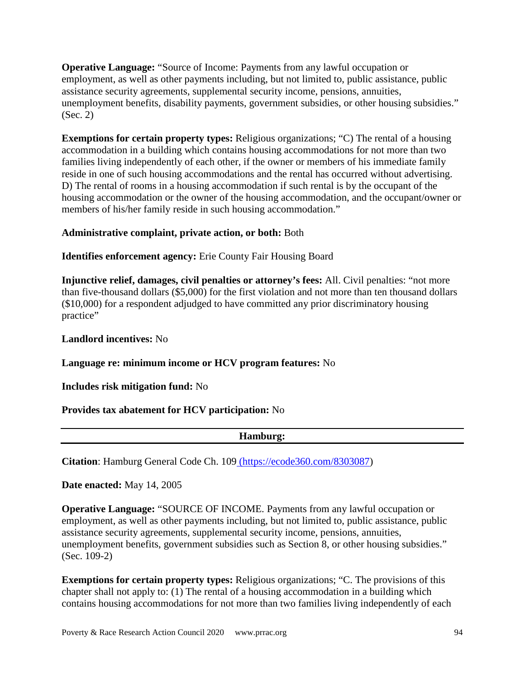**Operative Language:** "Source of Income: Payments from any lawful occupation or employment, as well as other payments including, but not limited to, public assistance, public assistance security agreements, supplemental security income, pensions, annuities, unemployment benefits, disability payments, government subsidies, or other housing subsidies." (Sec. 2)

**Exemptions for certain property types:** Religious organizations; "C) The rental of a housing accommodation in a building which contains housing accommodations for not more than two families living independently of each other, if the owner or members of his immediate family reside in one of such housing accommodations and the rental has occurred without advertising. D) The rental of rooms in a housing accommodation if such rental is by the occupant of the housing accommodation or the owner of the housing accommodation, and the occupant/owner or members of his/her family reside in such housing accommodation."

## **Administrative complaint, private action, or both:** Both

**Identifies enforcement agency:** Erie County Fair Housing Board

**Injunctive relief, damages, civil penalties or attorney's fees:** All. Civil penalties: "not more than five-thousand dollars (\$5,000) for the first violation and not more than ten thousand dollars (\$10,000) for a respondent adjudged to have committed any prior discriminatory housing practice"

**Landlord incentives:** No

**Language re: minimum income or HCV program features:** No

**Includes risk mitigation fund:** No

**Provides tax abatement for HCV participation:** No

**Hamburg:**

**Citation**: Hamburg General Code Ch. 109 [\(https://ecode360.com/8303087\)](https://ecode360.com/8303087)

**Date enacted:** May 14, 2005

**Operative Language:** "SOURCE OF INCOME. Payments from any lawful occupation or employment, as well as other payments including, but not limited to, public assistance, public assistance security agreements, supplemental security income, pensions, annuities, unemployment benefits, government subsidies such as Section 8, or other housing subsidies." (Sec. 109-2)

**Exemptions for certain property types:** Religious organizations; "C. The provisions of this chapter shall not apply to: (1) The rental of a housing accommodation in a building which contains housing accommodations for not more than two families living independently of each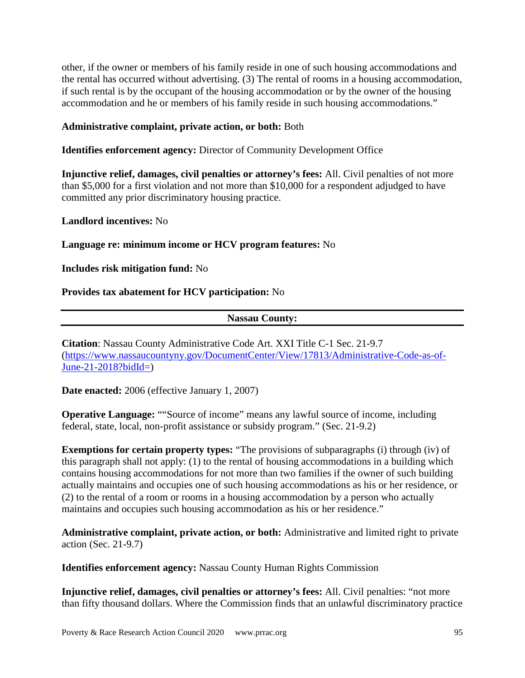other, if the owner or members of his family reside in one of such housing accommodations and the rental has occurred without advertising. (3) The rental of rooms in a housing accommodation, if such rental is by the occupant of the housing accommodation or by the owner of the housing accommodation and he or members of his family reside in such housing accommodations."

# **Administrative complaint, private action, or both:** Both

**Identifies enforcement agency:** Director of Community Development Office

**Injunctive relief, damages, civil penalties or attorney's fees:** All. Civil penalties of not more than \$5,000 for a first violation and not more than \$10,000 for a respondent adjudged to have committed any prior discriminatory housing practice.

**Landlord incentives:** No

### **Language re: minimum income or HCV program features:** No

**Includes risk mitigation fund:** No

## **Provides tax abatement for HCV participation:** No

### **Nassau County:**

**Citation**: Nassau County Administrative Code Art. XXI Title C-1 Sec. 21-9.7 [\(https://www.nassaucountyny.gov/DocumentCenter/View/17813/Administrative-Code-as-of-](https://www.nassaucountyny.gov/DocumentCenter/View/17813/Administrative-Code-as-of-June-21-2018?bidId=)[June-21-2018?bidId=\)](https://www.nassaucountyny.gov/DocumentCenter/View/17813/Administrative-Code-as-of-June-21-2018?bidId=)

**Date enacted:** 2006 (effective January 1, 2007)

**Operative Language:** "Source of income" means any lawful source of income, including federal, state, local, non-profit assistance or subsidy program." (Sec. 21-9.2)

**Exemptions for certain property types:** "The provisions of subparagraphs (i) through (iv) of this paragraph shall not apply: (1) to the rental of housing accommodations in a building which contains housing accommodations for not more than two families if the owner of such building actually maintains and occupies one of such housing accommodations as his or her residence, or (2) to the rental of a room or rooms in a housing accommodation by a person who actually maintains and occupies such housing accommodation as his or her residence."

**Administrative complaint, private action, or both:** Administrative and limited right to private action (Sec. 21-9.7)

**Identifies enforcement agency:** Nassau County Human Rights Commission

**Injunctive relief, damages, civil penalties or attorney's fees:** All. Civil penalties: "not more than fifty thousand dollars. Where the Commission finds that an unlawful discriminatory practice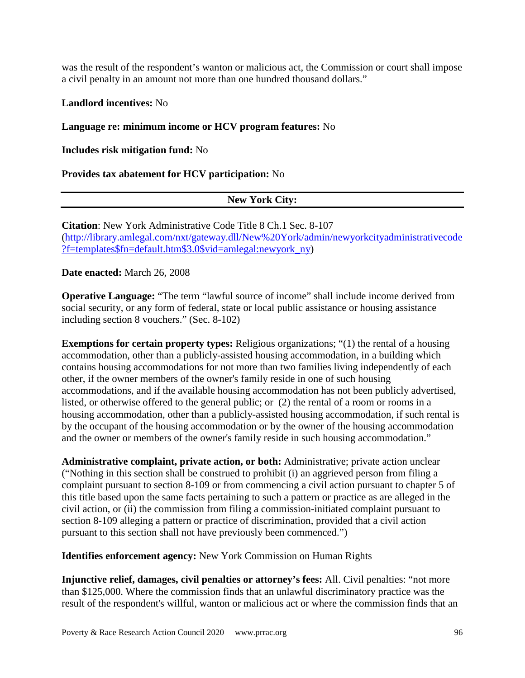was the result of the respondent's wanton or malicious act, the Commission or court shall impose a civil penalty in an amount not more than one hundred thousand dollars."

**Landlord incentives:** No

# **Language re: minimum income or HCV program features:** No

**Includes risk mitigation fund:** No

## **Provides tax abatement for HCV participation:** No

## **New York City:**

**Citation**: New York Administrative Code Title 8 Ch.1 Sec. 8-107 [\(http://library.amlegal.com/nxt/gateway.dll/New%20York/admin/newyorkcityadministrativecode](http://library.amlegal.com/nxt/gateway.dll/New%20York/admin/newyorkcityadministrativecode?f=templates$fn=default.htm$3.0$vid=amlegal:newyork_ny) [?f=templates\\$fn=default.htm\\$3.0\\$vid=amlegal:newyork\\_ny\)](http://library.amlegal.com/nxt/gateway.dll/New%20York/admin/newyorkcityadministrativecode?f=templates$fn=default.htm$3.0$vid=amlegal:newyork_ny)

## **Date enacted:** March 26, 2008

**Operative Language:** "The term "lawful source of income" shall include income derived from social security, or any form of federal, state or local public assistance or housing assistance including section 8 vouchers." (Sec. 8-102)

**Exemptions for certain property types:** Religious organizations; "(1) the rental of a housing accommodation, other than a publicly-assisted housing accommodation, in a building which contains housing accommodations for not more than two families living independently of each other, if the owner members of the owner's family reside in one of such housing accommodations, and if the available housing accommodation has not been publicly advertised, listed, or otherwise offered to the general public; or (2) the rental of a room or rooms in a housing accommodation, other than a publicly-assisted housing accommodation, if such rental is by the occupant of the housing accommodation or by the owner of the housing accommodation and the owner or members of the owner's family reside in such housing accommodation."

**Administrative complaint, private action, or both:** Administrative; private action unclear ("Nothing in this section shall be construed to prohibit (i) an aggrieved person from filing a complaint pursuant to section 8-109 or from commencing a civil action pursuant to chapter 5 of this title based upon the same facts pertaining to such a pattern or practice as are alleged in the civil action, or (ii) the commission from filing a commission-initiated complaint pursuant to section 8-109 alleging a pattern or practice of discrimination, provided that a civil action pursuant to this section shall not have previously been commenced.")

**Identifies enforcement agency:** New York Commission on Human Rights

**Injunctive relief, damages, civil penalties or attorney's fees:** All. Civil penalties: "not more than \$125,000. Where the commission finds that an unlawful discriminatory practice was the result of the respondent's willful, wanton or malicious act or where the commission finds that an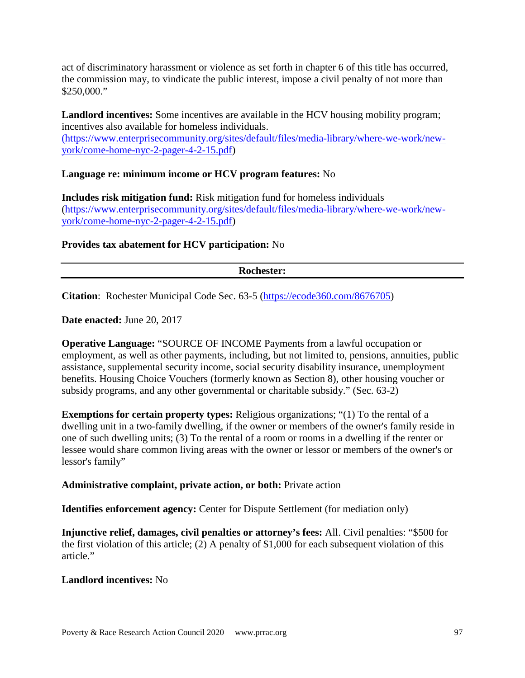act of discriminatory harassment or violence as set forth in chapter 6 of this title has occurred, the commission may, to vindicate the public interest, impose a civil penalty of not more than \$250,000."

**Landlord incentives:** Some incentives are available in the HCV housing mobility program; incentives also available for homeless individuals. (https://www.enterprisecommunity.org/sites/default/files/media-library/where-we-work/newyork/come-home-nyc-2-pager-4-2-15.pdf)

## **Language re: minimum income or HCV program features:** No

**Includes risk mitigation fund:** Risk mitigation fund for homeless individuals [\(https://www.enterprisecommunity.org/sites/default/files/media-library/where-we-work/new](https://www.enterprisecommunity.org/sites/default/files/media-library/where-we-work/new-york/come-home-nyc-2-pager-4-2-15.pdf)[york/come-home-nyc-2-pager-4-2-15.pdf\)](https://www.enterprisecommunity.org/sites/default/files/media-library/where-we-work/new-york/come-home-nyc-2-pager-4-2-15.pdf)

## **Provides tax abatement for HCV participation:** No

## **Rochester:**

**Citation**: Rochester Municipal Code Sec. 63-5 [\(https://ecode360.com/8676705\)](https://ecode360.com/8676705)

## **Date enacted:** June 20, 2017

**Operative Language:** "SOURCE OF INCOME Payments from a lawful occupation or employment, as well as other payments, including, but not limited to, pensions, annuities, public assistance, supplemental security income, social security disability insurance, unemployment benefits. Housing Choice Vouchers (formerly known as Section 8), other housing voucher or subsidy programs, and any other governmental or charitable subsidy." (Sec. 63-2)

**Exemptions for certain property types:** Religious organizations; "(1) To the rental of a dwelling unit in a two-family dwelling, if the owner or members of the owner's family reside in one of such dwelling units; (3) To the rental of a room or rooms in a dwelling if the renter or lessee would share common living areas with the owner or lessor or members of the owner's or lessor's family"

## **Administrative complaint, private action, or both:** Private action

**Identifies enforcement agency:** Center for Dispute Settlement (for mediation only)

**Injunctive relief, damages, civil penalties or attorney's fees:** All. Civil penalties: "\$500 for the first violation of this article; (2) A penalty of \$1,000 for each subsequent violation of this article."

## **Landlord incentives:** No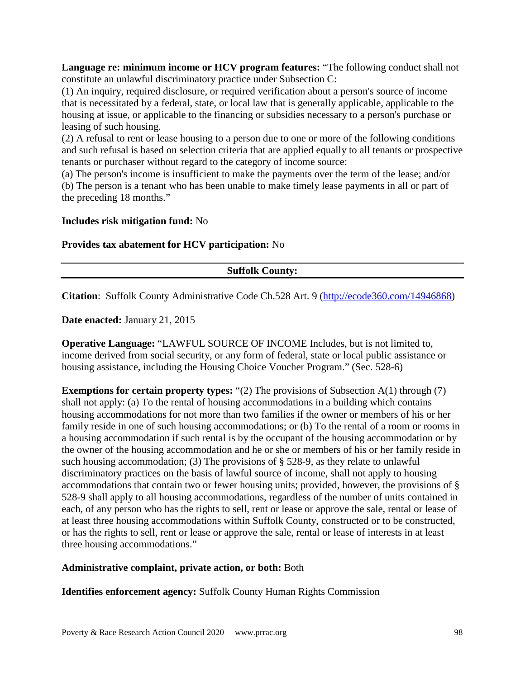**Language re: minimum income or HCV program features:** "The following conduct shall not constitute an unlawful discriminatory practice under Subsection C:

(1) An inquiry, required disclosure, or required verification about a person's source of income that is necessitated by a federal, state, or local law that is generally applicable, applicable to the housing at issue, or applicable to the financing or subsidies necessary to a person's purchase or leasing of such housing.

(2) A refusal to rent or lease housing to a person due to one or more of the following conditions and such refusal is based on selection criteria that are applied equally to all tenants or prospective tenants or purchaser without regard to the category of income source:

(a) The person's income is insufficient to make the payments over the term of the lease; and/or (b) The person is a tenant who has been unable to make timely lease payments in all or part of the preceding 18 months."

## **Includes risk mitigation fund:** No

### **Provides tax abatement for HCV participation:** No

### **Suffolk County:**

**Citation**: Suffolk County Administrative Code Ch.528 Art. 9 [\(http://ecode360.com/14946868\)](http://ecode360.com/14946868)

### **Date enacted:** January 21, 2015

**Operative Language:** "LAWFUL SOURCE OF INCOME Includes, but is not limited to, income derived from social security, or any form of federal, state or local public assistance or housing assistance, including the Housing Choice Voucher Program." (Sec. 528-6)

**Exemptions for certain property types:** "(2) The provisions of Subsection A(1) through (7) shall not apply: (a) To the rental of housing accommodations in a building which contains housing accommodations for not more than two families if the owner or members of his or her family reside in one of such housing accommodations; or (b) To the rental of a room or rooms in a housing accommodation if such rental is by the occupant of the housing accommodation or by the owner of the housing accommodation and he or she or members of his or her family reside in such housing accommodation; (3) The provisions of § 528-9, as they relate to unlawful discriminatory practices on the basis of lawful source of income, shall not apply to housing accommodations that contain two or fewer housing units; provided, however, the provisions of § 528-9 shall apply to all housing accommodations, regardless of the number of units contained in each, of any person who has the rights to sell, rent or lease or approve the sale, rental or lease of at least three housing accommodations within Suffolk County, constructed or to be constructed, or has the rights to sell, rent or lease or approve the sale, rental or lease of interests in at least three housing accommodations."

### **Administrative complaint, private action, or both:** Both

**Identifies enforcement agency:** Suffolk County Human Rights Commission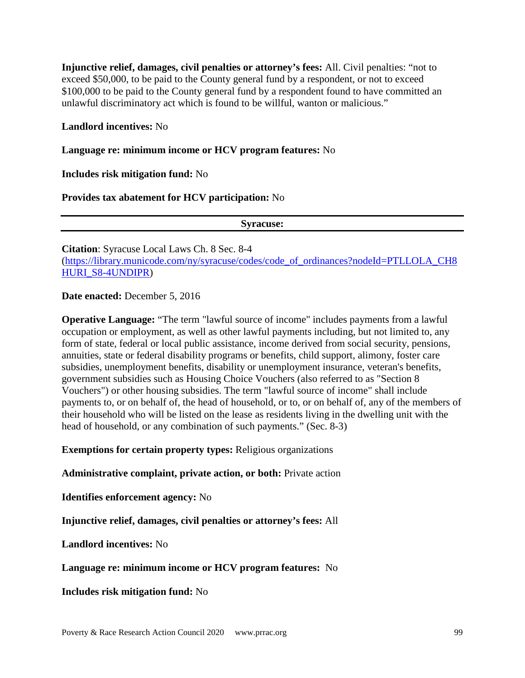**Injunctive relief, damages, civil penalties or attorney's fees:** All. Civil penalties: "not to exceed \$50,000, to be paid to the County general fund by a respondent, or not to exceed \$100,000 to be paid to the County general fund by a respondent found to have committed an unlawful discriminatory act which is found to be willful, wanton or malicious."

## **Landlord incentives:** No

### **Language re: minimum income or HCV program features:** No

**Includes risk mitigation fund:** No

**Provides tax abatement for HCV participation:** No

**Syracuse:** 

**Citation**: Syracuse Local Laws Ch. 8 Sec. 8-4 [\(https://library.municode.com/ny/syracuse/codes/code\\_of\\_ordinances?nodeId=PTLLOLA\\_CH8](https://library.municode.com/ny/syracuse/codes/code_of_ordinances?nodeId=PTLLOLA_CH8HURI_S8-4UNDIPR) [HURI\\_S8-4UNDIPR\)](https://library.municode.com/ny/syracuse/codes/code_of_ordinances?nodeId=PTLLOLA_CH8HURI_S8-4UNDIPR)

**Date enacted:** December 5, 2016

**Operative Language:** "The term "lawful source of income" includes payments from a lawful occupation or employment, as well as other lawful payments including, but not limited to, any form of state, federal or local public assistance, income derived from social security, pensions, annuities, state or federal disability programs or benefits, child support, alimony, foster care subsidies, unemployment benefits, disability or unemployment insurance, veteran's benefits, government subsidies such as Housing Choice Vouchers (also referred to as "Section 8 Vouchers") or other housing subsidies. The term "lawful source of income" shall include payments to, or on behalf of, the head of household, or to, or on behalf of, any of the members of their household who will be listed on the lease as residents living in the dwelling unit with the head of household, or any combination of such payments." (Sec. 8-3)

**Exemptions for certain property types:** Religious organizations

**Administrative complaint, private action, or both:** Private action

**Identifies enforcement agency:** No

**Injunctive relief, damages, civil penalties or attorney's fees:** All

**Landlord incentives:** No

**Language re: minimum income or HCV program features:** No

**Includes risk mitigation fund:** No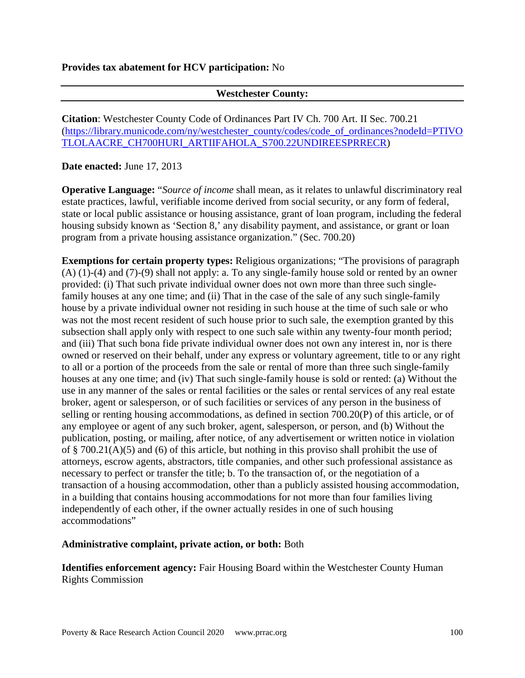### **Westchester County:**

**Citation**: Westchester County Code of Ordinances Part IV Ch. 700 Art. II Sec. 700.21 [\(https://library.municode.com/ny/westchester\\_county/codes/code\\_of\\_ordinances?nodeId=PTIVO](https://library.municode.com/ny/westchester_county/codes/code_of_ordinances?nodeId=PTIVOTLOLAACRE_CH700HURI_ARTIIFAHOLA_S700.22UNDIREESPRRECR) [TLOLAACRE\\_CH700HURI\\_ARTIIFAHOLA\\_S700.22UNDIREESPRRECR\)](https://library.municode.com/ny/westchester_county/codes/code_of_ordinances?nodeId=PTIVOTLOLAACRE_CH700HURI_ARTIIFAHOLA_S700.22UNDIREESPRRECR)

### **Date enacted:** June 17, 2013

**Operative Language:** "*Source of income* shall mean, as it relates to unlawful discriminatory real estate practices, lawful, verifiable income derived from social security, or any form of federal, state or local public assistance or housing assistance, grant of loan program, including the federal housing subsidy known as 'Section 8,' any disability payment, and assistance, or grant or loan program from a private housing assistance organization." (Sec. 700.20)

**Exemptions for certain property types:** Religious organizations; "The provisions of paragraph (A) (1)-(4) and (7)-(9) shall not apply: a. To any single-family house sold or rented by an owner provided: (i) That such private individual owner does not own more than three such singlefamily houses at any one time; and (ii) That in the case of the sale of any such single-family house by a private individual owner not residing in such house at the time of such sale or who was not the most recent resident of such house prior to such sale, the exemption granted by this subsection shall apply only with respect to one such sale within any twenty-four month period; and (iii) That such bona fide private individual owner does not own any interest in, nor is there owned or reserved on their behalf, under any express or voluntary agreement, title to or any right to all or a portion of the proceeds from the sale or rental of more than three such single-family houses at any one time; and (iv) That such single-family house is sold or rented: (a) Without the use in any manner of the sales or rental facilities or the sales or rental services of any real estate broker, agent or salesperson, or of such facilities or services of any person in the business of selling or renting housing accommodations, as defined in section 700.20(P) of this article, or of any employee or agent of any such broker, agent, salesperson, or person, and (b) Without the publication, posting, or mailing, after notice, of any advertisement or written notice in violation of § 700.21(A)(5) and (6) of this article, but nothing in this proviso shall prohibit the use of attorneys, escrow agents, abstractors, title companies, and other such professional assistance as necessary to perfect or transfer the title; b. To the transaction of, or the negotiation of a transaction of a housing accommodation, other than a publicly assisted housing accommodation, in a building that contains housing accommodations for not more than four families living independently of each other, if the owner actually resides in one of such housing accommodations"

## **Administrative complaint, private action, or both:** Both

**Identifies enforcement agency:** Fair Housing Board within the Westchester County Human Rights Commission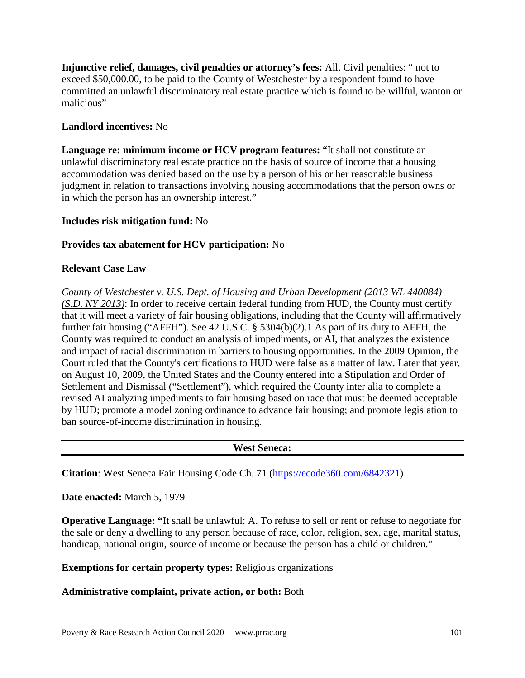**Injunctive relief, damages, civil penalties or attorney's fees:** All. Civil penalties: " not to exceed \$50,000.00, to be paid to the County of Westchester by a respondent found to have committed an unlawful discriminatory real estate practice which is found to be willful, wanton or malicious"

## **Landlord incentives:** No

**Language re: minimum income or HCV program features:** "It shall not constitute an unlawful discriminatory real estate practice on the basis of source of income that a housing accommodation was denied based on the use by a person of his or her reasonable business judgment in relation to transactions involving housing accommodations that the person owns or in which the person has an ownership interest."

### **Includes risk mitigation fund:** No

## **Provides tax abatement for HCV participation:** No

## **Relevant Case Law**

*County of Westchester v. U.S. Dept. of Housing and Urban Development (2013 WL 440084) (S.D. NY 2013)*: In order to receive certain federal funding from HUD, the County must certify that it will meet a variety of fair housing obligations, including that the County will affirmatively further fair housing ("AFFH"). See 42 U.S.C. § 5304(b)(2).1 As part of its duty to AFFH, the County was required to conduct an analysis of impediments, or AI, that analyzes the existence and impact of racial discrimination in barriers to housing opportunities. In the 2009 Opinion, the Court ruled that the County's certifications to HUD were false as a matter of law. Later that year, on August 10, 2009, the United States and the County entered into a Stipulation and Order of Settlement and Dismissal ("Settlement"), which required the County inter alia to complete a revised AI analyzing impediments to fair housing based on race that must be deemed acceptable by HUD; promote a model zoning ordinance to advance fair housing; and promote legislation to ban source-of-income discrimination in housing.

### **West Seneca:**

**Citation**: West Seneca Fair Housing Code Ch. 71 [\(https://ecode360.com/6842321\)](https://ecode360.com/6842321)

### **Date enacted:** March 5, 1979

**Operative Language: "**It shall be unlawful: A. To refuse to sell or rent or refuse to negotiate for the sale or deny a dwelling to any person because of race, color, religion, sex, age, marital status, handicap, national origin, source of income or because the person has a child or children."

### **Exemptions for certain property types:** Religious organizations

### **Administrative complaint, private action, or both:** Both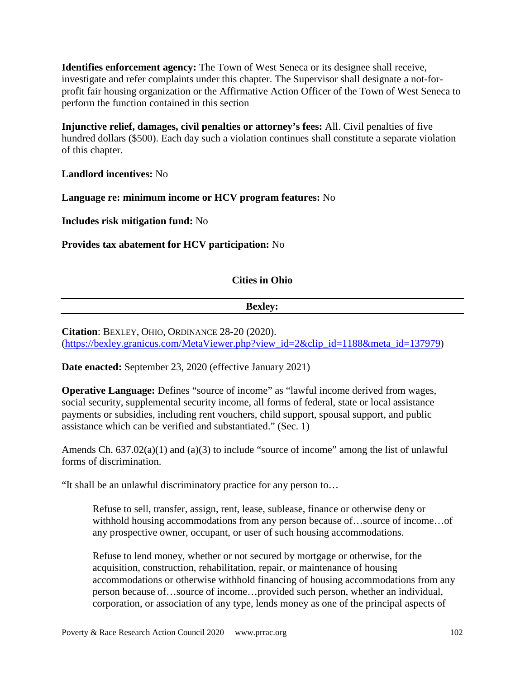**Identifies enforcement agency:** The Town of West Seneca or its designee shall receive, investigate and refer complaints under this chapter. The Supervisor shall designate a not-forprofit fair housing organization or the Affirmative Action Officer of the Town of West Seneca to perform the function contained in this section

**Injunctive relief, damages, civil penalties or attorney's fees:** All. Civil penalties of five hundred dollars (\$500). Each day such a violation continues shall constitute a separate violation of this chapter.

**Landlord incentives:** No

**Language re: minimum income or HCV program features:** No

**Includes risk mitigation fund:** No

**Provides tax abatement for HCV participation:** No

# **Cities in Ohio**

### **Bexley:**

**Citation**: BEXLEY, OHIO, ORDINANCE 28-20 (2020). [\(https://bexley.granicus.com/MetaViewer.php?view\\_id=2&clip\\_id=1188&meta\\_id=137979\)](https://bexley.granicus.com/MetaViewer.php?view_id=2&clip_id=1188&meta_id=137979)

**Date enacted:** September 23, 2020 (effective January 2021)

**Operative Language:** Defines "source of income" as "lawful income derived from wages, social security, supplemental security income, all forms of federal, state or local assistance payments or subsidies, including rent vouchers, child support, spousal support, and public assistance which can be verified and substantiated." (Sec. 1)

Amends Ch.  $637.02(a)(1)$  and  $(a)(3)$  to include "source of income" among the list of unlawful forms of discrimination.

"It shall be an unlawful discriminatory practice for any person to…

Refuse to sell, transfer, assign, rent, lease, sublease, finance or otherwise deny or withhold housing accommodations from any person because of…source of income…of any prospective owner, occupant, or user of such housing accommodations.

Refuse to lend money, whether or not secured by mortgage or otherwise, for the acquisition, construction, rehabilitation, repair, or maintenance of housing accommodations or otherwise withhold financing of housing accommodations from any person because of…source of income…provided such person, whether an individual, corporation, or association of any type, lends money as one of the principal aspects of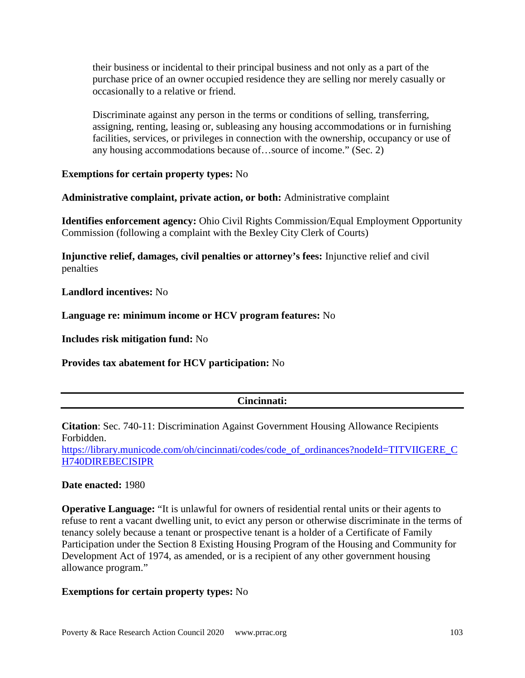their business or incidental to their principal business and not only as a part of the purchase price of an owner occupied residence they are selling nor merely casually or occasionally to a relative or friend.

Discriminate against any person in the terms or conditions of selling, transferring, assigning, renting, leasing or, subleasing any housing accommodations or in furnishing facilities, services, or privileges in connection with the ownership, occupancy or use of any housing accommodations because of…source of income." (Sec. 2)

### **Exemptions for certain property types:** No

**Administrative complaint, private action, or both:** Administrative complaint

**Identifies enforcement agency:** Ohio Civil Rights Commission/Equal Employment Opportunity Commission (following a complaint with the Bexley City Clerk of Courts)

**Injunctive relief, damages, civil penalties or attorney's fees:** Injunctive relief and civil penalties

**Landlord incentives:** No

**Language re: minimum income or HCV program features:** No

**Includes risk mitigation fund:** No

**Provides tax abatement for HCV participation:** No

# **Cincinnati:**

**Citation**: Sec. 740-11: Discrimination Against Government Housing Allowance Recipients Forbidden.

[https://library.municode.com/oh/cincinnati/codes/code\\_of\\_ordinances?nodeId=TITVIIGERE\\_C](https://library.municode.com/oh/cincinnati/codes/code_of_ordinances?nodeId=TITVIIGERE_CH740DIREBECISIPR) [H740DIREBECISIPR](https://library.municode.com/oh/cincinnati/codes/code_of_ordinances?nodeId=TITVIIGERE_CH740DIREBECISIPR)

#### **Date enacted:** 1980

**Operative Language:** "It is unlawful for owners of residential rental units or their agents to refuse to rent a vacant dwelling unit, to evict any person or otherwise discriminate in the terms of tenancy solely because a tenant or prospective tenant is a holder of a Certificate of Family Participation under the Section 8 Existing Housing Program of the Housing and Community for Development Act of 1974, as amended, or is a recipient of any other government housing allowance program."

#### **Exemptions for certain property types:** No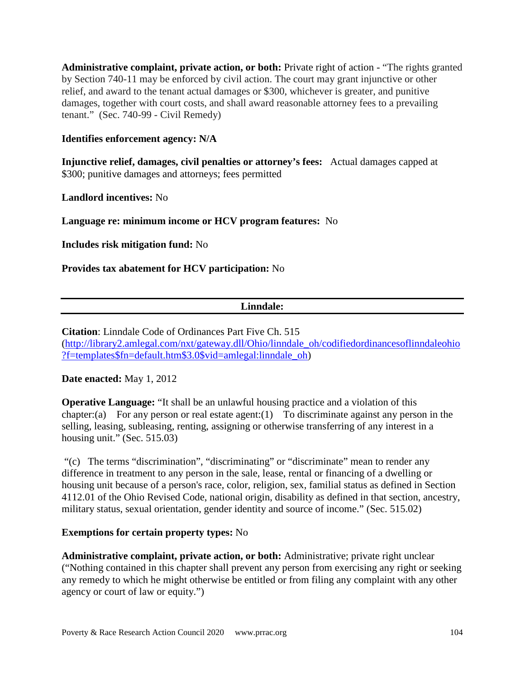**Administrative complaint, private action, or both:** Private right of action - "The rights granted by Section 740-11 may be enforced by civil action. The court may grant injunctive or other relief, and award to the tenant actual damages or \$300, whichever is greater, and punitive damages, together with court costs, and shall award reasonable attorney fees to a prevailing tenant." (Sec. 740-99 - Civil Remedy)

# **Identifies enforcement agency: N/A**

**Injunctive relief, damages, civil penalties or attorney's fees:** Actual damages capped at \$300; punitive damages and attorneys; fees permitted

**Landlord incentives:** No

**Language re: minimum income or HCV program features:** No

**Includes risk mitigation fund:** No

# **Provides tax abatement for HCV participation:** No

# **Linndale:**

**Citation**: Linndale Code of Ordinances Part Five Ch. 515 [\(http://library2.amlegal.com/nxt/gateway.dll/Ohio/linndale\\_oh/codifiedordinancesoflinndaleohio](http://library2.amlegal.com/nxt/gateway.dll/Ohio/linndale_oh/codifiedordinancesoflinndaleohio?f=templates$fn=default.htm$3.0$vid=amlegal:linndale_oh) [?f=templates\\$fn=default.htm\\$3.0\\$vid=amlegal:linndale\\_oh\)](http://library2.amlegal.com/nxt/gateway.dll/Ohio/linndale_oh/codifiedordinancesoflinndaleohio?f=templates$fn=default.htm$3.0$vid=amlegal:linndale_oh)

# **Date enacted:** May 1, 2012

**Operative Language:** "It shall be an unlawful housing practice and a violation of this chapter:(a) For any person or real estate agent: $(1)$  To discriminate against any person in the selling, leasing, subleasing, renting, assigning or otherwise transferring of any interest in a housing unit." (Sec. 515.03)

"(c) The terms "discrimination", "discriminating" or "discriminate" mean to render any difference in treatment to any person in the sale, lease, rental or financing of a dwelling or housing unit because of a person's race, color, religion, sex, familial status as defined in Section 4112.01 of the Ohio Revised Code, national origin, disability as defined in that section, ancestry, military status, sexual orientation, gender identity and source of income." (Sec. 515.02)

# **Exemptions for certain property types:** No

**Administrative complaint, private action, or both:** Administrative; private right unclear ("Nothing contained in this chapter shall prevent any person from exercising any right or seeking any remedy to which he might otherwise be entitled or from filing any complaint with any other agency or court of law or equity.")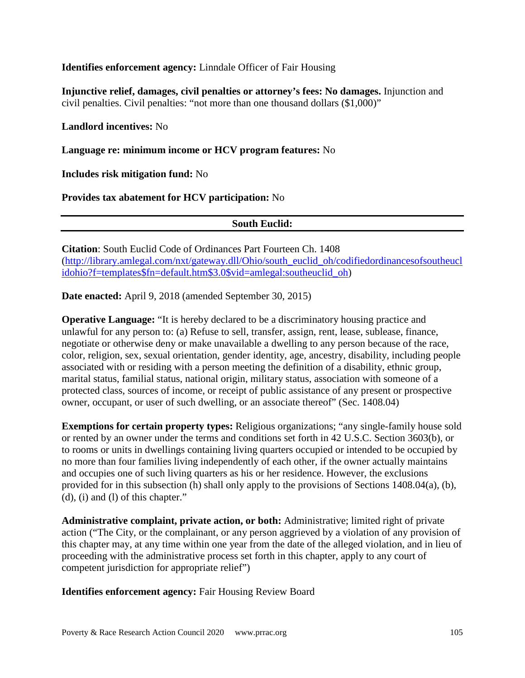**Identifies enforcement agency:** Linndale Officer of Fair Housing

**Injunctive relief, damages, civil penalties or attorney's fees: No damages.** Injunction and civil penalties. Civil penalties: "not more than one thousand dollars (\$1,000)"

**Landlord incentives:** No

**Language re: minimum income or HCV program features:** No

**Includes risk mitigation fund:** No

**Provides tax abatement for HCV participation:** No

**South Euclid:**

**Citation**: South Euclid Code of Ordinances Part Fourteen Ch. 1408 [\(http://library.amlegal.com/nxt/gateway.dll/Ohio/south\\_euclid\\_oh/codifiedordinancesofsoutheucl](http://library.amlegal.com/nxt/gateway.dll/Ohio/south_euclid_oh/codifiedordinancesofsoutheuclidohio?f=templates$fn=default.htm$3.0$vid=amlegal:southeuclid_oh) [idohio?f=templates\\$fn=default.htm\\$3.0\\$vid=amlegal:southeuclid\\_oh\)](http://library.amlegal.com/nxt/gateway.dll/Ohio/south_euclid_oh/codifiedordinancesofsoutheuclidohio?f=templates$fn=default.htm$3.0$vid=amlegal:southeuclid_oh)

**Date enacted:** April 9, 2018 (amended September 30, 2015)

**Operative Language:** "It is hereby declared to be a discriminatory housing practice and unlawful for any person to: (a) Refuse to sell, transfer, assign, rent, lease, sublease, finance, negotiate or otherwise deny or make unavailable a dwelling to any person because of the race, color, religion, sex, sexual orientation, gender identity, age, ancestry, disability, including people associated with or residing with a person meeting the definition of a disability, ethnic group, marital status, familial status, national origin, military status, association with someone of a protected class, sources of income, or receipt of public assistance of any present or prospective owner, occupant, or user of such dwelling, or an associate thereof" (Sec. 1408.04)

**Exemptions for certain property types:** Religious organizations; "any single-family house sold or rented by an owner under the terms and conditions set forth in 42 U.S.C. Section 3603(b), or to rooms or units in dwellings containing living quarters occupied or intended to be occupied by no more than four families living independently of each other, if the owner actually maintains and occupies one of such living quarters as his or her residence. However, the exclusions provided for in this subsection (h) shall only apply to the provisions of Sections 1408.04(a), (b), (d), (i) and (l) of this chapter."

**Administrative complaint, private action, or both:** Administrative; limited right of private action ("The City, or the complainant, or any person aggrieved by a violation of any provision of this chapter may, at any time within one year from the date of the alleged violation, and in lieu of proceeding with the administrative process set forth in this chapter, apply to any court of competent jurisdiction for appropriate relief")

**Identifies enforcement agency:** Fair Housing Review Board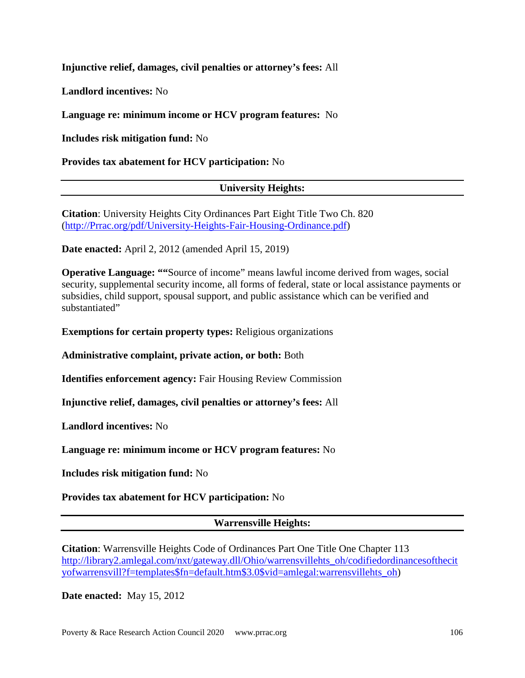**Injunctive relief, damages, civil penalties or attorney's fees:** All

**Landlord incentives:** No

**Language re: minimum income or HCV program features:** No

**Includes risk mitigation fund:** No

**Provides tax abatement for HCV participation:** No

# **University Heights:**

**Citation**: University Heights City Ordinances Part Eight Title Two Ch. 820 [\(http://Prrac.org/pdf/University-Heights-Fair-Housing-Ordinance.pdf\)](http://prrac.org/pdf/University-Heights-Fair-Housing-Ordinance.pdf)

**Date enacted:** April 2, 2012 (amended April 15, 2019)

**Operative Language: ""Source of income" means lawful income derived from wages, social** security, supplemental security income, all forms of federal, state or local assistance payments or subsidies, child support, spousal support, and public assistance which can be verified and substantiated"

**Exemptions for certain property types:** Religious organizations

**Administrative complaint, private action, or both:** Both

**Identifies enforcement agency:** Fair Housing Review Commission

**Injunctive relief, damages, civil penalties or attorney's fees:** All

**Landlord incentives:** No

**Language re: minimum income or HCV program features:** No

**Includes risk mitigation fund:** No

**Provides tax abatement for HCV participation:** No

## **Warrensville Heights:**

**Citation**: Warrensville Heights Code of Ordinances Part One Title One Chapter 113 [http://library2.amlegal.com/nxt/gateway.dll/Ohio/warrensvillehts\\_oh/codifiedordinancesofthecit](http://library2.amlegal.com/nxt/gateway.dll/Ohio/warrensvillehts_oh/codifiedordinancesofthecityofwarrensvill?f=templates$fn=default.htm$3.0$vid=amlegal:warrensvillehts_oh) [yofwarrensvill?f=templates\\$fn=default.htm\\$3.0\\$vid=amlegal:warrensvillehts\\_oh\)](http://library2.amlegal.com/nxt/gateway.dll/Ohio/warrensvillehts_oh/codifiedordinancesofthecityofwarrensvill?f=templates$fn=default.htm$3.0$vid=amlegal:warrensvillehts_oh)

**Date enacted:** May 15, 2012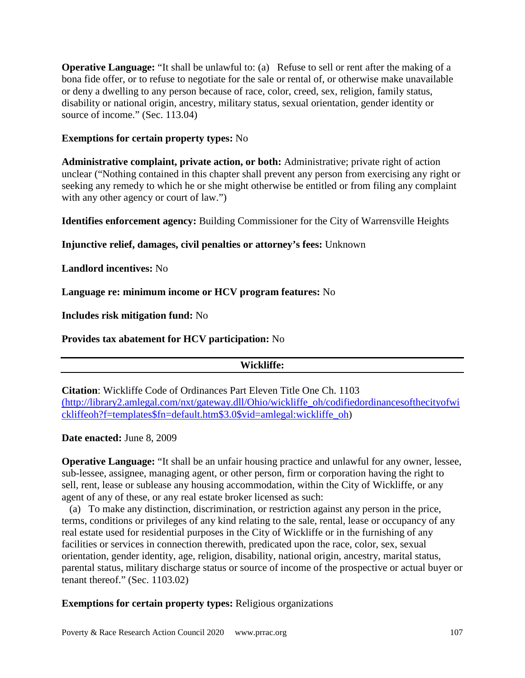**Operative Language:** "It shall be unlawful to: (a) Refuse to sell or rent after the making of a bona fide offer, or to refuse to negotiate for the sale or rental of, or otherwise make unavailable or deny a dwelling to any person because of race, color, creed, sex, religion, family status, disability or national origin, ancestry, military status, sexual orientation, gender identity or source of income." (Sec. 113.04)

## **Exemptions for certain property types:** No

**Administrative complaint, private action, or both:** Administrative; private right of action unclear ("Nothing contained in this chapter shall prevent any person from exercising any right or seeking any remedy to which he or she might otherwise be entitled or from filing any complaint with any other agency or court of law.")

**Identifies enforcement agency:** Building Commissioner for the City of Warrensville Heights

**Injunctive relief, damages, civil penalties or attorney's fees:** Unknown

**Landlord incentives:** No

**Language re: minimum income or HCV program features:** No

**Includes risk mitigation fund:** No

**Provides tax abatement for HCV participation:** No

# **Wickliffe:**

**Citation**: Wickliffe Code of Ordinances Part Eleven Title One Ch. 1103 [\(](http://www.conwaygreene.com/wickliffe/lpext.dll?f=templates&fn=main-h.htm&2.0)[http://library2.amlegal.com/nxt/gateway.dll/Ohio/wickliffe\\_oh/codifiedordinancesofthecityofwi](http://library2.amlegal.com/nxt/gateway.dll/Ohio/wickliffe_oh/codifiedordinancesofthecityofwickliffeoh?f=templates$fn=default.htm$3.0$vid=amlegal:wickliffe_oh) [ckliffeoh?f=templates\\$fn=default.htm\\$3.0\\$vid=amlegal:wickliffe\\_oh\)](http://library2.amlegal.com/nxt/gateway.dll/Ohio/wickliffe_oh/codifiedordinancesofthecityofwickliffeoh?f=templates$fn=default.htm$3.0$vid=amlegal:wickliffe_oh)

## **Date enacted:** June 8, 2009

**Operative Language:** "It shall be an unfair housing practice and unlawful for any owner, lessee, sub-lessee, assignee, managing agent, or other person, firm or corporation having the right to sell, rent, lease or sublease any housing accommodation, within the City of Wickliffe, or any agent of any of these, or any real estate broker licensed as such:

 (a) To make any distinction, discrimination, or restriction against any person in the price, terms, conditions or privileges of any kind relating to the sale, rental, lease or occupancy of any real estate used for residential purposes in the City of Wickliffe or in the furnishing of any facilities or services in connection therewith, predicated upon the race, color, sex, sexual orientation, gender identity, age, religion, disability, national origin, ancestry, marital status, parental status, military discharge status or source of income of the prospective or actual buyer or tenant thereof." (Sec. 1103.02)

**Exemptions for certain property types:** Religious organizations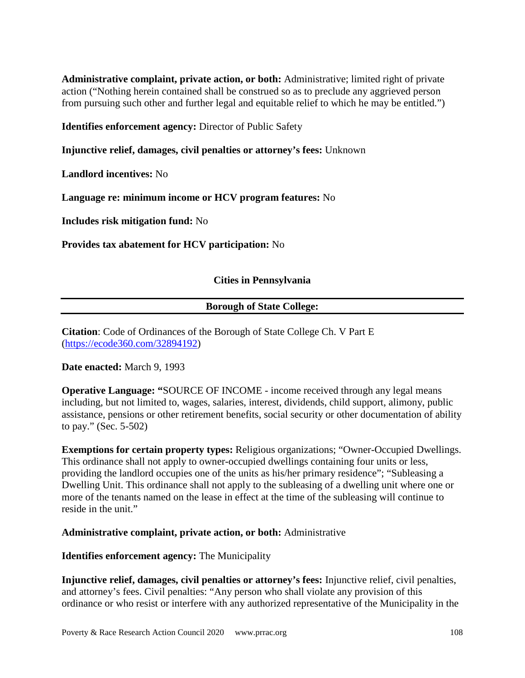**Administrative complaint, private action, or both:** Administrative; limited right of private action ("Nothing herein contained shall be construed so as to preclude any aggrieved person from pursuing such other and further legal and equitable relief to which he may be entitled.")

**Identifies enforcement agency:** Director of Public Safety

**Injunctive relief, damages, civil penalties or attorney's fees:** Unknown

**Landlord incentives:** No

**Language re: minimum income or HCV program features:** No

**Includes risk mitigation fund:** No

**Provides tax abatement for HCV participation:** No

## **Cities in Pennsylvania**

### **Borough of State College:**

**Citation**: Code of Ordinances of the Borough of State College Ch. V Part E [\(https://ecode360.com/32894192\)](https://ecode360.com/32894192)

**Date enacted:** March 9, 1993

**Operative Language: "**SOURCE OF INCOME - income received through any legal means including, but not limited to, wages, salaries, interest, dividends, child support, alimony, public assistance, pensions or other retirement benefits, social security or other documentation of ability to pay." (Sec. 5-502)

**Exemptions for certain property types:** Religious organizations; "Owner-Occupied Dwellings. This ordinance shall not apply to owner-occupied dwellings containing four units or less, providing the landlord occupies one of the units as his/her primary residence"; "Subleasing a Dwelling Unit. This ordinance shall not apply to the subleasing of a dwelling unit where one or more of the tenants named on the lease in effect at the time of the subleasing will continue to reside in the unit."

**Administrative complaint, private action, or both:** Administrative

**Identifies enforcement agency:** The Municipality

**Injunctive relief, damages, civil penalties or attorney's fees:** Injunctive relief, civil penalties, and attorney's fees. Civil penalties: "Any person who shall violate any provision of this ordinance or who resist or interfere with any authorized representative of the Municipality in the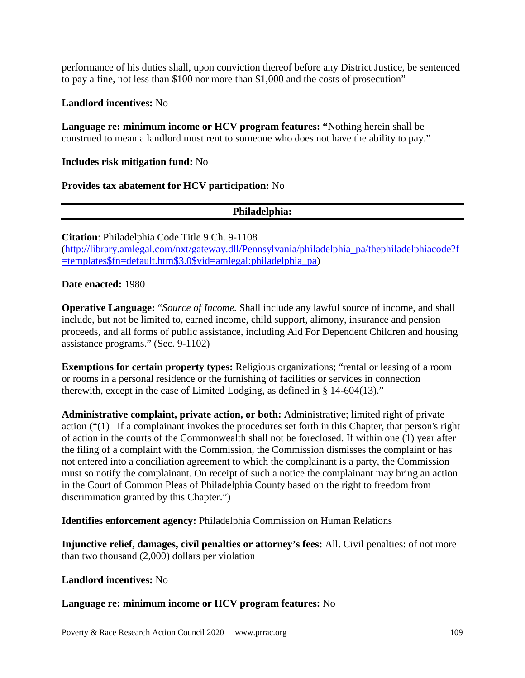performance of his duties shall, upon conviction thereof before any District Justice, be sentenced to pay a fine, not less than \$100 nor more than \$1,000 and the costs of prosecution"

# **Landlord incentives:** No

**Language re: minimum income or HCV program features: "**Nothing herein shall be construed to mean a landlord must rent to someone who does not have the ability to pay."

**Includes risk mitigation fund:** No

**Provides tax abatement for HCV participation:** No

#### **Philadelphia:**

**Citation**: Philadelphia Code Title 9 Ch. 9-1108

[\(http://library.amlegal.com/nxt/gateway.dll/Pennsylvania/philadelphia\\_pa/thephiladelphiacode?f](http://library.amlegal.com/nxt/gateway.dll/Pennsylvania/philadelphia_pa/thephiladelphiacode?f=templates$fn=default.htm$3.0$vid=amlegal:philadelphia_pa) [=templates\\$fn=default.htm\\$3.0\\$vid=amlegal:philadelphia\\_pa\)](http://library.amlegal.com/nxt/gateway.dll/Pennsylvania/philadelphia_pa/thephiladelphiacode?f=templates$fn=default.htm$3.0$vid=amlegal:philadelphia_pa)

#### **Date enacted:** 1980

**Operative Language:** "*Source of Income.* Shall include any lawful source of income, and shall include, but not be limited to, earned income, child support, alimony, insurance and pension proceeds, and all forms of public assistance, including Aid For Dependent Children and housing assistance programs." (Sec. 9-1102)

**Exemptions for certain property types:** Religious organizations; "rental or leasing of a room or rooms in a personal residence or the furnishing of facilities or services in connection therewith, except in the case of Limited Lodging, as defined in § [14-604\(13\).](http://library.amlegal.com/nxt/gateway.dll?f=jumplink$jumplink_x=Advanced$jumplink_vpc=first$jumplink_xsl=querylink.xsl$jumplink_sel=title;path;content-type;home-title;item-bookmark$jumplink_d=pennsylvania(philadelphia_pa)$jumplink_q=%5bfield%20folio-destination-name:%2714-604(13)%27%5d$jumplink_md=target-id=JD_14-604(13))"

**Administrative complaint, private action, or both:** Administrative; limited right of private action ("(1) If a complainant invokes the procedures set forth in this Chapter, that person's right of action in the courts of the Commonwealth shall not be foreclosed. If within one (1) year after the filing of a complaint with the Commission, the Commission dismisses the complaint or has not entered into a conciliation agreement to which the complainant is a party, the Commission must so notify the complainant. On receipt of such a notice the complainant may bring an action in the Court of Common Pleas of Philadelphia County based on the right to freedom from discrimination granted by this Chapter.")

**Identifies enforcement agency:** Philadelphia Commission on Human Relations

**Injunctive relief, damages, civil penalties or attorney's fees:** All. Civil penalties: of not more than two thousand (2,000) dollars per violation

#### **Landlord incentives:** No

# **Language re: minimum income or HCV program features:** No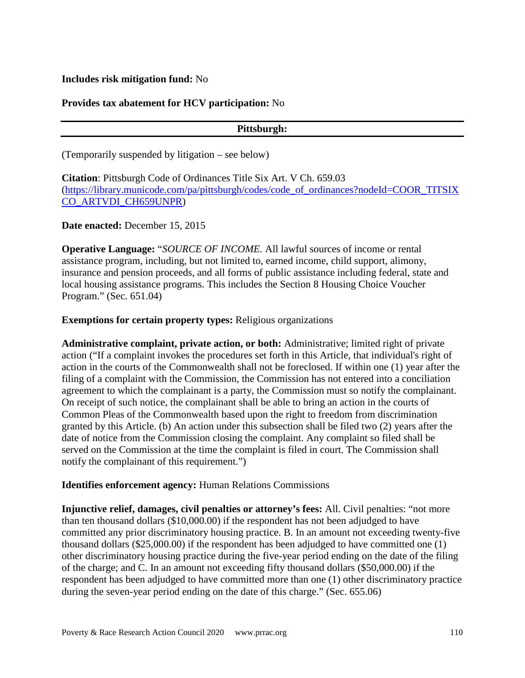#### **Includes risk mitigation fund:** No

#### **Provides tax abatement for HCV participation:** No

#### **Pittsburgh:**

(Temporarily suspended by litigation – see below)

**Citation**: Pittsburgh Code of Ordinances Title Six Art. V Ch. 659.03 [\(https://library.municode.com/pa/pittsburgh/codes/code\\_of\\_ordinances?nodeId=COOR\\_TITSIX](https://library.municode.com/pa/pittsburgh/codes/code_of_ordinances?nodeId=COOR_TITSIXCO_ARTVDI_CH659UNPR) [CO\\_ARTVDI\\_CH659UNPR\)](https://library.municode.com/pa/pittsburgh/codes/code_of_ordinances?nodeId=COOR_TITSIXCO_ARTVDI_CH659UNPR)

**Date enacted:** December 15, 2015

**Operative Language:** "*SOURCE OF INCOME.* All lawful sources of income or rental assistance program, including, but not limited to, earned income, child support, alimony, insurance and pension proceeds, and all forms of public assistance including federal, state and local housing assistance programs. This includes the Section 8 Housing Choice Voucher Program." (Sec. 651.04)

#### **Exemptions for certain property types:** Religious organizations

**Administrative complaint, private action, or both:** Administrative; limited right of private action ("If a complaint invokes the procedures set forth in this Article, that individual's right of action in the courts of the Commonwealth shall not be foreclosed. If within one (1) year after the filing of a complaint with the Commission, the Commission has not entered into a conciliation agreement to which the complainant is a party, the Commission must so notify the complainant. On receipt of such notice, the complainant shall be able to bring an action in the courts of Common Pleas of the Commonwealth based upon the right to freedom from discrimination granted by this Article. (b) An action under this subsection shall be filed two (2) years after the date of notice from the Commission closing the complaint. Any complaint so filed shall be served on the Commission at the time the complaint is filed in court. The Commission shall notify the complainant of this requirement.")

**Identifies enforcement agency:** Human Relations Commissions

**Injunctive relief, damages, civil penalties or attorney's fees:** All. Civil penalties: "not more than ten thousand dollars (\$10,000.00) if the respondent has not been adjudged to have committed any prior discriminatory housing practice. B. In an amount not exceeding twenty-five thousand dollars (\$25,000.00) if the respondent has been adjudged to have committed one (1) other discriminatory housing practice during the five-year period ending on the date of the filing of the charge; and C. In an amount not exceeding fifty thousand dollars (\$50,000.00) if the respondent has been adjudged to have committed more than one (1) other discriminatory practice during the seven-year period ending on the date of this charge." (Sec. 655.06)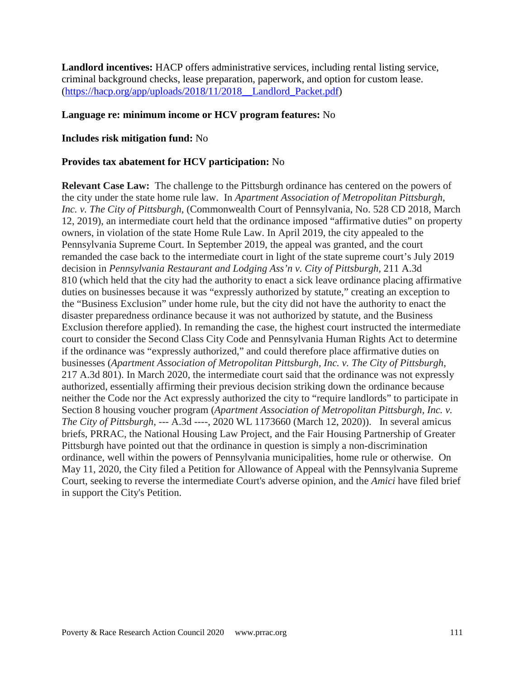**Landlord incentives:** HACP offers administrative services, including rental listing service, criminal background checks, lease preparation, paperwork, and option for custom lease. [\(https://hacp.org/app/uploads/2018/11/2018\\_\\_Landlord\\_Packet.pdf\)](https://hacp.org/app/uploads/2018/11/2018__Landlord_Packet.pdf)

# **Language re: minimum income or HCV program features:** No

# **Includes risk mitigation fund:** No

# **Provides tax abatement for HCV participation:** No

**Relevant Case Law:** The challenge to the Pittsburgh ordinance has centered on the powers of the city under the state home rule law. In *Apartment Association of Metropolitan Pittsburgh, Inc. v. The City of Pittsburgh*, (Commonwealth Court of Pennsylvania, No. 528 CD 2018, March 12, 2019), an intermediate court held that the ordinance imposed "affirmative duties" on property owners, in violation of the state Home Rule Law. In April 2019, the city appealed to the Pennsylvania Supreme Court. In September 2019, the appeal was granted, and the court remanded the case back to the intermediate court in light of the state supreme court's July 2019 decision in *Pennsylvania Restaurant and Lodging Ass'n v. City of Pittsburgh,* 211 A.3d 810 (which held that the city had the authority to enact a sick leave ordinance placing affirmative duties on businesses because it was "expressly authorized by statute," creating an exception to the "Business Exclusion" under home rule, but the city did not have the authority to enact the disaster preparedness ordinance because it was not authorized by statute, and the Business Exclusion therefore applied). In remanding the case, the highest court instructed the intermediate court to consider the Second Class City Code and Pennsylvania Human Rights Act to determine if the ordinance was "expressly authorized," and could therefore place affirmative duties on businesses (*Apartment Association of Metropolitan Pittsburgh, Inc. v. The City of Pittsburgh*, 217 A.3d 801). In March 2020, the intermediate court said that the ordinance was not expressly authorized, essentially affirming their previous decision striking down the ordinance because neither the Code nor the Act expressly authorized the city to "require landlords" to participate in Section 8 housing voucher program (*Apartment Association of Metropolitan Pittsburgh, Inc. v. The City of Pittsburgh*, --- A.3d ----, 2020 WL 1173660 (March 12, 2020)). In several amicus briefs, PRRAC, the National Housing Law Project, and the Fair Housing Partnership of Greater Pittsburgh have pointed out that the ordinance in question is simply a non-discrimination ordinance, well within the powers of Pennsylvania municipalities, home rule or otherwise. On May 11, 2020, the City filed a Petition for Allowance of Appeal with the Pennsylvania Supreme Court, seeking to reverse the intermediate Court's adverse opinion, and the *Amici* have filed brief in support the City's Petition.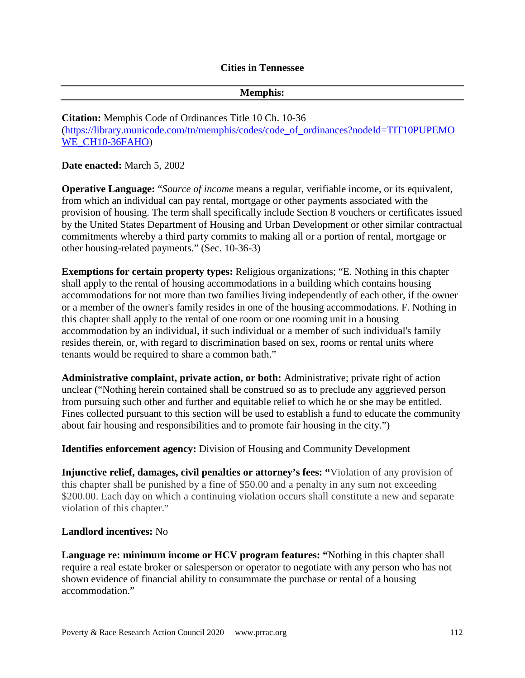**Memphis:**

**Citation:** Memphis Code of Ordinances Title 10 Ch. 10-36 [\(https://library.municode.com/tn/memphis/codes/code\\_of\\_ordinances?nodeId=TIT10PUPEMO](https://library.municode.com/tn/memphis/codes/code_of_ordinances?nodeId=TIT10PUPEMOWE_CH10-36FAHO) [WE\\_CH10-36FAHO\)](https://library.municode.com/tn/memphis/codes/code_of_ordinances?nodeId=TIT10PUPEMOWE_CH10-36FAHO)

**Date enacted:** March 5, 2002

**Operative Language:** "*Source of income* means a regular, verifiable income, or its equivalent, from which an individual can pay rental, mortgage or other payments associated with the provision of housing. The term shall specifically include Section 8 vouchers or certificates issued by the United States Department of Housing and Urban Development or other similar contractual commitments whereby a third party commits to making all or a portion of rental, mortgage or other housing-related payments." (Sec. 10-36-3)

**Exemptions for certain property types:** Religious organizations; "E. Nothing in this chapter shall apply to the rental of housing accommodations in a building which contains housing accommodations for not more than two families living independently of each other, if the owner or a member of the owner's family resides in one of the housing accommodations. F. Nothing in this chapter shall apply to the rental of one room or one rooming unit in a housing accommodation by an individual, if such individual or a member of such individual's family resides therein, or, with regard to discrimination based on sex, rooms or rental units where tenants would be required to share a common bath."

**Administrative complaint, private action, or both:** Administrative; private right of action unclear ("Nothing herein contained shall be construed so as to preclude any aggrieved person from pursuing such other and further and equitable relief to which he or she may be entitled. Fines collected pursuant to this section will be used to establish a fund to educate the community about fair housing and responsibilities and to promote fair housing in the city.")

**Identifies enforcement agency:** Division of Housing and Community Development

**Injunctive relief, damages, civil penalties or attorney's fees: "**Violation of any provision of this chapter shall be punished by a fine of \$50.00 and a penalty in any sum not exceeding \$200.00. Each day on which a continuing violation occurs shall constitute a new and separate violation of this chapter."

# **Landlord incentives:** No

**Language re: minimum income or HCV program features: "**Nothing in this chapter shall require a real estate broker or salesperson or operator to negotiate with any person who has not shown evidence of financial ability to consummate the purchase or rental of a housing accommodation"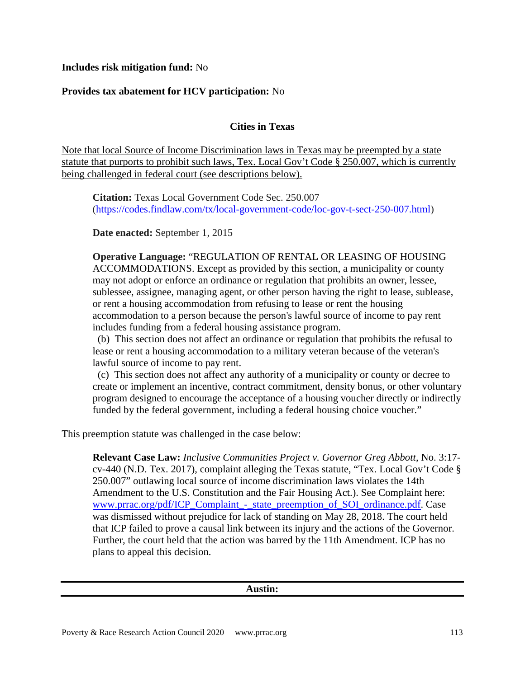**Includes risk mitigation fund:** No

# **Provides tax abatement for HCV participation:** No

# **Cities in Texas**

Note that local Source of Income Discrimination laws in Texas may be preempted by a state statute that purports to prohibit such laws, Tex. Local Gov't Code § 250.007, which is currently being challenged in federal court (see descriptions below).

**Citation:** Texas Local Government Code Sec. 250.007 [\(https://codes.findlaw.com/tx/local-government-code/loc-gov-t-sect-250-007.html\)](https://codes.findlaw.com/tx/local-government-code/loc-gov-t-sect-250-007.html)

**Date enacted:** September 1, 2015

**Operative Language:** "REGULATION OF RENTAL OR LEASING OF HOUSING ACCOMMODATIONS. Except as provided by this section, a municipality or county may not adopt or enforce an ordinance or regulation that prohibits an owner, lessee, sublessee, assignee, managing agent, or other person having the right to lease, sublease, or rent a housing accommodation from refusing to lease or rent the housing accommodation to a person because the person's lawful source of income to pay rent includes funding from a federal housing assistance program.

(b) This section does not affect an ordinance or regulation that prohibits the refusal to lease or rent a housing accommodation to a military veteran because of the veteran's lawful source of income to pay rent.

(c) This section does not affect any authority of a municipality or county or decree to create or implement an incentive, contract commitment, density bonus, or other voluntary program designed to encourage the acceptance of a housing voucher directly or indirectly funded by the federal government, including a federal housing choice voucher."

This preemption statute was challenged in the case below:

**Relevant Case Law:** *Inclusive Communities Project v. Governor Greg Abbott*, No. 3:17 cv-440 (N.D. Tex. 2017), complaint alleging the Texas statute, "Tex. Local Gov't Code § 250.007" outlawing local source of income discrimination laws violates the 14th Amendment to the U.S. Constitution and the Fair Housing Act.). See Complaint here: www.prrac.org/pdf/ICP\_Complaint - state\_preemption\_of\_SOI\_ordinance.pdf. Case was dismissed without prejudice for lack of standing on May 28, 2018. The court held that ICP failed to prove a causal link between its injury and the actions of the Governor. Further, the court held that the action was barred by the 11th Amendment. ICP has no plans to appeal this decision.

**Austin:**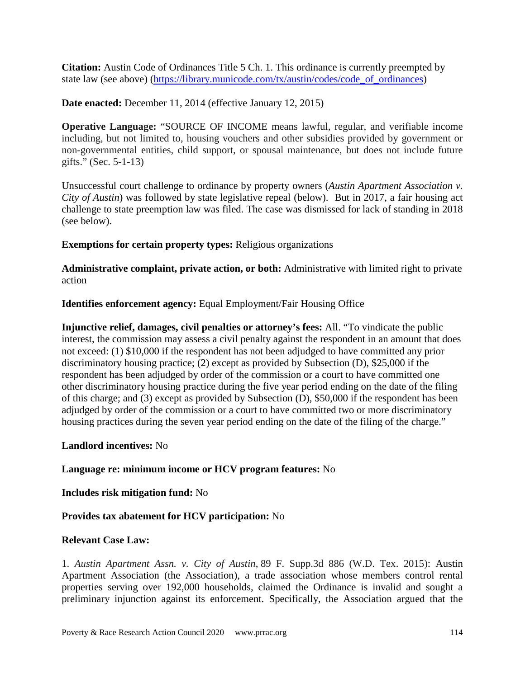**Citation:** Austin Code of Ordinances Title 5 Ch. 1. This ordinance is currently preempted by state law (see above) [\(https://library.municode.com/tx/austin/codes/code\\_of\\_ordinances\)](https://library.municode.com/tx/austin/codes/code_of_ordinances)

**Date enacted:** December 11, 2014 (effective January 12, 2015)

**Operative Language:** "SOURCE OF INCOME means lawful, regular, and verifiable income including, but not limited to, housing vouchers and other subsidies provided by government or non-governmental entities, child support, or spousal maintenance, but does not include future gifts." (Sec. 5-1-13)

Unsuccessful court challenge to ordinance by property owners (*Austin Apartment Association v. City of Austin*) was followed by state legislative repeal (below). But in 2017, a fair housing act challenge to state preemption law was filed. The case was dismissed for lack of standing in 2018 (see below).

**Exemptions for certain property types:** Religious organizations

**Administrative complaint, private action, or both:** Administrative with limited right to private action

**Identifies enforcement agency:** Equal Employment/Fair Housing Office

**Injunctive relief, damages, civil penalties or attorney's fees:** All. "To vindicate the public interest, the commission may assess a civil penalty against the respondent in an amount that does not exceed: (1) \$10,000 if the respondent has not been adjudged to have committed any prior discriminatory housing practice; (2) except as provided by Subsection (D), \$25,000 if the respondent has been adjudged by order of the commission or a court to have committed one other discriminatory housing practice during the five year period ending on the date of the filing of this charge; and (3) except as provided by Subsection (D), \$50,000 if the respondent has been adjudged by order of the commission or a court to have committed two or more discriminatory housing practices during the seven year period ending on the date of the filing of the charge."

**Landlord incentives:** No

**Language re: minimum income or HCV program features:** No

**Includes risk mitigation fund:** No

**Provides tax abatement for HCV participation:** No

# **Relevant Case Law:**

1. *Austin Apartment Assn. v. City of Austin*, 89 F. Supp.3d 886 (W.D. Tex. 2015): Austin Apartment Association (the Association), a trade association whose members control rental properties serving over 192,000 households, claimed the Ordinance is invalid and sought a preliminary injunction against its enforcement. Specifically, the Association argued that the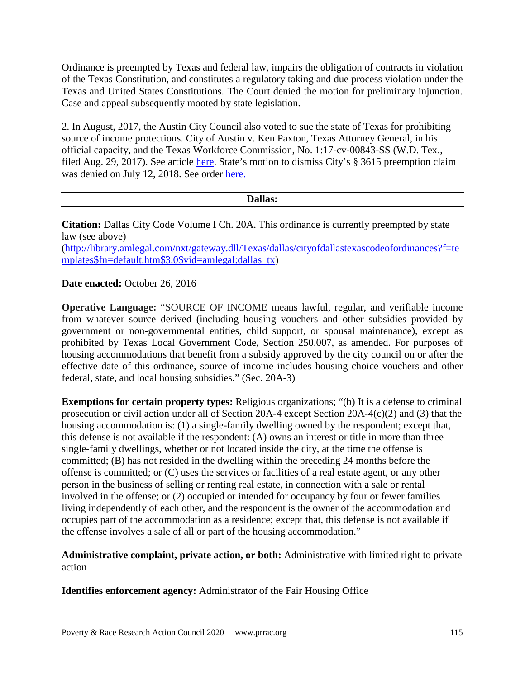Ordinance is preempted by Texas and federal law, impairs the obligation of contracts in violation of the Texas Constitution, and constitutes a regulatory taking and due process violation under the Texas and United States Constitutions. The Court denied the motion for preliminary injunction. Case and appeal subsequently mooted by state legislation.

2. In August, 2017, the Austin City Council also voted to sue the state of Texas for prohibiting source of income protections. City of Austin v. Ken Paxton, Texas Attorney General, in his official capacity, and the Texas Workforce Commission, No. 1:17-cv-00843-SS (W.D. Tex., filed Aug. 29, 2017). See article [here.](https://texashousers.net/2017/08/17/austin-city-council-votes-to-sue-state-for-prohibiting-protections-against-voucher-discrimination/) State's motion to dismiss City's § 3615 preemption claim was denied on July 12, 2018. See order [here.](https://www.casemine.com/judgement/us/5b5b0142fe30dd519068f9ad)

| <b>Dallas:</b> |
|----------------|
|                |

**Citation:** Dallas City Code Volume I Ch. 20A. This ordinance is currently preempted by state law (see above) [\(http://library.amlegal.com/nxt/gateway.dll/Texas/dallas/cityofdallastexascodeofordinances?f=te](http://library.amlegal.com/nxt/gateway.dll/Texas/dallas/cityofdallastexascodeofordinances?f=templates$fn=default.htm$3.0$vid=amlegal:dallas_tx)

[mplates\\$fn=default.htm\\$3.0\\$vid=amlegal:dallas\\_tx\)](http://library.amlegal.com/nxt/gateway.dll/Texas/dallas/cityofdallastexascodeofordinances?f=templates$fn=default.htm$3.0$vid=amlegal:dallas_tx)

# **Date enacted:** October 26, 2016

**Operative Language:** "SOURCE OF INCOME means lawful, regular, and verifiable income from whatever source derived (including housing vouchers and other subsidies provided by government or non-governmental entities, child support, or spousal maintenance), except as prohibited by Texas Local Government Code, Section 250.007, as amended. For purposes of housing accommodations that benefit from a subsidy approved by the city council on or after the effective date of this ordinance, source of income includes housing choice vouchers and other federal, state, and local housing subsidies." (Sec. 20A-3)

**Exemptions for certain property types:** Religious organizations; "(b) It is a defense to criminal prosecution or civil action under all of Section 20A-4 except Section 20A-4(c)(2) and (3) that the housing accommodation is: (1) a single-family dwelling owned by the respondent; except that, this defense is not available if the respondent: (A) owns an interest or title in more than three single-family dwellings, whether or not located inside the city, at the time the offense is committed; (B) has not resided in the dwelling within the preceding 24 months before the offense is committed; or (C) uses the services or facilities of a real estate agent, or any other person in the business of selling or renting real estate, in connection with a sale or rental involved in the offense; or (2) occupied or intended for occupancy by four or fewer families living independently of each other, and the respondent is the owner of the accommodation and occupies part of the accommodation as a residence; except that, this defense is not available if the offense involves a sale of all or part of the housing accommodation."

**Administrative complaint, private action, or both:** Administrative with limited right to private action

**Identifies enforcement agency:** Administrator of the Fair Housing Office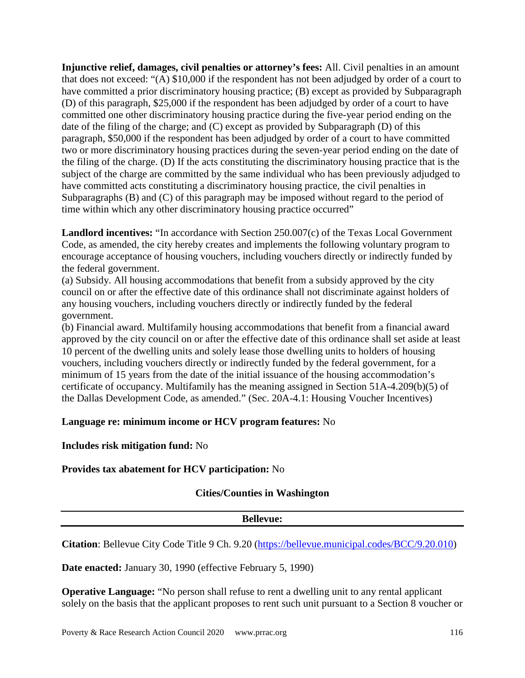**Injunctive relief, damages, civil penalties or attorney's fees:** All. Civil penalties in an amount that does not exceed: "(A) \$10,000 if the respondent has not been adjudged by order of a court to have committed a prior discriminatory housing practice; (B) except as provided by Subparagraph (D) of this paragraph, \$25,000 if the respondent has been adjudged by order of a court to have committed one other discriminatory housing practice during the five-year period ending on the date of the filing of the charge; and (C) except as provided by Subparagraph (D) of this paragraph, \$50,000 if the respondent has been adjudged by order of a court to have committed two or more discriminatory housing practices during the seven-year period ending on the date of the filing of the charge. (D) If the acts constituting the discriminatory housing practice that is the subject of the charge are committed by the same individual who has been previously adjudged to have committed acts constituting a discriminatory housing practice, the civil penalties in Subparagraphs (B) and (C) of this paragraph may be imposed without regard to the period of time within which any other discriminatory housing practice occurred"

**Landlord incentives:** "In accordance with Section 250.007(c) of the Texas Local Government Code, as amended, the city hereby creates and implements the following voluntary program to encourage acceptance of housing vouchers, including vouchers directly or indirectly funded by the federal government.

(a) Subsidy. All housing accommodations that benefit from a subsidy approved by the city council on or after the effective date of this ordinance shall not discriminate against holders of any housing vouchers, including vouchers directly or indirectly funded by the federal government.

(b) Financial award. Multifamily housing accommodations that benefit from a financial award approved by the city council on or after the effective date of this ordinance shall set aside at least 10 percent of the dwelling units and solely lease those dwelling units to holders of housing vouchers, including vouchers directly or indirectly funded by the federal government, for a minimum of 15 years from the date of the initial issuance of the housing accommodation's certificate of occupancy. Multifamily has the meaning assigned in Section 51A-4.209(b)(5) of the Dallas Development Code, as amended." (Sec. 20A-4.1: Housing Voucher Incentives)

# **Language re: minimum income or HCV program features:** No

# **Includes risk mitigation fund:** No

# **Provides tax abatement for HCV participation:** No

# **Cities/Counties in Washington**

#### **Bellevue:**

**Citation**: Bellevue City Code Title 9 Ch. 9.20 [\(https://bellevue.municipal.codes/BCC/9.20.010\)](https://bellevue.municipal.codes/BCC/9.20.010)

**Date enacted:** January 30, 1990 (effective February 5, 1990)

**Operative Language:** "No person shall refuse to rent a dwelling unit to any rental applicant solely on the basis that the applicant proposes to rent such unit pursuant to a Section 8 voucher or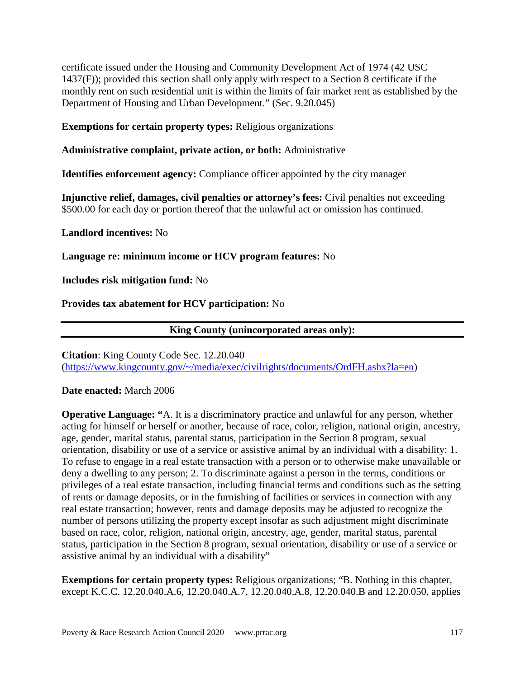certificate issued under the Housing and Community Development Act of 1974 (42 USC 1437(F)); provided this section shall only apply with respect to a Section 8 certificate if the monthly rent on such residential unit is within the limits of fair market rent as established by the Department of Housing and Urban Development." (Sec. 9.20.045)

# **Exemptions for certain property types:** Religious organizations

# **Administrative complaint, private action, or both:** Administrative

**Identifies enforcement agency:** Compliance officer appointed by the city manager

**Injunctive relief, damages, civil penalties or attorney's fees:** Civil penalties not exceeding \$500.00 for each day or portion thereof that the unlawful act or omission has continued.

**Landlord incentives:** No

**Language re: minimum income or HCV program features:** No

**Includes risk mitigation fund:** No

**Provides tax abatement for HCV participation:** No

# **King County (unincorporated areas only):**

**Citation**: King County Code Sec. 12.20.040 [\(https://www.kingcounty.gov/~/media/exec/civilrights/documents/OrdFH.ashx?la=en\)](https://www.kingcounty.gov/%7E/media/exec/civilrights/documents/OrdFH.ashx?la=en)

# **Date enacted:** March 2006

**Operative Language: "**A. It is a discriminatory practice and unlawful for any person, whether acting for himself or herself or another, because of race, color, religion, national origin, ancestry, age, gender, marital status, parental status, participation in the Section 8 program, sexual orientation, disability or use of a service or assistive animal by an individual with a disability: 1. To refuse to engage in a real estate transaction with a person or to otherwise make unavailable or deny a dwelling to any person; 2. To discriminate against a person in the terms, conditions or privileges of a real estate transaction, including financial terms and conditions such as the setting of rents or damage deposits, or in the furnishing of facilities or services in connection with any real estate transaction; however, rents and damage deposits may be adjusted to recognize the number of persons utilizing the property except insofar as such adjustment might discriminate based on race, color, religion, national origin, ancestry, age, gender, marital status, parental status, participation in the Section 8 program, sexual orientation, disability or use of a service or assistive animal by an individual with a disability"

**Exemptions for certain property types:** Religious organizations; "B. Nothing in this chapter, except K.C.C. 12.20.040.A.6, 12.20.040.A.7, 12.20.040.A.8, 12.20.040.B and 12.20.050, applies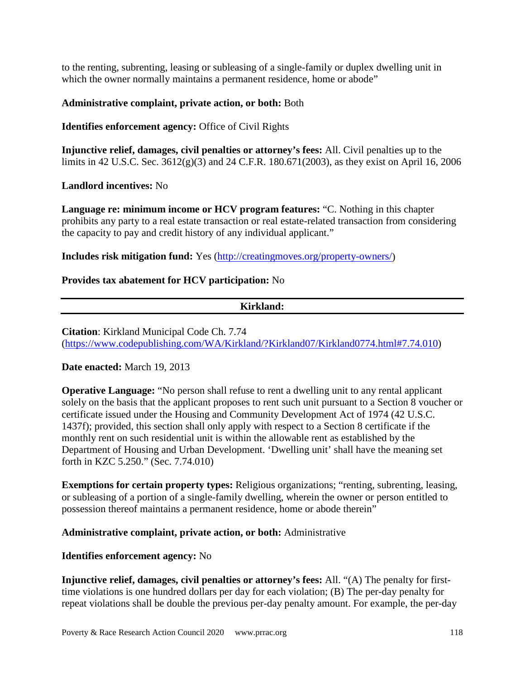to the renting, subrenting, leasing or subleasing of a single-family or duplex dwelling unit in which the owner normally maintains a permanent residence, home or abode"

# **Administrative complaint, private action, or both:** Both

# **Identifies enforcement agency:** Office of Civil Rights

**Injunctive relief, damages, civil penalties or attorney's fees:** All. Civil penalties up to the limits in 42 U.S.C. Sec. 3612(g)(3) and 24 C.F.R. 180.671(2003), as they exist on April 16, 2006

**Landlord incentives:** No

**Language re: minimum income or HCV program features:** "C. Nothing in this chapter prohibits any party to a real estate transaction or real estate-related transaction from considering the capacity to pay and credit history of any individual applicant."

**Includes risk mitigation fund:** Yes [\(http://creatingmoves.org/property-owners/\)](http://creatingmoves.org/property-owners/)

# **Provides tax abatement for HCV participation:** No

# **Kirkland:**

**Citation**: Kirkland Municipal Code Ch. 7.74 [\(https://www.codepublishing.com/WA/Kirkland/?Kirkland07/Kirkland0774.html#7.74.010\)](https://www.codepublishing.com/WA/Kirkland/?Kirkland07/Kirkland0774.html#7.74.010)

# **Date enacted:** March 19, 2013

**Operative Language:** "No person shall refuse to rent a dwelling unit to any rental applicant solely on the basis that the applicant proposes to rent such unit pursuant to a Section 8 voucher or certificate issued under the Housing and Community Development Act of 1974 (42 U.S.C. 1437f); provided, this section shall only apply with respect to a Section 8 certificate if the monthly rent on such residential unit is within the allowable rent as established by the Department of Housing and Urban Development. 'Dwelling unit' shall have the meaning set forth in KZC 5.250." (Sec. 7.74.010)

**Exemptions for certain property types:** Religious organizations; "renting, subrenting, leasing, or subleasing of a portion of a single-family dwelling, wherein the owner or person entitled to possession thereof maintains a permanent residence, home or abode therein"

# **Administrative complaint, private action, or both:** Administrative

#### **Identifies enforcement agency:** No

**Injunctive relief, damages, civil penalties or attorney's fees:** All. "(A) The penalty for firsttime violations is one hundred dollars per day for each violation; (B) The per-day penalty for repeat violations shall be double the previous per-day penalty amount. For example, the per-day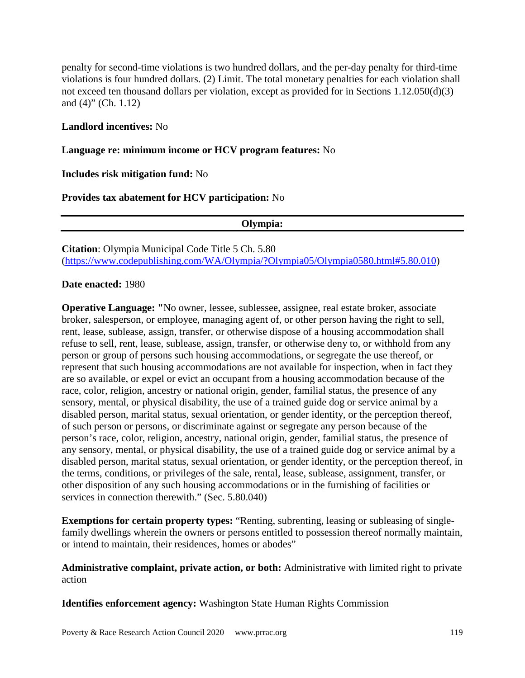penalty for second-time violations is two hundred dollars, and the per-day penalty for third-time violations is four hundred dollars. (2) Limit. The total monetary penalties for each violation shall not exceed ten thousand dollars per violation, except as provided for in Sections 1.12.050(d)(3) and (4)" (Ch. 1.12)

#### **Landlord incentives:** No

#### **Language re: minimum income or HCV program features:** No

#### **Includes risk mitigation fund:** No

# **Provides tax abatement for HCV participation:** No

| Immio.<br>$\mathbf{U}$ i yilipid. |  |
|-----------------------------------|--|
|                                   |  |

**Citation**: Olympia Municipal Code Title 5 Ch. 5.80 [\(https://www.codepublishing.com/WA/Olympia/?Olympia05/Olympia0580.html#5.80.010\)](https://www.codepublishing.com/WA/Olympia/?Olympia05/Olympia0580.html#5.80.010)

#### **Date enacted:** 1980

**Operative Language: "**No owner, lessee, sublessee, assignee, real estate broker, associate broker, salesperson, or employee, managing agent of, or other person having the right to sell, rent, lease, sublease, assign, transfer, or otherwise dispose of a housing accommodation shall refuse to sell, rent, lease, sublease, assign, transfer, or otherwise deny to, or withhold from any person or group of persons such housing accommodations, or segregate the use thereof, or represent that such housing accommodations are not available for inspection, when in fact they are so available, or expel or evict an occupant from a housing accommodation because of the race, color, religion, ancestry or national origin, gender, familial status, the presence of any sensory, mental, or physical disability, the use of a trained guide dog or service animal by a disabled person, marital status, sexual orientation, or gender identity, or the perception thereof, of such person or persons, or discriminate against or segregate any person because of the person's race, color, religion, ancestry, national origin, gender, familial status, the presence of any sensory, mental, or physical disability, the use of a trained guide dog or service animal by a disabled person, marital status, sexual orientation, or gender identity, or the perception thereof, in the terms, conditions, or privileges of the sale, rental, lease, sublease, assignment, transfer, or other disposition of any such housing accommodations or in the furnishing of facilities or services in connection therewith." (Sec. 5.80.040)

**Exemptions for certain property types:** "Renting, subrenting, leasing or subleasing of singlefamily dwellings wherein the owners or persons entitled to possession thereof normally maintain, or intend to maintain, their residences, homes or abodes"

**Administrative complaint, private action, or both:** Administrative with limited right to private action

**Identifies enforcement agency:** Washington State Human Rights Commission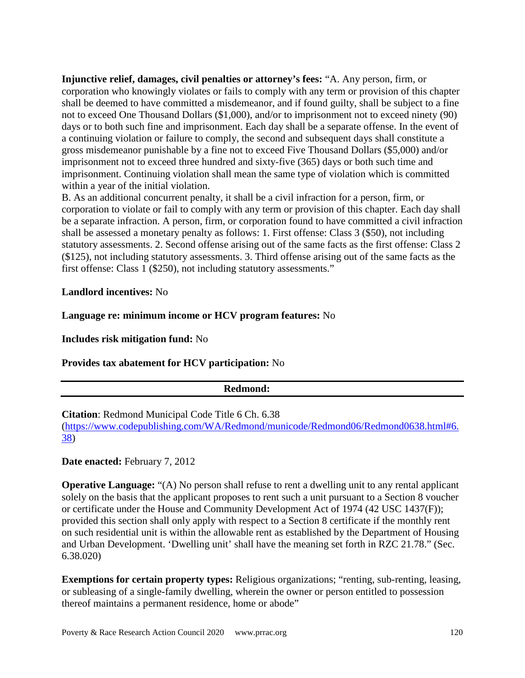**Injunctive relief, damages, civil penalties or attorney's fees:** "A. Any person, firm, or corporation who knowingly violates or fails to comply with any term or provision of this chapter shall be deemed to have committed a misdemeanor, and if found guilty, shall be subject to a fine not to exceed One Thousand Dollars (\$1,000), and/or to imprisonment not to exceed ninety (90) days or to both such fine and imprisonment. Each day shall be a separate offense. In the event of a continuing violation or failure to comply, the second and subsequent days shall constitute a gross misdemeanor punishable by a fine not to exceed Five Thousand Dollars (\$5,000) and/or imprisonment not to exceed three hundred and sixty-five (365) days or both such time and imprisonment. Continuing violation shall mean the same type of violation which is committed within a year of the initial violation.

B. As an additional concurrent penalty, it shall be a civil infraction for a person, firm, or corporation to violate or fail to comply with any term or provision of this chapter. Each day shall be a separate infraction. A person, firm, or corporation found to have committed a civil infraction shall be assessed a monetary penalty as follows: 1. First offense: Class 3 (\$50), not including statutory assessments. 2. Second offense arising out of the same facts as the first offense: Class 2 (\$125), not including statutory assessments. 3. Third offense arising out of the same facts as the first offense: Class 1 (\$250), not including statutory assessments."

**Landlord incentives:** No

#### **Language re: minimum income or HCV program features:** No

**Includes risk mitigation fund:** No

**Provides tax abatement for HCV participation:** No

#### **Redmond:**

**Citation**: Redmond Municipal Code Title 6 Ch. 6.38

[\(https://www.codepublishing.com/WA/Redmond/municode/Redmond06/Redmond0638.html#6.](https://www.codepublishing.com/WA/Redmond/municode/Redmond06/Redmond0638.html#6.38) [38\)](https://www.codepublishing.com/WA/Redmond/municode/Redmond06/Redmond0638.html#6.38)

**Date enacted:** February 7, 2012

**Operative Language:** "(A) No person shall refuse to rent a dwelling unit to any rental applicant solely on the basis that the applicant proposes to rent such a unit pursuant to a Section 8 voucher or certificate under the House and Community Development Act of 1974 (42 USC 1437(F)); provided this section shall only apply with respect to a Section 8 certificate if the monthly rent on such residential unit is within the allowable rent as established by the Department of Housing and Urban Development. 'Dwelling unit' shall have the meaning set forth in RZC 21.78." (Sec. 6.38.020)

**Exemptions for certain property types:** Religious organizations; "renting, sub-renting, leasing, or subleasing of a single-family dwelling, wherein the owner or person entitled to possession thereof maintains a permanent residence, home or abode"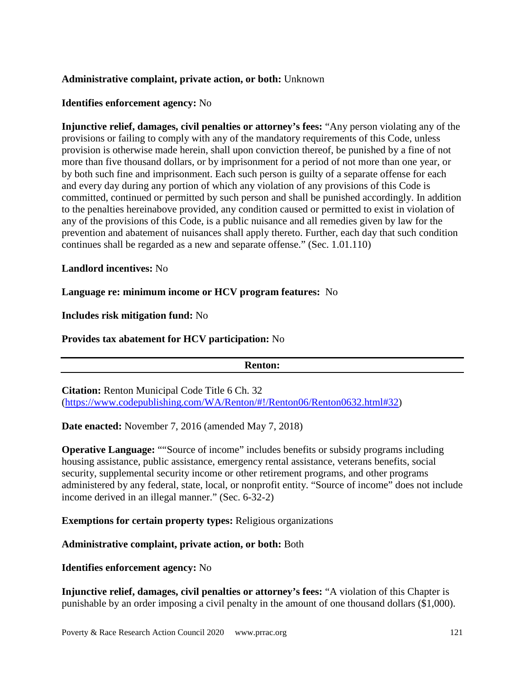# **Administrative complaint, private action, or both:** Unknown

#### **Identifies enforcement agency:** No

**Injunctive relief, damages, civil penalties or attorney's fees:** "Any person violating any of the provisions or failing to comply with any of the mandatory requirements of this Code, unless provision is otherwise made herein, shall upon conviction thereof, be punished by a fine of not more than five thousand dollars, or by imprisonment for a period of not more than one year, or by both such fine and imprisonment. Each such person is guilty of a separate offense for each and every day during any portion of which any violation of any provisions of this Code is committed, continued or permitted by such person and shall be punished accordingly. In addition to the penalties hereinabove provided, any condition caused or permitted to exist in violation of any of the provisions of this Code, is a public nuisance and all remedies given by law for the prevention and abatement of nuisances shall apply thereto. Further, each day that such condition continues shall be regarded as a new and separate offense." (Sec. 1.01.110)

#### **Landlord incentives:** No

**Language re: minimum income or HCV program features:** No

**Includes risk mitigation fund:** No

**Provides tax abatement for HCV participation:** No

# **Renton:**

**Citation:** Renton Municipal Code Title 6 Ch. 32 [\(https://www.codepublishing.com/WA/Renton/#!/Renton06/Renton0632.html#32\)](https://www.codepublishing.com/WA/Renton/#!/Renton06/Renton0632.html)

**Date enacted:** November 7, 2016 (amended May 7, 2018)

**Operative Language:** ""Source of income" includes benefits or subsidy programs including housing assistance, public assistance, emergency rental assistance, veterans benefits, social security, supplemental security income or other retirement programs, and other programs administered by any federal, state, local, or nonprofit entity. "Source of income" does not include income derived in an illegal manner." (Sec. 6-32-2)

**Exemptions for certain property types:** Religious organizations

**Administrative complaint, private action, or both:** Both

**Identifies enforcement agency:** No

**Injunctive relief, damages, civil penalties or attorney's fees:** "A violation of this Chapter is punishable by an order imposing a civil penalty in the amount of one thousand dollars (\$1,000).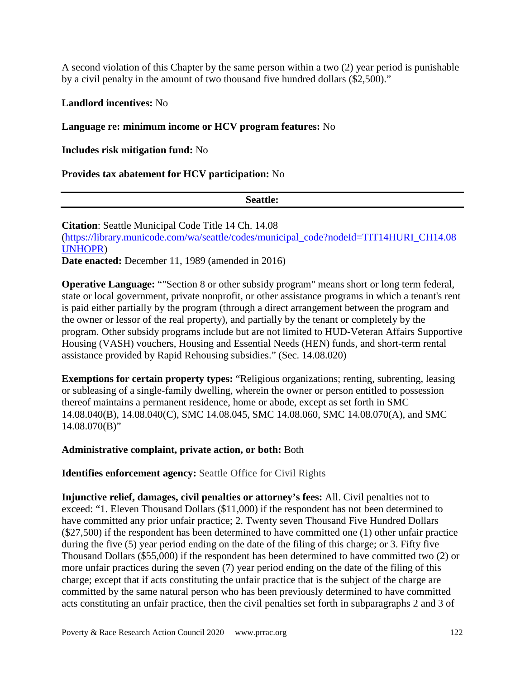A second violation of this Chapter by the same person within a two (2) year period is punishable by a civil penalty in the amount of two thousand five hundred dollars (\$2,500)."

**Landlord incentives:** No

# **Language re: minimum income or HCV program features:** No

**Includes risk mitigation fund:** No

# **Provides tax abatement for HCV participation:** No

**Seattle:**

**Citation**: Seattle Municipal Code Title 14 Ch. 14.08 [\(https://library.municode.com/wa/seattle/codes/municipal\\_code?nodeId=TIT14HURI\\_CH14.08](https://library.municode.com/wa/seattle/codes/municipal_code?nodeId=TIT14HURI_CH14.08UNHOPR) [UNHOPR\)](https://library.municode.com/wa/seattle/codes/municipal_code?nodeId=TIT14HURI_CH14.08UNHOPR)

**Date enacted:** December 11, 1989 (amended in 2016)

**Operative Language:** ""Section 8 or other subsidy program" means short or long term federal, state or local government, private nonprofit, or other assistance programs in which a tenant's rent is paid either partially by the program (through a direct arrangement between the program and the owner or lessor of the real property), and partially by the tenant or completely by the program. Other subsidy programs include but are not limited to HUD-Veteran Affairs Supportive Housing (VASH) vouchers, Housing and Essential Needs (HEN) funds, and short-term rental assistance provided by Rapid Rehousing subsidies." (Sec. 14.08.020)

**Exemptions for certain property types:** "Religious organizations; renting, subrenting, leasing or subleasing of a single-family dwelling, wherein the owner or person entitled to possession thereof maintains a permanent residence, home or abode, except as set forth in SMC 14.08.040(B), 14.08.040(C), SMC 14.08.045, SMC 14.08.060, SMC 14.08.070(A), and SMC  $14.08.070(B)$ "

# **Administrative complaint, private action, or both:** Both

**Identifies enforcement agency:** Seattle Office for Civil Rights

**Injunctive relief, damages, civil penalties or attorney's fees:** All. Civil penalties not to exceed: "1. Eleven Thousand Dollars (\$11,000) if the respondent has not been determined to have committed any prior unfair practice; 2. Twenty seven Thousand Five Hundred Dollars (\$27,500) if the respondent has been determined to have committed one (1) other unfair practice during the five (5) year period ending on the date of the filing of this charge; or 3. Fifty five Thousand Dollars (\$55,000) if the respondent has been determined to have committed two (2) or more unfair practices during the seven (7) year period ending on the date of the filing of this charge; except that if acts constituting the unfair practice that is the subject of the charge are committed by the same natural person who has been previously determined to have committed acts constituting an unfair practice, then the civil penalties set forth in subparagraphs 2 and 3 of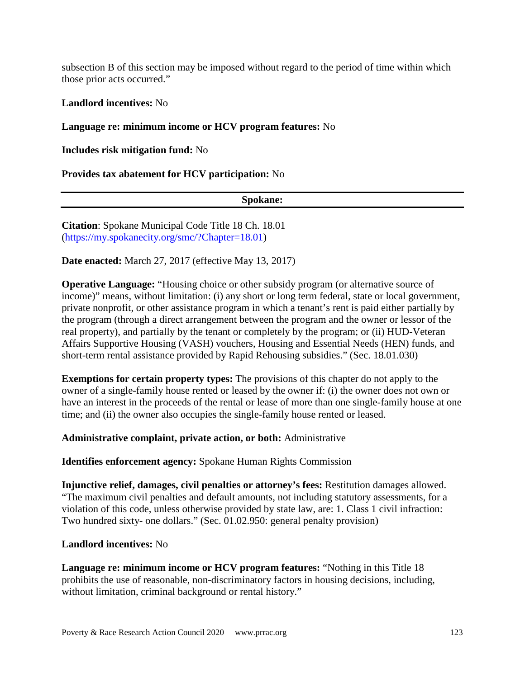subsection B of this section may be imposed without regard to the period of time within which those prior acts occurred."

**Landlord incentives:** No

#### **Language re: minimum income or HCV program features:** No

**Includes risk mitigation fund:** No

**Provides tax abatement for HCV participation:** No

| $\sim$<br><b>Spokane:</b> |
|---------------------------|
|                           |

**Citation**: Spokane Municipal Code Title 18 Ch. 18.01 [\(https://my.spokanecity.org/smc/?Chapter=18.01\)](https://my.spokanecity.org/smc/?Chapter=18.01)

**Date enacted:** March 27, 2017 (effective May 13, 2017)

**Operative Language:** "Housing choice or other subsidy program (or alternative source of income)" means, without limitation: (i) any short or long term federal, state or local government, private nonprofit, or other assistance program in which a tenant's rent is paid either partially by the program (through a direct arrangement between the program and the owner or lessor of the real property), and partially by the tenant or completely by the program; or (ii) HUD-Veteran Affairs Supportive Housing (VASH) vouchers, Housing and Essential Needs (HEN) funds, and short-term rental assistance provided by Rapid Rehousing subsidies." (Sec. 18.01.030)

**Exemptions for certain property types:** The provisions of this chapter do not apply to the owner of a single-family house rented or leased by the owner if: (i) the owner does not own or have an interest in the proceeds of the rental or lease of more than one single-family house at one time; and (ii) the owner also occupies the single-family house rented or leased.

# **Administrative complaint, private action, or both:** Administrative

**Identifies enforcement agency:** Spokane Human Rights Commission

**Injunctive relief, damages, civil penalties or attorney's fees:** Restitution damages allowed. "The maximum civil penalties and default amounts, not including statutory assessments, for a violation of this code, unless otherwise provided by state law, are: 1. Class 1 civil infraction: Two hundred sixty- one dollars." (Sec. 01.02.950: general penalty provision)

#### **Landlord incentives:** No

**Language re: minimum income or HCV program features:** "Nothing in this Title 18 prohibits the use of reasonable, non-discriminatory factors in housing decisions, including, without limitation, criminal background or rental history."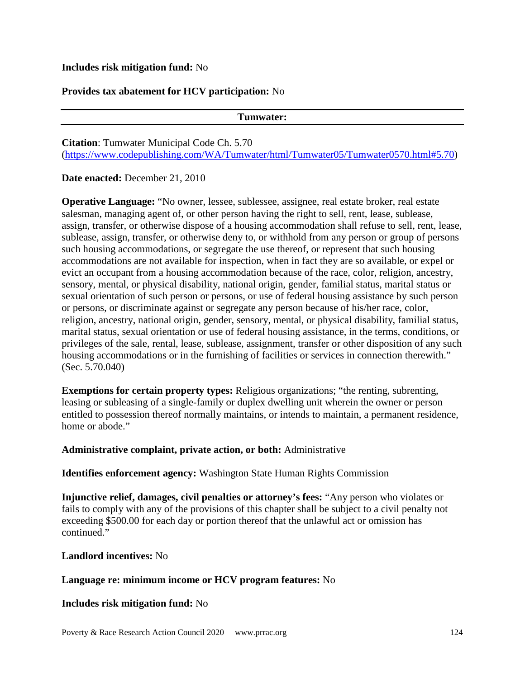#### **Includes risk mitigation fund:** No

#### **Provides tax abatement for HCV participation:** No

**Tumwater:**

**Citation**: Tumwater Municipal Code Ch. 5.70 [\(https://www.codepublishing.com/WA/Tumwater/html/Tumwater05/Tumwater0570.html#5.70\)](https://www.codepublishing.com/WA/Tumwater/html/Tumwater05/Tumwater0570.html#5.70)

#### **Date enacted:** December 21, 2010

**Operative Language:** "No owner, lessee, sublessee, assignee, real estate broker, real estate salesman, managing agent of, or other person having the right to sell, rent, lease, sublease, assign, transfer, or otherwise dispose of a housing accommodation shall refuse to sell, rent, lease, sublease, assign, transfer, or otherwise deny to, or withhold from any person or group of persons such housing accommodations, or segregate the use thereof, or represent that such housing accommodations are not available for inspection, when in fact they are so available, or expel or evict an occupant from a housing accommodation because of the race, color, religion, ancestry, sensory, mental, or physical disability, national origin, gender, familial status, marital status or sexual orientation of such person or persons, or use of federal housing assistance by such person or persons, or discriminate against or segregate any person because of his/her race, color, religion, ancestry, national origin, gender, sensory, mental, or physical disability, familial status, marital status, sexual orientation or use of federal housing assistance, in the terms, conditions, or privileges of the sale, rental, lease, sublease, assignment, transfer or other disposition of any such housing accommodations or in the furnishing of facilities or services in connection therewith." (Sec. 5.70.040)

**Exemptions for certain property types:** Religious organizations; "the renting, subrenting, leasing or subleasing of a single-family or duplex dwelling unit wherein the owner or person entitled to possession thereof normally maintains, or intends to maintain, a permanent residence, home or abode."

#### **Administrative complaint, private action, or both:** Administrative

**Identifies enforcement agency:** Washington State Human Rights Commission

**Injunctive relief, damages, civil penalties or attorney's fees:** "Any person who violates or fails to comply with any of the provisions of this chapter shall be subject to a civil penalty not exceeding \$500.00 for each day or portion thereof that the unlawful act or omission has continued."

#### **Landlord incentives:** No

# **Language re: minimum income or HCV program features:** No

#### **Includes risk mitigation fund:** No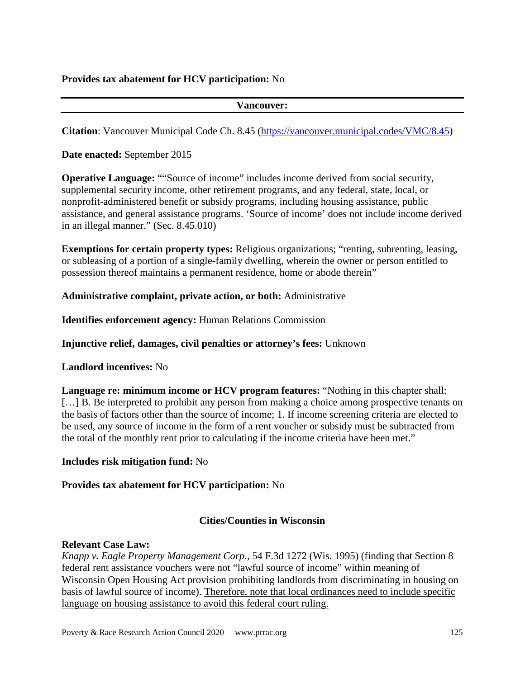# **Provides tax abatement for HCV participation:** No

#### **Vancouver:**

**Citation**: Vancouver Municipal Code Ch. 8.45 [\(https://vancouver.municipal.codes/VMC/8.45\)](https://vancouver.municipal.codes/VMC/8.45)

**Date enacted:** September 2015

**Operative Language:** ""Source of income" includes income derived from social security, supplemental security income, other retirement programs, and any federal, state, local, or nonprofit-administered benefit or subsidy programs, including housing assistance, public assistance, and general assistance programs. 'Source of income' does not include income derived in an illegal manner." (Sec. 8.45.010)

**Exemptions for certain property types:** Religious organizations; "renting, subrenting, leasing, or subleasing of a portion of a single-family dwelling, wherein the owner or person entitled to possession thereof maintains a permanent residence, home or abode therein"

**Administrative complaint, private action, or both:** Administrative

**Identifies enforcement agency:** Human Relations Commission

**Injunctive relief, damages, civil penalties or attorney's fees:** Unknown

**Landlord incentives:** No

**Language re: minimum income or HCV program features:** "Nothing in this chapter shall: [...] B. Be interpreted to prohibit any person from making a choice among prospective tenants on the basis of factors other than the source of income; 1. If income screening criteria are elected to be used, any source of income in the form of a rent voucher or subsidy must be subtracted from the total of the monthly rent prior to calculating if the income criteria have been met."

# **Includes risk mitigation fund:** No

#### **Provides tax abatement for HCV participation:** No

# **Cities/Counties in Wisconsin**

#### **Relevant Case Law:**

*Knapp v. Eagle Property Management Corp.*, 54 F.3d 1272 (Wis. 1995) (finding that Section 8 federal rent assistance vouchers were not "lawful source of income" within meaning of Wisconsin Open Housing Act provision prohibiting landlords from discriminating in housing on basis of lawful source of income). Therefore, note that local ordinances need to include specific language on housing assistance to avoid this federal court ruling.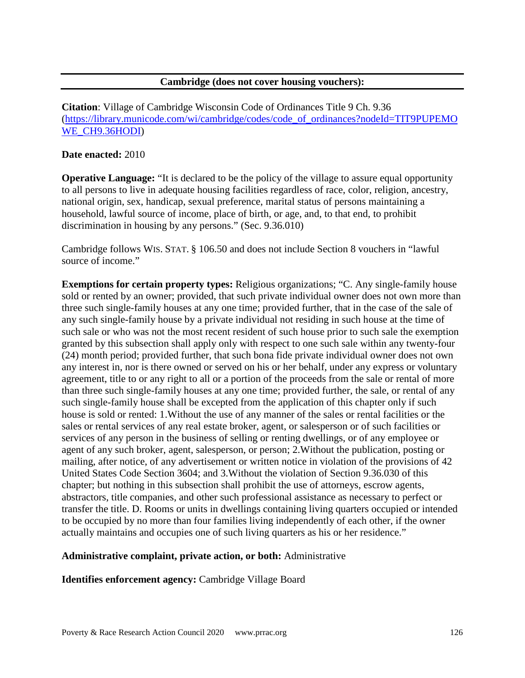### **Cambridge (does not cover housing vouchers):**

**Citation**: Village of Cambridge Wisconsin Code of Ordinances Title 9 Ch. 9.36 [\(https://library.municode.com/wi/cambridge/codes/code\\_of\\_ordinances?nodeId=TIT9PUPEMO](https://library.municode.com/wi/cambridge/codes/code_of_ordinances?nodeId=TIT9PUPEMOWE_CH9.36HODI) [WE\\_CH9.36HODI\)](https://library.municode.com/wi/cambridge/codes/code_of_ordinances?nodeId=TIT9PUPEMOWE_CH9.36HODI)

#### **Date enacted:** 2010

**Operative Language:** "It is declared to be the policy of the village to assure equal opportunity to all persons to live in adequate housing facilities regardless of race, color, religion, ancestry, national origin, sex, handicap, sexual preference, marital status of persons maintaining a household, lawful source of income, place of birth, or age, and, to that end, to prohibit discrimination in housing by any persons." (Sec. 9.36.010)

Cambridge follows WIS. STAT. § 106.50 and does not include Section 8 vouchers in "lawful source of income."

**Exemptions for certain property types:** Religious organizations; "C. Any single-family house sold or rented by an owner; provided, that such private individual owner does not own more than three such single-family houses at any one time; provided further, that in the case of the sale of any such single-family house by a private individual not residing in such house at the time of such sale or who was not the most recent resident of such house prior to such sale the exemption granted by this subsection shall apply only with respect to one such sale within any twenty-four (24) month period; provided further, that such bona fide private individual owner does not own any interest in, nor is there owned or served on his or her behalf, under any express or voluntary agreement, title to or any right to all or a portion of the proceeds from the sale or rental of more than three such single-family houses at any one time; provided further, the sale, or rental of any such single-family house shall be excepted from the application of this chapter only if such house is sold or rented: 1.Without the use of any manner of the sales or rental facilities or the sales or rental services of any real estate broker, agent, or salesperson or of such facilities or services of any person in the business of selling or renting dwellings, or of any employee or agent of any such broker, agent, salesperson, or person; 2.Without the publication, posting or mailing, after notice, of any advertisement or written notice in violation of the provisions of 42 United States Code Section 3604; and 3.Without the violation of Section 9.36.030 of this chapter; but nothing in this subsection shall prohibit the use of attorneys, escrow agents, abstractors, title companies, and other such professional assistance as necessary to perfect or transfer the title. D. Rooms or units in dwellings containing living quarters occupied or intended to be occupied by no more than four families living independently of each other, if the owner actually maintains and occupies one of such living quarters as his or her residence."

#### **Administrative complaint, private action, or both:** Administrative

# **Identifies enforcement agency:** Cambridge Village Board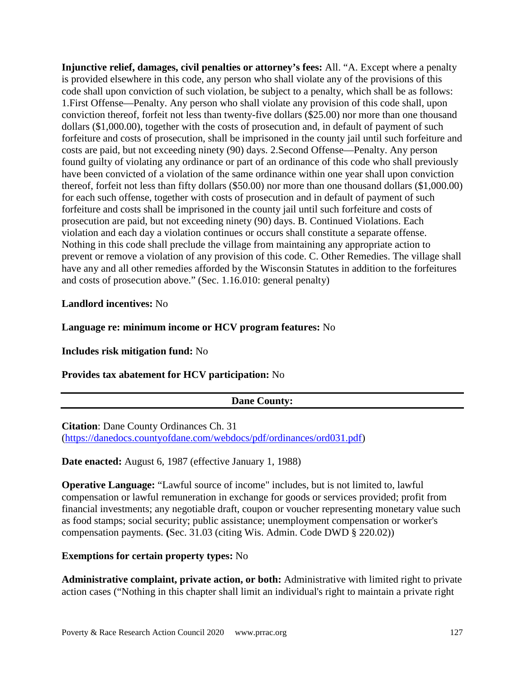**Injunctive relief, damages, civil penalties or attorney's fees:** All. "A. Except where a penalty is provided elsewhere in this code, any person who shall violate any of the provisions of this code shall upon conviction of such violation, be subject to a penalty, which shall be as follows: 1.First Offense—Penalty. Any person who shall violate any provision of this code shall, upon conviction thereof, forfeit not less than twenty-five dollars (\$25.00) nor more than one thousand dollars (\$1,000.00), together with the costs of prosecution and, in default of payment of such forfeiture and costs of prosecution, shall be imprisoned in the county jail until such forfeiture and costs are paid, but not exceeding ninety (90) days. 2.Second Offense—Penalty. Any person found guilty of violating any ordinance or part of an ordinance of this code who shall previously have been convicted of a violation of the same ordinance within one year shall upon conviction thereof, forfeit not less than fifty dollars (\$50.00) nor more than one thousand dollars (\$1,000.00) for each such offense, together with costs of prosecution and in default of payment of such forfeiture and costs shall be imprisoned in the county jail until such forfeiture and costs of prosecution are paid, but not exceeding ninety (90) days. B. Continued Violations. Each violation and each day a violation continues or occurs shall constitute a separate offense. Nothing in this code shall preclude the village from maintaining any appropriate action to prevent or remove a violation of any provision of this code. C. Other Remedies. The village shall have any and all other remedies afforded by the Wisconsin Statutes in addition to the forfeitures and costs of prosecution above." (Sec. 1.16.010: general penalty)

# **Landlord incentives:** No

# **Language re: minimum income or HCV program features:** No

**Includes risk mitigation fund:** No

# **Provides tax abatement for HCV participation:** No

# **Dane County:**

**Citation**: Dane County Ordinances Ch. 31 [\(https://danedocs.countyofdane.com/webdocs/pdf/ordinances/ord031.pdf\)](https://danedocs.countyofdane.com/webdocs/pdf/ordinances/ord031.pdf)

**Date enacted:** August 6, 1987 (effective January 1, 1988)

**Operative Language:** "Lawful source of income" includes, but is not limited to, lawful compensation or lawful remuneration in exchange for goods or services provided; profit from financial investments; any negotiable draft, coupon or voucher representing monetary value such as food stamps; social security; public assistance; unemployment compensation or worker's compensation payments. **(**Sec. 31.03 (citing Wis. Admin. Code DWD § 220.02))

# **Exemptions for certain property types:** No

**Administrative complaint, private action, or both:** Administrative with limited right to private action cases ("Nothing in this chapter shall limit an individual's right to maintain a private right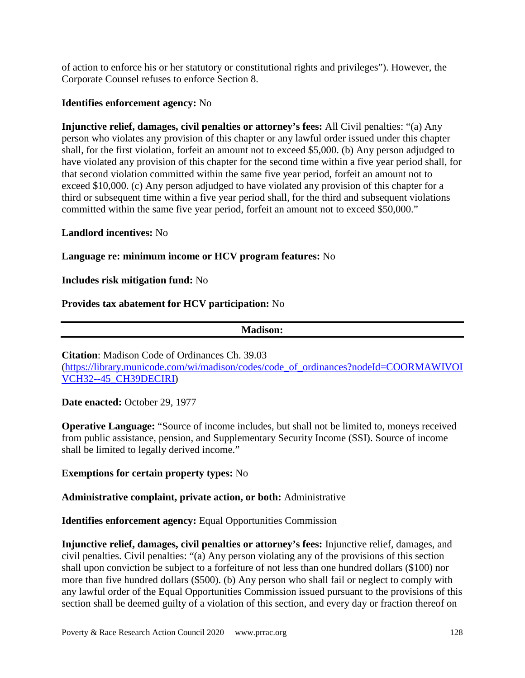of action to enforce his or her statutory or constitutional rights and privileges"). However, the Corporate Counsel refuses to enforce Section 8.

# **Identifies enforcement agency:** No

**Injunctive relief, damages, civil penalties or attorney's fees:** All Civil penalties: "(a) Any person who violates any provision of this chapter or any lawful order issued under this chapter shall, for the first violation, forfeit an amount not to exceed \$5,000. (b) Any person adjudged to have violated any provision of this chapter for the second time within a five year period shall, for that second violation committed within the same five year period, forfeit an amount not to exceed \$10,000. (c) Any person adjudged to have violated any provision of this chapter for a third or subsequent time within a five year period shall, for the third and subsequent violations committed within the same five year period, forfeit an amount not to exceed \$50,000."

#### **Landlord incentives:** No

#### **Language re: minimum income or HCV program features:** No

#### **Includes risk mitigation fund:** No

#### **Provides tax abatement for HCV participation:** No

**Madison:**

**Citation**: Madison Code of Ordinances Ch. 39.03 [\(https://library.municode.com/wi/madison/codes/code\\_of\\_ordinances?nodeId=COORMAWIVOI](https://library.municode.com/wi/madison/codes/code_of_ordinances?nodeId=COORMAWIVOIVCH32--45_CH39DECIRI) [VCH32--45\\_CH39DECIRI\)](https://library.municode.com/wi/madison/codes/code_of_ordinances?nodeId=COORMAWIVOIVCH32--45_CH39DECIRI)

**Date enacted:** October 29, 1977

**Operative Language:** "Source of income includes, but shall not be limited to, moneys received from public assistance, pension, and Supplementary Security Income (SSI). Source of income shall be limited to legally derived income."

#### **Exemptions for certain property types:** No

# **Administrative complaint, private action, or both:** Administrative

**Identifies enforcement agency:** Equal Opportunities Commission

**Injunctive relief, damages, civil penalties or attorney's fees:** Injunctive relief, damages, and civil penalties. Civil penalties: "(a) Any person violating any of the provisions of this section shall upon conviction be subject to a forfeiture of not less than one hundred dollars (\$100) nor more than five hundred dollars (\$500). (b) Any person who shall fail or neglect to comply with any lawful order of the Equal Opportunities Commission issued pursuant to the provisions of this section shall be deemed guilty of a violation of this section, and every day or fraction thereof on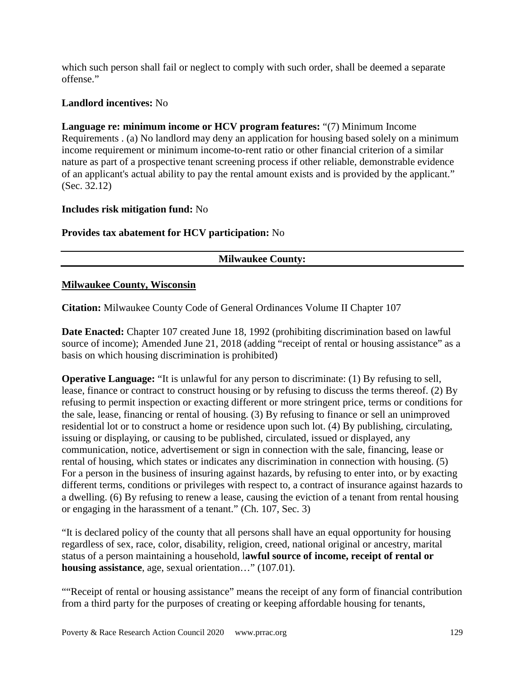which such person shall fail or neglect to comply with such order, shall be deemed a separate offense."

# **Landlord incentives:** No

**Language re: minimum income or HCV program features:** "(7) Minimum Income Requirements . (a) No landlord may deny an application for housing based solely on a minimum income requirement or minimum income-to-rent ratio or other financial criterion of a similar nature as part of a prospective tenant screening process if other reliable, demonstrable evidence of an applicant's actual ability to pay the rental amount exists and is provided by the applicant." (Sec. 32.12)

# **Includes risk mitigation fund:** No

# **Provides tax abatement for HCV participation:** No

#### **Milwaukee County:**

# **Milwaukee County, Wisconsin**

**Citation:** Milwaukee County Code of General Ordinances Volume II Chapter 107

**Date Enacted:** Chapter 107 created June 18, 1992 (prohibiting discrimination based on lawful source of income); Amended June 21, 2018 (adding "receipt of rental or housing assistance" as a basis on which housing discrimination is prohibited)

**Operative Language:** "It is unlawful for any person to discriminate: (1) By refusing to sell, lease, finance or contract to construct housing or by refusing to discuss the terms thereof. (2) By refusing to permit inspection or exacting different or more stringent price, terms or conditions for the sale, lease, financing or rental of housing. (3) By refusing to finance or sell an unimproved residential lot or to construct a home or residence upon such lot. (4) By publishing, circulating, issuing or displaying, or causing to be published, circulated, issued or displayed, any communication, notice, advertisement or sign in connection with the sale, financing, lease or rental of housing, which states or indicates any discrimination in connection with housing. (5) For a person in the business of insuring against hazards, by refusing to enter into, or by exacting different terms, conditions or privileges with respect to, a contract of insurance against hazards to a dwelling. (6) By refusing to renew a lease, causing the eviction of a tenant from rental housing or engaging in the harassment of a tenant." (Ch. 107, Sec. 3)

"It is declared policy of the county that all persons shall have an equal opportunity for housing regardless of sex, race, color, disability, religion, creed, national original or ancestry, marital status of a person maintaining a household, l**awful source of income, receipt of rental or housing assistance**, age, sexual orientation…" (107.01).

""Receipt of rental or housing assistance" means the receipt of any form of financial contribution from a third party for the purposes of creating or keeping affordable housing for tenants,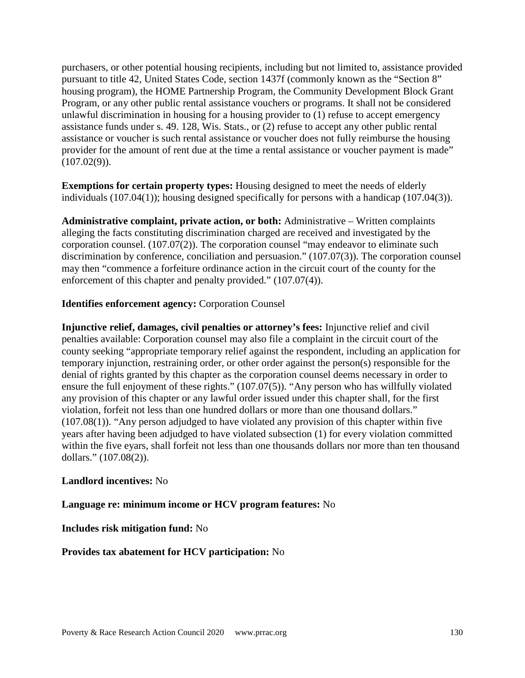purchasers, or other potential housing recipients, including but not limited to, assistance provided pursuant to title 42, United States Code, section 1437f (commonly known as the "Section 8" housing program), the HOME Partnership Program, the Community Development Block Grant Program, or any other public rental assistance vouchers or programs. It shall not be considered unlawful discrimination in housing for a housing provider to (1) refuse to accept emergency assistance funds under s. 49. 128, Wis. Stats., or (2) refuse to accept any other public rental assistance or voucher is such rental assistance or voucher does not fully reimburse the housing provider for the amount of rent due at the time a rental assistance or voucher payment is made"  $(107.02(9))$ .

**Exemptions for certain property types:** Housing designed to meet the needs of elderly individuals (107.04(1)); housing designed specifically for persons with a handicap (107.04(3)).

**Administrative complaint, private action, or both:** Administrative – Written complaints alleging the facts constituting discrimination charged are received and investigated by the corporation counsel. (107.07(2)). The corporation counsel "may endeavor to eliminate such discrimination by conference, conciliation and persuasion." (107.07(3)). The corporation counsel may then "commence a forfeiture ordinance action in the circuit court of the county for the enforcement of this chapter and penalty provided." (107.07(4)).

# **Identifies enforcement agency:** Corporation Counsel

**Injunctive relief, damages, civil penalties or attorney's fees:** Injunctive relief and civil penalties available: Corporation counsel may also file a complaint in the circuit court of the county seeking "appropriate temporary relief against the respondent, including an application for temporary injunction, restraining order, or other order against the person(s) responsible for the denial of rights granted by this chapter as the corporation counsel deems necessary in order to ensure the full enjoyment of these rights." (107.07(5)). "Any person who has willfully violated any provision of this chapter or any lawful order issued under this chapter shall, for the first violation, forfeit not less than one hundred dollars or more than one thousand dollars." (107.08(1)). "Any person adjudged to have violated any provision of this chapter within five years after having been adjudged to have violated subsection (1) for every violation committed within the five eyars, shall forfeit not less than one thousands dollars nor more than ten thousand dollars." (107.08(2)).

# **Landlord incentives:** No

# **Language re: minimum income or HCV program features:** No

# **Includes risk mitigation fund:** No

# **Provides tax abatement for HCV participation:** No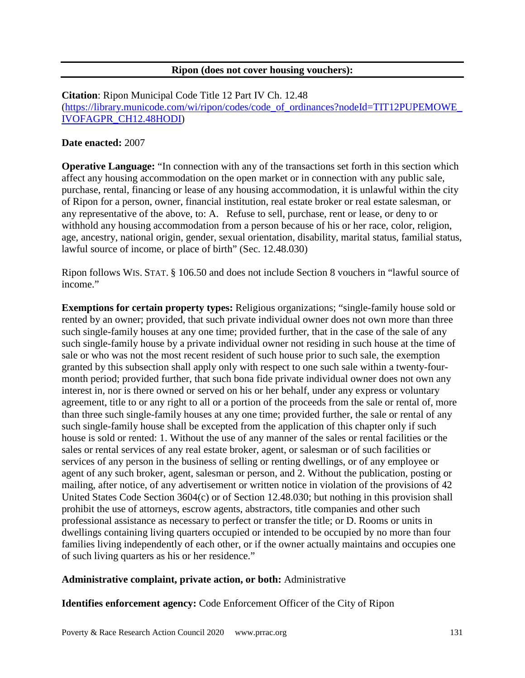# **Ripon (does not cover housing vouchers):**

**Citation**: Ripon Municipal Code Title 12 Part IV Ch. 12.48 [\(https://library.municode.com/wi/ripon/codes/code\\_of\\_ordinances?nodeId=TIT12PUPEMOWE\\_](https://library.municode.com/wi/ripon/codes/code_of_ordinances?nodeId=TIT12PUPEMOWE_IVOFAGPR_CH12.48HODI) [IVOFAGPR\\_CH12.48HODI\)](https://library.municode.com/wi/ripon/codes/code_of_ordinances?nodeId=TIT12PUPEMOWE_IVOFAGPR_CH12.48HODI)

#### **Date enacted:** 2007

**Operative Language:** "In connection with any of the transactions set forth in this section which affect any housing accommodation on the open market or in connection with any public sale, purchase, rental, financing or lease of any housing accommodation, it is unlawful within the city of Ripon for a person, owner, financial institution, real estate broker or real estate salesman, or any representative of the above, to: A. Refuse to sell, purchase, rent or lease, or deny to or withhold any housing accommodation from a person because of his or her race, color, religion, age, ancestry, national origin, gender, sexual orientation, disability, marital status, familial status, lawful source of income, or place of birth" (Sec. 12.48.030)

Ripon follows WIS. STAT. § 106.50 and does not include Section 8 vouchers in "lawful source of income."

**Exemptions for certain property types:** Religious organizations; "single-family house sold or rented by an owner; provided, that such private individual owner does not own more than three such single-family houses at any one time; provided further, that in the case of the sale of any such single-family house by a private individual owner not residing in such house at the time of sale or who was not the most recent resident of such house prior to such sale, the exemption granted by this subsection shall apply only with respect to one such sale within a twenty-fourmonth period; provided further, that such bona fide private individual owner does not own any interest in, nor is there owned or served on his or her behalf, under any express or voluntary agreement, title to or any right to all or a portion of the proceeds from the sale or rental of, more than three such single-family houses at any one time; provided further, the sale or rental of any such single-family house shall be excepted from the application of this chapter only if such house is sold or rented: 1. Without the use of any manner of the sales or rental facilities or the sales or rental services of any real estate broker, agent, or salesman or of such facilities or services of any person in the business of selling or renting dwellings, or of any employee or agent of any such broker, agent, salesman or person, and 2. Without the publication, posting or mailing, after notice, of any advertisement or written notice in violation of the provisions of 42 United States Code Section 3604(c) or of Section 12.48.030; but nothing in this provision shall prohibit the use of attorneys, escrow agents, abstractors, title companies and other such professional assistance as necessary to perfect or transfer the title; or D. Rooms or units in dwellings containing living quarters occupied or intended to be occupied by no more than four families living independently of each other, or if the owner actually maintains and occupies one of such living quarters as his or her residence."

# **Administrative complaint, private action, or both:** Administrative

**Identifies enforcement agency:** Code Enforcement Officer of the City of Ripon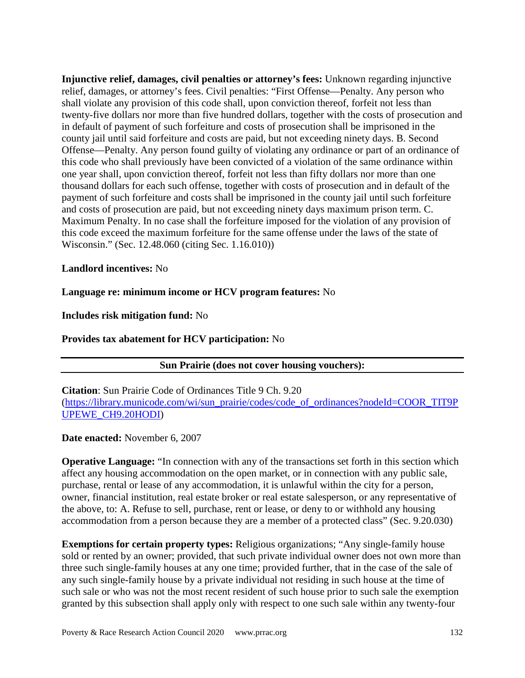**Injunctive relief, damages, civil penalties or attorney's fees:** Unknown regarding injunctive relief, damages, or attorney's fees. Civil penalties: "First Offense—Penalty. Any person who shall violate any provision of this code shall, upon conviction thereof, forfeit not less than twenty-five dollars nor more than five hundred dollars, together with the costs of prosecution and in default of payment of such forfeiture and costs of prosecution shall be imprisoned in the county jail until said forfeiture and costs are paid, but not exceeding ninety days. B. Second Offense—Penalty. Any person found guilty of violating any ordinance or part of an ordinance of this code who shall previously have been convicted of a violation of the same ordinance within one year shall, upon conviction thereof, forfeit not less than fifty dollars nor more than one thousand dollars for each such offense, together with costs of prosecution and in default of the payment of such forfeiture and costs shall be imprisoned in the county jail until such forfeiture and costs of prosecution are paid, but not exceeding ninety days maximum prison term. C. Maximum Penalty. In no case shall the forfeiture imposed for the violation of any provision of this code exceed the maximum forfeiture for the same offense under the laws of the state of Wisconsin." (Sec. 12.48.060 (citing Sec. 1.16.010))

#### **Landlord incentives:** No

#### **Language re: minimum income or HCV program features:** No

**Includes risk mitigation fund:** No

**Provides tax abatement for HCV participation:** No

**Sun Prairie (does not cover housing vouchers):** 

**Citation**: Sun Prairie Code of Ordinances Title 9 Ch. 9.20 [\(https://library.municode.com/wi/sun\\_prairie/codes/code\\_of\\_ordinances?nodeId=COOR\\_TIT9P](https://library.municode.com/wi/sun_prairie/codes/code_of_ordinances?nodeId=COOR_TIT9PUPEWE_CH9.20HODI) [UPEWE\\_CH9.20HODI\)](https://library.municode.com/wi/sun_prairie/codes/code_of_ordinances?nodeId=COOR_TIT9PUPEWE_CH9.20HODI)

# **Date enacted:** November 6, 2007

**Operative Language:** "In connection with any of the transactions set forth in this section which affect any housing accommodation on the open market, or in connection with any public sale, purchase, rental or lease of any accommodation, it is unlawful within the city for a person, owner, financial institution, real estate broker or real estate salesperson, or any representative of the above, to: A. Refuse to sell, purchase, rent or lease, or deny to or withhold any housing accommodation from a person because they are a member of a protected class" (Sec. 9.20.030)

**Exemptions for certain property types:** Religious organizations; "Any single-family house sold or rented by an owner; provided, that such private individual owner does not own more than three such single-family houses at any one time; provided further, that in the case of the sale of any such single-family house by a private individual not residing in such house at the time of such sale or who was not the most recent resident of such house prior to such sale the exemption granted by this subsection shall apply only with respect to one such sale within any twenty-four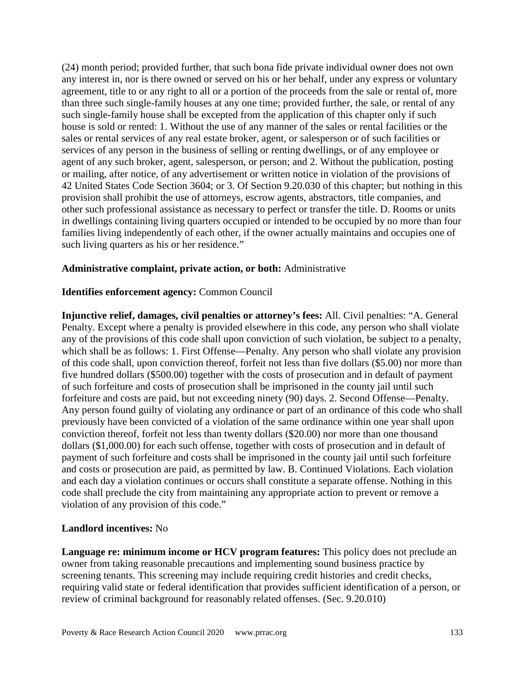(24) month period; provided further, that such bona fide private individual owner does not own any interest in, nor is there owned or served on his or her behalf, under any express or voluntary agreement, title to or any right to all or a portion of the proceeds from the sale or rental of, more than three such single-family houses at any one time; provided further, the sale, or rental of any such single-family house shall be excepted from the application of this chapter only if such house is sold or rented: 1. Without the use of any manner of the sales or rental facilities or the sales or rental services of any real estate broker, agent, or salesperson or of such facilities or services of any person in the business of selling or renting dwellings, or of any employee or agent of any such broker, agent, salesperson, or person; and 2. Without the publication, posting or mailing, after notice, of any advertisement or written notice in violation of the provisions of 42 United States Code Section 3604; or 3. Of Section 9.20.030 of this chapter; but nothing in this provision shall prohibit the use of attorneys, escrow agents, abstractors, title companies, and other such professional assistance as necessary to perfect or transfer the title. D. Rooms or units in dwellings containing living quarters occupied or intended to be occupied by no more than four families living independently of each other, if the owner actually maintains and occupies one of such living quarters as his or her residence."

#### **Administrative complaint, private action, or both:** Administrative

#### **Identifies enforcement agency:** Common Council

**Injunctive relief, damages, civil penalties or attorney's fees:** All. Civil penalties: "A. General Penalty. Except where a penalty is provided elsewhere in this code, any person who shall violate any of the provisions of this code shall upon conviction of such violation, be subject to a penalty, which shall be as follows: 1. First Offense—Penalty. Any person who shall violate any provision of this code shall, upon conviction thereof, forfeit not less than five dollars (\$5.00) nor more than five hundred dollars (\$500.00) together with the costs of prosecution and in default of payment of such forfeiture and costs of prosecution shall be imprisoned in the county jail until such forfeiture and costs are paid, but not exceeding ninety (90) days. 2. Second Offense—Penalty. Any person found guilty of violating any ordinance or part of an ordinance of this code who shall previously have been convicted of a violation of the same ordinance within one year shall upon conviction thereof, forfeit not less than twenty dollars (\$20.00) nor more than one thousand dollars (\$1,000.00) for each such offense, together with costs of prosecution and in default of payment of such forfeiture and costs shall be imprisoned in the county jail until such forfeiture and costs or prosecution are paid, as permitted by law. B. Continued Violations. Each violation and each day a violation continues or occurs shall constitute a separate offense. Nothing in this code shall preclude the city from maintaining any appropriate action to prevent or remove a violation of any provision of this code."

# **Landlord incentives:** No

**Language re: minimum income or HCV program features:** This policy does not preclude an owner from taking reasonable precautions and implementing sound business practice by screening tenants. This screening may include requiring credit histories and credit checks, requiring valid state or federal identification that provides sufficient identification of a person, or review of criminal background for reasonably related offenses. (Sec. 9.20.010)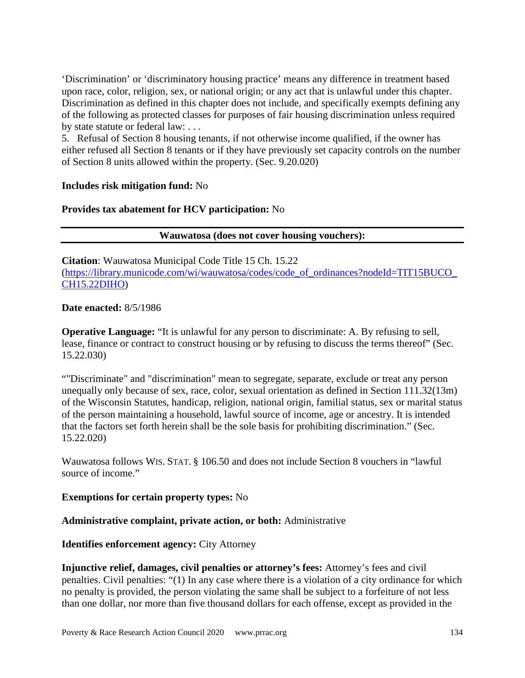'Discrimination' or 'discriminatory housing practice' means any difference in treatment based upon race, color, religion, sex, or national origin; or any act that is unlawful under this chapter. Discrimination as defined in this chapter does not include, and specifically exempts defining any of the following as protected classes for purposes of fair housing discrimination unless required by state statute or federal law: . . .

5. Refusal of Section 8 housing tenants, if not otherwise income qualified, if the owner has either refused all Section 8 tenants or if they have previously set capacity controls on the number of Section 8 units allowed within the property. (Sec. 9.20.020)

# **Includes risk mitigation fund:** No

#### **Provides tax abatement for HCV participation:** No

**Wauwatosa (does not cover housing vouchers):** 

**Citation**: Wauwatosa Municipal Code Title 15 Ch. 15.22 [\(https://library.municode.com/wi/wauwatosa/codes/code\\_of\\_ordinances?nodeId=TIT15BUCO\\_](https://library.municode.com/wi/wauwatosa/codes/code_of_ordinances?nodeId=TIT15BUCO_CH15.22DIHO) [CH15.22DIHO\)](https://library.municode.com/wi/wauwatosa/codes/code_of_ordinances?nodeId=TIT15BUCO_CH15.22DIHO)

#### **Date enacted:** 8/5/1986

**Operative Language:** "It is unlawful for any person to discriminate: A. By refusing to sell, lease, finance or contract to construct housing or by refusing to discuss the terms thereof" (Sec. 15.22.030)

""Discriminate" and "discrimination" mean to segregate, separate, exclude or treat any person unequally only because of sex, race, color, sexual orientation as defined in Section 111.32(13m) of the Wisconsin Statutes, handicap, religion, national origin, familial status, sex or marital status of the person maintaining a household, lawful source of income, age or ancestry. It is intended that the factors set forth herein shall be the sole basis for prohibiting discrimination." (Sec. 15.22.020)

Wauwatosa follows WIS. STAT. § 106.50 and does not include Section 8 vouchers in "lawful source of income."

#### **Exemptions for certain property types:** No

#### **Administrative complaint, private action, or both:** Administrative

#### **Identifies enforcement agency:** City Attorney

**Injunctive relief, damages, civil penalties or attorney's fees:** Attorney's fees and civil penalties. Civil penalties: "(1) In any case where there is a violation of a city ordinance for which no penalty is provided, the person violating the same shall be subject to a forfeiture of not less than one dollar, nor more than five thousand dollars for each offense, except as provided in the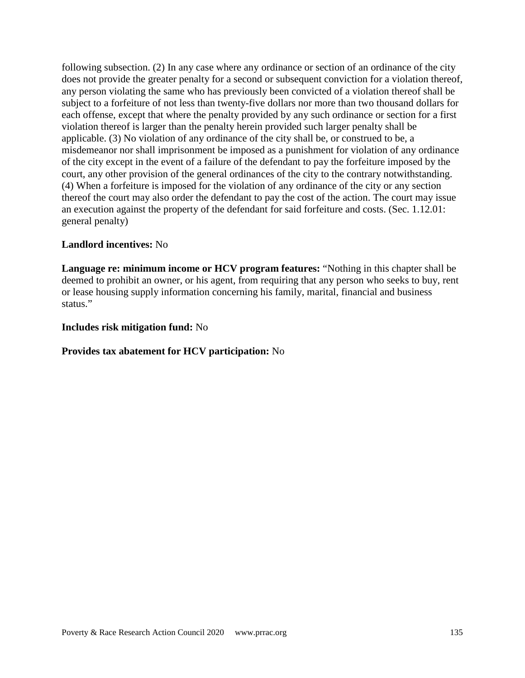following subsection. (2) In any case where any ordinance or section of an ordinance of the city does not provide the greater penalty for a second or subsequent conviction for a violation thereof, any person violating the same who has previously been convicted of a violation thereof shall be subject to a forfeiture of not less than twenty-five dollars nor more than two thousand dollars for each offense, except that where the penalty provided by any such ordinance or section for a first violation thereof is larger than the penalty herein provided such larger penalty shall be applicable. (3) No violation of any ordinance of the city shall be, or construed to be, a misdemeanor nor shall imprisonment be imposed as a punishment for violation of any ordinance of the city except in the event of a failure of the defendant to pay the forfeiture imposed by the court, any other provision of the general ordinances of the city to the contrary notwithstanding. (4) When a forfeiture is imposed for the violation of any ordinance of the city or any section thereof the court may also order the defendant to pay the cost of the action. The court may issue an execution against the property of the defendant for said forfeiture and costs. (Sec. 1.12.01: general penalty)

#### **Landlord incentives:** No

**Language re: minimum income or HCV program features:** "Nothing in this chapter shall be deemed to prohibit an owner, or his agent, from requiring that any person who seeks to buy, rent or lease housing supply information concerning his family, marital, financial and business status<sup>"</sup>

#### **Includes risk mitigation fund:** No

#### **Provides tax abatement for HCV participation:** No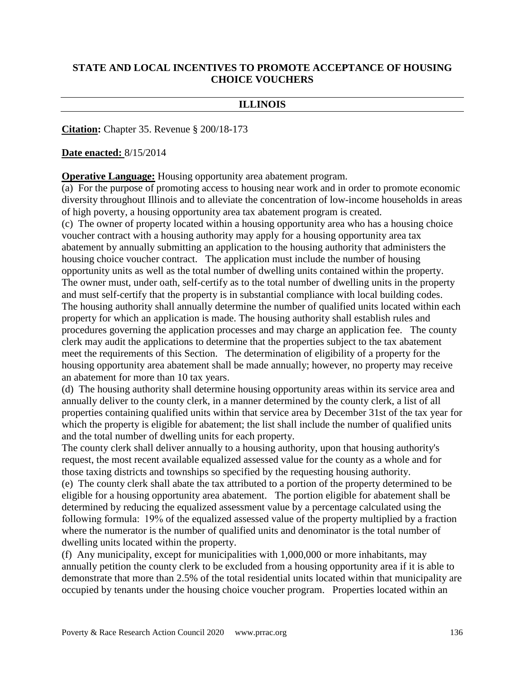# **STATE AND LOCAL INCENTIVES TO PROMOTE ACCEPTANCE OF HOUSING CHOICE VOUCHERS**

# **ILLINOIS**

#### **Citation:** Chapter 35. Revenue § 200/18-173

#### **Date enacted:** 8/15/2014

**Operative Language:** Housing opportunity area abatement program.

(a) For the purpose of promoting access to housing near work and in order to promote economic diversity throughout Illinois and to alleviate the concentration of low-income households in areas of high poverty, a housing opportunity area tax abatement program is created.

(c) The owner of property located within a housing opportunity area who has a housing choice voucher contract with a housing authority may apply for a housing opportunity area tax abatement by annually submitting an application to the housing authority that administers the housing choice voucher contract. The application must include the number of housing opportunity units as well as the total number of dwelling units contained within the property. The owner must, under oath, self-certify as to the total number of dwelling units in the property and must self-certify that the property is in substantial compliance with local building codes. The housing authority shall annually determine the number of qualified units located within each property for which an application is made. The housing authority shall establish rules and procedures governing the application processes and may charge an application fee. The county clerk may audit the applications to determine that the properties subject to the tax abatement meet the requirements of this Section. The determination of eligibility of a property for the housing opportunity area abatement shall be made annually; however, no property may receive an abatement for more than 10 tax years.

(d) The housing authority shall determine housing opportunity areas within its service area and annually deliver to the county clerk, in a manner determined by the county clerk, a list of all properties containing qualified units within that service area by December 31st of the tax year for which the property is eligible for abatement; the list shall include the number of qualified units and the total number of dwelling units for each property.

The county clerk shall deliver annually to a housing authority, upon that housing authority's request, the most recent available equalized assessed value for the county as a whole and for those taxing districts and townships so specified by the requesting housing authority.

(e) The county clerk shall abate the tax attributed to a portion of the property determined to be eligible for a housing opportunity area abatement. The portion eligible for abatement shall be determined by reducing the equalized assessment value by a percentage calculated using the following formula:  19% of the equalized assessed value of the property multiplied by a fraction where the numerator is the number of qualified units and denominator is the total number of dwelling units located within the property.

(f) Any municipality, except for municipalities with 1,000,000 or more inhabitants, may annually petition the county clerk to be excluded from a housing opportunity area if it is able to demonstrate that more than 2.5% of the total residential units located within that municipality are occupied by tenants under the housing choice voucher program. Properties located within an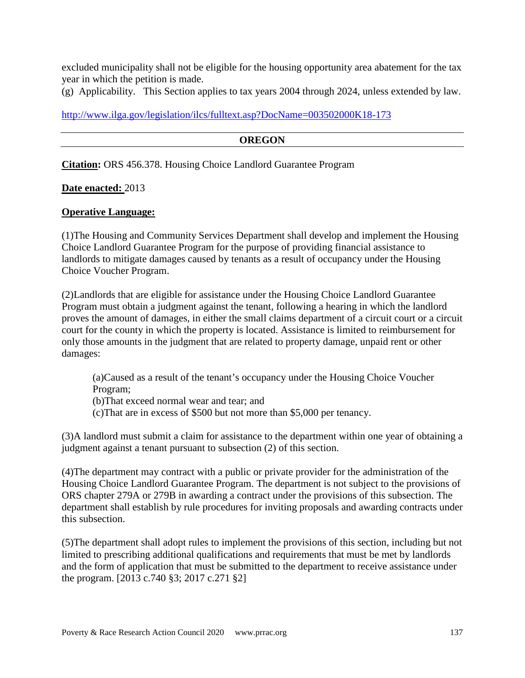excluded municipality shall not be eligible for the housing opportunity area abatement for the tax year in which the petition is made.

(g) Applicability. This Section applies to tax years 2004 through 2024, unless extended by law.

<http://www.ilga.gov/legislation/ilcs/fulltext.asp?DocName=003502000K18-173>

# **OREGON**

**Citation:** ORS 456.378. Housing Choice Landlord Guarantee Program

# **Date enacted:** 2013

# **Operative Language:**

(1)The Housing and Community Services Department shall develop and implement the Housing Choice Landlord Guarantee Program for the purpose of providing financial assistance to landlords to mitigate damages caused by tenants as a result of occupancy under the Housing Choice Voucher Program.

(2)Landlords that are eligible for assistance under the Housing Choice Landlord Guarantee Program must obtain a judgment against the tenant, following a hearing in which the landlord proves the amount of damages, in either the small claims department of a circuit court or a circuit court for the county in which the property is located. Assistance is limited to reimbursement for only those amounts in the judgment that are related to property damage, unpaid rent or other damages:

(a)Caused as a result of the tenant's occupancy under the Housing Choice Voucher Program;

(b)That exceed normal wear and tear; and

(c)That are in excess of \$500 but not more than \$5,000 per tenancy.

(3)A landlord must submit a claim for assistance to the department within one year of obtaining a judgment against a tenant pursuant to subsection (2) of this section.

(4)The department may contract with a public or private provider for the administration of the Housing Choice Landlord Guarantee Program. The department is not subject to the provisions of ORS chapter 279A or 279B in awarding a contract under the provisions of this subsection. The department shall establish by rule procedures for inviting proposals and awarding contracts under this subsection.

(5)The department shall adopt rules to implement the provisions of this section, including but not limited to prescribing additional qualifications and requirements that must be met by landlords and the form of application that must be submitted to the department to receive assistance under the program. [2013 c.740 §3; 2017 c.271 §2]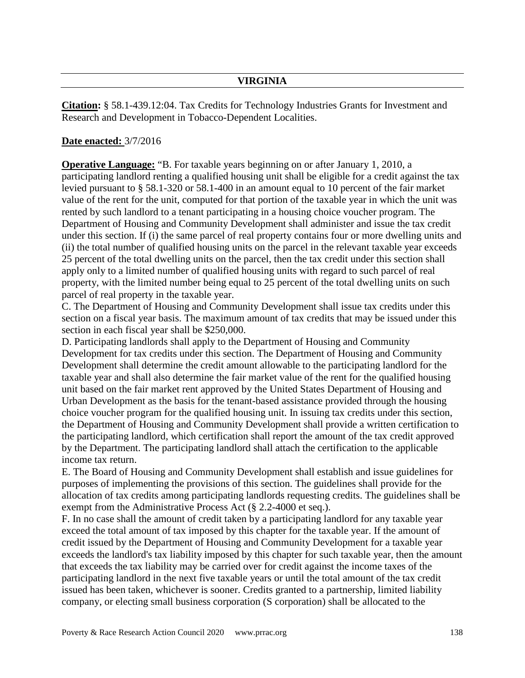#### **VIRGINIA**

**Citation:** § 58.1-439.12:04. Tax Credits for Technology Industries Grants for Investment and Research and Development in Tobacco-Dependent Localities.

#### **Date enacted:** 3/7/2016

**Operative Language:** "B. For taxable years beginning on or after January 1, 2010, a participating landlord renting a qualified housing unit shall be eligible for a credit against the tax levied pursuant to § [58.1-320](http://law.lis.virginia.gov/vacode/58.1-320/) or [58.1-400](http://law.lis.virginia.gov/vacode/58.1-400/) in an amount equal to 10 percent of the fair market value of the rent for the unit, computed for that portion of the taxable year in which the unit was rented by such landlord to a tenant participating in a housing choice voucher program. The Department of Housing and Community Development shall administer and issue the tax credit under this section. If (i) the same parcel of real property contains four or more dwelling units and (ii) the total number of qualified housing units on the parcel in the relevant taxable year exceeds 25 percent of the total dwelling units on the parcel, then the tax credit under this section shall apply only to a limited number of qualified housing units with regard to such parcel of real property, with the limited number being equal to 25 percent of the total dwelling units on such parcel of real property in the taxable year.

C. The Department of Housing and Community Development shall issue tax credits under this section on a fiscal year basis. The maximum amount of tax credits that may be issued under this section in each fiscal year shall be \$250,000.

D. Participating landlords shall apply to the Department of Housing and Community Development for tax credits under this section. The Department of Housing and Community Development shall determine the credit amount allowable to the participating landlord for the taxable year and shall also determine the fair market value of the rent for the qualified housing unit based on the fair market rent approved by the United States Department of Housing and Urban Development as the basis for the tenant-based assistance provided through the housing choice voucher program for the qualified housing unit. In issuing tax credits under this section, the Department of Housing and Community Development shall provide a written certification to the participating landlord, which certification shall report the amount of the tax credit approved by the Department. The participating landlord shall attach the certification to the applicable income tax return.

E. The Board of Housing and Community Development shall establish and issue guidelines for purposes of implementing the provisions of this section. The guidelines shall provide for the allocation of tax credits among participating landlords requesting credits. The guidelines shall be exempt from the Administrative Process Act (§ [2.2-4000](http://law.lis.virginia.gov/vacode/2.2-4000/) et seq.).

F. In no case shall the amount of credit taken by a participating landlord for any taxable year exceed the total amount of tax imposed by this chapter for the taxable year. If the amount of credit issued by the Department of Housing and Community Development for a taxable year exceeds the landlord's tax liability imposed by this chapter for such taxable year, then the amount that exceeds the tax liability may be carried over for credit against the income taxes of the participating landlord in the next five taxable years or until the total amount of the tax credit issued has been taken, whichever is sooner. Credits granted to a partnership, limited liability company, or electing small business corporation (S corporation) shall be allocated to the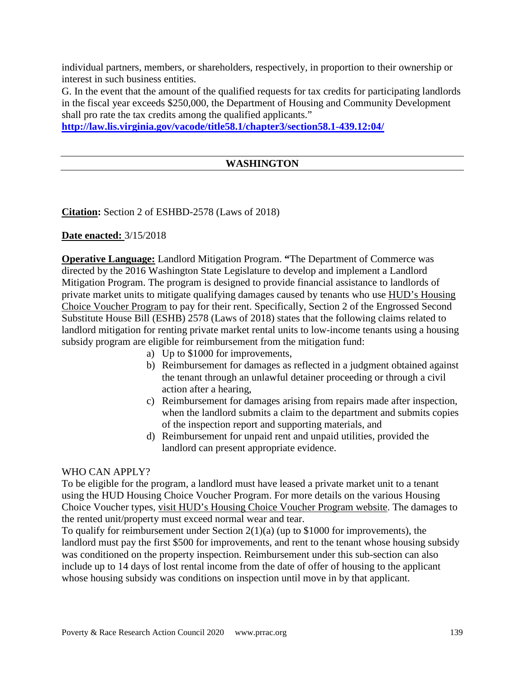individual partners, members, or shareholders, respectively, in proportion to their ownership or interest in such business entities.

G. In the event that the amount of the qualified requests for tax credits for participating landlords in the fiscal year exceeds \$250,000, the Department of Housing and Community Development shall pro rate the tax credits among the qualified applicants."

**<http://law.lis.virginia.gov/vacode/title58.1/chapter3/section58.1-439.12:04/>**

# **WASHINGTON**

**Citation:** Section 2 of ESHBD-2578 (Laws of 2018)

**Date enacted:** 3/15/2018

**Operative Language:** Landlord Mitigation Program. **"**The Department of Commerce was directed by the 2016 Washington State Legislature to develop and implement a Landlord Mitigation Program. The program is designed to provide financial assistance to landlords of private market units to mitigate qualifying damages caused by tenants who use HUD's [Housing](http://portal.hud.gov/hudportal/HUD?src=/program_offices/public_indian_housing/programs/hcv/about) Choice [Voucher](http://portal.hud.gov/hudportal/HUD?src=/program_offices/public_indian_housing/programs/hcv/about) Program to pay for their rent. Specifically, Section 2 of the Engrossed Second Substitute House Bill (ESHB) 2578 (Laws of 2018) states that the following claims related to landlord mitigation for renting private market rental units to low-income tenants using a housing subsidy program are eligible for reimbursement from the mitigation fund:

- a) Up to \$1000 for improvements,
- b) Reimbursement for damages as reflected in a judgment obtained against the tenant through an unlawful detainer proceeding or through a civil action after a hearing,
- c) Reimbursement for damages arising from repairs made after inspection, when the landlord submits a claim to the department and submits copies of the inspection report and supporting materials, and
- d) Reimbursement for unpaid rent and unpaid utilities, provided the landlord can present appropriate evidence.

# WHO CAN APPLY?

To be eligible for the program, a landlord must have leased a private market unit to a tenant using the HUD Housing Choice Voucher Program. For more details on the various Housing Choice Voucher types, visit HUD's Housing Choice Voucher [Program](http://portal.hud.gov/hudportal/HUD?src=/program_offices/public_indian_housing/programs/hcv/about) website. The damages to the rented unit/property must exceed normal wear and tear.

To qualify for reimbursement under Section 2(1)(a) (up to \$1000 for improvements), the landlord must pay the first \$500 for improvements, and rent to the tenant whose housing subsidy was conditioned on the property inspection. Reimbursement under this sub-section can also include up to 14 days of lost rental income from the date of offer of housing to the applicant whose housing subsidy was conditions on inspection until move in by that applicant.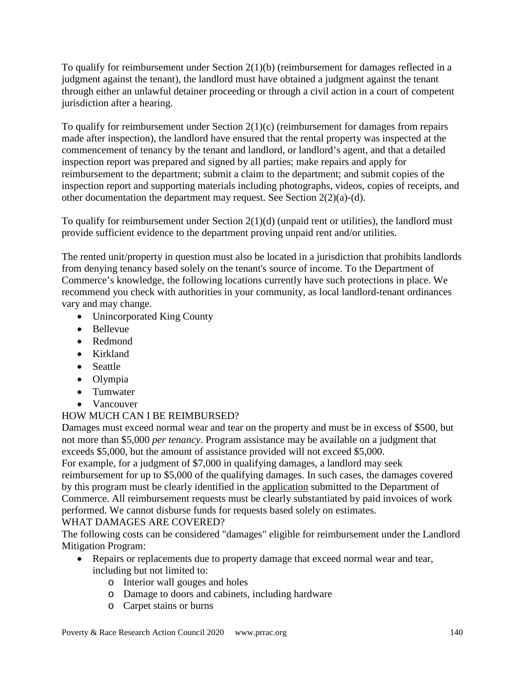To qualify for reimbursement under Section 2(1)(b) (reimbursement for damages reflected in a judgment against the tenant), the landlord must have obtained a judgment against the tenant through either an unlawful detainer proceeding or through a civil action in a court of competent jurisdiction after a hearing.

To qualify for reimbursement under Section 2(1)(c) (reimbursement for damages from repairs made after inspection), the landlord have ensured that the rental property was inspected at the commencement of tenancy by the tenant and landlord, or landlord's agent, and that a detailed inspection report was prepared and signed by all parties; make repairs and apply for reimbursement to the department; submit a claim to the department; and submit copies of the inspection report and supporting materials including photographs, videos, copies of receipts, and other documentation the department may request. See Section 2(2)(a)-(d).

To qualify for reimbursement under Section 2(1)(d) (unpaid rent or utilities), the landlord must provide sufficient evidence to the department proving unpaid rent and/or utilities.

The rented unit/property in question must also be located in a jurisdiction that prohibits landlords from denying tenancy based solely on the tenant's source of income. To the Department of Commerce's knowledge, the following locations currently have such protections in place. We recommend you check with authorities in your community, as local landlord-tenant ordinances vary and may change.

- Unincorporated King County
- Bellevue
- Redmond
- Kirkland
- Seattle
- Olympia
- Tumwater
- Vancouver

# HOW MUCH CAN I BE REIMBURSED?

Damages must exceed normal wear and tear on the property and must be in excess of \$500, but not more than \$5,000 *per tenancy*. Program assistance may be available on a judgment that exceeds \$5,000, but the amount of assistance provided will not exceed \$5,000.

For example, for a judgment of \$7,000 in qualifying damages, a landlord may seek reimbursement for up to \$5,000 of the qualifying damages. In such cases, the damages covered by this program must be clearly identified in the [application](http://www.commerce.wa.gov/wp-content/uploads/2016/10/hfu-landlord-mitigation-program-application-2016.docx) submitted to the Department of Commerce. All reimbursement requests must be clearly substantiated by paid invoices of work performed. We cannot disburse funds for requests based solely on estimates.

# WHAT DAMAGES ARE COVERED?

The following costs can be considered "damages" eligible for reimbursement under the Landlord Mitigation Program:

- Repairs or replacements due to property damage that exceed normal wear and tear, including but not limited to:
	- o Interior wall gouges and holes
	- o Damage to doors and cabinets, including hardware
	- o Carpet stains or burns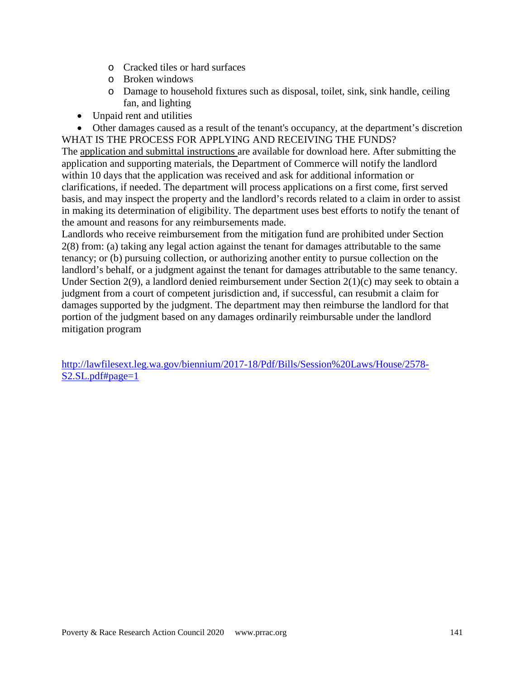- o Cracked tiles or hard surfaces
- o Broken windows
- o Damage to household fixtures such as disposal, toilet, sink, sink handle, ceiling fan, and lighting
- Unpaid rent and utilities

• Other damages caused as a result of the tenant's occupancy, at the department's discretion WHAT IS THE PROCESS FOR APPLYING AND RECEIVING THE FUNDS?

The application and submittal [instructions](http://www.commerce.wa.gov/wp-content/uploads/2016/10/hfu-landlord-mitigation-program-application-2016.docx) are available for download here. After submitting the application and supporting materials, the Department of Commerce will notify the landlord within 10 days that the application was received and ask for additional information or clarifications, if needed. The department will process applications on a first come, first served basis, and may inspect the property and the landlord's records related to a claim in order to assist in making its determination of eligibility. The department uses best efforts to notify the tenant of the amount and reasons for any reimbursements made.

Landlords who receive reimbursement from the mitigation fund are prohibited under Section 2(8) from: (a) taking any legal action against the tenant for damages attributable to the same tenancy; or (b) pursuing collection, or authorizing another entity to pursue collection on the landlord's behalf, or a judgment against the tenant for damages attributable to the same tenancy. Under Section 2(9), a landlord denied reimbursement under Section 2(1)(c) may seek to obtain a judgment from a court of competent jurisdiction and, if successful, can resubmit a claim for damages supported by the judgment. The department may then reimburse the landlord for that portion of the judgment based on any damages ordinarily reimbursable under the landlord mitigation program

[http://lawfilesext.leg.wa.gov/biennium/2017-18/Pdf/Bills/Session%20Laws/House/2578-](http://lawfilesext.leg.wa.gov/biennium/2017-18/Pdf/Bills/Session%20Laws/House/2578-S2.SL.pdf#page=1) [S2.SL.pdf#page=1](http://lawfilesext.leg.wa.gov/biennium/2017-18/Pdf/Bills/Session%20Laws/House/2578-S2.SL.pdf#page=1)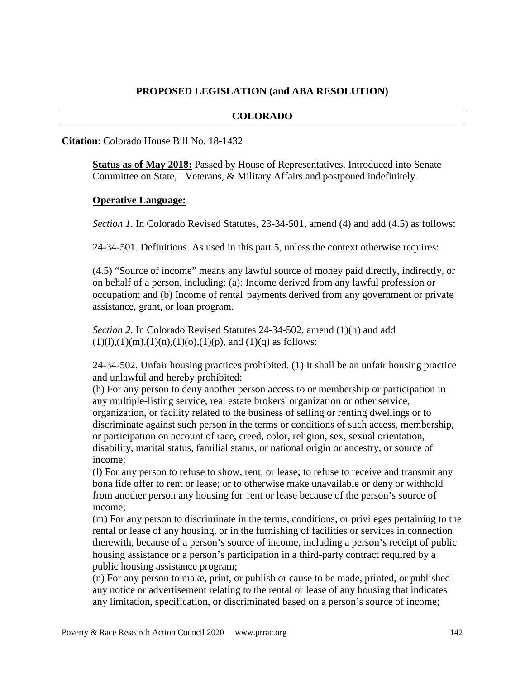#### **COLORADO**

#### **Citation**: Colorado House Bill No. 18-1432

**Status as of May 2018:** Passed by House of Representatives. Introduced into Senate Committee on State, Veterans, & Military Affairs and postponed indefinitely.

#### **Operative Language:**

*Section 1*. In Colorado Revised Statutes, 23-34-501, amend (4) and add (4.5) as follows:

24-34-501. Definitions. As used in this part 5, unless the context otherwise requires:

(4.5) "Source of income" means any lawful source of money paid directly, indirectly, or on behalf of a person, including: (a): Income derived from any lawful profession or occupation; and (b) Income of rental payments derived from any government or private assistance, grant, or loan program.

*Section 2*. In Colorado Revised Statutes 24-34-502, amend (1)(h) and add  $(1)(l),(1)(m),(1)(n),(1)(o),(1)(p)$ , and  $(1)(q)$  as follows:

24-34-502. Unfair housing practices prohibited. (1) It shall be an unfair housing practice and unlawful and hereby prohibited:

(h) For any person to deny another person access to or membership or participation in any multiple-listing service, real estate brokers' organization or other service, organization, or facility related to the business of selling or renting dwellings or to discriminate against such person in the terms or conditions of such access, membership, or participation on account of race, creed, color, religion, sex, sexual orientation, disability, marital status, familial status, or national origin or ancestry, or source of income;

(l) For any person to refuse to show, rent, or lease; to refuse to receive and transmit any bona fide offer to rent or lease; or to otherwise make unavailable or deny or withhold from another person any housing for rent or lease because of the person's source of income;

(m) For any person to discriminate in the terms, conditions, or privileges pertaining to the rental or lease of any housing, or in the furnishing of facilities or services in connection therewith, because of a person's source of income, including a person's receipt of public housing assistance or a person's participation in a third-party contract required by a public housing assistance program;

(n) For any person to make, print, or publish or cause to be made, printed, or published any notice or advertisement relating to the rental or lease of any housing that indicates any limitation, specification, or discriminated based on a person's source of income;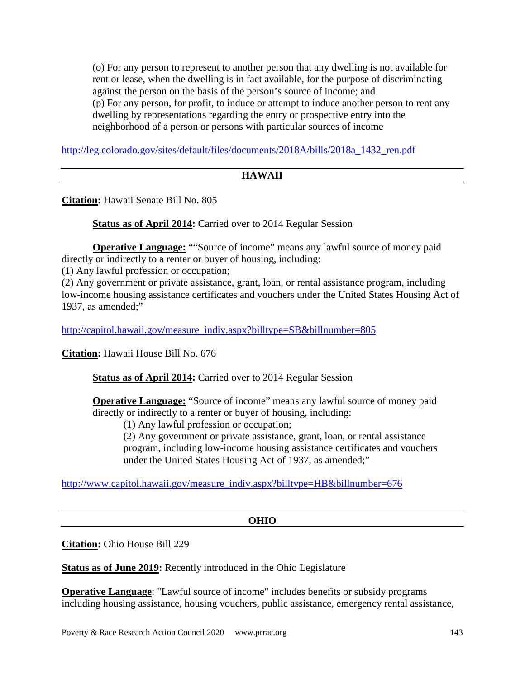(o) For any person to represent to another person that any dwelling is not available for rent or lease, when the dwelling is in fact available, for the purpose of discriminating against the person on the basis of the person's source of income; and (p) For any person, for profit, to induce or attempt to induce another person to rent any dwelling by representations regarding the entry or prospective entry into the neighborhood of a person or persons with particular sources of income

[http://leg.colorado.gov/sites/default/files/documents/2018A/bills/2018a\\_1432\\_ren.pdf](http://leg.colorado.gov/sites/default/files/documents/2018A/bills/2018a_1432_ren.pdf)

| $- - - - - -$<br>--<br>88. |
|----------------------------|
|                            |
|                            |

**Citation:** Hawaii Senate Bill No. 805

**Status as of April 2014:** Carried over to 2014 Regular Session

**Operative Language:** ""Source of income" means any lawful source of money paid directly or indirectly to a renter or buyer of housing, including:

(1) Any lawful profession or occupation;

(2) Any government or private assistance, grant, loan, or rental assistance program, including low-income housing assistance certificates and vouchers under the United States Housing Act of 1937, as amended;"

[http://capitol.hawaii.gov/measure\\_indiv.aspx?billtype=SB&billnumber=805](http://capitol.hawaii.gov/measure_indiv.aspx?billtype=SB&billnumber=805)

**Citation:** Hawaii House Bill No. 676

**Status as of April 2014:** Carried over to 2014 Regular Session

**Operative Language:** "Source of income" means any lawful source of money paid directly or indirectly to a renter or buyer of housing, including:

(1) Any lawful profession or occupation;

(2) Any government or private assistance, grant, loan, or rental assistance program, including low-income housing assistance certificates and vouchers under the United States Housing Act of 1937, as amended;"

[http://www.capitol.hawaii.gov/measure\\_indiv.aspx?billtype=HB&billnumber=676](http://www.capitol.hawaii.gov/measure_indiv.aspx?billtype=HB&billnumber=676)

# **OHIO**

**Citation:** Ohio House Bill 229

**Status as of June 2019:** Recently introduced in the Ohio Legislature

**Operative Language**: "Lawful source of income" includes benefits or subsidy programs including housing assistance, housing vouchers, public assistance, emergency rental assistance,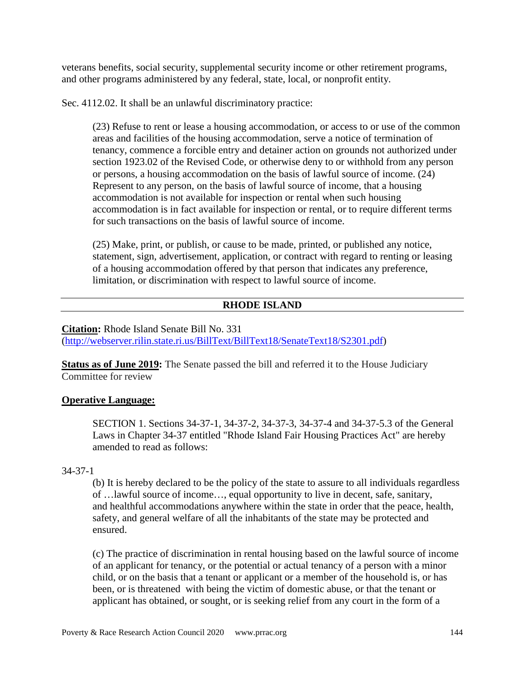veterans benefits, social security, supplemental security income or other retirement programs, and other programs administered by any federal, state, local, or nonprofit entity.

Sec. 4112.02. It shall be an unlawful discriminatory practice:

(23) Refuse to rent or lease a housing accommodation, or access to or use of the common areas and facilities of the housing accommodation, serve a notice of termination of tenancy, commence a forcible entry and detainer action on grounds not authorized under section 1923.02 of the Revised Code, or otherwise deny to or withhold from any person or persons, a housing accommodation on the basis of lawful source of income. (24) Represent to any person, on the basis of lawful source of income, that a housing accommodation is not available for inspection or rental when such housing accommodation is in fact available for inspection or rental, or to require different terms for such transactions on the basis of lawful source of income.

(25) Make, print, or publish, or cause to be made, printed, or published any notice, statement, sign, advertisement, application, or contract with regard to renting or leasing of a housing accommodation offered by that person that indicates any preference, limitation, or discrimination with respect to lawful source of income.

# **RHODE ISLAND**

**Citation:** Rhode Island Senate Bill No. 331 [\(http://webserver.rilin.state.ri.us/BillText/BillText18/SenateText18/S2301.pdf\)](http://webserver.rilin.state.ri.us/BillText/BillText18/SenateText18/S2301.pdf)

**Status as of June 2019:** The Senate passed the bill and referred it to the House Judiciary Committee for review

# **Operative Language:**

SECTION 1. Sections 34-37-1, 34-37-2, 34-37-3, 34-37-4 and 34-37-5.3 of the General Laws in Chapter 34-37 entitled "Rhode Island Fair Housing Practices Act" are hereby amended to read as follows:

# 34-37-1

(b) It is hereby declared to be the policy of the state to assure to all individuals regardless of …lawful source of income…, equal opportunity to live in decent, safe, sanitary, and healthful accommodations anywhere within the state in order that the peace, health, safety, and general welfare of all the inhabitants of the state may be protected and ensured.

(c) The practice of discrimination in rental housing based on the lawful source of income of an applicant for tenancy, or the potential or actual tenancy of a person with a minor child, or on the basis that a tenant or applicant or a member of the household is, or has been, or is threatened with being the victim of domestic abuse, or that the tenant or applicant has obtained, or sought, or is seeking relief from any court in the form of a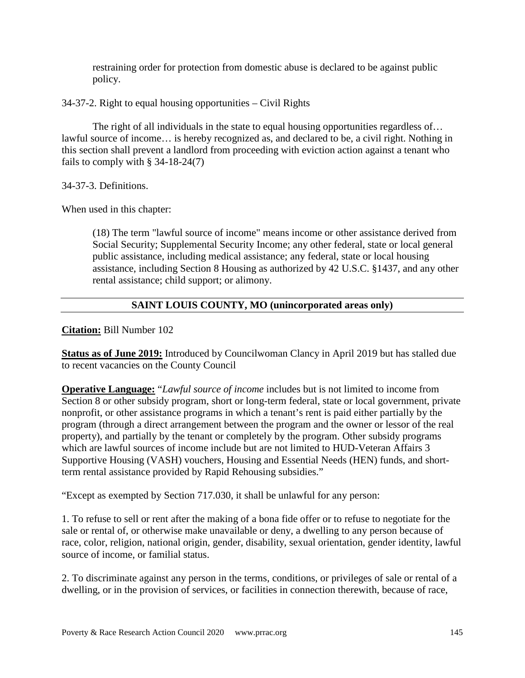restraining order for protection from domestic abuse is declared to be against public policy.

34-37-2. Right to equal housing opportunities – Civil Rights

The right of all individuals in the state to equal housing opportunities regardless of... lawful source of income… is hereby recognized as, and declared to be, a civil right. Nothing in this section shall prevent a landlord from proceeding with eviction action against a tenant who fails to comply with  $\S$  34-18-24(7)

34-37-3. Definitions.

When used in this chapter:

(18) The term "lawful source of income" means income or other assistance derived from Social Security; Supplemental Security Income; any other federal, state or local general public assistance, including medical assistance; any federal, state or local housing assistance, including Section 8 Housing as authorized by 42 U.S.C. §1437, and any other rental assistance; child support; or alimony.

# **SAINT LOUIS COUNTY, MO (unincorporated areas only)**

**Citation:** Bill Number 102

**Status as of June 2019:** Introduced by Councilwoman Clancy in April 2019 but has stalled due to recent vacancies on the County Council

**Operative Language:** "*Lawful source of income* includes but is not limited to income from Section 8 or other subsidy program, short or long-term federal, state or local government, private nonprofit, or other assistance programs in which a tenant's rent is paid either partially by the program (through a direct arrangement between the program and the owner or lessor of the real property), and partially by the tenant or completely by the program. Other subsidy programs which are lawful sources of income include but are not limited to HUD-Veteran Affairs 3 Supportive Housing (VASH) vouchers, Housing and Essential Needs (HEN) funds, and shortterm rental assistance provided by Rapid Rehousing subsidies."

"Except as exempted by Section 717.030, it shall be unlawful for any person:

1. To refuse to sell or rent after the making of a bona fide offer or to refuse to negotiate for the sale or rental of, or otherwise make unavailable or deny, a dwelling to any person because of race, color, religion, national origin, gender, disability, sexual orientation, gender identity, lawful source of income, or familial status.

2. To discriminate against any person in the terms, conditions, or privileges of sale or rental of a dwelling, or in the provision of services, or facilities in connection therewith, because of race,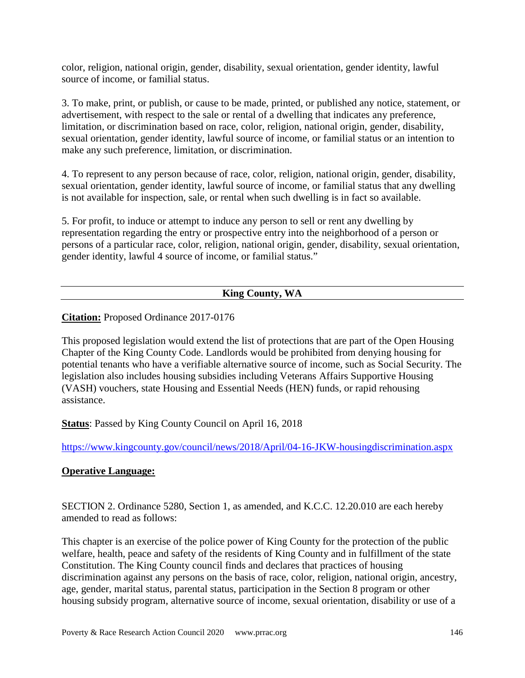color, religion, national origin, gender, disability, sexual orientation, gender identity, lawful source of income, or familial status.

3. To make, print, or publish, or cause to be made, printed, or published any notice, statement, or advertisement, with respect to the sale or rental of a dwelling that indicates any preference, limitation, or discrimination based on race, color, religion, national origin, gender, disability, sexual orientation, gender identity, lawful source of income, or familial status or an intention to make any such preference, limitation, or discrimination.

4. To represent to any person because of race, color, religion, national origin, gender, disability, sexual orientation, gender identity, lawful source of income, or familial status that any dwelling is not available for inspection, sale, or rental when such dwelling is in fact so available.

5. For profit, to induce or attempt to induce any person to sell or rent any dwelling by representation regarding the entry or prospective entry into the neighborhood of a person or persons of a particular race, color, religion, national origin, gender, disability, sexual orientation, gender identity, lawful 4 source of income, or familial status."

# **King County, WA**

# **Citation:** Proposed Ordinance 2017-0176

This proposed legislation would extend the list of protections that are part of the Open Housing Chapter of the King County Code. Landlords would be prohibited from denying housing for potential tenants who have a verifiable alternative source of income, such as Social Security. The legislation also includes housing subsidies including Veterans Affairs Supportive Housing (VASH) vouchers, state Housing and Essential Needs (HEN) funds, or rapid rehousing assistance.

**Status**: Passed by King County Council on April 16, 2018

<https://www.kingcounty.gov/council/news/2018/April/04-16-JKW-housingdiscrimination.aspx>

### **Operative Language:**

SECTION 2. Ordinance 5280, Section 1, as amended, and K.C.C. 12.20.010 are each hereby amended to read as follows:

This chapter is an exercise of the police power of King County for the protection of the public welfare, health, peace and safety of the residents of King County and in fulfillment of the state Constitution. The King County council finds and declares that practices of housing discrimination against any persons on the basis of race, color, religion, national origin, ancestry, age, gender, marital status, parental status, participation in the Section 8 program or other housing subsidy program, alternative source of income, sexual orientation, disability or use of a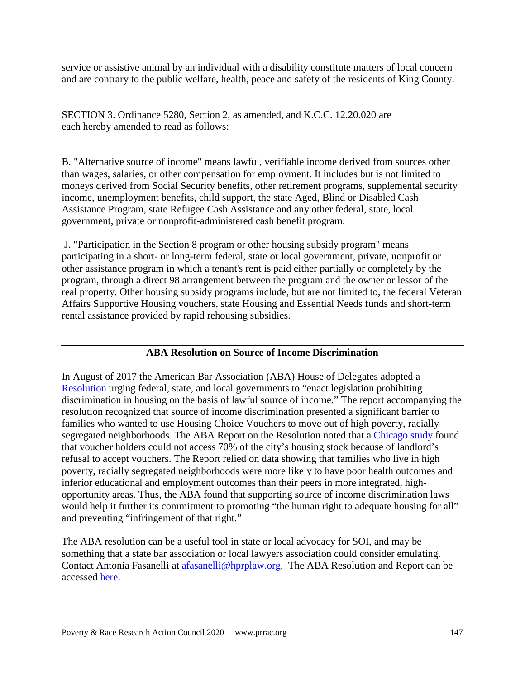service or assistive animal by an individual with a disability constitute matters of local concern and are contrary to the public welfare, health, peace and safety of the residents of King County.

SECTION 3. Ordinance 5280, Section 2, as amended, and K.C.C. 12.20.020 are each hereby amended to read as follows:

B. "Alternative source of income" means lawful, verifiable income derived from sources other than wages, salaries, or other compensation for employment. It includes but is not limited to moneys derived from Social Security benefits, other retirement programs, supplemental security income, unemployment benefits, child support, the state Aged, Blind or Disabled Cash Assistance Program, state Refugee Cash Assistance and any other federal, state, local government, private or nonprofit-administered cash benefit program.

J. "Participation in the Section 8 program or other housing subsidy program" means participating in a short- or long-term federal, state or local government, private, nonprofit or other assistance program in which a tenant's rent is paid either partially or completely by the program, through a direct 98 arrangement between the program and the owner or lessor of the real property. Other housing subsidy programs include, but are not limited to, the federal Veteran Affairs Supportive Housing vouchers, state Housing and Essential Needs funds and short-term rental assistance provided by rapid rehousing subsidies.

### **ABA Resolution on Source of Income Discrimination**

In August of 2017 the American Bar Association (ABA) House of Delegates adopted a [Resolution](http://prrac.org/pdf/2017_am_119A.pdf) urging federal, state, and local governments to "enact legislation prohibiting discrimination in housing on the basis of lawful source of income." The report accompanying the resolution recognized that source of income discrimination presented a significant barrier to families who wanted to use Housing Choice Vouchers to move out of high poverty, racially segregated neighborhoods. The ABA Report on the Resolution noted that a [Chicago study](http://lcbh.org/sites/default/files/resources/2002-lcbh-housing-voucher-barriers-report.pdf) found that voucher holders could not access 70% of the city's housing stock because of landlord's refusal to accept vouchers. The Report relied on data showing that families who live in high poverty, racially segregated neighborhoods were more likely to have poor health outcomes and inferior educational and employment outcomes than their peers in more integrated, highopportunity areas. Thus, the ABA found that supporting source of income discrimination laws would help it further its commitment to promoting "the human right to adequate housing for all" and preventing "infringement of that right."

The ABA resolution can be a useful tool in state or local advocacy for SOI, and may be something that a state bar association or local lawyers association could consider emulating. Contact Antonia Fasanelli at [afasanelli@hprplaw.org.](mailto:afasanelli@hprplaw.org) The ABA Resolution and Report can be accessed [here.](http://prrac.org/pdf/2017_am_119A.pdf)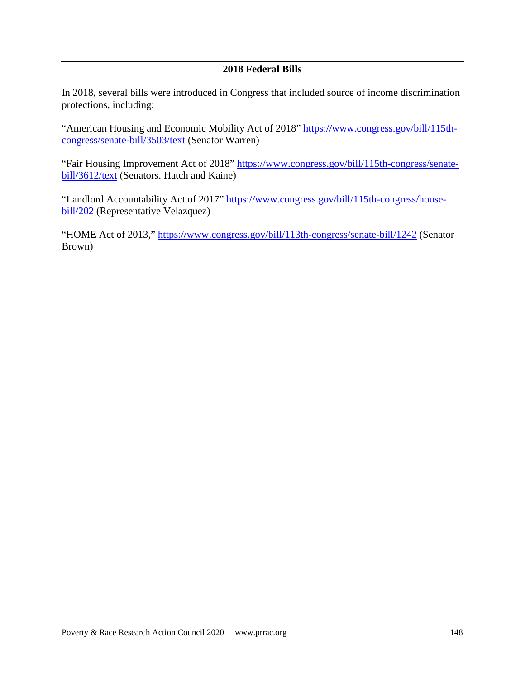## **2018 Federal Bills**

In 2018, several bills were introduced in Congress that included source of income discrimination protections, including:

"American Housing and Economic Mobility Act of 2018" [https://www.congress.gov/bill/115th](https://www.congress.gov/bill/115th-congress/senate-bill/3503/text)[congress/senate-bill/3503/text](https://www.congress.gov/bill/115th-congress/senate-bill/3503/text) (Senator Warren)

"Fair Housing Improvement Act of 2018" [https://www.congress.gov/bill/115th-congress/senate](https://www.congress.gov/bill/115th-congress/senate-bill/3612/text)[bill/3612/text](https://www.congress.gov/bill/115th-congress/senate-bill/3612/text) (Senators. Hatch and Kaine)

"Landlord Accountability Act of 2017" [https://www.congress.gov/bill/115th-congress/house](https://www.congress.gov/bill/115th-congress/house-bill/202)[bill/202](https://www.congress.gov/bill/115th-congress/house-bill/202) (Representative Velazquez)

"HOME Act of 2013,"<https://www.congress.gov/bill/113th-congress/senate-bill/1242> (Senator Brown)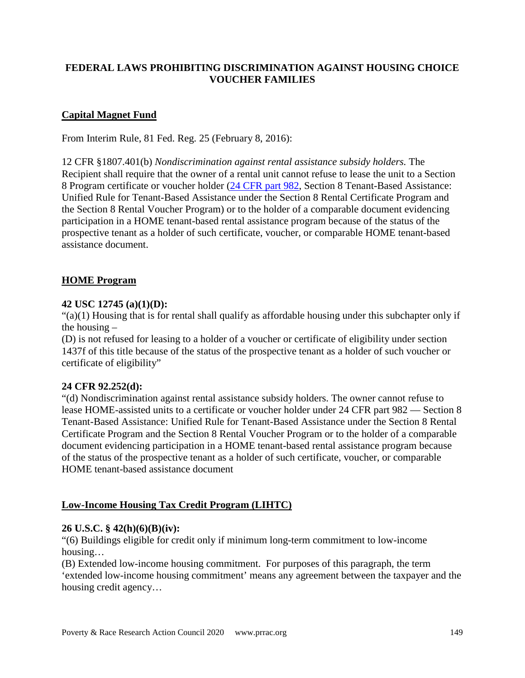# **FEDERAL LAWS PROHIBITING DISCRIMINATION AGAINST HOUSING CHOICE VOUCHER FAMILIES**

## **Capital Magnet Fund**

From Interim Rule, 81 Fed. Reg. 25 (February 8, 2016):

12 CFR §1807.401(b) *Nondiscrimination against rental assistance subsidy holders.* The Recipient shall require that the owner of a rental unit cannot refuse to lease the unit to a Section 8 Program certificate or voucher holder [\(24 CFR part 982,](https://www.federalregister.gov/select-citation/2016/02/08/24-CFR-982) Section 8 Tenant-Based Assistance: Unified Rule for Tenant-Based Assistance under the Section 8 Rental Certificate Program and the Section 8 Rental Voucher Program) or to the holder of a comparable document evidencing participation in a HOME tenant-based rental assistance program because of the status of the prospective tenant as a holder of such certificate, voucher, or comparable HOME tenant-based assistance document.

#### **HOME Program**

#### **42 USC 12745 (a)(1)(D):**

"(a)(1) Housing that is for rental shall qualify as affordable housing under this subchapter only if the housing –

(D) is not refused for leasing to a holder of a voucher or certificate of eligibility under section 1437f of this title because of the status of the prospective tenant as a holder of such voucher or certificate of eligibility"

#### **24 CFR 92.252(d):**

"(d) Nondiscrimination against rental assistance subsidy holders. The owner cannot refuse to lease HOME-assisted units to a certificate or voucher holder under 24 CFR part 982 — Section 8 Tenant-Based Assistance: Unified Rule for Tenant-Based Assistance under the Section 8 Rental Certificate Program and the Section 8 Rental Voucher Program or to the holder of a comparable document evidencing participation in a HOME tenant-based rental assistance program because of the status of the prospective tenant as a holder of such certificate, voucher, or comparable HOME tenant-based assistance document

### **Low-Income Housing Tax Credit Program (LIHTC)**

#### **26 U.S.C. § 42(h)(6)(B)(iv):**

"(6) Buildings eligible for credit only if minimum long-term commitment to low-income housing…

(B) Extended low-income housing commitment. For purposes of this paragraph, the term 'extended low-income housing commitment' means any agreement between the taxpayer and the

housing credit agency…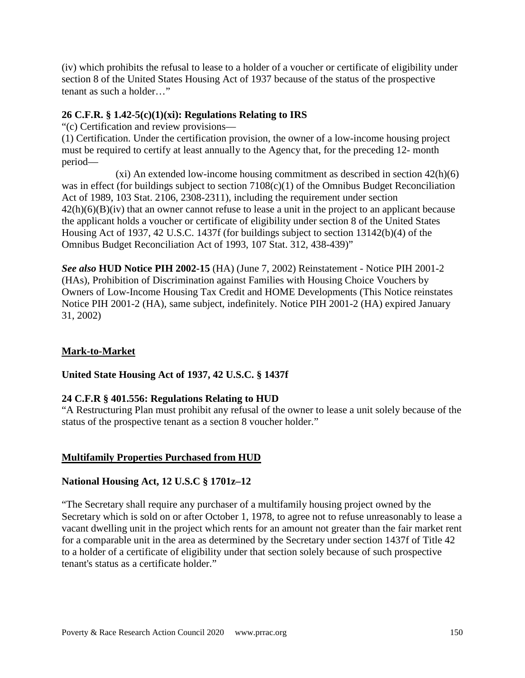(iv) which prohibits the refusal to lease to a holder of a voucher or certificate of eligibility under section 8 of the United States Housing Act of 1937 because of the status of the prospective tenant as such a holder…"

## **26 C.F.R. § 1.42-5(c)(1)(xi): Regulations Relating to IRS**

"(c) Certification and review provisions—

(1) Certification. Under the certification provision, the owner of a low-income housing project must be required to certify at least annually to the Agency that, for the preceding 12- month period—

(xi) An extended low-income housing commitment as described in section 42(h)(6) was in effect (for buildings subject to section 7108(c)(1) of the Omnibus Budget Reconciliation Act of 1989, 103 Stat. 2106, 2308-2311), including the requirement under section 42(h)(6)(B)(iv) that an owner cannot refuse to lease a unit in the project to an applicant because the applicant holds a voucher or certificate of eligibility under section 8 of the United States Housing Act of 1937, [42 U.S.C. 1437f](http://web2.westlaw.com/find/default.wl?rp=%2ffind%2fdefault.wl&vc=0&DB=1000546&DocName=42USCAS1437F&FindType=L&AP=&fn=_top&rs=WLW8.05&mt=LawSchoolPractitioner&vr=2.0&sv=Split) (for buildings subject to section 13142(b)(4) of the Omnibus Budget Reconciliation Act of 1993, 107 Stat. 312, 438-439)"

*See also* **HUD Notice PIH 2002-15** (HA) (June 7, 2002) Reinstatement - Notice PIH 2001-2 (HAs), Prohibition of Discrimination against Families with Housing Choice Vouchers by Owners of Low-Income Housing Tax Credit and HOME Developments (This Notice reinstates Notice PIH 2001-2 (HA), same subject, indefinitely. Notice PIH 2001-2 (HA) expired January 31, 2002)

# **Mark-to-Market**

### **United State Housing Act of 1937, 42 U.S.C. § 1437f**

### **24 C.F.R § 401.556: Regulations Relating to HUD**

"A Restructuring Plan must prohibit any refusal of the owner to lease a unit solely because of the status of the prospective tenant as a section 8 voucher holder."

### **Multifamily Properties Purchased from HUD**

### **National Housing Act, 12 U.S.C § 1701z–12**

"The Secretary shall require any purchaser of a multifamily housing project owned by the Secretary which is sold on or after October 1, 1978, to agree not to refuse unreasonably to lease a vacant dwelling unit in the project which rents for an amount not greater than the fair market rent for a comparable unit in the area as determined by the Secretary under [section 1437f of Title 42](http://web2.westlaw.com/find/default.wl?tf=-1&rs=WLW8.05&fn=_top&sv=Split&tc=-1&findtype=L&docname=42USCAS1437F&db=1000546&vr=2.0&rp=%2ffind%2fdefault.wl&mt=LawSchoolPractitioner) to a holder of a certificate of eligibility under that section solely because of such prospective tenant's status as a certificate holder."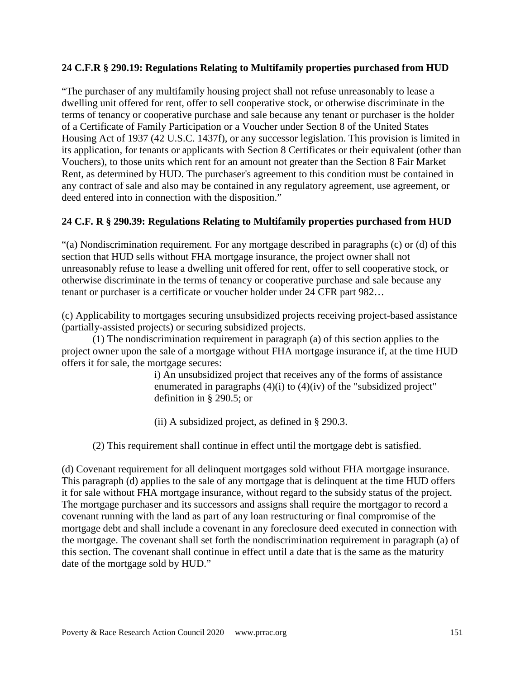## **24 C.F.R § 290.19: Regulations Relating to Multifamily properties purchased from HUD**

"The purchaser of any multifamily housing project shall not refuse unreasonably to lease a dwelling unit offered for rent, offer to sell cooperative stock, or otherwise discriminate in the terms of tenancy or cooperative purchase and sale because any tenant or purchaser is the holder of a Certificate of Family Participation or a Voucher under Section 8 of the United States Housing Act of 1937 [\(42 U.S.C. 1437f\)](http://web2.westlaw.com/find/default.wl?rp=%2ffind%2fdefault.wl&vc=0&DB=1000546&DocName=42USCAS1437F&FindType=L&AP=&fn=_top&rs=WLW8.05&mt=LawSchoolPractitioner&vr=2.0&sv=Split), or any successor legislation. This provision is limited in its application, for tenants or applicants with Section 8 Certificates or their equivalent (other than Vouchers), to those units which rent for an amount not greater than the Section 8 Fair Market Rent, as determined by HUD. The purchaser's agreement to this condition must be contained in any contract of sale and also may be contained in any regulatory agreement, use agreement, or deed entered into in connection with the disposition."

# **24 C.F. R § 290.39: Regulations Relating to Multifamily properties purchased from HUD**

"(a) Nondiscrimination requirement. For any mortgage described in paragraphs (c) or (d) of this section that HUD sells without FHA mortgage insurance, the project owner shall not unreasonably refuse to lease a dwelling unit offered for rent, offer to sell cooperative stock, or otherwise discriminate in the terms of tenancy or cooperative purchase and sale because any tenant or purchaser is a certificate or voucher holder under 24 CFR part 982…

(c) Applicability to mortgages securing unsubsidized projects receiving project-based assistance (partially-assisted projects) or securing subsidized projects.

(1) The nondiscrimination requirement in paragraph (a) of this section applies to the project owner upon the sale of a mortgage without FHA mortgage insurance if, at the time HUD offers it for sale, the mortgage secures:

> i) An unsubsidized project that receives any of the forms of assistance enumerated in paragraphs  $(4)(i)$  to  $(4)(iv)$  of the "subsidized project" definition in § 290.5; or

(ii) A subsidized project, as defined in [§ 290.3.](http://web2.westlaw.com/find/default.wl?rp=%2ffind%2fdefault.wl&vc=0&DB=1000547&DocName=24CFRS290%2E3&FindType=VP&AP=&fn=_top&rs=WLW8.05&mt=LawSchoolPractitioner&vr=2.0&sv=Split)

(2) This requirement shall continue in effect until the mortgage debt is satisfied.

(d) Covenant requirement for all delinquent mortgages sold without FHA mortgage insurance. This paragraph (d) applies to the sale of any mortgage that is delinquent at the time HUD offers it for sale without FHA mortgage insurance, without regard to the subsidy status of the project. The mortgage purchaser and its successors and assigns shall require the mortgagor to record a covenant running with the land as part of any loan restructuring or final compromise of the mortgage debt and shall include a covenant in any foreclosure deed executed in connection with the mortgage. The covenant shall set forth the nondiscrimination requirement in paragraph (a) of this section. The covenant shall continue in effect until a date that is the same as the maturity date of the mortgage sold by HUD."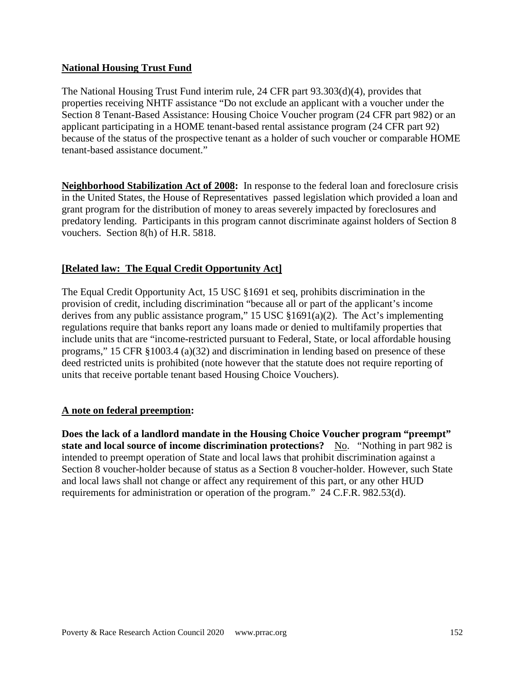## **National Housing Trust Fund**

The National Housing Trust Fund interim rule, 24 CFR part 93.303(d)(4), provides that properties receiving NHTF assistance "Do not exclude an applicant with a voucher under the Section 8 Tenant-Based Assistance: Housing Choice Voucher program (24 CFR part 982) or an applicant participating in a HOME tenant-based rental assistance program (24 CFR part 92) because of the status of the prospective tenant as a holder of such voucher or comparable HOME tenant-based assistance document."

**Neighborhood Stabilization Act of 2008:** In response to the federal loan and foreclosure crisis in the United States, the House of Representatives passed legislation which provided a loan and grant program for the distribution of money to areas severely impacted by foreclosures and predatory lending. Participants in this program cannot discriminate against holders of Section 8 vouchers. Section 8(h) of H.R. 5818.

## **[Related law: The Equal Credit Opportunity Act]**

The Equal Credit Opportunity Act, 15 USC §1691 et seq, prohibits discrimination in the provision of credit, including discrimination "because all or part of the applicant's income derives from any public assistance program," 15 USC §1691(a)(2). The Act's implementing regulations require that banks report any loans made or denied to multifamily properties that include units that are "income-restricted pursuant to Federal, State, or local affordable housing programs," 15 CFR §1003.4 (a)(32) and discrimination in lending based on presence of these deed restricted units is prohibited (note however that the statute does not require reporting of units that receive portable tenant based Housing Choice Vouchers).

### **A note on federal preemption:**

**Does the lack of a landlord mandate in the Housing Choice Voucher program "preempt" state and local source of income discrimination protections?** No. "Nothing in part 982 is intended to preempt operation of State and local laws that prohibit discrimination against a Section 8 voucher-holder because of status as a Section 8 voucher-holder. However, such State and local laws shall not change or affect any requirement of this part, or any other HUD requirements for administration or operation of the program." 24 C.F.R. 982.53(d).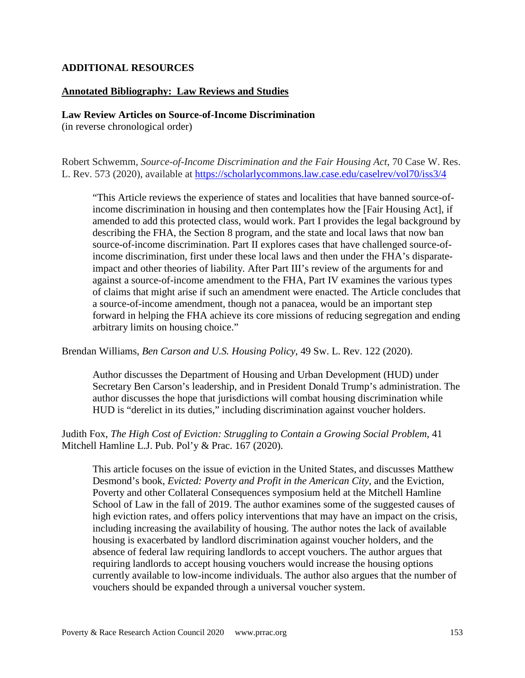### **ADDITIONAL RESOURCES**

#### **Annotated Bibliography: Law Reviews and Studies**

### **Law Review Articles on Source-of-Income Discrimination**

(in reverse chronological order)

Robert Schwemm, *Source-of-Income Discrimination and the Fair Housing Act*, 70 Case W. Res. L. Rev. 573 (2020), available at<https://scholarlycommons.law.case.edu/caselrev/vol70/iss3/4>

"This Article reviews the experience of states and localities that have banned source-ofincome discrimination in housing and then contemplates how the [Fair Housing Act], if amended to add this protected class, would work. Part I provides the legal background by describing the FHA, the Section 8 program, and the state and local laws that now ban source-of-income discrimination. Part II explores cases that have challenged source-ofincome discrimination, first under these local laws and then under the FHA's disparateimpact and other theories of liability. After Part III's review of the arguments for and against a source-of-income amendment to the FHA, Part IV examines the various types of claims that might arise if such an amendment were enacted. The Article concludes that a source-of-income amendment, though not a panacea, would be an important step forward in helping the FHA achieve its core missions of reducing segregation and ending arbitrary limits on housing choice."

Brendan Williams, *Ben Carson and U.S. Housing Policy*, 49 Sw. L. Rev. 122 (2020).

Author discusses the Department of Housing and Urban Development (HUD) under Secretary Ben Carson's leadership, and in President Donald Trump's administration. The author discusses the hope that jurisdictions will combat housing discrimination while HUD is "derelict in its duties," including discrimination against voucher holders.

Judith Fox, *The High Cost of Eviction: Struggling to Contain a Growing Social Problem*, 41 Mitchell Hamline L.J. Pub. Pol'y & Prac. 167 (2020).

This article focuses on the issue of eviction in the United States, and discusses Matthew Desmond's book, *Evicted: Poverty and Profit in the American City*, and the Eviction, Poverty and other Collateral Consequences symposium held at the Mitchell Hamline School of Law in the fall of 2019. The author examines some of the suggested causes of high eviction rates, and offers policy interventions that may have an impact on the crisis, including increasing the availability of housing. The author notes the lack of available housing is exacerbated by landlord discrimination against voucher holders, and the absence of federal law requiring landlords to accept vouchers. The author argues that requiring landlords to accept housing vouchers would increase the housing options currently available to low-income individuals. The author also argues that the number of vouchers should be expanded through a universal voucher system.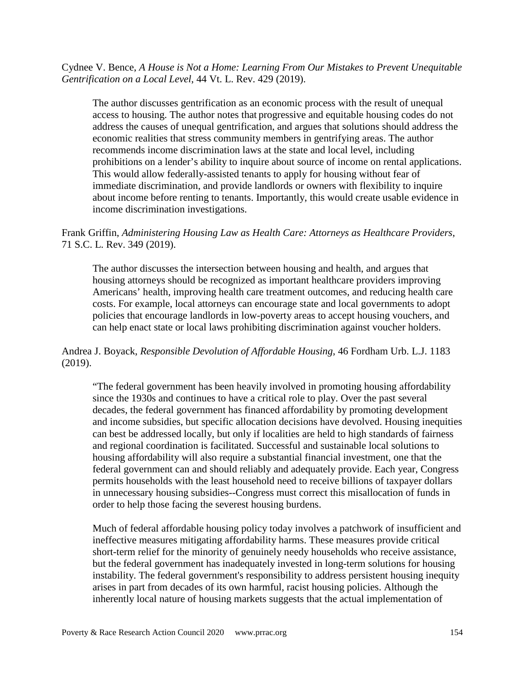Cydnee V. Bence, *A House is Not a Home: Learning From Our Mistakes to Prevent Unequitable Gentrification on a Local Level*, 44 Vt. L. Rev. 429 (2019).

The author discusses gentrification as an economic process with the result of unequal access to housing. The author notes that progressive and equitable housing codes do not address the causes of unequal gentrification, and argues that solutions should address the economic realities that stress community members in gentrifying areas. The author recommends income discrimination laws at the state and local level, including prohibitions on a lender's ability to inquire about source of income on rental applications. This would allow federally-assisted tenants to apply for housing without fear of immediate discrimination, and provide landlords or owners with flexibility to inquire about income before renting to tenants. Importantly, this would create usable evidence in income discrimination investigations.

## Frank Griffin, *Administering Housing Law as Health Care: Attorneys as Healthcare Providers*, 71 S.C. L. Rev. 349 (2019).

The author discusses the intersection between housing and health, and argues that housing attorneys should be recognized as important healthcare providers improving Americans' health, improving health care treatment outcomes, and reducing health care costs. For example, local attorneys can encourage state and local governments to adopt policies that encourage landlords in low-poverty areas to accept housing vouchers, and can help enact state or local laws prohibiting discrimination against voucher holders.

## Andrea J. Boyack, *Responsible Devolution of Affordable Housing*, 46 Fordham Urb. L.J. 1183 (2019).

"The federal government has been heavily involved in promoting housing affordability since the 1930s and continues to have a critical role to play. Over the past several decades, the federal government has financed affordability by promoting development and income subsidies, but specific allocation decisions have devolved. Housing inequities can best be addressed locally, but only if localities are held to high standards of fairness and regional coordination is facilitated. Successful and sustainable local solutions to housing affordability will also require a substantial financial investment, one that the federal government can and should reliably and adequately provide. Each year, Congress permits households with the least household need to receive billions of taxpayer dollars in unnecessary housing subsidies--Congress must correct this misallocation of funds in order to help those facing the severest housing burdens.

Much of federal affordable housing policy today involves a patchwork of insufficient and ineffective measures mitigating affordability harms. These measures provide critical short-term relief for the minority of genuinely needy households who receive assistance, but the federal government has inadequately invested in long-term solutions for housing instability. The federal government's responsibility to address persistent housing inequity arises in part from decades of its own harmful, racist housing policies. Although the inherently local nature of housing markets suggests that the actual implementation of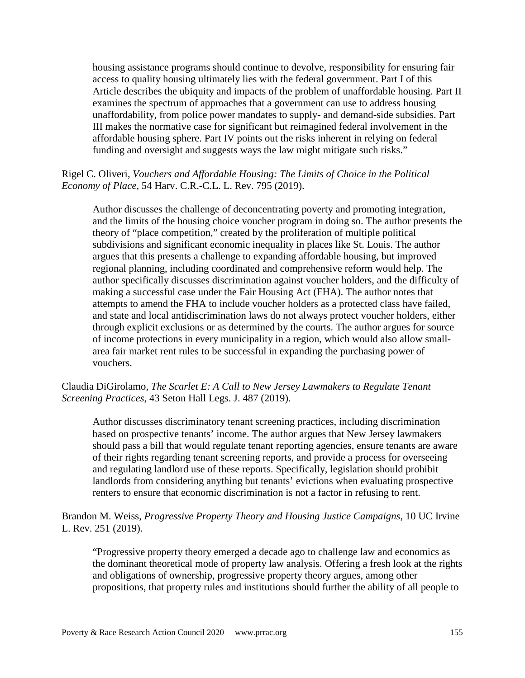housing assistance programs should continue to devolve, responsibility for ensuring fair access to quality housing ultimately lies with the federal government. Part I of this Article describes the ubiquity and impacts of the problem of unaffordable housing. Part II examines the spectrum of approaches that a government can use to address housing unaffordability, from police power mandates to supply- and demand-side subsidies. Part III makes the normative case for significant but reimagined federal involvement in the affordable housing sphere. Part IV points out the risks inherent in relying on federal funding and oversight and suggests ways the law might mitigate such risks."

### Rigel C. Oliveri, *Vouchers and Affordable Housing: The Limits of Choice in the Political Economy of Place*, 54 Harv. C.R.-C.L. L. Rev. 795 (2019).

Author discusses the challenge of deconcentrating poverty and promoting integration, and the limits of the housing choice voucher program in doing so. The author presents the theory of "place competition," created by the proliferation of multiple political subdivisions and significant economic inequality in places like St. Louis. The author argues that this presents a challenge to expanding affordable housing, but improved regional planning, including coordinated and comprehensive reform would help. The author specifically discusses discrimination against voucher holders, and the difficulty of making a successful case under the Fair Housing Act (FHA). The author notes that attempts to amend the FHA to include voucher holders as a protected class have failed, and state and local antidiscrimination laws do not always protect voucher holders, either through explicit exclusions or as determined by the courts. The author argues for source of income protections in every municipality in a region, which would also allow smallarea fair market rent rules to be successful in expanding the purchasing power of vouchers.

### Claudia DiGirolamo, *The Scarlet E: A Call to New Jersey Lawmakers to Regulate Tenant Screening Practices*, 43 Seton Hall Legs. J. 487 (2019).

Author discusses discriminatory tenant screening practices, including discrimination based on prospective tenants' income. The author argues that New Jersey lawmakers should pass a bill that would regulate tenant reporting agencies, ensure tenants are aware of their rights regarding tenant screening reports, and provide a process for overseeing and regulating landlord use of these reports. Specifically, legislation should prohibit landlords from considering anything but tenants' evictions when evaluating prospective renters to ensure that economic discrimination is not a factor in refusing to rent.

### Brandon M. Weiss, *Progressive Property Theory and Housing Justice Campaigns*, 10 UC Irvine L. Rev. 251 (2019).

"Progressive property theory emerged a decade ago to challenge law and economics as the dominant theoretical mode of property law analysis. Offering a fresh look at the rights and obligations of ownership, progressive property theory argues, among other propositions, that property rules and institutions should further the ability of all people to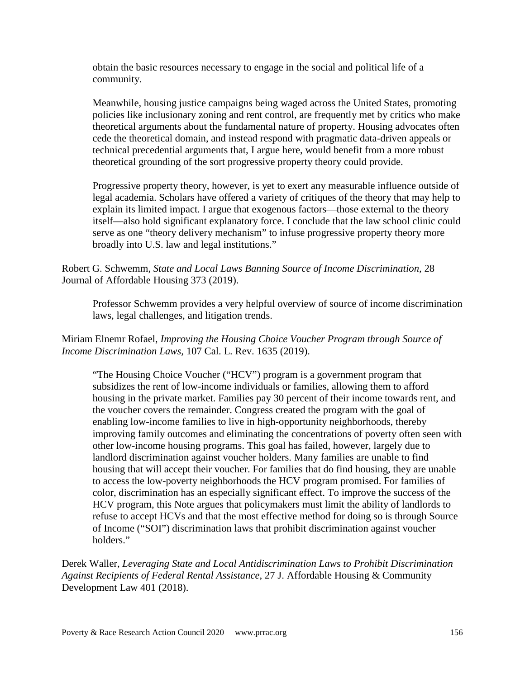obtain the basic resources necessary to engage in the social and political life of a community.

Meanwhile, housing justice campaigns being waged across the United States, promoting policies like inclusionary zoning and rent control, are frequently met by critics who make theoretical arguments about the fundamental nature of property. Housing advocates often cede the theoretical domain, and instead respond with pragmatic data-driven appeals or technical precedential arguments that, I argue here, would benefit from a more robust theoretical grounding of the sort progressive property theory could provide.

Progressive property theory, however, is yet to exert any measurable influence outside of legal academia. Scholars have offered a variety of critiques of the theory that may help to explain its limited impact. I argue that exogenous factors—those external to the theory itself—also hold significant explanatory force. I conclude that the law school clinic could serve as one "theory delivery mechanism" to infuse progressive property theory more broadly into U.S. law and legal institutions."

## Robert G. Schwemm, *State and Local Laws Banning Source of Income Discrimination,* 28 Journal of Affordable Housing 373 (2019).

Professor Schwemm provides a very helpful overview of source of income discrimination laws, legal challenges, and litigation trends.

Miriam Elnemr Rofael, *Improving the Housing Choice Voucher Program through Source of Income Discrimination Laws,* 107 Cal. L. Rev. 1635 (2019).

"The Housing Choice Voucher ("HCV") program is a government program that subsidizes the rent of low-income individuals or families, allowing them to afford housing in the private market. Families pay 30 percent of their income towards rent, and the voucher covers the remainder. Congress created the program with the goal of enabling low-income families to live in high-opportunity neighborhoods, thereby improving family outcomes and eliminating the concentrations of poverty often seen with other low-income housing programs. This goal has failed, however, largely due to landlord discrimination against voucher holders. Many families are unable to find housing that will accept their voucher. For families that do find housing, they are unable to access the low-poverty neighborhoods the HCV program promised. For families of color, discrimination has an especially significant effect. To improve the success of the HCV program, this Note argues that policymakers must limit the ability of landlords to refuse to accept HCVs and that the most effective method for doing so is through Source of Income ("SOI") discrimination laws that prohibit discrimination against voucher holders."

Derek Waller, *Leveraging State and Local Antidiscrimination Laws to Prohibit Discrimination Against Recipients of Federal Rental Assistance*, 27 J. Affordable Housing & Community Development Law 401 (2018).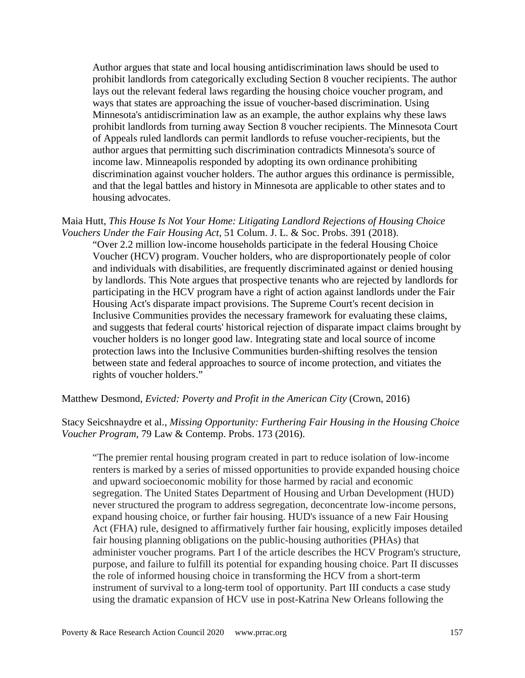Author argues that state and local housing antidiscrimination laws should be used to prohibit landlords from categorically excluding Section 8 voucher recipients. The author lays out the relevant federal laws regarding the housing choice voucher program, and ways that states are approaching the issue of voucher-based discrimination. Using Minnesota's antidiscrimination law as an example, the author explains why these laws prohibit landlords from turning away Section 8 voucher recipients. The Minnesota Court of Appeals ruled landlords can permit landlords to refuse voucher-recipients, but the author argues that permitting such discrimination contradicts Minnesota's source of income law. Minneapolis responded by adopting its own ordinance prohibiting discrimination against voucher holders. The author argues this ordinance is permissible, and that the legal battles and history in Minnesota are applicable to other states and to housing advocates.

### Maia Hutt, *This House Is Not Your Home: Litigating Landlord Rejections of Housing Choice Vouchers Under the Fair Housing Act,* 51 Colum. J. L. & Soc. Probs. 391 (2018).

"Over 2.2 million low-income households participate in the federal Housing Choice Voucher (HCV) program. Voucher holders, who are disproportionately people of color and individuals with disabilities, are frequently discriminated against or denied housing by landlords. This Note argues that prospective tenants who are rejected by landlords for participating in the HCV program have a right of action against landlords under the Fair Housing Act's disparate impact provisions. The Supreme Court's recent decision in Inclusive Communities provides the necessary framework for evaluating these claims, and suggests that federal courts' historical rejection of disparate impact claims brought by voucher holders is no longer good law. Integrating state and local source of income protection laws into the Inclusive Communities burden-shifting resolves the tension between state and federal approaches to source of income protection, and vitiates the rights of voucher holders."

#### Matthew Desmond, *Evicted: Poverty and Profit in the American City* (Crown, 2016)

### Stacy Seicshnaydre et al., *Missing Opportunity: Furthering Fair Housing in the Housing Choice Voucher Program,* 79 Law & Contemp. Probs. 173 (2016).

"The premier rental housing program created in part to reduce isolation of low-income renters is marked by a series of missed opportunities to provide expanded housing choice and upward socioeconomic mobility for those harmed by racial and economic segregation. The United States Department of Housing and Urban Development (HUD) never structured the program to address segregation, deconcentrate low-income persons, expand housing choice, or further fair housing. HUD's issuance of a new Fair Housing Act (FHA) rule, designed to affirmatively further fair housing, explicitly imposes detailed fair housing planning obligations on the public-housing authorities (PHAs) that administer voucher programs. Part I of the article describes the HCV Program's structure, purpose, and failure to fulfill its potential for expanding housing choice. Part II discusses the role of informed housing choice in transforming the HCV from a short-term instrument of survival to a long-term tool of opportunity. Part III conducts a case study using the dramatic expansion of HCV use in post-Katrina New Orleans following the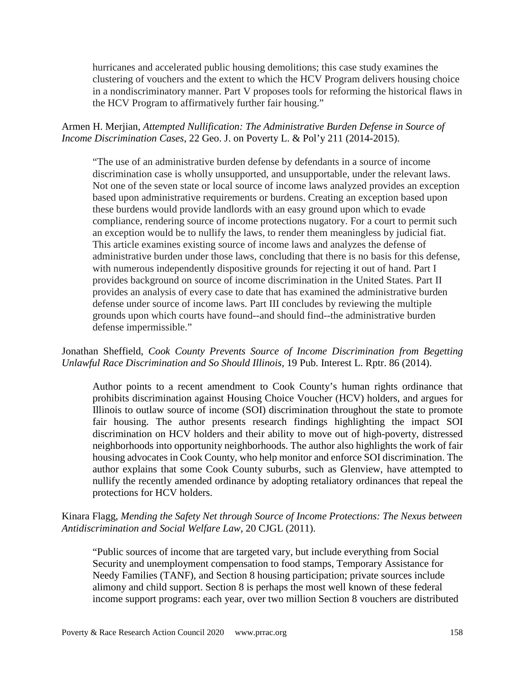hurricanes and accelerated public housing demolitions; this case study examines the clustering of vouchers and the extent to which the HCV Program delivers housing choice in a nondiscriminatory manner. Part V proposes tools for reforming the historical flaws in the HCV Program to affirmatively further fair housing."

## Armen H. Merjian, *Attempted Nullification: The Administrative Burden Defense in Source of Income Discrimination Cases*, 22 Geo. J. on Poverty L. & Pol'y 211 (2014-2015).

"The use of an administrative burden defense by defendants in a source of income discrimination case is wholly unsupported, and unsupportable, under the relevant laws. Not one of the seven state or local source of income laws analyzed provides an exception based upon administrative requirements or burdens. Creating an exception based upon these burdens would provide landlords with an easy ground upon which to evade compliance, rendering source of income protections nugatory. For a court to permit such an exception would be to nullify the laws, to render them meaningless by judicial fiat. This article examines existing source of income laws and analyzes the defense of administrative burden under those laws, concluding that there is no basis for this defense, with numerous independently dispositive grounds for rejecting it out of hand. Part I provides background on source of income discrimination in the United States. Part II provides an analysis of every case to date that has examined the administrative burden defense under source of income laws. Part III concludes by reviewing the multiple grounds upon which courts have found--and should find--the administrative burden defense impermissible."

### Jonathan Sheffield, *Cook County Prevents Source of Income Discrimination from Begetting Unlawful Race Discrimination and So Should Illinois*, 19 Pub. Interest L. Rptr. 86 (2014).

Author points to a recent amendment to Cook County's human rights ordinance that prohibits discrimination against Housing Choice Voucher (HCV) holders, and argues for Illinois to outlaw source of income (SOI) discrimination throughout the state to promote fair housing. The author presents research findings highlighting the impact SOI discrimination on HCV holders and their ability to move out of high-poverty, distressed neighborhoods into opportunity neighborhoods. The author also highlights the work of fair housing advocates in Cook County, who help monitor and enforce SOI discrimination. The author explains that some Cook County suburbs, such as Glenview, have attempted to nullify the recently amended ordinance by adopting retaliatory ordinances that repeal the protections for HCV holders.

## Kinara Flagg, *Mending the Safety Net through Source of Income Protections: The Nexus between Antidiscrimination and Social Welfare Law*, 20 CJGL (2011).

"Public sources of income that are targeted vary, but include everything from Social Security and unemployment compensation to food stamps, Temporary Assistance for Needy Families (TANF), and Section 8 housing participation; private sources include alimony and child support. Section 8 is perhaps the most well known of these federal income support programs: each year, over two million Section 8 vouchers are distributed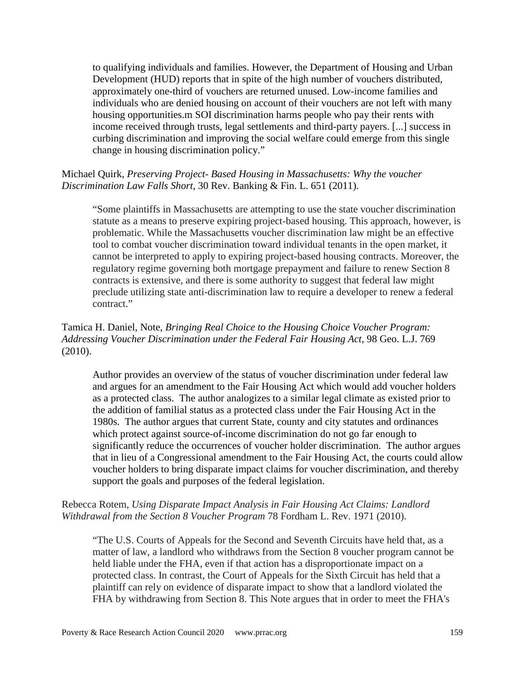to qualifying individuals and families. However, the Department of Housing and Urban Development (HUD) reports that in spite of the high number of vouchers distributed, approximately one-third of vouchers are returned unused. Low-income families and individuals who are denied housing on account of their vouchers are not left with many housing opportunities.m SOI discrimination harms people who pay their rents with income received through trusts, legal settlements and third-party payers. [...] success in curbing discrimination and improving the social welfare could emerge from this single change in housing discrimination policy."

### Michael Quirk, *Preserving Project- Based Housing in Massachusetts: Why the voucher Discrimination Law Falls Short,* 30 Rev. Banking & Fin. L. 651 (2011).

"Some plaintiffs in Massachusetts are attempting to use the state voucher discrimination statute as a means to preserve expiring project-based housing. This approach, however, is problematic. While the Massachusetts voucher discrimination law might be an effective tool to combat voucher discrimination toward individual tenants in the open market, it cannot be interpreted to apply to expiring project-based housing contracts. Moreover, the regulatory regime governing both mortgage prepayment and failure to renew Section 8 contracts is extensive, and there is some authority to suggest that federal law might preclude utilizing state anti-discrimination law to require a developer to renew a federal contract."

## Tamica H. Daniel, Note, *Bringing Real Choice to the Housing Choice Voucher Program: Addressing Voucher Discrimination under the Federal Fair Housing Act*, 98 Geo. L.J. 769 (2010).

Author provides an overview of the status of voucher discrimination under federal law and argues for an amendment to the Fair Housing Act which would add voucher holders as a protected class. The author analogizes to a similar legal climate as existed prior to the addition of familial status as a protected class under the Fair Housing Act in the 1980s. The author argues that current State, county and city statutes and ordinances which protect against source-of-income discrimination do not go far enough to significantly reduce the occurrences of voucher holder discrimination. The author argues that in lieu of a Congressional amendment to the Fair Housing Act, the courts could allow voucher holders to bring disparate impact claims for voucher discrimination, and thereby support the goals and purposes of the federal legislation.

## Rebecca Rotem, *Using Disparate Impact Analysis in Fair Housing Act Claims: Landlord Withdrawal from the Section 8 Voucher Program* 78 Fordham L. Rev. 1971 (2010).

"The U.S. Courts of Appeals for the Second and Seventh Circuits have held that, as a matter of law, a landlord who withdraws from the Section 8 voucher program cannot be held liable under the FHA, even if that action has a disproportionate impact on a protected class. In contrast, the Court of Appeals for the Sixth Circuit has held that a plaintiff can rely on evidence of disparate impact to show that a landlord violated the FHA by withdrawing from Section 8. This Note argues that in order to meet the FHA's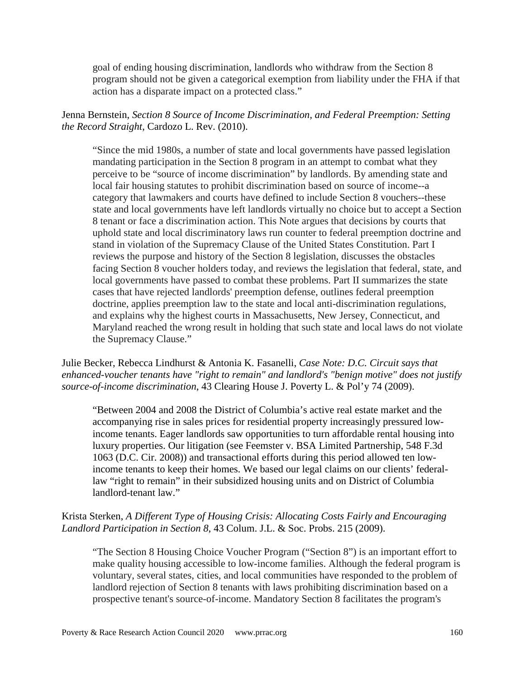goal of ending housing discrimination, landlords who withdraw from the Section 8 program should not be given a categorical exemption from liability under the FHA if that action has a disparate impact on a protected class."

### Jenna Bernstein, *Section 8 Source of Income Discrimination, and Federal Preemption: Setting the Record Straight*, Cardozo L. Rev. (2010).

"Since the mid 1980s, a number of state and local governments have passed legislation mandating participation in the Section 8 program in an attempt to combat what they perceive to be "source of income discrimination" by landlords. By amending state and local fair housing statutes to prohibit discrimination based on source of income--a category that lawmakers and courts have defined to include Section 8 vouchers--these state and local governments have left landlords virtually no choice but to accept a Section 8 tenant or face a discrimination action. This Note argues that decisions by courts that uphold state and local discriminatory laws run counter to federal preemption doctrine and stand in violation of the Supremacy Clause of the United States Constitution. Part I reviews the purpose and history of the Section 8 legislation, discusses the obstacles facing Section 8 voucher holders today, and reviews the legislation that federal, state, and local governments have passed to combat these problems. Part II summarizes the state cases that have rejected landlords' preemption defense, outlines federal preemption doctrine, applies preemption law to the state and local anti-discrimination regulations, and explains why the highest courts in Massachusetts, New Jersey, Connecticut, and Maryland reached the wrong result in holding that such state and local laws do not violate the Supremacy Clause."

Julie Becker, Rebecca Lindhurst & Antonia K. Fasanelli, *Case Note: D.C. Circuit says that enhanced-voucher tenants have "right to remain" and landlord's "benign motive" does not justify source-of-income discrimination*, 43 Clearing House J. Poverty L. & Pol'y 74 (2009).

"Between 2004 and 2008 the District of Columbia's active real estate market and the accompanying rise in sales prices for residential property increasingly pressured lowincome tenants. Eager landlords saw opportunities to turn affordable rental housing into luxury properties. Our litigation (see Feemster v. BSA Limited Partnership, 548 F.3d 1063 (D.C. Cir. 2008)) and transactional efforts during this period allowed ten lowincome tenants to keep their homes. We based our legal claims on our clients' federallaw "right to remain" in their subsidized housing units and on District of Columbia landlord-tenant law."

## Krista Sterken, *A Different Type of Housing Crisis: Allocating Costs Fairly and Encouraging Landlord Participation in Section 8*, 43 Colum. J.L. & Soc. Probs. 215 (2009).

"The Section 8 Housing Choice Voucher Program ("Section 8") is an important effort to make quality housing accessible to low-income families. Although the federal program is voluntary, several states, cities, and local communities have responded to the problem of landlord rejection of Section 8 tenants with laws prohibiting discrimination based on a prospective tenant's source-of-income. Mandatory Section 8 facilitates the program's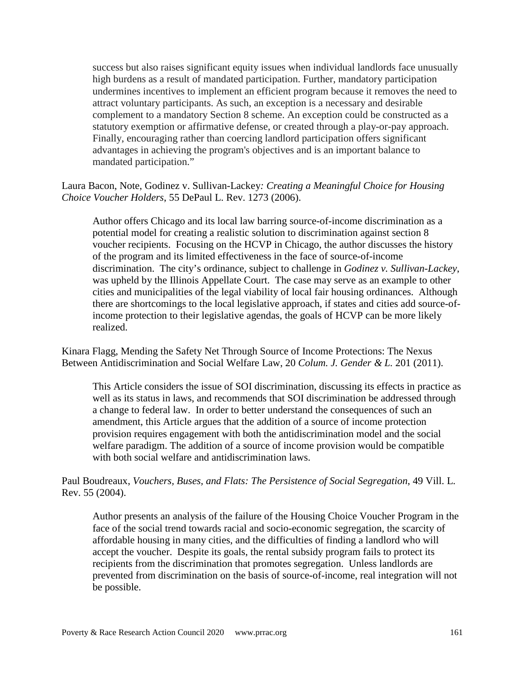success but also raises significant equity issues when individual landlords face unusually high burdens as a result of mandated participation. Further, mandatory participation undermines incentives to implement an efficient program because it removes the need to attract voluntary participants. As such, an exception is a necessary and desirable complement to a mandatory Section 8 scheme. An exception could be constructed as a statutory exemption or affirmative defense, or created through a play-or-pay approach. Finally, encouraging rather than coercing landlord participation offers significant advantages in achieving the program's objectives and is an important balance to mandated participation."

Laura Bacon, Note, Godinez v. Sullivan-Lackey*: Creating a Meaningful Choice for Housing Choice Voucher Holders*, 55 DePaul L. Rev. 1273 (2006).

Author offers Chicago and its local law barring source-of-income discrimination as a potential model for creating a realistic solution to discrimination against section 8 voucher recipients. Focusing on the HCVP in Chicago, the author discusses the history of the program and its limited effectiveness in the face of source-of-income discrimination. The city's ordinance, subject to challenge in *Godinez v. Sullivan-Lackey*, was upheld by the Illinois Appellate Court. The case may serve as an example to other cities and municipalities of the legal viability of local fair housing ordinances. Although there are shortcomings to the local legislative approach, if states and cities add source-ofincome protection to their legislative agendas, the goals of HCVP can be more likely realized.

Kinara Flagg, Mending the Safety Net Through Source of Income Protections: The Nexus Between Antidiscrimination and Social Welfare Law, 20 *Colum. J. Gender & L.* 201 (2011).

This Article considers the issue of SOI discrimination, discussing its effects in practice as well as its status in laws, and recommends that SOI discrimination be addressed through a change to federal law. In order to better understand the consequences of such an amendment, this Article argues that the addition of a source of income protection provision requires engagement with both the antidiscrimination model and the social welfare paradigm. The addition of a source of income provision would be compatible with both social welfare and antidiscrimination laws.

Paul Boudreaux, *Vouchers, Buses, and Flats: The Persistence of Social Segregation*, 49 Vill. L. Rev. 55 (2004).

Author presents an analysis of the failure of the Housing Choice Voucher Program in the face of the social trend towards racial and socio-economic segregation, the scarcity of affordable housing in many cities, and the difficulties of finding a landlord who will accept the voucher. Despite its goals, the rental subsidy program fails to protect its recipients from the discrimination that promotes segregation. Unless landlords are prevented from discrimination on the basis of source-of-income, real integration will not be possible.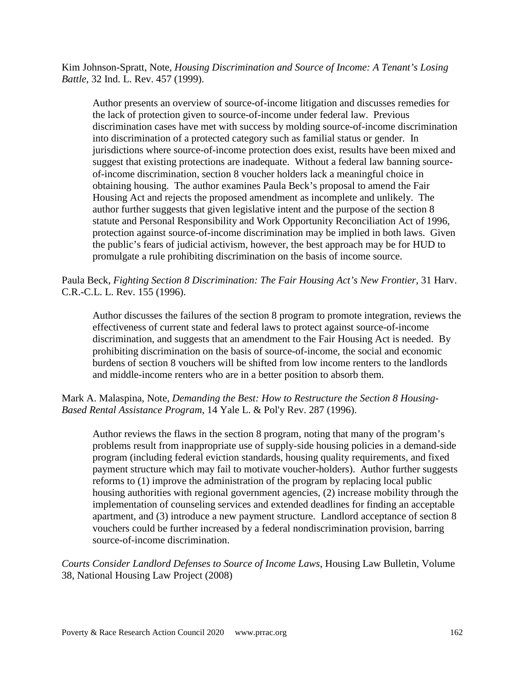Kim Johnson-Spratt, Note, *Housing Discrimination and Source of Income: A Tenant's Losing Battle*, 32 Ind. L. Rev. 457 (1999).

Author presents an overview of source-of-income litigation and discusses remedies for the lack of protection given to source-of-income under federal law. Previous discrimination cases have met with success by molding source-of-income discrimination into discrimination of a protected category such as familial status or gender. In jurisdictions where source-of-income protection does exist, results have been mixed and suggest that existing protections are inadequate. Without a federal law banning sourceof-income discrimination, section 8 voucher holders lack a meaningful choice in obtaining housing. The author examines Paula Beck's proposal to amend the Fair Housing Act and rejects the proposed amendment as incomplete and unlikely. The author further suggests that given legislative intent and the purpose of the section 8 statute and Personal Responsibility and Work Opportunity Reconciliation Act of 1996, protection against source-of-income discrimination may be implied in both laws. Given the public's fears of judicial activism, however, the best approach may be for HUD to promulgate a rule prohibiting discrimination on the basis of income source.

Paula Beck, *Fighting Section 8 Discrimination: The Fair Housing Act's New Frontier*, 31 Harv. C.R.-C.L. L. Rev. 155 (1996).

Author discusses the failures of the section 8 program to promote integration, reviews the effectiveness of current state and federal laws to protect against source-of-income discrimination, and suggests that an amendment to the Fair Housing Act is needed. By prohibiting discrimination on the basis of source-of-income, the social and economic burdens of section 8 vouchers will be shifted from low income renters to the landlords and middle-income renters who are in a better position to absorb them.

### Mark A. Malaspina, Note, *Demanding the Best: How to Restructure the Section 8 Housing-Based Rental Assistance Program*, 14 Yale L. & Pol'y Rev. 287 (1996).

Author reviews the flaws in the section 8 program, noting that many of the program's problems result from inappropriate use of supply-side housing policies in a demand-side program (including federal eviction standards, housing quality requirements, and fixed payment structure which may fail to motivate voucher-holders). Author further suggests reforms to (1) improve the administration of the program by replacing local public housing authorities with regional government agencies, (2) increase mobility through the implementation of counseling services and extended deadlines for finding an acceptable apartment, and (3) introduce a new payment structure. Landlord acceptance of section 8 vouchers could be further increased by a federal nondiscrimination provision, barring source-of-income discrimination.

*Courts Consider Landlord Defenses to Source of Income Laws*, Housing Law Bulletin, Volume 38, National Housing Law Project (2008)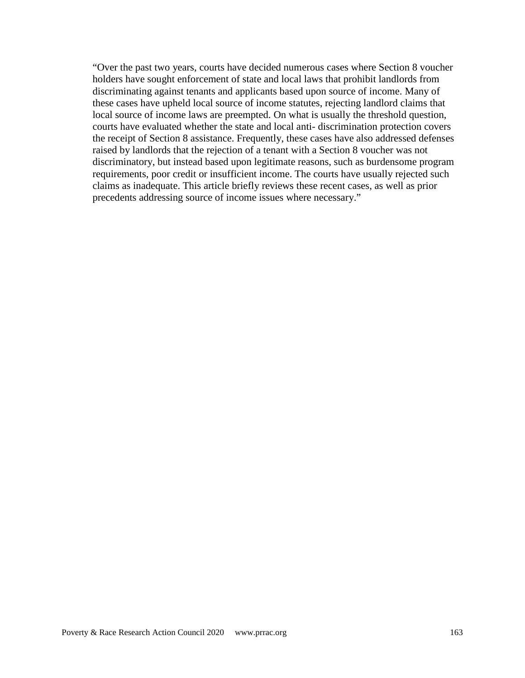"Over the past two years, courts have decided numerous cases where Section 8 voucher holders have sought enforcement of state and local laws that prohibit landlords from discriminating against tenants and applicants based upon source of income. Many of these cases have upheld local source of income statutes, rejecting landlord claims that local source of income laws are preempted. On what is usually the threshold question, courts have evaluated whether the state and local anti- discrimination protection covers the receipt of Section 8 assistance. Frequently, these cases have also addressed defenses raised by landlords that the rejection of a tenant with a Section 8 voucher was not discriminatory, but instead based upon legitimate reasons, such as burdensome program requirements, poor credit or insufficient income. The courts have usually rejected such claims as inadequate. This article briefly reviews these recent cases, as well as prior precedents addressing source of income issues where necessary."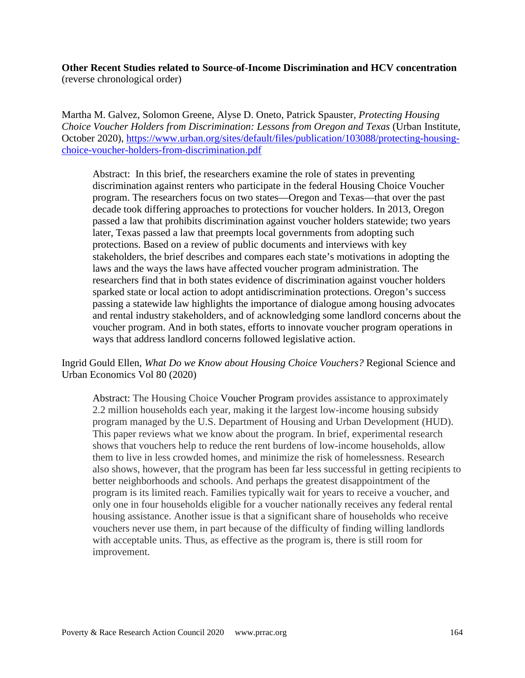**Other Recent Studies related to Source-of-Income Discrimination and HCV concentration** (reverse chronological order)

Martha M. Galvez, Solomon Greene, Alyse D. Oneto, Patrick Spauster, *Protecting Housing Choice Voucher Holders from Discrimination: Lessons from Oregon and Texas* (Urban Institute, October 2020), [https://www.urban.org/sites/default/files/publication/103088/protecting-housing](https://www.urban.org/sites/default/files/publication/103088/protecting-housing-choice-voucher-holders-from-discrimination.pdf)[choice-voucher-holders-from-discrimination.pdf](https://www.urban.org/sites/default/files/publication/103088/protecting-housing-choice-voucher-holders-from-discrimination.pdf)

Abstract: In this brief, the researchers examine the role of states in preventing discrimination against renters who participate in the federal Housing Choice Voucher program. The researchers focus on two states—Oregon and Texas—that over the past decade took differing approaches to protections for voucher holders. In 2013, Oregon passed a law that prohibits discrimination against voucher holders statewide; two years later, Texas passed a law that preempts local governments from adopting such protections. Based on a review of public documents and interviews with key stakeholders, the brief describes and compares each state's motivations in adopting the laws and the ways the laws have affected voucher program administration. The researchers find that in both states evidence of discrimination against voucher holders sparked state or local action to adopt antidiscrimination protections. Oregon's success passing a statewide law highlights the importance of dialogue among housing advocates and rental industry stakeholders, and of acknowledging some landlord concerns about the voucher program. And in both states, efforts to innovate voucher program operations in ways that address landlord concerns followed legislative action.

Ingrid Gould Ellen, *What Do we Know about Housing Choice Vouchers?* Regional Science and Urban Economics Vol 80 (2020)

Abstract: The Housing Choice Voucher Program provides assistance to approximately 2.2 million households each year, making it the largest low-income housing subsidy program managed by the U.S. Department of Housing and Urban Development (HUD). This paper reviews what we know about the program. In brief, experimental research shows that vouchers help to reduce the rent burdens of low-income households, allow them to live in less crowded homes, and minimize the risk of homelessness. Research also shows, however, that the program has been far less successful in getting recipients to better neighborhoods and schools. And perhaps the greatest disappointment of the program is its limited reach. Families typically wait for years to receive a voucher, and only one in four households eligible for a voucher nationally receives any federal rental housing assistance. Another issue is that a significant share of households who receive vouchers never use them, in part because of the difficulty of finding willing landlords with acceptable units. Thus, as effective as the program is, there is still room for improvement.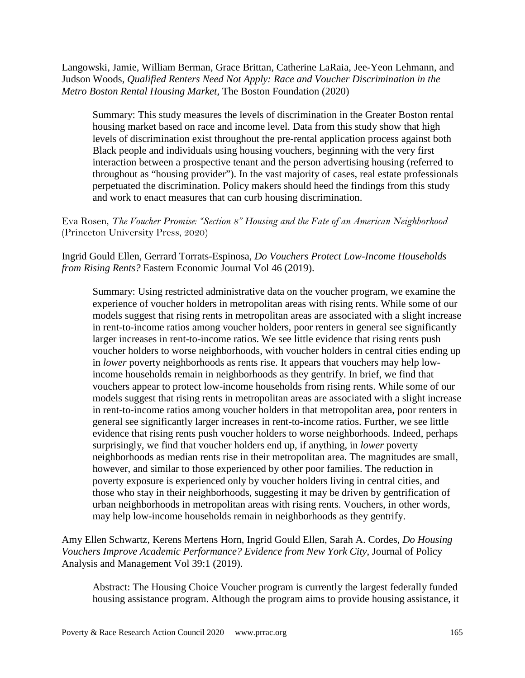Langowski, Jamie, William Berman, Grace Brittan, Catherine LaRaia, Jee-Yeon Lehmann, and Judson Woods, *Qualified Renters Need Not Apply: Race and Voucher Discrimination in the Metro Boston Rental Housing Market*, The Boston Foundation (2020)

Summary: This study measures the levels of discrimination in the Greater Boston rental housing market based on race and income level. Data from this study show that high levels of discrimination exist throughout the pre-rental application process against both Black people and individuals using housing vouchers, beginning with the very first interaction between a prospective tenant and the person advertising housing (referred to throughout as "housing provider"). In the vast majority of cases, real estate professionals perpetuated the discrimination. Policy makers should heed the findings from this study and work to enact measures that can curb housing discrimination.

Eva Rosen, *The Voucher Promise: "Section 8" Housing and the Fate of an American Neighborhood* (Princeton University Press, 2020)

Ingrid Gould Ellen, Gerrard Torrats-Espinosa, *Do Vouchers Protect Low-Income Households from Rising Rents?* Eastern Economic Journal Vol 46 (2019).

Summary: Using restricted administrative data on the voucher program, we examine the experience of voucher holders in metropolitan areas with rising rents. While some of our models suggest that rising rents in metropolitan areas are associated with a slight increase in rent-to-income ratios among voucher holders, poor renters in general see significantly larger increases in rent-to-income ratios. We see little evidence that rising rents push voucher holders to worse neighborhoods, with voucher holders in central cities ending up in *lower* poverty neighborhoods as rents rise. It appears that vouchers may help lowincome households remain in neighborhoods as they gentrify. In brief, we find that vouchers appear to protect low-income households from rising rents. While some of our models suggest that rising rents in metropolitan areas are associated with a slight increase in rent-to-income ratios among voucher holders in that metropolitan area, poor renters in general see significantly larger increases in rent-to-income ratios. Further, we see little evidence that rising rents push voucher holders to worse neighborhoods. Indeed, perhaps surprisingly, we find that voucher holders end up, if anything, in *lower* poverty neighborhoods as median rents rise in their metropolitan area. The magnitudes are small, however, and similar to those experienced by other poor families. The reduction in poverty exposure is experienced only by voucher holders living in central cities, and those who stay in their neighborhoods, suggesting it may be driven by gentrification of urban neighborhoods in metropolitan areas with rising rents. Vouchers, in other words, may help low-income households remain in neighborhoods as they gentrify.

Amy Ellen Schwartz, Kerens Mertens Horn, Ingrid Gould Ellen, Sarah A. Cordes, *Do Housing Vouchers Improve Academic Performance? Evidence from New York City*, Journal of Policy Analysis and Management Vol 39:1 (2019).

Abstract: The Housing Choice Voucher program is currently the largest federally funded housing assistance program. Although the program aims to provide housing assistance, it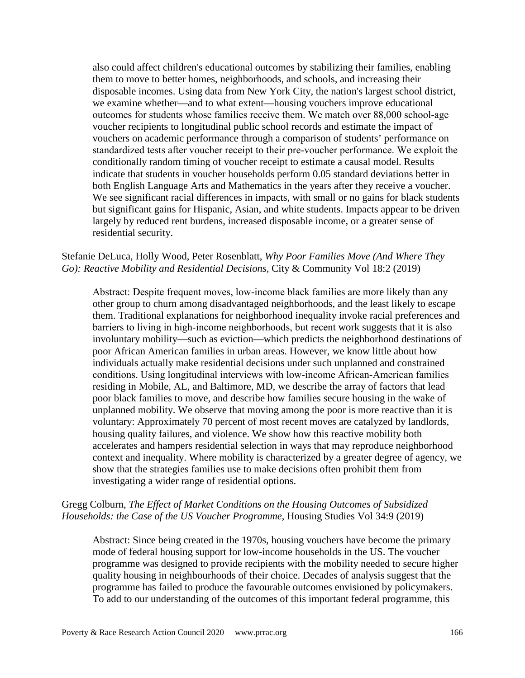also could affect children's educational outcomes by stabilizing their families, enabling them to move to better homes, neighborhoods, and schools, and increasing their disposable incomes. Using data from New York City, the nation's largest school district, we examine whether—and to what extent—housing vouchers improve educational outcomes for students whose families receive them. We match over 88,000 school‐age voucher recipients to longitudinal public school records and estimate the impact of vouchers on academic performance through a comparison of students' performance on standardized tests after voucher receipt to their pre‐voucher performance. We exploit the conditionally random timing of voucher receipt to estimate a causal model. Results indicate that students in voucher households perform 0.05 standard deviations better in both English Language Arts and Mathematics in the years after they receive a voucher. We see significant racial differences in impacts, with small or no gains for black students but significant gains for Hispanic, Asian, and white students. Impacts appear to be driven largely by reduced rent burdens, increased disposable income, or a greater sense of residential security.

### Stefanie DeLuca, Holly Wood, Peter Rosenblatt, *Why Poor Families Move (And Where They Go): Reactive Mobility and Residential Decisions*, City & Community Vol 18:2 (2019)

Abstract: Despite frequent moves, low‐income black families are more likely than any other group to churn among disadvantaged neighborhoods, and the least likely to escape them. Traditional explanations for neighborhood inequality invoke racial preferences and barriers to living in high‐income neighborhoods, but recent work suggests that it is also involuntary mobility—such as eviction—which predicts the neighborhood destinations of poor African American families in urban areas. However, we know little about how individuals actually make residential decisions under such unplanned and constrained conditions. Using longitudinal interviews with low‐income African‐American families residing in Mobile, AL, and Baltimore, MD, we describe the array of factors that lead poor black families to move, and describe how families secure housing in the wake of unplanned mobility. We observe that moving among the poor is more reactive than it is voluntary: Approximately 70 percent of most recent moves are catalyzed by landlords, housing quality failures, and violence. We show how this reactive mobility both accelerates and hampers residential selection in ways that may reproduce neighborhood context and inequality. Where mobility is characterized by a greater degree of agency, we show that the strategies families use to make decisions often prohibit them from investigating a wider range of residential options.

## Gregg Colburn, *The Effect of Market Conditions on the Housing Outcomes of Subsidized Households: the Case of the US Voucher Programme*, Housing Studies Vol 34:9 (2019)

Abstract: Since being created in the 1970s, housing vouchers have become the primary mode of federal housing support for low-income households in the US. The voucher programme was designed to provide recipients with the mobility needed to secure higher quality housing in neighbourhoods of their choice. Decades of analysis suggest that the programme has failed to produce the favourable outcomes envisioned by policymakers. To add to our understanding of the outcomes of this important federal programme, this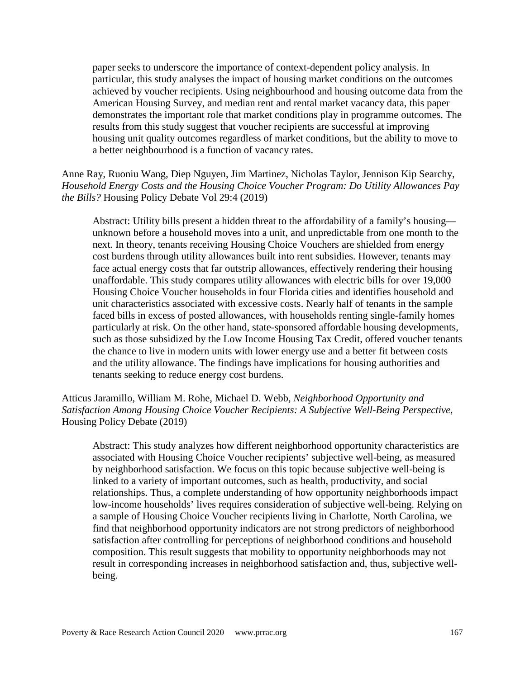paper seeks to underscore the importance of context-dependent policy analysis. In particular, this study analyses the impact of housing market conditions on the outcomes achieved by voucher recipients. Using neighbourhood and housing outcome data from the American Housing Survey, and median rent and rental market vacancy data, this paper demonstrates the important role that market conditions play in programme outcomes. The results from this study suggest that voucher recipients are successful at improving housing unit quality outcomes regardless of market conditions, but the ability to move to a better neighbourhood is a function of vacancy rates.

Anne Ray, Ruoniu Wang, Diep Nguyen, Jim Martinez, Nicholas Taylor, Jennison Kip Searchy, *Household Energy Costs and the Housing Choice Voucher Program: Do Utility Allowances Pay the Bills?* Housing Policy Debate Vol 29:4 (2019)

Abstract: Utility bills present a hidden threat to the affordability of a family's housing unknown before a household moves into a unit, and unpredictable from one month to the next. In theory, tenants receiving Housing Choice Vouchers are shielded from energy cost burdens through utility allowances built into rent subsidies. However, tenants may face actual energy costs that far outstrip allowances, effectively rendering their housing unaffordable. This study compares utility allowances with electric bills for over 19,000 Housing Choice Voucher households in four Florida cities and identifies household and unit characteristics associated with excessive costs. Nearly half of tenants in the sample faced bills in excess of posted allowances, with households renting single-family homes particularly at risk. On the other hand, state-sponsored affordable housing developments, such as those subsidized by the Low Income Housing Tax Credit, offered voucher tenants the chance to live in modern units with lower energy use and a better fit between costs and the utility allowance. The findings have implications for housing authorities and tenants seeking to reduce energy cost burdens.

### Atticus Jaramillo, William M. Rohe, Michael D. Webb, *Neighborhood Opportunity and Satisfaction Among Housing Choice Voucher Recipients: A Subjective Well-Being Perspective*, Housing Policy Debate (2019)

Abstract: This study analyzes how different neighborhood opportunity characteristics are associated with Housing Choice Voucher recipients' subjective well-being, as measured by neighborhood satisfaction. We focus on this topic because subjective well-being is linked to a variety of important outcomes, such as health, productivity, and social relationships. Thus, a complete understanding of how opportunity neighborhoods impact low-income households' lives requires consideration of subjective well-being. Relying on a sample of Housing Choice Voucher recipients living in Charlotte, North Carolina, we find that neighborhood opportunity indicators are not strong predictors of neighborhood satisfaction after controlling for perceptions of neighborhood conditions and household composition. This result suggests that mobility to opportunity neighborhoods may not result in corresponding increases in neighborhood satisfaction and, thus, subjective wellbeing.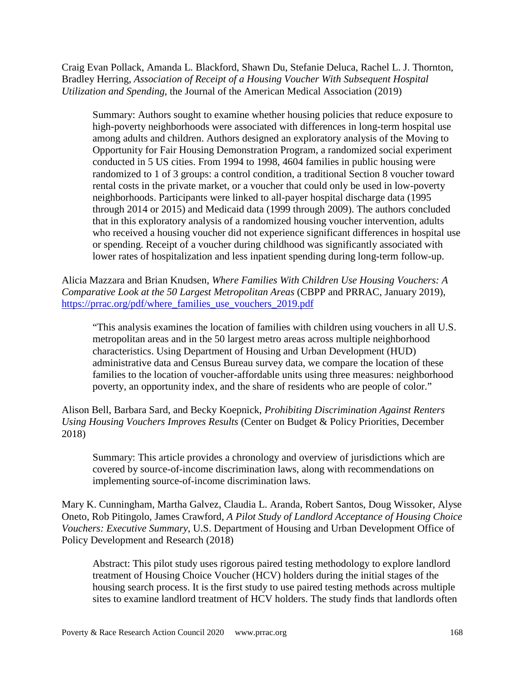Craig Evan Pollack, Amanda L. Blackford, Shawn Du, Stefanie Deluca, Rachel L. J. Thornton, Bradley Herring, *Association of Receipt of a Housing Voucher With Subsequent Hospital Utilization and Spending*, the Journal of the American Medical Association (2019)

Summary: Authors sought to examine whether housing policies that reduce exposure to high-poverty neighborhoods were associated with differences in long-term hospital use among adults and children. Authors designed an exploratory analysis of the Moving to Opportunity for Fair Housing Demonstration Program, a randomized social experiment conducted in 5 US cities. From 1994 to 1998, 4604 families in public housing were randomized to 1 of 3 groups: a control condition, a traditional Section 8 voucher toward rental costs in the private market, or a voucher that could only be used in low-poverty neighborhoods. Participants were linked to all-payer hospital discharge data (1995 through 2014 or 2015) and Medicaid data (1999 through 2009). The authors concluded that in this exploratory analysis of a randomized housing voucher intervention, adults who received a housing voucher did not experience significant differences in hospital use or spending. Receipt of a voucher during childhood was significantly associated with lower rates of hospitalization and less inpatient spending during long-term follow-up.

Alicia Mazzara and Brian Knudsen, *Where Families With Children Use Housing Vouchers: A Comparative Look at the 50 Largest Metropolitan Areas* (CBPP and PRRAC, January 2019), [https://prrac.org/pdf/where\\_families\\_use\\_vouchers\\_2019.pdf](https://prrac.org/pdf/where_families_use_vouchers_2019.pdf)

"This analysis examines the location of families with children using vouchers in all U.S. metropolitan areas and in the 50 largest metro areas across multiple neighborhood characteristics. Using Department of Housing and Urban Development (HUD) administrative data and Census Bureau survey data, we compare the location of these families to the location of voucher-affordable units using three measures: neighborhood poverty, an opportunity index, and the share of residents who are people of color."

Alison Bell, Barbara Sard, and Becky Koepnick, *Prohibiting Discrimination Against Renters Using Housing Vouchers Improves Results* (Center on Budget & Policy Priorities, December 2018)

Summary: This article provides a chronology and overview of jurisdictions which are covered by source-of-income discrimination laws, along with recommendations on implementing source-of-income discrimination laws.

Mary K. Cunningham, Martha Galvez, Claudia L. Aranda, Robert Santos, Doug Wissoker, Alyse Oneto, Rob Pitingolo, James Crawford, *A Pilot Study of Landlord Acceptance of Housing Choice Vouchers: Executive Summary*, U.S. Department of Housing and Urban Development Office of Policy Development and Research (2018)

Abstract: This pilot study uses rigorous paired testing methodology to explore landlord treatment of Housing Choice Voucher (HCV) holders during the initial stages of the housing search process. It is the first study to use paired testing methods across multiple sites to examine landlord treatment of HCV holders. The study finds that landlords often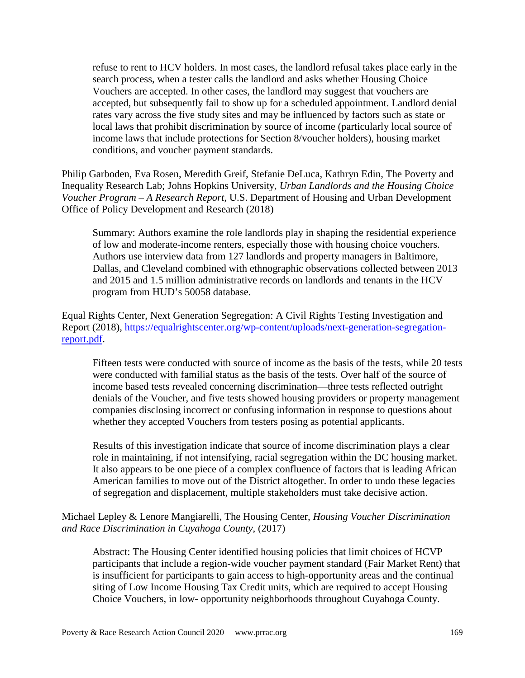refuse to rent to HCV holders. In most cases, the landlord refusal takes place early in the search process, when a tester calls the landlord and asks whether Housing Choice Vouchers are accepted. In other cases, the landlord may suggest that vouchers are accepted, but subsequently fail to show up for a scheduled appointment. Landlord denial rates vary across the five study sites and may be influenced by factors such as state or local laws that prohibit discrimination by source of income (particularly local source of income laws that include protections for Section 8/voucher holders), housing market conditions, and voucher payment standards.

Philip Garboden, Eva Rosen, Meredith Greif, Stefanie DeLuca, Kathryn Edin, The Poverty and Inequality Research Lab; Johns Hopkins University, *Urban Landlords and the Housing Choice Voucher Program – A Research Report*, U.S. Department of Housing and Urban Development Office of Policy Development and Research (2018)

Summary: Authors examine the role landlords play in shaping the residential experience of low and moderate-income renters, especially those with housing choice vouchers. Authors use interview data from 127 landlords and property managers in Baltimore, Dallas, and Cleveland combined with ethnographic observations collected between 2013 and 2015 and 1.5 million administrative records on landlords and tenants in the HCV program from HUD's 50058 database.

Equal Rights Center, Next Generation Segregation: A Civil Rights Testing Investigation and Report (2018), [https://equalrightscenter.org/wp-content/uploads/next-generation-segregation](https://equalrightscenter.org/wp-content/uploads/next-generation-segregation-report.pdf)[report.pdf.](https://equalrightscenter.org/wp-content/uploads/next-generation-segregation-report.pdf)

Fifteen tests were conducted with source of income as the basis of the tests, while 20 tests were conducted with familial status as the basis of the tests. Over half of the source of income based tests revealed concerning discrimination—three tests reflected outright denials of the Voucher, and five tests showed housing providers or property management companies disclosing incorrect or confusing information in response to questions about whether they accepted Vouchers from testers posing as potential applicants.

Results of this investigation indicate that source of income discrimination plays a clear role in maintaining, if not intensifying, racial segregation within the DC housing market. It also appears to be one piece of a complex confluence of factors that is leading African American families to move out of the District altogether. In order to undo these legacies of segregation and displacement, multiple stakeholders must take decisive action.

### Michael Lepley & Lenore Mangiarelli, The Housing Center, *Housing Voucher Discrimination and Race Discrimination in Cuyahoga County*, (2017)

Abstract: The Housing Center identified housing policies that limit choices of HCVP participants that include a region-wide voucher payment standard (Fair Market Rent) that is insufficient for participants to gain access to high-opportunity areas and the continual siting of Low Income Housing Tax Credit units, which are required to accept Housing Choice Vouchers, in low- opportunity neighborhoods throughout Cuyahoga County.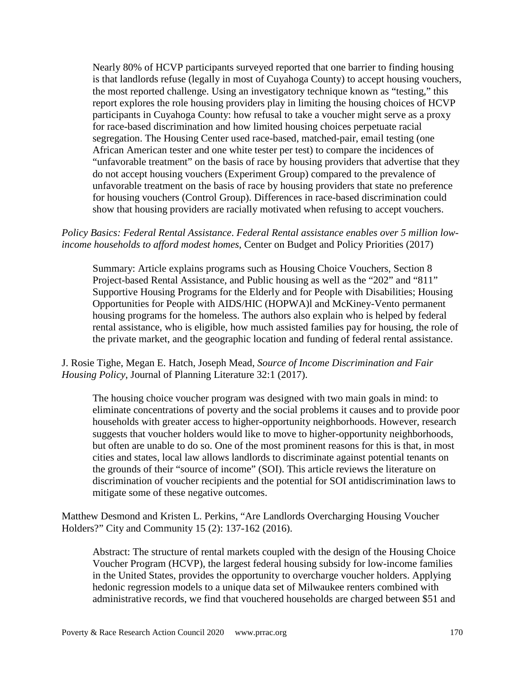Nearly 80% of HCVP participants surveyed reported that one barrier to finding housing is that landlords refuse (legally in most of Cuyahoga County) to accept housing vouchers, the most reported challenge. Using an investigatory technique known as "testing," this report explores the role housing providers play in limiting the housing choices of HCVP participants in Cuyahoga County: how refusal to take a voucher might serve as a proxy for race-based discrimination and how limited housing choices perpetuate racial segregation. The Housing Center used race-based, matched-pair, email testing (one African American tester and one white tester per test) to compare the incidences of "unfavorable treatment" on the basis of race by housing providers that advertise that they do not accept housing vouchers (Experiment Group) compared to the prevalence of unfavorable treatment on the basis of race by housing providers that state no preference for housing vouchers (Control Group). Differences in race-based discrimination could show that housing providers are racially motivated when refusing to accept vouchers.

### *Policy Basics: Federal Rental Assistance*. *Federal Rental assistance enables over 5 million lowincome households to afford modest homes*, Center on Budget and Policy Priorities (2017)

Summary: Article explains programs such as Housing Choice Vouchers, Section 8 Project-based Rental Assistance, and Public housing as well as the "202" and "811" Supportive Housing Programs for the Elderly and for People with Disabilities; Housing Opportunities for People with AIDS/HIC (HOPWA)l and McKiney-Vento permanent housing programs for the homeless. The authors also explain who is helped by federal rental assistance, who is eligible, how much assisted families pay for housing, the role of the private market, and the geographic location and funding of federal rental assistance.

## J. Rosie Tighe, Megan E. Hatch, Joseph Mead, *Source of Income Discrimination and Fair Housing Policy*, Journal of Planning Literature 32:1 (2017).

The housing choice voucher program was designed with two main goals in mind: to eliminate concentrations of poverty and the social problems it causes and to provide poor households with greater access to higher-opportunity neighborhoods. However, research suggests that voucher holders would like to move to higher-opportunity neighborhoods, but often are unable to do so. One of the most prominent reasons for this is that, in most cities and states, local law allows landlords to discriminate against potential tenants on the grounds of their "source of income" (SOI). This article reviews the literature on discrimination of voucher recipients and the potential for SOI antidiscrimination laws to mitigate some of these negative outcomes.

Matthew Desmond and Kristen L. Perkins, "Are Landlords Overcharging Housing Voucher Holders?" City and Community 15 (2): 137-162 (2016).

Abstract: The structure of rental markets coupled with the design of the Housing Choice Voucher Program (HCVP), the largest federal housing subsidy for low-income families in the United States, provides the opportunity to overcharge voucher holders. Applying hedonic regression models to a unique data set of Milwaukee renters combined with administrative records, we find that vouchered households are charged between \$51 and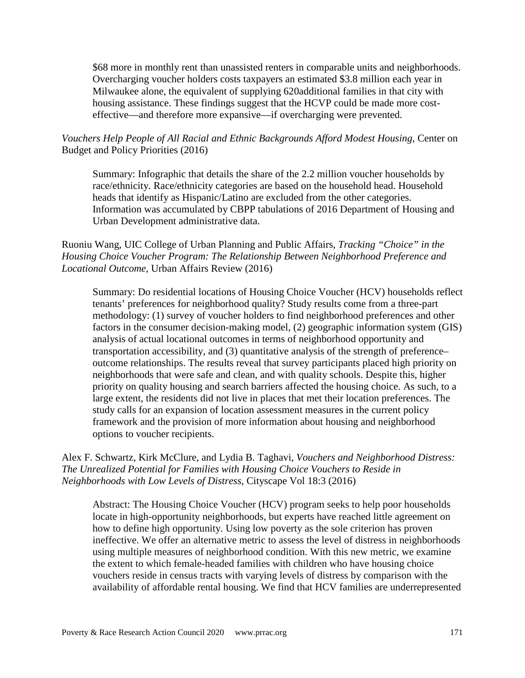\$68 more in monthly rent than unassisted renters in comparable units and neighborhoods. Overcharging voucher holders costs taxpayers an estimated \$3.8 million each year in Milwaukee alone, the equivalent of supplying 620additional families in that city with housing assistance. These findings suggest that the HCVP could be made more costeffective—and therefore more expansive—if overcharging were prevented.

### *Vouchers Help People of All Racial and Ethnic Backgrounds Afford Modest Housing*, Center on Budget and Policy Priorities (2016)

Summary: Infographic that details the share of the 2.2 million voucher households by race/ethnicity. Race/ethnicity categories are based on the household head. Household heads that identify as Hispanic/Latino are excluded from the other categories. Information was accumulated by CBPP tabulations of 2016 Department of Housing and Urban Development administrative data.

## Ruoniu Wang, UIC College of Urban Planning and Public Affairs, *Tracking "Choice" in the Housing Choice Voucher Program: The Relationship Between Neighborhood Preference and Locational Outcome*, Urban Affairs Review (2016)

Summary: Do residential locations of Housing Choice Voucher (HCV) households reflect tenants' preferences for neighborhood quality? Study results come from a three-part methodology: (1) survey of voucher holders to find neighborhood preferences and other factors in the consumer decision-making model, (2) geographic information system (GIS) analysis of actual locational outcomes in terms of neighborhood opportunity and transportation accessibility, and (3) quantitative analysis of the strength of preference– outcome relationships. The results reveal that survey participants placed high priority on neighborhoods that were safe and clean, and with quality schools. Despite this, higher priority on quality housing and search barriers affected the housing choice. As such, to a large extent, the residents did not live in places that met their location preferences. The study calls for an expansion of location assessment measures in the current policy framework and the provision of more information about housing and neighborhood options to voucher recipients.

## Alex F. Schwartz, Kirk McClure, and Lydia B. Taghavi, *Vouchers and Neighborhood Distress: The Unrealized Potential for Families with Housing Choice Vouchers to Reside in Neighborhoods with Low Levels of Distress*, Cityscape Vol 18:3 (2016)

Abstract: The Housing Choice Voucher (HCV) program seeks to help poor households locate in high-opportunity neighborhoods, but experts have reached little agreement on how to define high opportunity. Using low poverty as the sole criterion has proven ineffective. We offer an alternative metric to assess the level of distress in neighborhoods using multiple measures of neighborhood condition. With this new metric, we examine the extent to which female-headed families with children who have housing choice vouchers reside in census tracts with varying levels of distress by comparison with the availability of affordable rental housing. We find that HCV families are underrepresented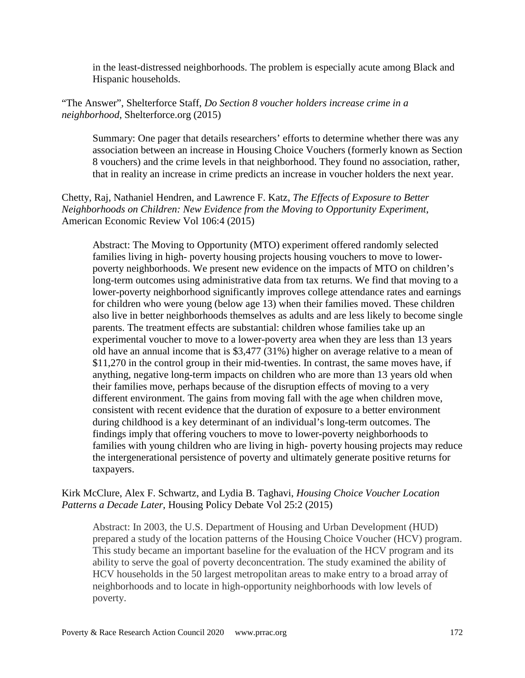in the least-distressed neighborhoods. The problem is especially acute among Black and Hispanic households.

## "The Answer", Shelterforce Staff, *Do Section 8 voucher holders increase crime in a neighborhood,* Shelterforce.org (2015)

Summary: One pager that details researchers' efforts to determine whether there was any association between an increase in Housing Choice Vouchers (formerly known as Section 8 vouchers) and the crime levels in that neighborhood. They found no association, rather, that in reality an increase in crime predicts an increase in voucher holders the next year.

Chetty, Raj, Nathaniel Hendren, and Lawrence F. Katz, *The Effects of Exposure to Better Neighborhoods on Children: New Evidence from the Moving to Opportunity Experiment*, American Economic Review Vol 106:4 (2015)

Abstract: The Moving to Opportunity (MTO) experiment offered randomly selected families living in high- poverty housing projects housing vouchers to move to lowerpoverty neighborhoods. We present new evidence on the impacts of MTO on children's long-term outcomes using administrative data from tax returns. We find that moving to a lower-poverty neighborhood significantly improves college attendance rates and earnings for children who were young (below age 13) when their families moved. These children also live in better neighborhoods themselves as adults and are less likely to become single parents. The treatment effects are substantial: children whose families take up an experimental voucher to move to a lower-poverty area when they are less than 13 years old have an annual income that is \$3,477 (31%) higher on average relative to a mean of \$11,270 in the control group in their mid-twenties. In contrast, the same moves have, if anything, negative long-term impacts on children who are more than 13 years old when their families move, perhaps because of the disruption effects of moving to a very different environment. The gains from moving fall with the age when children move, consistent with recent evidence that the duration of exposure to a better environment during childhood is a key determinant of an individual's long-term outcomes. The findings imply that offering vouchers to move to lower-poverty neighborhoods to families with young children who are living in high- poverty housing projects may reduce the intergenerational persistence of poverty and ultimately generate positive returns for taxpayers.

## Kirk McClure, Alex F. Schwartz, and Lydia B. Taghavi, *Housing Choice Voucher Location Patterns a Decade Later*, Housing Policy Debate Vol 25:2 (2015)

Abstract: In 2003, the U.S. Department of Housing and Urban Development (HUD) prepared a study of the location patterns of the Housing Choice Voucher (HCV) program. This study became an important baseline for the evaluation of the HCV program and its ability to serve the goal of poverty deconcentration. The study examined the ability of HCV households in the 50 largest metropolitan areas to make entry to a broad array of neighborhoods and to locate in high-opportunity neighborhoods with low levels of poverty.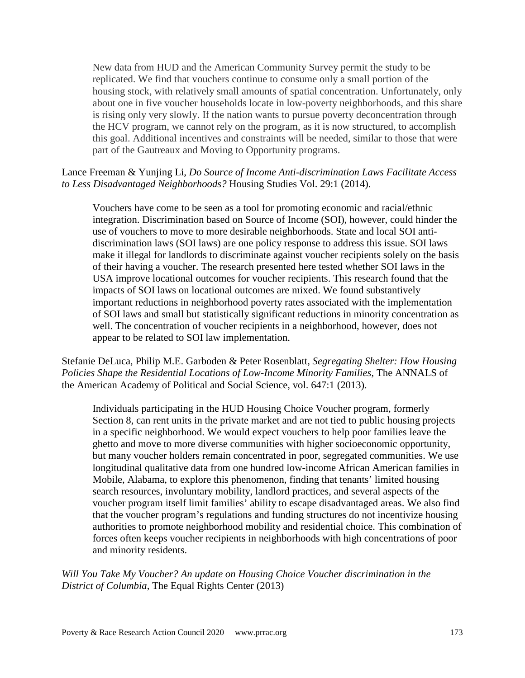New data from HUD and the American Community Survey permit the study to be replicated. We find that vouchers continue to consume only a small portion of the housing stock, with relatively small amounts of spatial concentration. Unfortunately, only about one in five voucher households locate in low-poverty neighborhoods, and this share is rising only very slowly. If the nation wants to pursue poverty deconcentration through the HCV program, we cannot rely on the program, as it is now structured, to accomplish this goal. Additional incentives and constraints will be needed, similar to those that were part of the Gautreaux and Moving to Opportunity programs.

### Lance Freeman & Yunjing Li, *Do Source of Income Anti-discrimination Laws Facilitate Access to Less Disadvantaged Neighborhoods?* Housing Studies Vol. 29:1 (2014).

Vouchers have come to be seen as a tool for promoting economic and racial/ethnic integration. Discrimination based on Source of Income (SOI), however, could hinder the use of vouchers to move to more desirable neighborhoods. State and local SOI antidiscrimination laws (SOI laws) are one policy response to address this issue. SOI laws make it illegal for landlords to discriminate against voucher recipients solely on the basis of their having a voucher. The research presented here tested whether SOI laws in the USA improve locational outcomes for voucher recipients. This research found that the impacts of SOI laws on locational outcomes are mixed. We found substantively important reductions in neighborhood poverty rates associated with the implementation of SOI laws and small but statistically significant reductions in minority concentration as well. The concentration of voucher recipients in a neighborhood, however, does not appear to be related to SOI law implementation.

Stefanie DeLuca, Philip M.E. Garboden & Peter Rosenblatt, *Segregating Shelter: How Housing Policies Shape the Residential Locations of Low-Income Minority Families,* The ANNALS of the American Academy of Political and Social Science, vol. 647:1 (2013).

Individuals participating in the HUD Housing Choice Voucher program, formerly Section 8, can rent units in the private market and are not tied to public housing projects in a specific neighborhood. We would expect vouchers to help poor families leave the ghetto and move to more diverse communities with higher socioeconomic opportunity, but many voucher holders remain concentrated in poor, segregated communities. We use longitudinal qualitative data from one hundred low-income African American families in Mobile, Alabama, to explore this phenomenon, finding that tenants' limited housing search resources, involuntary mobility, landlord practices, and several aspects of the voucher program itself limit families' ability to escape disadvantaged areas. We also find that the voucher program's regulations and funding structures do not incentivize housing authorities to promote neighborhood mobility and residential choice. This combination of forces often keeps voucher recipients in neighborhoods with high concentrations of poor and minority residents.

*Will You Take My Voucher? An update on Housing Choice Voucher discrimination in the District of Columbia*, The Equal Rights Center (2013)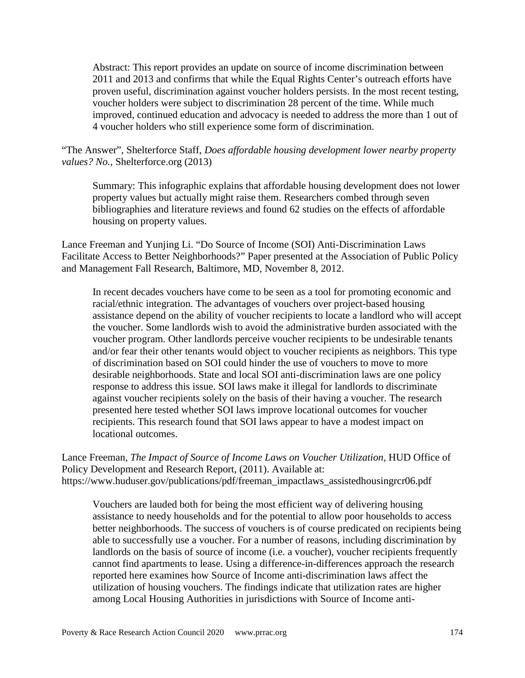Abstract: This report provides an update on source of income discrimination between 2011 and 2013 and confirms that while the Equal Rights Center's outreach efforts have proven useful, discrimination against voucher holders persists. In the most recent testing, voucher holders were subject to discrimination 28 percent of the time. While much improved, continued education and advocacy is needed to address the more than 1 out of 4 voucher holders who still experience some form of discrimination.

"The Answer", Shelterforce Staff, *Does affordable housing development lower nearby property values? No.*, Shelterforce.org (2013)

Summary: This infographic explains that affordable housing development does not lower property values but actually might raise them. Researchers combed through seven bibliographies and literature reviews and found 62 studies on the effects of affordable housing on property values.

Lance Freeman and Yunjing Li. "Do Source of Income (SOI) Anti-Discrimination Laws Facilitate Access to Better Neighborhoods?" Paper presented at the Association of Public Policy and Management Fall Research, Baltimore, MD, November 8, 2012.

In recent decades vouchers have come to be seen as a tool for promoting economic and racial/ethnic integration. The advantages of vouchers over project-based housing assistance depend on the ability of voucher recipients to locate a landlord who will accept the voucher. Some landlords wish to avoid the administrative burden associated with the voucher program. Other landlords perceive voucher recipients to be undesirable tenants and/or fear their other tenants would object to voucher recipients as neighbors. This type of discrimination based on SOI could hinder the use of vouchers to move to more desirable neighborhoods. State and local SOI anti-discrimination laws are one policy response to address this issue. SOI laws make it illegal for landlords to discriminate against voucher recipients solely on the basis of their having a voucher. The research presented here tested whether SOI laws improve locational outcomes for voucher recipients. This research found that SOI laws appear to have a modest impact on locational outcomes.

Lance Freeman, *The Impact of Source of Income Laws on Voucher Utilization,* HUD Office of Policy Development and Research Report, (2011). Available at: https://www.huduser.gov/publications/pdf/freeman\_impactlaws\_assistedhousingrcr06.pdf

Vouchers are lauded both for being the most efficient way of delivering housing assistance to needy households and for the potential to allow poor households to access better neighborhoods. The success of vouchers is of course predicated on recipients being able to successfully use a voucher. For a number of reasons, including discrimination by landlords on the basis of source of income (i.e. a voucher), voucher recipients frequently cannot find apartments to lease. Using a difference-in-differences approach the research reported here examines how Source of Income anti-discrimination laws affect the utilization of housing vouchers. The findings indicate that utilization rates are higher among Local Housing Authorities in jurisdictions with Source of Income anti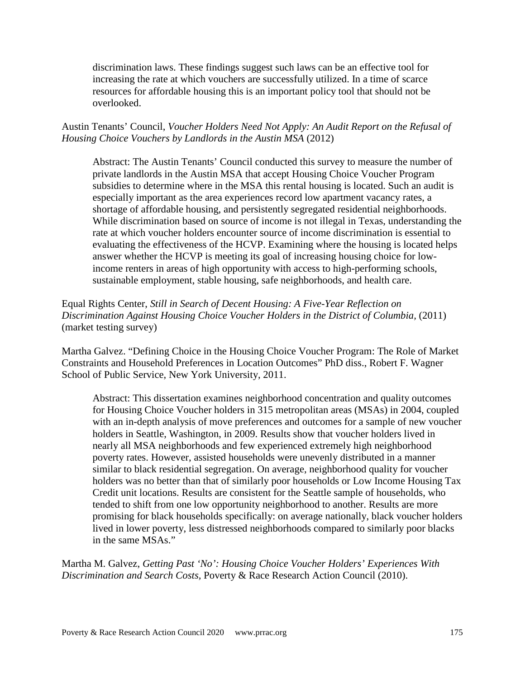discrimination laws. These findings suggest such laws can be an effective tool for increasing the rate at which vouchers are successfully utilized. In a time of scarce resources for affordable housing this is an important policy tool that should not be overlooked.

Austin Tenants' Council, *Voucher Holders Need Not Apply: An Audit Report on the Refusal of Housing Choice Vouchers by Landlords in the Austin MSA* (2012)

Abstract: The Austin Tenants' Council conducted this survey to measure the number of private landlords in the Austin MSA that accept Housing Choice Voucher Program subsidies to determine where in the MSA this rental housing is located. Such an audit is especially important as the area experiences record low apartment vacancy rates, a shortage of affordable housing, and persistently segregated residential neighborhoods. While discrimination based on source of income is not illegal in Texas, understanding the rate at which voucher holders encounter source of income discrimination is essential to evaluating the effectiveness of the HCVP. Examining where the housing is located helps answer whether the HCVP is meeting its goal of increasing housing choice for lowincome renters in areas of high opportunity with access to high-performing schools, sustainable employment, stable housing, safe neighborhoods, and health care.

Equal Rights Center, *Still in Search of Decent Housing: A Five-Year Reflection on Discrimination Against Housing Choice Voucher Holders in the District of Columbia, (2011)* (market testing survey)

Martha Galvez. "Defining Choice in the Housing Choice Voucher Program: The Role of Market Constraints and Household Preferences in Location Outcomes" PhD diss., Robert F. Wagner School of Public Service, New York University, 2011.

Abstract: This dissertation examines neighborhood concentration and quality outcomes for Housing Choice Voucher holders in 315 metropolitan areas (MSAs) in 2004, coupled with an in-depth analysis of move preferences and outcomes for a sample of new voucher holders in Seattle, Washington, in 2009. Results show that voucher holders lived in nearly all MSA neighborhoods and few experienced extremely high neighborhood poverty rates. However, assisted households were unevenly distributed in a manner similar to black residential segregation. On average, neighborhood quality for voucher holders was no better than that of similarly poor households or Low Income Housing Tax Credit unit locations. Results are consistent for the Seattle sample of households, who tended to shift from one low opportunity neighborhood to another. Results are more promising for black households specifically: on average nationally, black voucher holders lived in lower poverty, less distressed neighborhoods compared to similarly poor blacks in the same MSAs."

Martha M. Galvez, *Getting Past 'No': Housing Choice Voucher Holders' Experiences With Discrimination and Search Costs,* Poverty & Race Research Action Council (2010).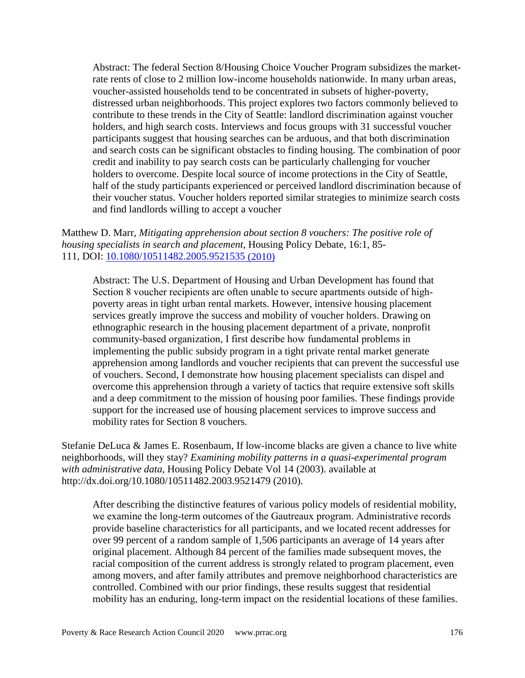Abstract: The federal Section 8/Housing Choice Voucher Program subsidizes the marketrate rents of close to 2 million low-income households nationwide. In many urban areas, voucher-assisted households tend to be concentrated in subsets of higher-poverty, distressed urban neighborhoods. This project explores two factors commonly believed to contribute to these trends in the City of Seattle: landlord discrimination against voucher holders, and high search costs. Interviews and focus groups with 31 successful voucher participants suggest that housing searches can be arduous, and that both discrimination and search costs can be significant obstacles to finding housing. The combination of poor credit and inability to pay search costs can be particularly challenging for voucher holders to overcome. Despite local source of income protections in the City of Seattle, half of the study participants experienced or perceived landlord discrimination because of their voucher status. Voucher holders reported similar strategies to minimize search costs and find landlords willing to accept a voucher

### Matthew D. Marr, *Mitigating apprehension about section 8 vouchers: The positive role of housing specialists in search and placement*, Housing Policy Debate, 16:1, 85- 111, DOI: [10.1080/10511482.2005.9521535](https://doi.org/10.1080/10511482.2005.9521535) (2010)

Abstract: The U.S. Department of Housing and Urban Development has found that Section 8 voucher recipients are often unable to secure apartments outside of highpoverty areas in tight urban rental markets. However, intensive housing placement services greatly improve the success and mobility of voucher holders. Drawing on ethnographic research in the housing placement department of a private, nonprofit community‐based organization, I first describe how fundamental problems in implementing the public subsidy program in a tight private rental market generate apprehension among landlords and voucher recipients that can prevent the successful use of vouchers. Second, I demonstrate how housing placement specialists can dispel and overcome this apprehension through a variety of tactics that require extensive soft skills and a deep commitment to the mission of housing poor families. These findings provide support for the increased use of housing placement services to improve success and mobility rates for Section 8 vouchers.

Stefanie DeLuca & James E. Rosenbaum, If low-income blacks are given a chance to live white neighborhoods, will they stay? *Examining mobility patterns in a quasi-experimental program with administrative data*, Housing Policy Debate Vol 14 (2003). available at http://dx.doi.org/10.1080/10511482.2003.9521479 (2010).

After describing the distinctive features of various policy models of residential mobility, we examine the long-term outcomes of the Gautreaux program. Administrative records provide baseline characteristics for all participants, and we located recent addresses for over 99 percent of a random sample of 1,506 participants an average of 14 years after original placement. Although 84 percent of the families made subsequent moves, the racial composition of the current address is strongly related to program placement, even among movers, and after family attributes and premove neighborhood characteristics are controlled. Combined with our prior findings, these results suggest that residential mobility has an enduring, long-term impact on the residential locations of these families.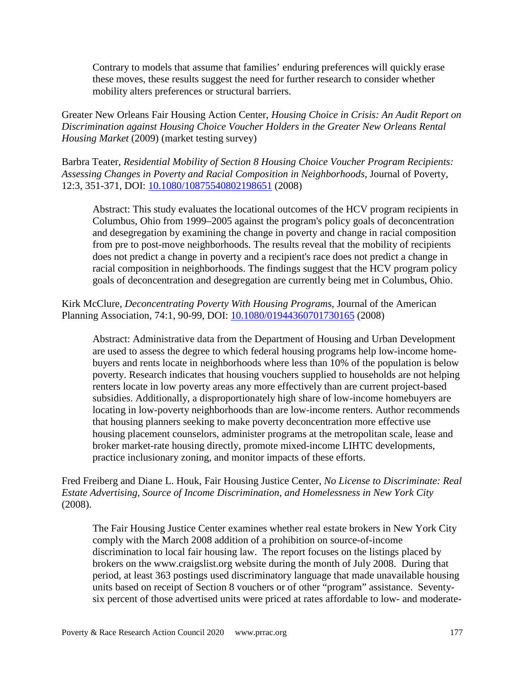Contrary to models that assume that families' enduring preferences will quickly erase these moves, these results suggest the need for further research to consider whether mobility alters preferences or structural barriers.

Greater New Orleans Fair Housing Action Center, *Housing Choice in Crisis: An Audit Report on Discrimination against Housing Choice Voucher Holders in the Greater New Orleans Rental Housing Market* (2009) (market testing survey)

Barbra Teater, *Residential Mobility of Section 8 Housing Choice Voucher Program Recipients: Assessing Changes in Poverty and Racial Composition in Neighborhoods*, Journal of Poverty, 12:3, 351-371, DOI: [10.1080/10875540802198651](https://doi.org/10.1080/10875540802198651) (2008)

Abstract: This study evaluates the locational outcomes of the HCV program recipients in Columbus, Ohio from 1999–2005 against the program's policy goals of deconcentration and desegregation by examining the change in poverty and change in racial composition from pre to post-move neighborhoods. The results reveal that the mobility of recipients does not predict a change in poverty and a recipient's race does not predict a change in racial composition in neighborhoods. The findings suggest that the HCV program policy goals of deconcentration and desegregation are currently being met in Columbus, Ohio.

Kirk McClure, *Deconcentrating Poverty With Housing Programs*, Journal of the American Planning Association, 74:1, 90-99, DOI: [10.1080/01944360701730165](https://doi.org/10.1080/01944360701730165) (2008)

Abstract: Administrative data from the Department of Housing and Urban Development are used to assess the degree to which federal housing programs help low-income homebuyers and rents locate in neighborhoods where less than 10% of the population is below poverty. Research indicates that housing vouchers supplied to households are not helping renters locate in low poverty areas any more effectively than are current project-based subsidies. Additionally, a disproportionately high share of low-income homebuyers are locating in low-poverty neighborhoods than are low-income renters. Author recommends that housing planners seeking to make poverty deconcentration more effective use housing placement counselors, administer programs at the metropolitan scale, lease and broker market-rate housing directly, promote mixed-income LIHTC developments, practice inclusionary zoning, and monitor impacts of these efforts.

Fred Freiberg and Diane L. Houk, Fair Housing Justice Center, *No License to Discriminate: Real Estate Advertising, Source of Income Discrimination, and Homelessness in New York City* (2008).

The Fair Housing Justice Center examines whether real estate brokers in New York City comply with the March 2008 addition of a prohibition on source-of-income discrimination to local fair housing law. The report focuses on the listings placed by brokers on the www.craigslist.org website during the month of July 2008. During that period, at least 363 postings used discriminatory language that made unavailable housing units based on receipt of Section 8 vouchers or of other "program" assistance. Seventysix percent of those advertised units were priced at rates affordable to low- and moderate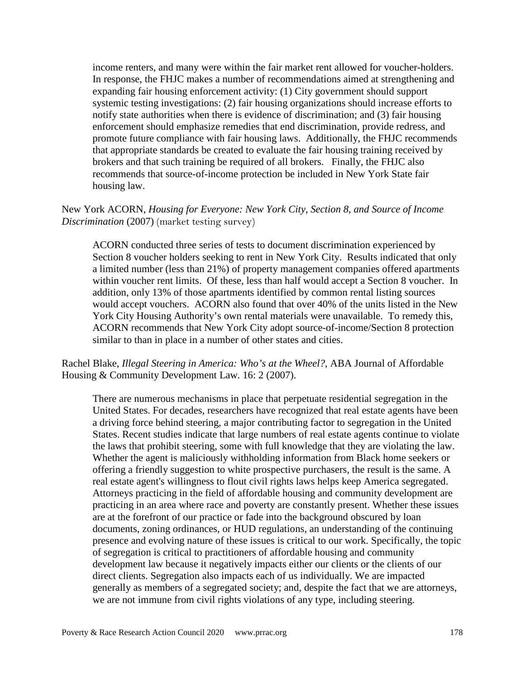income renters, and many were within the fair market rent allowed for voucher-holders. In response, the FHJC makes a number of recommendations aimed at strengthening and expanding fair housing enforcement activity: (1) City government should support systemic testing investigations: (2) fair housing organizations should increase efforts to notify state authorities when there is evidence of discrimination; and (3) fair housing enforcement should emphasize remedies that end discrimination, provide redress, and promote future compliance with fair housing laws. Additionally, the FHJC recommends that appropriate standards be created to evaluate the fair housing training received by brokers and that such training be required of all brokers. Finally, the FHJC also recommends that source-of-income protection be included in New York State fair housing law.

## New York ACORN, *Housing for Everyone: New York City, Section 8, and Source of Income Discrimination* (2007) (market testing survey)

ACORN conducted three series of tests to document discrimination experienced by Section 8 voucher holders seeking to rent in New York City. Results indicated that only a limited number (less than 21%) of property management companies offered apartments within voucher rent limits. Of these, less than half would accept a Section 8 voucher. In addition, only 13% of those apartments identified by common rental listing sources would accept vouchers. ACORN also found that over 40% of the units listed in the New York City Housing Authority's own rental materials were unavailable. To remedy this, ACORN recommends that New York City adopt source-of-income/Section 8 protection similar to than in place in a number of other states and cities.

### Rachel Blake, *Illegal Steering in America: Who's at the Wheel?*, ABA Journal of Affordable Housing & Community Development Law*.* 16: 2 (2007).

There are numerous mechanisms in place that perpetuate residential segregation in the United States. For decades, researchers have recognized that real estate agents have been a driving force behind steering, a major contributing factor to segregation in the United States. Recent studies indicate that large numbers of real estate agents continue to violate the laws that prohibit steering, some with full knowledge that they are violating the law. Whether the agent is maliciously withholding information from Black home seekers or offering a friendly suggestion to white prospective purchasers, the result is the same. A real estate agent's willingness to flout civil rights laws helps keep America segregated. Attorneys practicing in the field of affordable housing and community development are practicing in an area where race and poverty are constantly present. Whether these issues are at the forefront of our practice or fade into the background obscured by loan documents, zoning ordinances, or HUD regulations, an understanding of the continuing presence and evolving nature of these issues is critical to our work. Specifically, the topic of segregation is critical to practitioners of affordable housing and community development law because it negatively impacts either our clients or the clients of our direct clients. Segregation also impacts each of us individually. We are impacted generally as members of a segregated society; and, despite the fact that we are attorneys, we are not immune from civil rights violations of any type, including steering.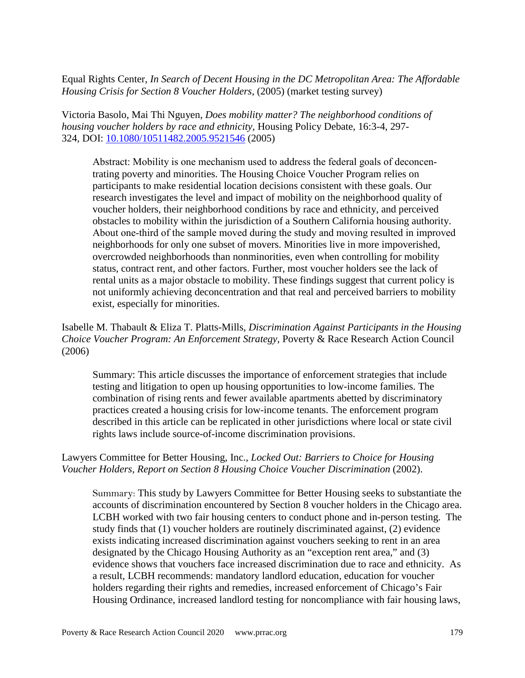Equal Rights Center, *In Search of Decent Housing in the DC Metropolitan Area: The Affordable Housing Crisis for Section 8 Voucher Holders*, (2005) (market testing survey)

Victoria Basolo, Mai Thi Nguyen, *Does mobility matter? The neighborhood conditions of housing voucher holders by race and ethnicity,* Housing Policy Debate, 16:3-4, 297- 324, DOI: [10.1080/10511482.2005.9521546](https://doi.org/10.1080/10511482.2005.9521546) (2005)

Abstract: Mobility is one mechanism used to address the federal goals of deconcen‐ trating poverty and minorities. The Housing Choice Voucher Program relies on participants to make residential location decisions consistent with these goals. Our research investigates the level and impact of mobility on the neighborhood quality of voucher holders, their neighborhood conditions by race and ethnicity, and perceived obstacles to mobility within the jurisdiction of a Southern California housing authority. About one‐third of the sample moved during the study and moving resulted in improved neighborhoods for only one subset of movers. Minorities live in more impoverished, overcrowded neighborhoods than nonminorities, even when controlling for mobility status, contract rent, and other factors. Further, most voucher holders see the lack of rental units as a major obstacle to mobility. These findings suggest that current policy is not uniformly achieving deconcentration and that real and perceived barriers to mobility exist, especially for minorities.

Isabelle M. Thabault & Eliza T. Platts-Mills, *Discrimination Against Participants in the Housing Choice Voucher Program: An Enforcement Strategy*, Poverty & Race Research Action Council (2006)

Summary: This article discusses the importance of enforcement strategies that include testing and litigation to open up housing opportunities to low-income families. The combination of rising rents and fewer available apartments abetted by discriminatory practices created a housing crisis for low-income tenants. The enforcement program described in this article can be replicated in other jurisdictions where local or state civil rights laws include source-of-income discrimination provisions.

### Lawyers Committee for Better Housing, Inc., *Locked Out: Barriers to Choice for Housing Voucher Holders, Report on Section 8 Housing Choice Voucher Discrimination* (2002).

Summary: This study by Lawyers Committee for Better Housing seeks to substantiate the accounts of discrimination encountered by Section 8 voucher holders in the Chicago area. LCBH worked with two fair housing centers to conduct phone and in-person testing. The study finds that (1) voucher holders are routinely discriminated against, (2) evidence exists indicating increased discrimination against vouchers seeking to rent in an area designated by the Chicago Housing Authority as an "exception rent area," and (3) evidence shows that vouchers face increased discrimination due to race and ethnicity. As a result, LCBH recommends: mandatory landlord education, education for voucher holders regarding their rights and remedies, increased enforcement of Chicago's Fair Housing Ordinance, increased landlord testing for noncompliance with fair housing laws,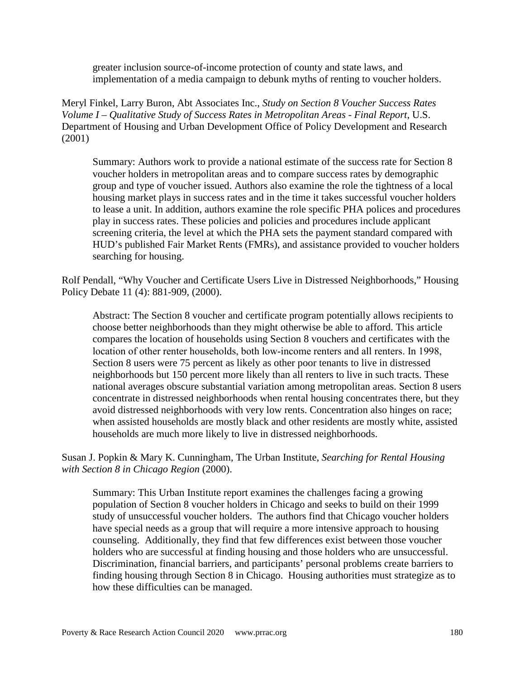greater inclusion source-of-income protection of county and state laws, and implementation of a media campaign to debunk myths of renting to voucher holders.

Meryl Finkel, Larry Buron, Abt Associates Inc., *Study on Section 8 Voucher Success Rates Volume I – Qualitative Study of Success Rates in Metropolitan Areas - Final Report*, U.S. Department of Housing and Urban Development Office of Policy Development and Research (2001)

Summary: Authors work to provide a national estimate of the success rate for Section 8 voucher holders in metropolitan areas and to compare success rates by demographic group and type of voucher issued. Authors also examine the role the tightness of a local housing market plays in success rates and in the time it takes successful voucher holders to lease a unit. In addition, authors examine the role specific PHA polices and procedures play in success rates. These policies and policies and procedures include applicant screening criteria, the level at which the PHA sets the payment standard compared with HUD's published Fair Market Rents (FMRs), and assistance provided to voucher holders searching for housing.

Rolf Pendall, "Why Voucher and Certificate Users Live in Distressed Neighborhoods," Housing Policy Debate 11 (4): 881-909, (2000).

Abstract: The Section 8 voucher and certificate program potentially allows recipients to choose better neighborhoods than they might otherwise be able to afford. This article compares the location of households using Section 8 vouchers and certificates with the location of other renter households, both low‐income renters and all renters. In 1998, Section 8 users were 75 percent as likely as other poor tenants to live in distressed neighborhoods but 150 percent more likely than all renters to live in such tracts. These national averages obscure substantial variation among metropolitan areas. Section 8 users concentrate in distressed neighborhoods when rental housing concentrates there, but they avoid distressed neighborhoods with very low rents. Concentration also hinges on race; when assisted households are mostly black and other residents are mostly white, assisted households are much more likely to live in distressed neighborhoods.

Susan J. Popkin & Mary K. Cunningham, The Urban Institute, *Searching for Rental Housing with Section 8 in Chicago Region* (2000).

Summary: This Urban Institute report examines the challenges facing a growing population of Section 8 voucher holders in Chicago and seeks to build on their 1999 study of unsuccessful voucher holders. The authors find that Chicago voucher holders have special needs as a group that will require a more intensive approach to housing counseling. Additionally, they find that few differences exist between those voucher holders who are successful at finding housing and those holders who are unsuccessful. Discrimination, financial barriers, and participants' personal problems create barriers to finding housing through Section 8 in Chicago. Housing authorities must strategize as to how these difficulties can be managed.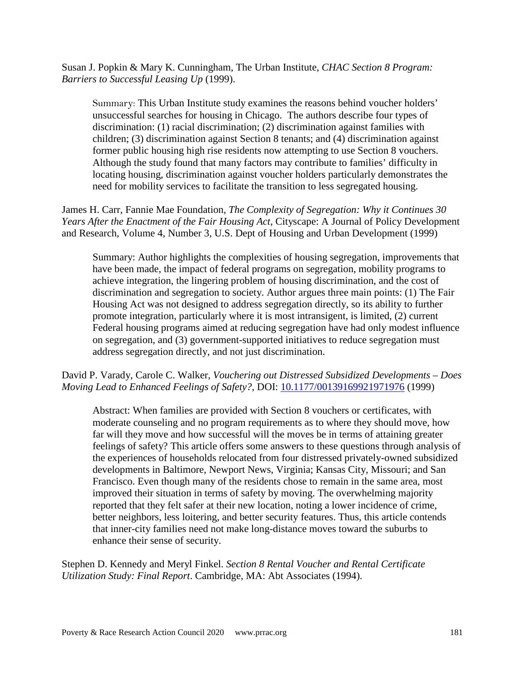Susan J. Popkin & Mary K. Cunningham, The Urban Institute, *CHAC Section 8 Program: Barriers to Successful Leasing Up* (1999).

Summary: This Urban Institute study examines the reasons behind voucher holders' unsuccessful searches for housing in Chicago. The authors describe four types of discrimination: (1) racial discrimination; (2) discrimination against families with children; (3) discrimination against Section 8 tenants; and (4) discrimination against former public housing high rise residents now attempting to use Section 8 vouchers. Although the study found that many factors may contribute to families' difficulty in locating housing, discrimination against voucher holders particularly demonstrates the need for mobility services to facilitate the transition to less segregated housing.

James H. Carr, Fannie Mae Foundation, *The Complexity of Segregation: Why it Continues 30 Years After the Enactment of the Fair Housing Act*, Cityscape: A Journal of Policy Development and Research, Volume 4, Number 3, U.S. Dept of Housing and Urban Development (1999)

Summary: Author highlights the complexities of housing segregation, improvements that have been made, the impact of federal programs on segregation, mobility programs to achieve integration, the lingering problem of housing discrimination, and the cost of discrimination and segregation to society. Author argues three main points: (1) The Fair Housing Act was not designed to address segregation directly, so its ability to further promote integration, particularly where it is most intransigent, is limited, (2) current Federal housing programs aimed at reducing segregation have had only modest influence on segregation, and (3) government-supported initiatives to reduce segregation must address segregation directly, and not just discrimination.

David P. Varady, Carole C. Walker, *Vouchering out Distressed Subsidized Developments – Does Moving Lead to Enhanced Feelings of Safety?*, DOI: [10.1177/00139169921971976](https://doi.org/10.1177%2F00139169921971976) (1999)

Abstract: When families are provided with Section 8 vouchers or certificates, with moderate counseling and no program requirements as to where they should move, how far will they move and how successful will the moves be in terms of attaining greater feelings of safety? This article offers some answers to these questions through analysis of the experiences of households relocated from four distressed privately-owned subsidized developments in Baltimore, Newport News, Virginia; Kansas City, Missouri; and San Francisco. Even though many of the residents chose to remain in the same area, most improved their situation in terms of safety by moving. The overwhelming majority reported that they felt safer at their new location, noting a lower incidence of crime, better neighbors, less loitering, and better security features. Thus, this article contends that inner-city families need not make long-distance moves toward the suburbs to enhance their sense of security.

Stephen D. Kennedy and Meryl Finkel. *Section 8 Rental Voucher and Rental Certificate Utilization Study: Final Report*. Cambridge, MA: Abt Associates (1994).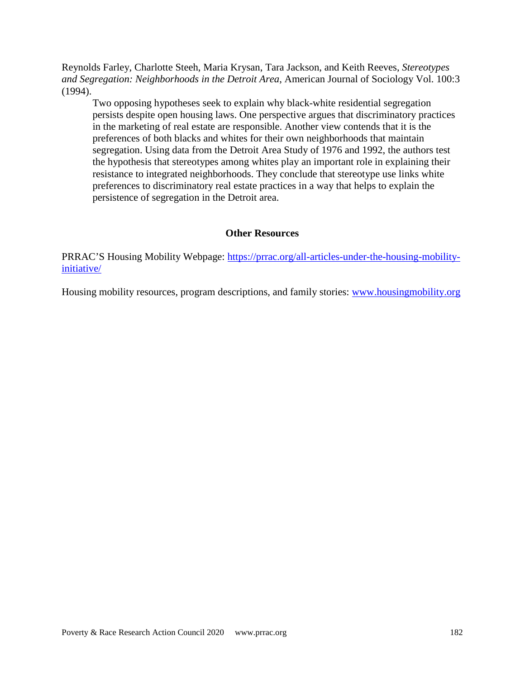Reynolds Farley, Charlotte Steeh, Maria Krysan, Tara Jackson, and Keith Reeves, *Stereotypes and Segregation: Neighborhoods in the Detroit Area*, American Journal of Sociology Vol. 100:3 (1994).

Two opposing hypotheses seek to explain why black-white residential segregation persists despite open housing laws. One perspective argues that discriminatory practices in the marketing of real estate are responsible. Another view contends that it is the preferences of both blacks and whites for their own neighborhoods that maintain segregation. Using data from the Detroit Area Study of 1976 and 1992, the authors test the hypothesis that stereotypes among whites play an important role in explaining their resistance to integrated neighborhoods. They conclude that stereotype use links white preferences to discriminatory real estate practices in a way that helps to explain the persistence of segregation in the Detroit area.

## **Other Resources**

PRRAC'S Housing Mobility Webpage: https://prrac.org/all-articles-under-the-housing-mobilityinitiative/

Housing mobility resources, program descriptions, and family stories: [www.housingmobility.org](http://www.housingmobility.org/)